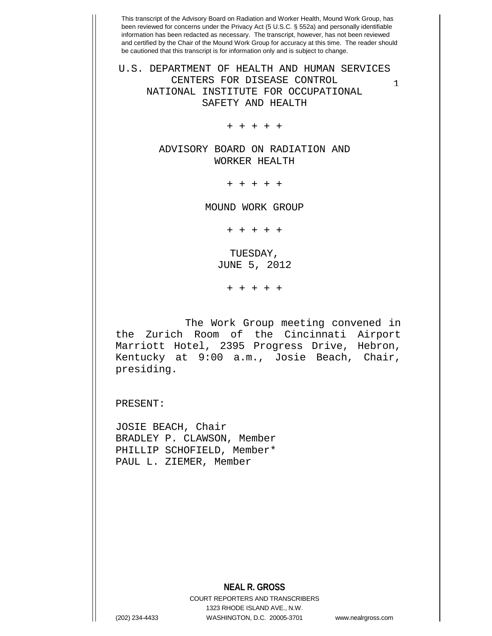1 U.S. DEPARTMENT OF HEALTH AND HUMAN SERVICES CENTERS FOR DISEASE CONTROL NATIONAL INSTITUTE FOR OCCUPATIONAL SAFETY AND HEALTH

+ + + + +

ADVISORY BOARD ON RADIATION AND WORKER HEALTH

+ + + + +

MOUND WORK GROUP

+ + + + +

TUESDAY, JUNE 5, 2012

+ + + + +

 The Work Group meeting convened in the Zurich Room of the Cincinnati Airport Marriott Hotel, 2395 Progress Drive, Hebron, Kentucky at 9:00 a.m., Josie Beach, Chair, presiding.

PRESENT:

JOSIE BEACH, Chair BRADLEY P. CLAWSON, Member PHILLIP SCHOFIELD, Member\* PAUL L. ZIEMER, Member

**NEAL R. GROSS**

COURT REPORTERS AND TRANSCRIBERS 1323 RHODE ISLAND AVE., N.W. (202) 234-4433 WASHINGTON, D.C. 20005-3701 www.nealrgross.com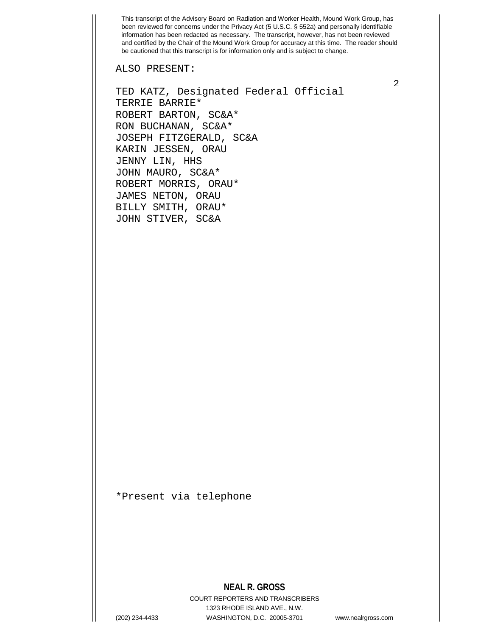ALSO PRESENT:

TED KATZ, Designated Federal Official TERRIE BARRIE\* ROBERT BARTON, SC&A\* RON BUCHANAN, SC&A\* JOSEPH FITZGERALD, SC&A KARIN JESSEN, ORAU JENNY LIN, HHS JOHN MAURO, SC&A\* ROBERT MORRIS, ORAU\* JAMES NETON, ORAU BILLY SMITH, ORAU\* JOHN STIVER, SC&A

\*Present via telephone

## **NEAL R. GROSS**

COURT REPORTERS AND TRANSCRIBERS 1323 RHODE ISLAND AVE., N.W. (202) 234-4433 WASHINGTON, D.C. 20005-3701 www.nealrgross.com

 $\mathfrak{D}$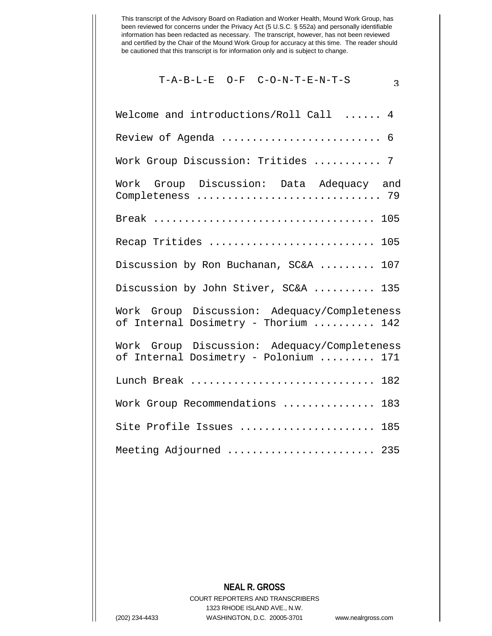$$
T-A-B-L-E \tO-F \tC-O-N-T-E-N-T-S \t3
$$

| Welcome and introductions/Roll Call  4                                                |
|---------------------------------------------------------------------------------------|
| Review of Agenda  6                                                                   |
| Work Group Discussion: Tritides  7                                                    |
| Work Group Discussion: Data Adequacy and                                              |
|                                                                                       |
| Recap Tritides  105                                                                   |
| Discussion by Ron Buchanan, SC&A  107                                                 |
| Discussion by John Stiver, SC&A  135                                                  |
| Work Group Discussion: Adequacy/Completeness<br>of Internal Dosimetry - Thorium  142  |
| Work Group Discussion: Adequacy/Completeness<br>of Internal Dosimetry - Polonium  171 |
| Lunch Break<br>182                                                                    |
| Work Group Recommendations<br>183                                                     |
| Site Profile Issues  185                                                              |
| Meeting Adjourned  235                                                                |

## **NEAL R. GROSS**

COURT REPORTERS AND TRANSCRIBERS 1323 RHODE ISLAND AVE., N.W. (202) 234-4433 WASHINGTON, D.C. 20005-3701 www.nealrgross.com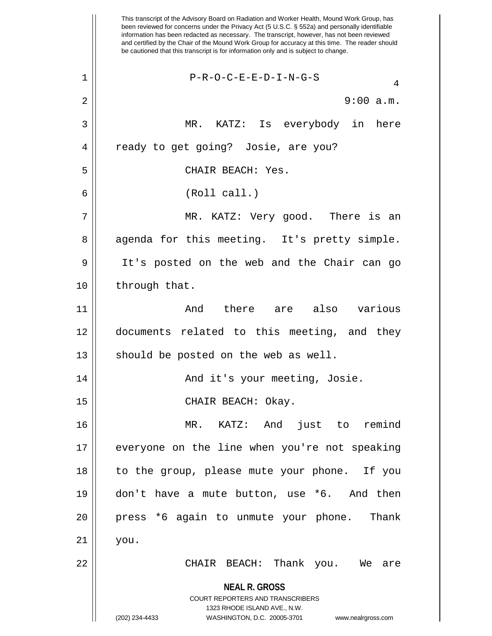**NEAL R. GROSS** COURT REPORTERS AND TRANSCRIBERS 1323 RHODE ISLAND AVE., N.W. (202) 234-4433 WASHINGTON, D.C. 20005-3701 www.nealrgross.com This transcript of the Advisory Board on Radiation and Worker Health, Mound Work Group, has been reviewed for concerns under the Privacy Act (5 U.S.C. § 552a) and personally identifiable information has been redacted as necessary. The transcript, however, has not been reviewed and certified by the Chair of the Mound Work Group for accuracy at this time. The reader should be cautioned that this transcript is for information only and is subject to change.  $1$  | P-R-O-C-E-E-D-I-N-G-S 2  $\parallel$  9:00 a.m. 3 MR. KATZ: Is everybody in here 4 || ready to get going? Josie, are you? 5 CHAIR BEACH: Yes. 6 (Roll call.) 7 MR. KATZ: Very good. There is an 8 agenda for this meeting. It's pretty simple. 9 It's posted on the web and the Chair can go 10 | through that. 11 And there are also various 12 documents related to this meeting, and they  $13$  should be posted on the web as well. 14 And it's your meeting, Josie. 15 || CHAIR BEACH: Okay. 16 MR. KATZ: And just to remind 17 everyone on the line when you're not speaking 18 to the group, please mute your phone. If you 19 don't have a mute button, use \*6. And then 20 press \*6 again to unmute your phone. Thank  $21 \parallel$  you. 22 CHAIR BEACH: Thank you. We are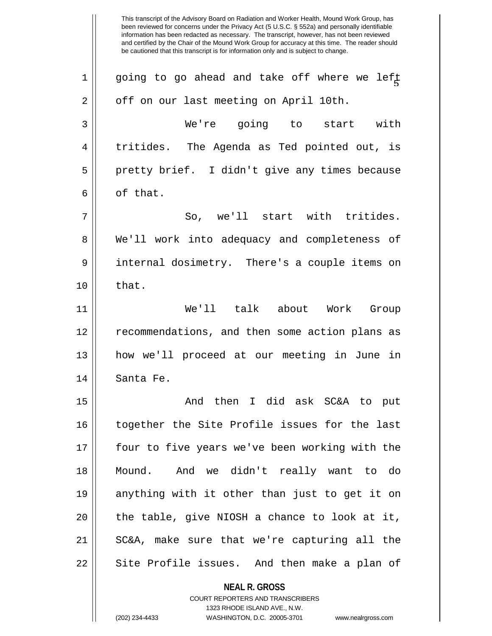This transcript of the Advisory Board on Radiation and Worker Health, Mound Work Group, has been reviewed for concerns under the Privacy Act (5 U.S.C. § 552a) and personally identifiable information has been redacted as necessary. The transcript, however, has not been reviewed and certified by the Chair of the Mound Work Group for accuracy at this time. The reader should be cautioned that this transcript is for information only and is subject to change. 1 || going to go ahead and take off where we left |<br>| 2 | off on our last meeting on April 10th. 3 We're going to start with 4 || tritides. The Agenda as Ted pointed out, is 5 || pretty brief. I didn't give any times because  $6 \parallel$  of that.  $7 \parallel$  So, we'll start with tritides. 8 We'll work into adequacy and completeness of 9 internal dosimetry. There's a couple items on  $10 \parallel$  that. 11 We'll talk about Work Group 12 recommendations, and then some action plans as 13 how we'll proceed at our meeting in June in 14 || Santa Fe. 15 And then I did ask SC&A to put 16 together the Site Profile issues for the last 17 four to five years we've been working with the 18 Mound. And we didn't really want to do 19 anything with it other than just to get it on  $20$  || the table, give NIOSH a chance to look at it, 21 SC&A, make sure that we're capturing all the 22 || Site Profile issues. And then make a plan of

> **NEAL R. GROSS** COURT REPORTERS AND TRANSCRIBERS

> > 1323 RHODE ISLAND AVE., N.W.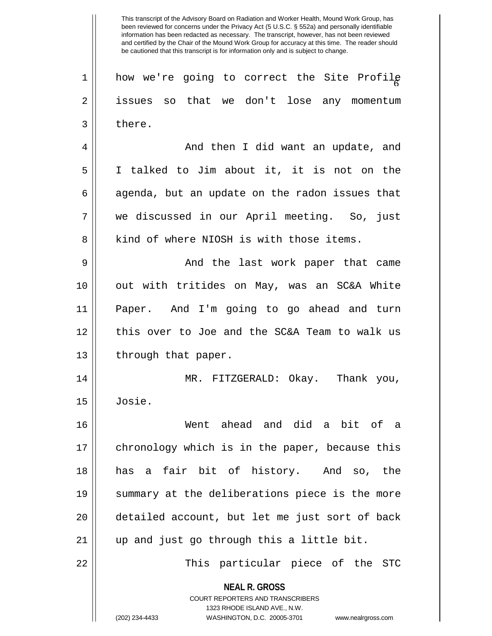1 || how we're going to correct the Site Profile 2 || issues so that we don't lose any momentum  $3 \parallel$  there. 4 And then I did want an update, and 5 I talked to Jim about it, it is not on the  $6 \parallel$  agenda, but an update on the radon issues that 7 we discussed in our April meeting. So, just 8 kind of where NIOSH is with those items. 9 And the last work paper that came 10 out with tritides on May, was an SC&A White 11 Paper. And I'm going to go ahead and turn

12 || this over to Joe and the SC&A Team to walk us  $13$  | through that paper.

14 MR. FITZGERALD: Okay. Thank you, 15 Josie.

16 Went ahead and did a bit of a 17 || chronology which is in the paper, because this 18 has a fair bit of history. And so, the 19 summary at the deliberations piece is the more 20 || detailed account, but let me just sort of back 21 || up and just go through this a little bit.

22 This particular piece of the STC

**NEAL R. GROSS** COURT REPORTERS AND TRANSCRIBERS

1323 RHODE ISLAND AVE., N.W.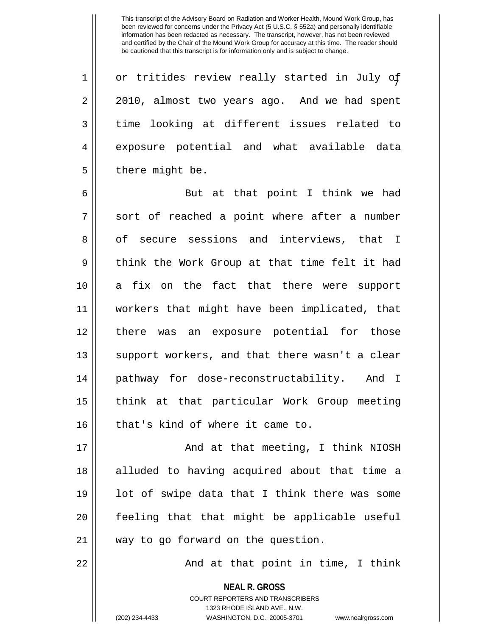1 or tritides review really started in July of 2 2010, almost two years ago. And we had spent  $3 \parallel$  time looking at different issues related to 4 exposure potential and what available data  $5 \parallel$  there might be.

6 || But at that point I think we had  $7 \parallel$  sort of reached a point where after a number 8 of secure sessions and interviews, that I 9 || think the Work Group at that time felt it had 10 || a fix on the fact that there were support 11 workers that might have been implicated, that 12 || there was an exposure potential for those 13 || support workers, and that there wasn't a clear 14 pathway for dose-reconstructability. And I 15 || think at that particular Work Group meeting  $16$  | that's kind of where it came to.

17 || And at that meeting, I think NIOSH 18 || alluded to having acquired about that time a  $19$  || lot of swipe data that I think there was some 20 feeling that that might be applicable useful 21 || way to go forward on the question.

22 || And at that point in time, I think

**NEAL R. GROSS** COURT REPORTERS AND TRANSCRIBERS 1323 RHODE ISLAND AVE., N.W. (202) 234-4433 WASHINGTON, D.C. 20005-3701 www.nealrgross.com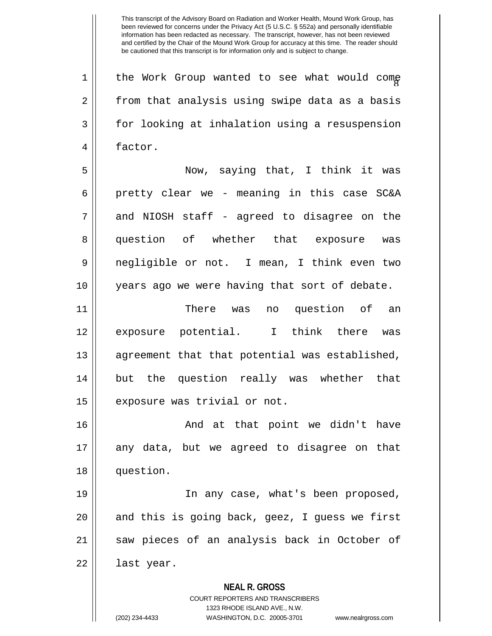$1 ||$  the Work Group wanted to see what would come  $2 \parallel$  from that analysis using swipe data as a basis 3 for looking at inhalation using a resuspension 4 | factor.

5 Now, saying that, I think it was 6 | pretty clear we - meaning in this case  $SC&A$  $7 \parallel$  and NIOSH staff - agreed to disagree on the 8 question of whether that exposure was 9 negligible or not. I mean, I think even two 10 years ago we were having that sort of debate.

11 There was no question of an 12 exposure potential. I think there was 13 || agreement that that potential was established, 14 || but the question really was whether that 15 | exposure was trivial or not.

16 And at that point we didn't have 17 any data, but we agreed to disagree on that 18 question.

19 || In any case, what's been proposed,  $20$  || and this is going back, geez, I guess we first 21 || saw pieces of an analysis back in October of  $22 \parallel$  last year.

**NEAL R. GROSS**

COURT REPORTERS AND TRANSCRIBERS 1323 RHODE ISLAND AVE., N.W. (202) 234-4433 WASHINGTON, D.C. 20005-3701 www.nealrgross.com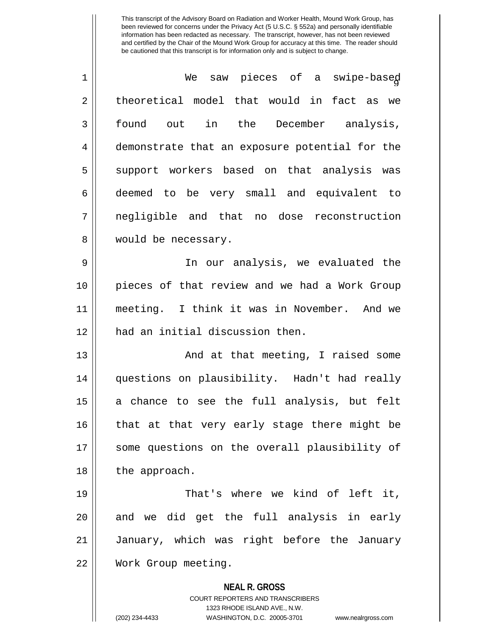| $\mathbf 1$ | We saw pieces of a swipe-based                           |
|-------------|----------------------------------------------------------|
| 2           | theoretical model that would in fact as we               |
| 3           | found out in the December analysis,                      |
| 4           | demonstrate that an exposure potential for the           |
| 5           | support workers based on that analysis was               |
| 6           | deemed to be very small and equivalent to                |
| 7           | negligible and that no dose reconstruction               |
| 8           | would be necessary.                                      |
| 9           | In our analysis, we evaluated the                        |
| 10          | pieces of that review and we had a Work Group            |
| 11          | meeting. I think it was in November. And we              |
| 12          | had an initial discussion then.                          |
| 13          | And at that meeting, I raised some                       |
| 14          | questions on plausibility. Hadn't had really             |
| 15          | a chance to see the full analysis, but felt              |
| 16          | that at that very early stage there might be             |
| 17          | some questions on the overall plausibility of            |
| 18          | the approach.                                            |
| 19          | That's where we kind of left it,                         |
| 20          | and we did get the full analysis in early                |
| 21          | January, which was right before the January              |
| 22          | Work Group meeting.                                      |
|             | <b>NEAL R. GROSS</b><br>COURT REPORTERS AND TRANSCRIBERS |

1323 RHODE ISLAND AVE., N.W.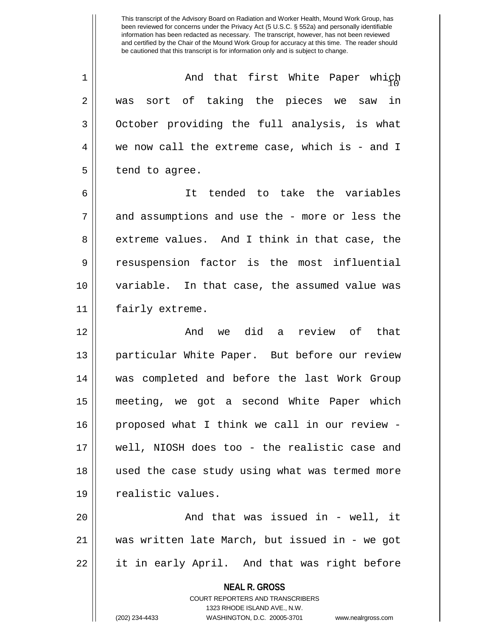<sup>10</sup> 1 And that first White Paper which 2 || was sort of taking the pieces we saw in 3 || October providing the full analysis, is what 4 we now call the extreme case, which is - and I  $5 \parallel$  tend to agree.

6 It tended to take the variables  $7 \parallel$  and assumptions and use the - more or less the 8 extreme values. And I think in that case, the 9 || resuspension factor is the most influential 10 variable. In that case, the assumed value was 11 || fairly extreme.

12 And we did a review of that 13 particular White Paper. But before our review 14 was completed and before the last Work Group 15 meeting, we got a second White Paper which 16 || proposed what I think we call in our review -17 well, NIOSH does too - the realistic case and 18 used the case study using what was termed more 19 || realistic values.

20 And that was issued in - well, it 21 was written late March, but issued in - we got 22 || it in early April. And that was right before

> **NEAL R. GROSS** COURT REPORTERS AND TRANSCRIBERS

> > 1323 RHODE ISLAND AVE., N.W.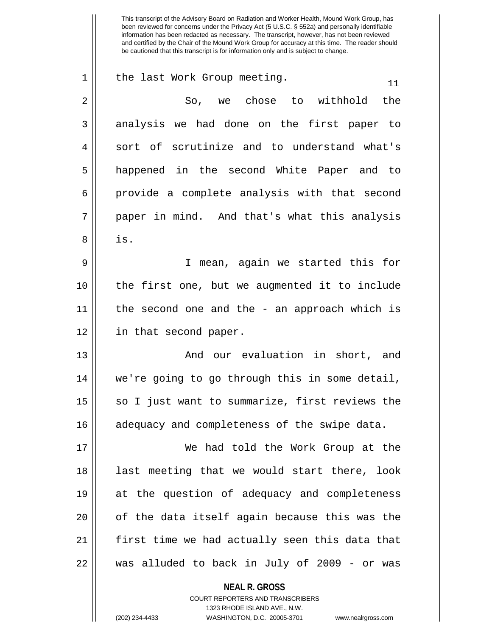| $\mathbf 1$ | the last Work Group meeting.<br>11             |
|-------------|------------------------------------------------|
| 2           | So, we chose to withhold the                   |
| 3           | analysis we had done on the first paper to     |
| 4           | sort of scrutinize and to understand what's    |
| 5           | happened in the second White Paper and to      |
| 6           | provide a complete analysis with that second   |
| 7           | paper in mind. And that's what this analysis   |
| 8           | is.                                            |
| 9           | I mean, again we started this for              |
| 10          | the first one, but we augmented it to include  |
| 11          | the second one and the - an approach which is  |
| 12          | in that second paper.                          |
| 13          | And our evaluation in short, and               |
| 14          | we're going to go through this in some detail, |
| 15          | so I just want to summarize, first reviews the |
| 16          | adequacy and completeness of the swipe data.   |
| 17          | We had told the Work Group at the              |
| 18          | last meeting that we would start there, look   |
| 19          | at the question of adequacy and completeness   |
| 20          | of the data itself again because this was the  |
| 21          | first time we had actually seen this data that |
| 22          | was alluded to back in July of 2009 - or was   |
|             | <b>NEAL R. GROSS</b>                           |

COURT REPORTERS AND TRANSCRIBERS 1323 RHODE ISLAND AVE., N.W.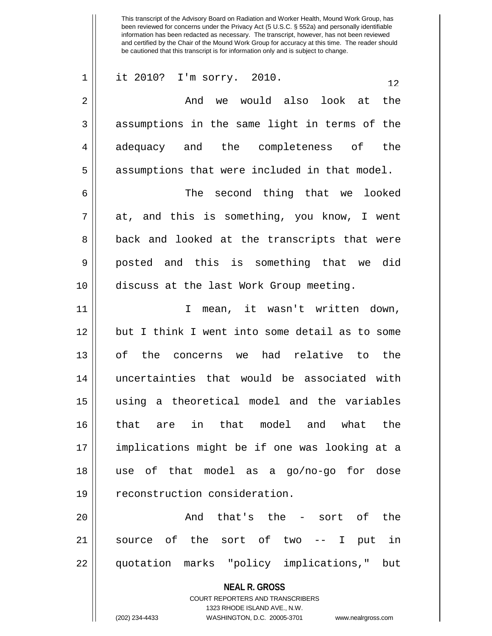| $\mathbf 1$ | it 2010? I'm sorry. 2010.<br>12.                                                                |
|-------------|-------------------------------------------------------------------------------------------------|
| 2           | And we would also look at<br>the                                                                |
| 3           | assumptions in the same light in terms of the                                                   |
| 4           | adequacy and the completeness of<br>the                                                         |
| 5           | assumptions that were included in that model.                                                   |
| 6           | The second thing that we looked                                                                 |
| 7           | at, and this is something, you know, I went                                                     |
| 8           | back and looked at the transcripts that were                                                    |
| 9           | posted and this is something that we did                                                        |
| 10          | discuss at the last Work Group meeting.                                                         |
| 11          | I mean, it wasn't written down,                                                                 |
| 12          | but I think I went into some detail as to some                                                  |
| 13          | of the concerns we had relative to the                                                          |
| 14          | uncertainties that would be associated with                                                     |
| 15          | using a theoretical model and the variables                                                     |
| 16          | in that model and what the<br>that are                                                          |
| 17          | implications might be if one was looking at a                                                   |
| 18          | use of that model as a go/no-go for dose                                                        |
| 19          | reconstruction consideration.                                                                   |
| 20          | And that's the - sort of the                                                                    |
| 21          | source of the sort of two -- I put in                                                           |
| 22          | quotation marks "policy implications," but                                                      |
|             | <b>NEAL R. GROSS</b><br><b>COURT REPORTERS AND TRANSCRIBERS</b><br>1323 RHODE ISLAND AVE., N.W. |

 $\mathbf{\mathcal{H}}$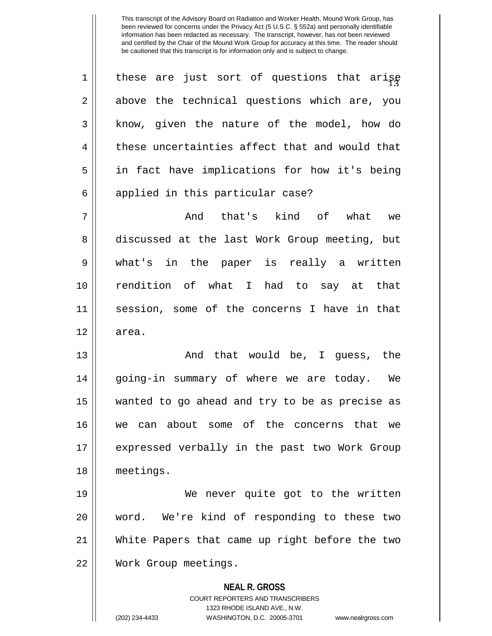$1$  | these are just sort of questions that arise  $2 \parallel$  above the technical questions which are, you 3 || know, given the nature of the model, how do  $4 \parallel$  these uncertainties affect that and would that 5 in fact have implications for how it's being 6 || applied in this particular case? 7 And that's kind of what we 8 discussed at the last Work Group meeting, but 9 what's in the paper is really a written 10 rendition of what I had to say at that 11 session, some of the concerns I have in that 12 area. 13 And that would be, I guess, the 14 going-in summary of where we are today. We 15 wanted to go ahead and try to be as precise as 16 we can about some of the concerns that we 17 expressed verbally in the past two Work Group 18 meetings.

19 We never quite got to the written 20 word. We're kind of responding to these two 21 White Papers that came up right before the two 22 Work Group meetings.

> **NEAL R. GROSS** COURT REPORTERS AND TRANSCRIBERS

> > 1323 RHODE ISLAND AVE., N.W.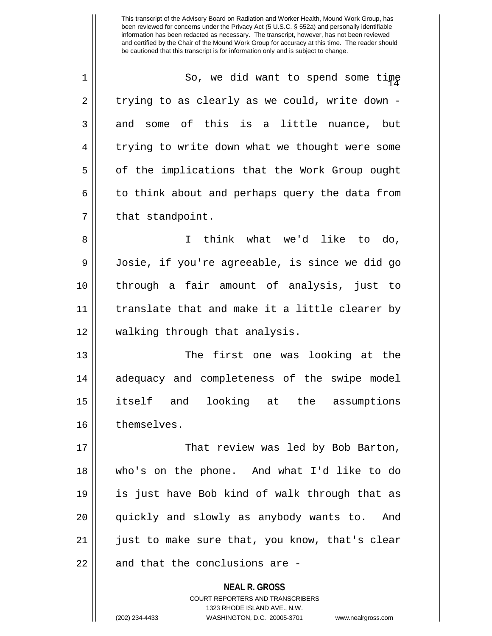1 || So, we did want to spend some time  $2 \parallel$  trying to as clearly as we could, write down - $3 \parallel$  and some of this is a little nuance, but 4 | trying to write down what we thought were some 5 | of the implications that the Work Group ought  $6 \parallel$  to think about and perhaps query the data from 7 | that standpoint.

8 I think what we'd like to do, 9 Josie, if you're agreeable, is since we did go 10 through a fair amount of analysis, just to 11 translate that and make it a little clearer by 12 walking through that analysis.

13 The first one was looking at the 14 adequacy and completeness of the swipe model 15 itself and looking at the assumptions 16 themselves.

17 || That review was led by Bob Barton, 18 who's on the phone. And what I'd like to do 19 is just have Bob kind of walk through that as 20 quickly and slowly as anybody wants to. And 21 || just to make sure that, you know, that's clear  $22$  || and that the conclusions are -

> **NEAL R. GROSS** COURT REPORTERS AND TRANSCRIBERS 1323 RHODE ISLAND AVE., N.W. (202) 234-4433 WASHINGTON, D.C. 20005-3701 www.nealrgross.com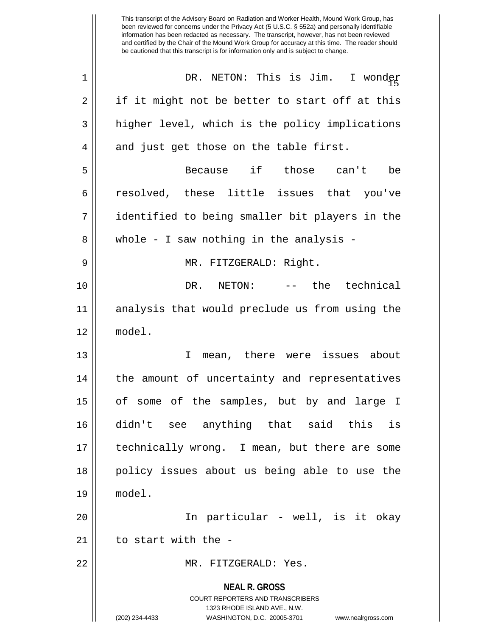**NEAL R. GROSS** COURT REPORTERS AND TRANSCRIBERS 1323 RHODE ISLAND AVE., N.W. (202) 234-4433 WASHINGTON, D.C. 20005-3701 www.nealrgross.com This transcript of the Advisory Board on Radiation and Worker Health, Mound Work Group, has been reviewed for concerns under the Privacy Act (5 U.S.C. § 552a) and personally identifiable information has been redacted as necessary. The transcript, however, has not been reviewed and certified by the Chair of the Mound Work Group for accuracy at this time. The reader should be cautioned that this transcript is for information only and is subject to change. <sup>15</sup> 1 DR. NETON: This is Jim. I wonder  $2 \parallel$  if it might not be better to start off at this  $3 \parallel$  higher level, which is the policy implications  $4 \parallel$  and just get those on the table first. 5 Because if those can't be 6 || resolved, these little issues that you've 7 identified to being smaller bit players in the 8 || whole - I saw nothing in the analysis -9 MR. FITZGERALD: Right. 10 DR. NETON: -- the technical 11 analysis that would preclude us from using the 12 model. 13 || T mean, there were issues about 14 || the amount of uncertainty and representatives 15 || of some of the samples, but by and large I 16 didn't see anything that said this is 17 technically wrong. I mean, but there are some 18 || policy issues about us being able to use the 19 model. 20 In particular - well, is it okay  $21$   $\parallel$  to start with the -22 MR. FITZGERALD: Yes.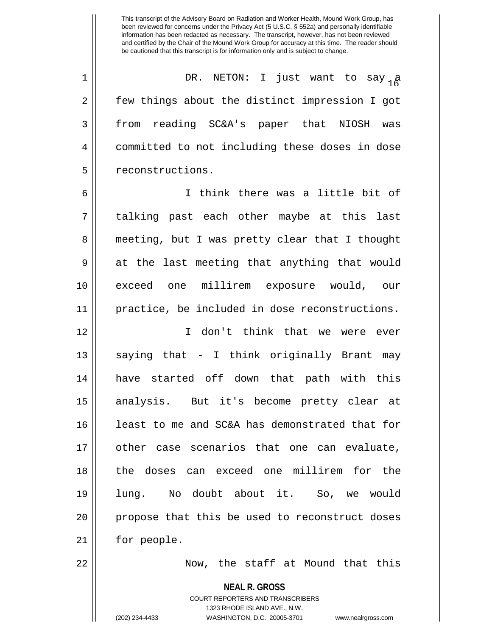<sup>16</sup> 1 DR. NETON: I just want to say a 2 | few things about the distinct impression I got 3 from reading SC&A's paper that NIOSH was 4 | committed to not including these doses in dose 5 | reconstructions.

6 I think there was a little bit of 7 talking past each other maybe at this last 8 meeting, but I was pretty clear that I thought 9 at the last meeting that anything that would 10 exceed one millirem exposure would, our 11 practice, be included in dose reconstructions.

12 I don't think that we were ever 13  $\parallel$  saying that - I think originally Brant may 14 have started off down that path with this 15 analysis. But it's become pretty clear at 16 || least to me and SC&A has demonstrated that for 17 other case scenarios that one can evaluate, 18 the doses can exceed one millirem for the 19 lung. No doubt about it. So, we would 20 || propose that this be used to reconstruct doses 21 | for people.

22 Now, the staff at Mound that this

**NEAL R. GROSS**

COURT REPORTERS AND TRANSCRIBERS 1323 RHODE ISLAND AVE., N.W. (202) 234-4433 WASHINGTON, D.C. 20005-3701 www.nealrgross.com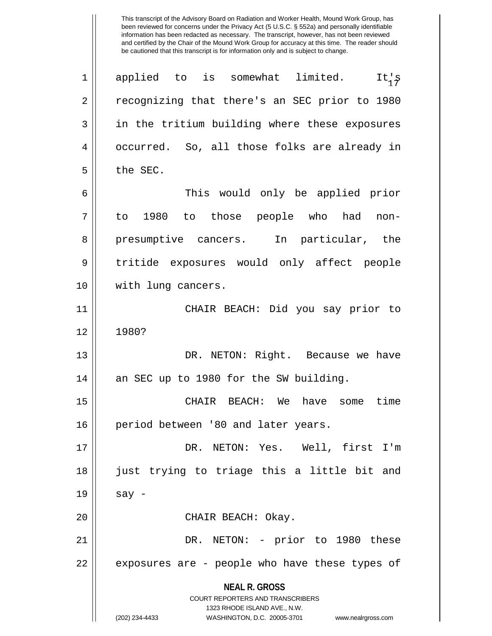**NEAL R. GROSS** COURT REPORTERS AND TRANSCRIBERS 1323 RHODE ISLAND AVE., N.W. (202) 234-4433 WASHINGTON, D.C. 20005-3701 www.nealrgross.com  $\begin{array}{ccc} 1 & \text{applied} & \text{to} & \text{is} & \text{somewhat} & \text{limited.} \end{array}$ 2 || recognizing that there's an SEC prior to 1980 3 || in the tritium building where these exposures 4 || occurred. So, all those folks are already in  $5$  | the SEC. 6 This would only be applied prior 7 to 1980 to those people who had non-8 presumptive cancers. In particular, the 9 || tritide exposures would only affect people 10 || with lung cancers. 11 CHAIR BEACH: Did you say prior to 12 1980? 13 DR. NETON: Right. Because we have 14 || an SEC up to 1980 for the SW building. 15 CHAIR BEACH: We have some time 16 | period between '80 and later years. 17 DR. NETON: Yes. Well, first I'm 18 just trying to triage this a little bit and  $19 \parallel$  say -20 || CHAIR BEACH: Okay. 21 DR. NETON: - prior to 1980 these  $22$  || exposures are - people who have these types of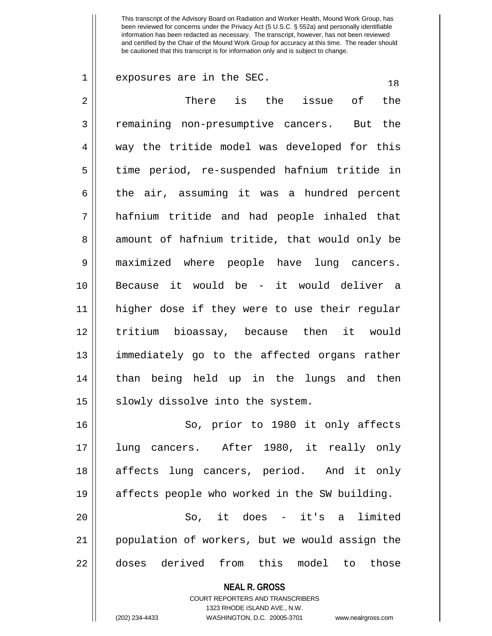| 1              | exposures are in the SEC.<br>18                                         |
|----------------|-------------------------------------------------------------------------|
| $\overline{2}$ | There is the issue of<br>the                                            |
| 3              | remaining non-presumptive cancers. But the                              |
| 4              | way the tritide model was developed for this                            |
| 5              | time period, re-suspended hafnium tritide in                            |
| 6              | the air, assuming it was a hundred percent                              |
| 7              | hafnium tritide and had people inhaled that                             |
| 8              | amount of hafnium tritide, that would only be                           |
| 9              | maximized where people have lung cancers.                               |
| 10             | Because it would be - it would deliver a                                |
| 11             | higher dose if they were to use their regular                           |
| 12             | tritium bioassay, because then it would                                 |
| 13             | immediately go to the affected organs rather                            |
| 14             | than being held up in the lungs and then                                |
| 15             | slowly dissolve into the system.                                        |
| 16             | So, prior to 1980 it only affects                                       |
| 17             | lung cancers. After 1980, it really only                                |
| 18             | affects lung cancers, period. And it only                               |
| 19             | affects people who worked in the SW building.                           |
| 20             | So, it does - it's a limited                                            |
| 21             | population of workers, but we would assign the                          |
| 22             | doses derived from this model to those                                  |
|                | <b>NEAL R. GROSS</b>                                                    |
|                | <b>COURT REPORTERS AND TRANSCRIBERS</b><br>1323 RHODE ISLAND AVE., N.W. |
|                | (202) 234-4433<br>WASHINGTON, D.C. 20005-3701<br>www.nealrgross.com     |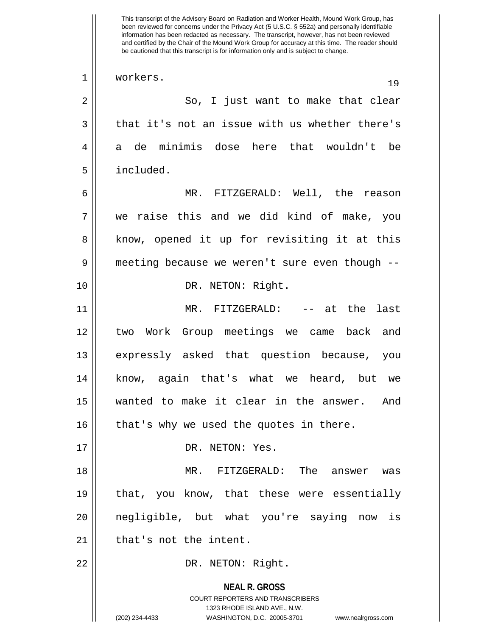**NEAL R. GROSS** COURT REPORTERS AND TRANSCRIBERS 1323 RHODE ISLAND AVE., N.W. (202) 234-4433 WASHINGTON, D.C. 20005-3701 www.nealrgross.com been reviewed for concerns under the Privacy Act (5 U.S.C. § 552a) and personally identifiable information has been redacted as necessary. The transcript, however, has not been reviewed and certified by the Chair of the Mound Work Group for accuracy at this time. The reader should be cautioned that this transcript is for information only and is subject to change. 1 || workers. 19 2 So, I just want to make that clear  $3 \parallel$  that it's not an issue with us whether there's 4 a de minimis dose here that wouldn't be 5 included. 6 MR. FITZGERALD: Well, the reason 7 we raise this and we did kind of make, you 8 || know, opened it up for revisiting it at this 9 || meeting because we weren't sure even though --10 || DR. NETON: Right. 11 MR. FITZGERALD: -- at the last 12 two Work Group meetings we came back and 13 || expressly asked that question because, you 14 know, again that's what we heard, but we 15 wanted to make it clear in the answer. And  $16$  | that's why we used the quotes in there. 17 || DR. NETON: Yes. 18 MR. FITZGERALD: The answer was 19 || that, you know, that these were essentially 20 negligible, but what you're saying now is  $21$  | that's not the intent. 22 || DR. NETON: Right.

This transcript of the Advisory Board on Radiation and Worker Health, Mound Work Group, has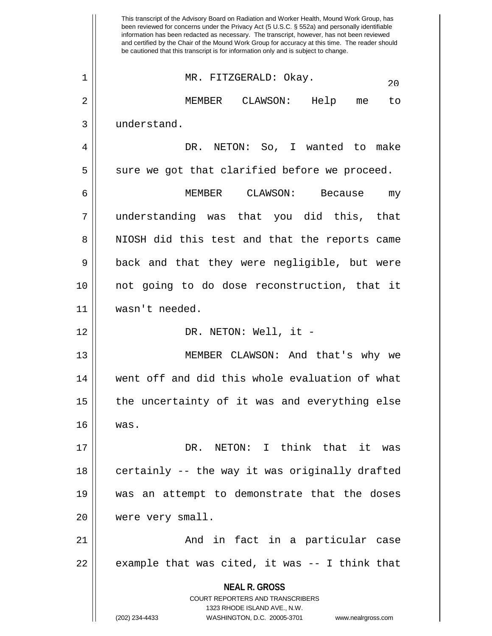**NEAL R. GROSS** COURT REPORTERS AND TRANSCRIBERS 1323 RHODE ISLAND AVE., N.W. (202) 234-4433 WASHINGTON, D.C. 20005-3701 www.nealrgross.com This transcript of the Advisory Board on Radiation and Worker Health, Mound Work Group, has been reviewed for concerns under the Privacy Act (5 U.S.C. § 552a) and personally identifiable information has been redacted as necessary. The transcript, however, has not been reviewed and certified by the Chair of the Mound Work Group for accuracy at this time. The reader should be cautioned that this transcript is for information only and is subject to change. <sup>20</sup> 1 MR. FITZGERALD: Okay. 2 MEMBER CLAWSON: Help me to 3 | understand. 4 DR. NETON: So, I wanted to make  $5 \parallel$  sure we got that clarified before we proceed. 6 MEMBER CLAWSON: Because my 7 understanding was that you did this, that 8 || NIOSH did this test and that the reports came 9 || back and that they were negligible, but were 10 not going to do dose reconstruction, that it 11 wasn't needed. 12 DR. NETON: Well, it - 13 MEMBER CLAWSON: And that's why we 14 went off and did this whole evaluation of what  $15$  | the uncertainty of it was and everything else 16 was. 17 DR. NETON: I think that it was 18 || certainly -- the way it was originally drafted 19 was an attempt to demonstrate that the doses 20 | were very small. 21 And in fact in a particular case  $22 \parallel$  example that was cited, it was  $-$  I think that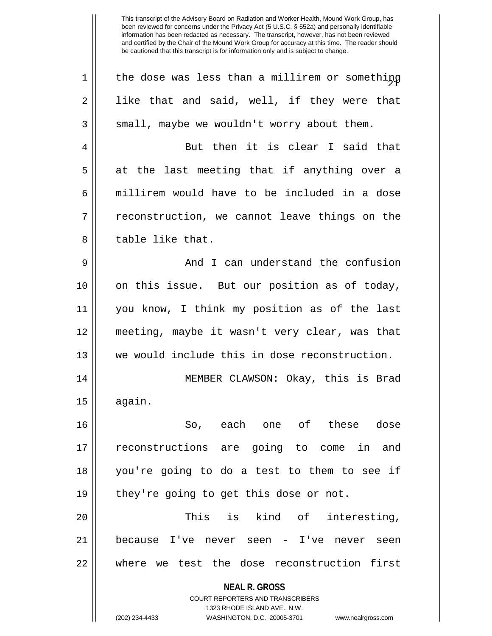| the dose was less than a millirem or something                          |
|-------------------------------------------------------------------------|
|                                                                         |
| like that and said, well, if they were that                             |
| small, maybe we wouldn't worry about them.                              |
| But then it is clear I said that                                        |
| at the last meeting that if anything over a                             |
| millirem would have to be included in a dose                            |
| reconstruction, we cannot leave things on the                           |
|                                                                         |
| And I can understand the confusion                                      |
| on this issue. But our position as of today,                            |
| you know, I think my position as of the last                            |
| meeting, maybe it wasn't very clear, was that                           |
| we would include this in dose reconstruction.                           |
| MEMBER CLAWSON: Okay, this is Brad                                      |
|                                                                         |
| So, each one of these dose                                              |
| reconstructions are going to come in and                                |
| you're going to do a test to them to see if                             |
| they're going to get this dose or not.                                  |
| This<br>is kind of interesting,                                         |
| because I've never seen - I've<br>never<br>seen                         |
| where we test the dose reconstruction first                             |
| <b>NEAL R. GROSS</b>                                                    |
| <b>COURT REPORTERS AND TRANSCRIBERS</b><br>1323 RHODE ISLAND AVE., N.W. |
| WASHINGTON, D.C. 20005-3701<br>www.nealrgross.com                       |
|                                                                         |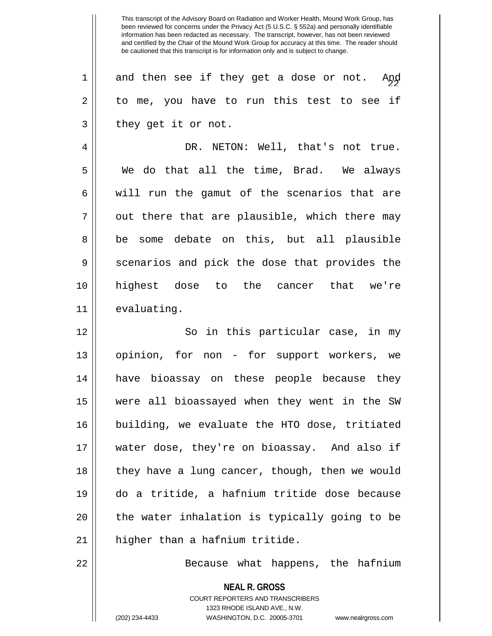$1 \parallel$  and then see if they get a dose or not. And  $2 \parallel$  to me, you have to run this test to see if  $3 \parallel$  they get it or not.

4 DR. NETON: Well, that's not true. 5 We do that all the time, Brad. We always  $6 \parallel$  will run the gamut of the scenarios that are  $7 \parallel$  out there that are plausible, which there may 8 be some debate on this, but all plausible 9 Scenarios and pick the dose that provides the 10 highest dose to the cancer that we're 11 | evaluating.

12 || So in this particular case, in my 13 opinion, for non - for support workers, we 14 have bioassay on these people because they 15 were all bioassayed when they went in the SW 16 building, we evaluate the HTO dose, tritiated 17 water dose, they're on bioassay. And also if 18 || they have a lung cancer, though, then we would 19 do a tritide, a hafnium tritide dose because  $20$  || the water inhalation is typically going to be  $21$  | higher than a hafnium tritide.

22 || Because what happens, the hafnium

**NEAL R. GROSS** COURT REPORTERS AND TRANSCRIBERS 1323 RHODE ISLAND AVE., N.W. (202) 234-4433 WASHINGTON, D.C. 20005-3701 www.nealrgross.com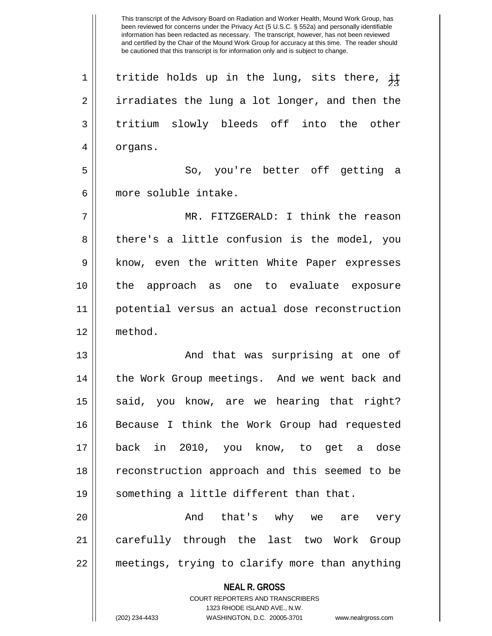This transcript of the Advisory Board on Radiation and Worker Health, Mound Work Group, has been reviewed for concerns under the Privacy Act (5 U.S.C. § 552a) and personally identifiable information has been redacted as necessary. The transcript, however, has not been reviewed and certified by the Chair of the Mound Work Group for accuracy at this time. The reader should be cautioned that this transcript is for information only and is subject to change. 1 || tritide holds up in the lung, sits there,  $\frac{11}{45}$ 2 | irradiates the lung a lot longer, and then the 3 tritium slowly bleeds off into the other 4 | organs. 5 So, you're better off getting a 6 more soluble intake. 7 MR. FITZGERALD: I think the reason 8 || there's a little confusion is the model, you 9 || know, even the written White Paper expresses 10 the approach as one to evaluate exposure 11 potential versus an actual dose reconstruction 12 method.

13 || And that was surprising at one of 14 || the Work Group meetings. And we went back and 15 || said, you know, are we hearing that right? 16 Because I think the Work Group had requested 17 back in 2010, you know, to get a dose 18 || reconstruction approach and this seemed to be 19 || something a little different than that.

20 And that's why we are very 21 carefully through the last two Work Group 22 meetings, trying to clarify more than anything

> **NEAL R. GROSS** COURT REPORTERS AND TRANSCRIBERS 1323 RHODE ISLAND AVE., N.W. (202) 234-4433 WASHINGTON, D.C. 20005-3701 www.nealrgross.com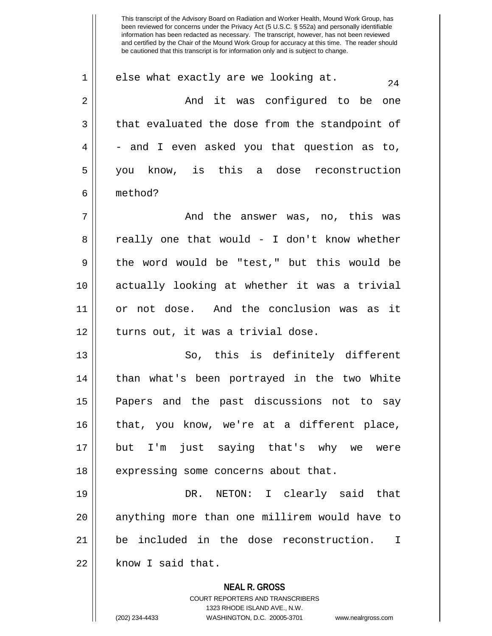$1 \parallel$  else what exactly are we looking at. 2 And it was configured to be one  $3 \parallel$  that evaluated the dose from the standpoint of  $4 \parallel$  - and I even asked you that question as to, 5 you know, is this a dose reconstruction 6 method? 7 And the answer was, no, this was  $8 \parallel$  really one that would - I don't know whether 9 the word would be "test," but this would be 10 actually looking at whether it was a trivial 11 or not dose. And the conclusion was as it 12 || turns out, it was a trivial dose. 13 || So, this is definitely different 14 || than what's been portrayed in the two White 15 Papers and the past discussions not to say 16 || that, you know, we're at a different place, 17 but I'm just saying that's why we were 18 || expressing some concerns about that. 19 DR. NETON: I clearly said that 20 || anything more than one millirem would have to

21 be included in the dose reconstruction. I  $22$  |  $\blacksquare$  know I said that.

> **NEAL R. GROSS** COURT REPORTERS AND TRANSCRIBERS 1323 RHODE ISLAND AVE., N.W.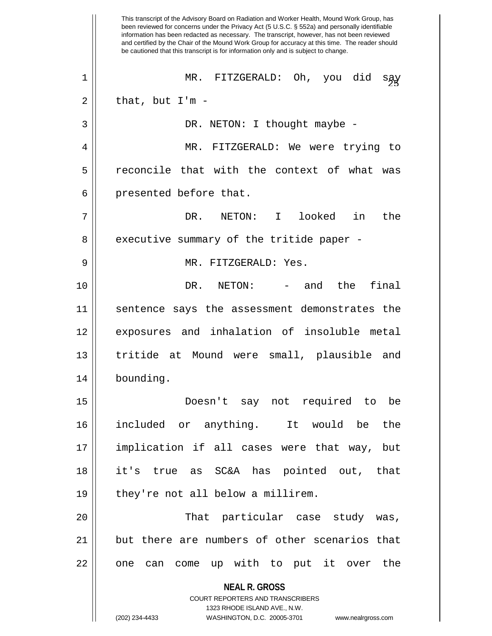**NEAL R. GROSS** COURT REPORTERS AND TRANSCRIBERS 1323 RHODE ISLAND AVE., N.W. (202) 234-4433 WASHINGTON, D.C. 20005-3701 www.nealrgross.com This transcript of the Advisory Board on Radiation and Worker Health, Mound Work Group, has been reviewed for concerns under the Privacy Act (5 U.S.C. § 552a) and personally identifiable information has been redacted as necessary. The transcript, however, has not been reviewed and certified by the Chair of the Mound Work Group for accuracy at this time. The reader should be cautioned that this transcript is for information only and is subject to change. <sup>25</sup> 1 MR. FITZGERALD: Oh, you did say  $2 \parallel$  that, but I'm -3 || DR. NETON: I thought maybe -4 MR. FITZGERALD: We were trying to 5 || reconcile that with the context of what was  $6 \parallel$  presented before that. 7 DR. NETON: I looked in the 8 executive summary of the tritide paper -9 MR. FITZGERALD: Yes. 10 DR. NETON: - and the final 11 sentence says the assessment demonstrates the 12 exposures and inhalation of insoluble metal 13 tritide at Mound were small, plausible and 14 bounding. 15 Doesn't say not required to be 16 included or anything. It would be the 17 implication if all cases were that way, but 18 it's true as SC&A has pointed out, that 19 || they're not all below a millirem. 20 That particular case study was,  $21$   $\parallel$  but there are numbers of other scenarios that 22 || one can come up with to put it over the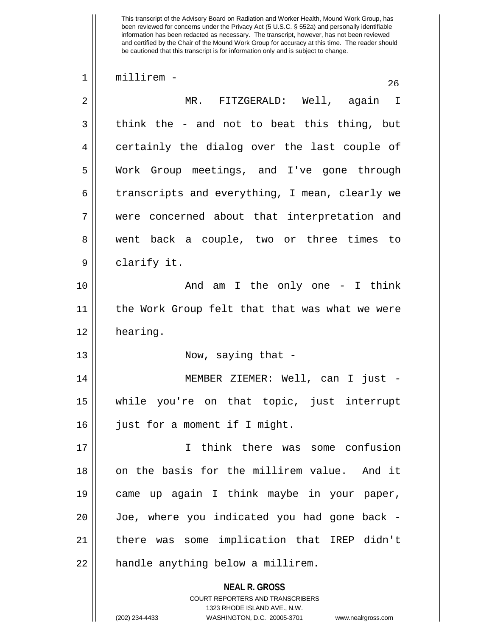**NEAL R. GROSS** COURT REPORTERS AND TRANSCRIBERS 1323 RHODE ISLAND AVE., N.W. 1 millirem - 26 2 MR. FITZGERALD: Well, again I  $3 \parallel$  think the - and not to beat this thing, but 4 certainly the dialog over the last couple of 5 Work Group meetings, and I've gone through 6  $\parallel$  transcripts and everything, I mean, clearly we 7 were concerned about that interpretation and 8 went back a couple, two or three times to 9 clarify it. 10 || The only one - I think 11 || the Work Group felt that that was what we were 12 | hearing. 13 || Now, saying that -14 || MEMBER ZIEMER: Well, can I just -15 while you're on that topic, just interrupt 16 | just for a moment if I might. 17 I think there was some confusion 18 || on the basis for the millirem value. And it 19 came up again I think maybe in your paper, 20 Joe, where you indicated you had gone back - 21 there was some implication that IREP didn't 22 | handle anything below a millirem.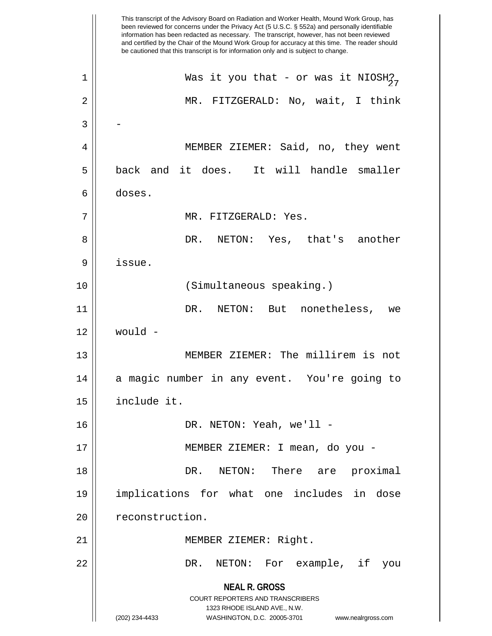**NEAL R. GROSS** COURT REPORTERS AND TRANSCRIBERS 1323 RHODE ISLAND AVE., N.W. (202) 234-4433 WASHINGTON, D.C. 20005-3701 www.nealrgross.com This transcript of the Advisory Board on Radiation and Worker Health, Mound Work Group, has been reviewed for concerns under the Privacy Act (5 U.S.C. § 552a) and personally identifiable information has been redacted as necessary. The transcript, however, has not been reviewed and certified by the Chair of the Mound Work Group for accuracy at this time. The reader should be cautioned that this transcript is for information only and is subject to change. 1 || Was it you that - or was it NIOSH $_{27}^2$ 2 MR. FITZGERALD: No, wait, I think  $3 \parallel -$ 4 MEMBER ZIEMER: Said, no, they went 5 back and it does. It will handle smaller 6 doses. 7 MR. FITZGERALD: Yes. 8 DR. NETON: Yes, that's another 9 issue. 10 || (Simultaneous speaking.) 11 DR. NETON: But nonetheless, we 12 would - 13 MEMBER ZIEMER: The millirem is not 14 || a magic number in any event. You're going to 15 include it. 16 DR. NETON: Yeah, we'll - 17 MEMBER ZIEMER: I mean, do you - 18 DR. NETON: There are proximal 19 implications for what one includes in dose 20 | reconstruction. 21 || MEMBER ZIEMER: Right. 22 DR. NETON: For example, if you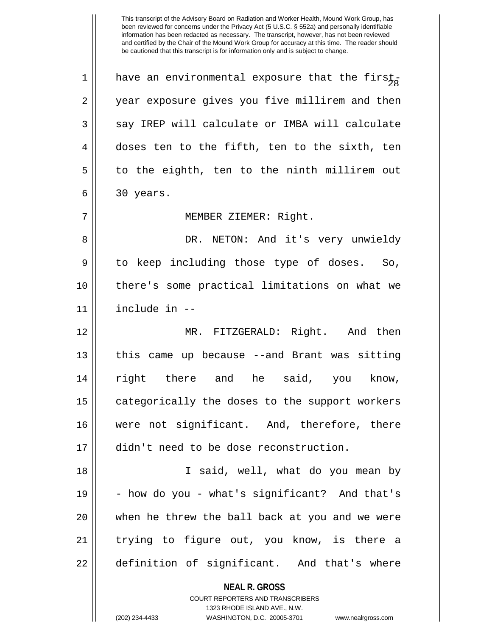1 || have an environmental exposure that the first-2 || year exposure gives you five millirem and then  $3 \parallel$  say IREP will calculate or IMBA will calculate  $4 \parallel$  doses ten to the fifth, ten to the sixth, ten  $5 \parallel$  to the eighth, ten to the ninth millirem out  $6 \parallel 30 \text{ years}.$ 7 || MEMBER ZIEMER: Right. 8 DR. NETON: And it's very unwieldy 9 to keep including those type of doses. So, 10 there's some practical limitations on what we 11 include in -- 12 MR. FITZGERALD: Right. And then 13 || this came up because --and Brant was sitting 14 right there and he said, you know, 15 | categorically the doses to the support workers 16 were not significant. And, therefore, there 17 didn't need to be dose reconstruction. 18 I said, well, what do you mean by  $19 \parallel$  - how do you - what's significant? And that's 20 when he threw the ball back at you and we were 21 || trying to figure out, you know, is there a 22 || definition of significant. And that's where

> **NEAL R. GROSS** COURT REPORTERS AND TRANSCRIBERS

> > 1323 RHODE ISLAND AVE., N.W.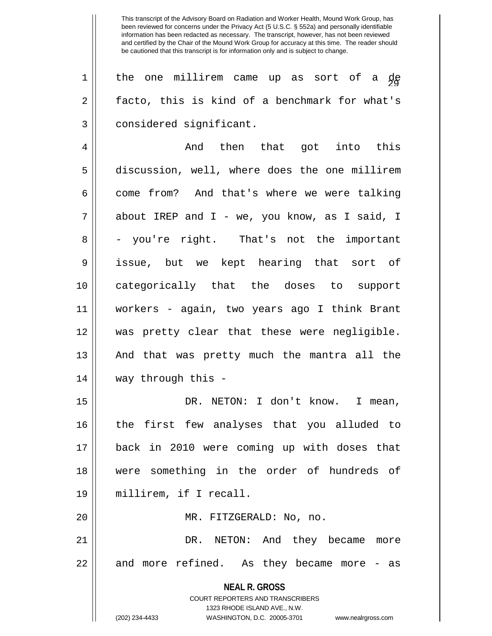1 || the one millirem came up as sort of a de 2 || facto, this is kind of a benchmark for what's 3 | considered significant.

4 And then that got into this 5 discussion, well, where does the one millirem  $6 \parallel$  come from? And that's where we were talking 7 || about IREP and I - we, you know, as I said, I  $8 \parallel$  - you're right. That's not the important 9 issue, but we kept hearing that sort of 10 categorically that the doses to support 11 workers - again, two years ago I think Brant 12 was pretty clear that these were negligible. 13 || And that was pretty much the mantra all the 14 way through this -

15 || DR. NETON: I don't know. I mean, 16 the first few analyses that you alluded to 17 back in 2010 were coming up with doses that 18 were something in the order of hundreds of 19 millirem, if I recall. 20 || MR. FITZGERALD: No, no.

21 DR. NETON: And they became more  $22 \parallel$  and more refined. As they became more - as

> **NEAL R. GROSS** COURT REPORTERS AND TRANSCRIBERS

> > 1323 RHODE ISLAND AVE., N.W.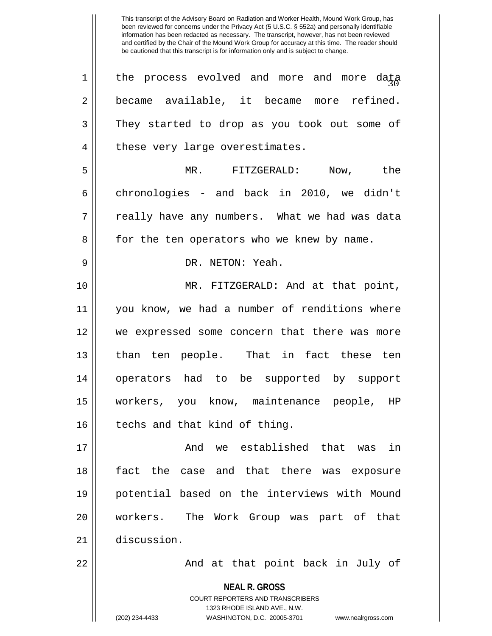**NEAL R. GROSS** COURT REPORTERS AND TRANSCRIBERS 1323 RHODE ISLAND AVE., N.W.  $1 \parallel$  the process evolved and more and more data 2 became available, it became more refined. 3 They started to drop as you took out some of 4 | these very large overestimates. 5 MR. FITZGERALD: Now, the 6 chronologies - and back in 2010, we didn't  $7 \parallel$  really have any numbers. What we had was data 8 | for the ten operators who we knew by name. 9 DR. NETON: Yeah. 10 MR. FITZGERALD: And at that point, 11 || you know, we had a number of renditions where 12 we expressed some concern that there was more 13 || than ten people. That in fact these ten 14 operators had to be supported by support 15 workers, you know, maintenance people, HP  $16$  | techs and that kind of thing. 17 And we established that was in 18 fact the case and that there was exposure 19 potential based on the interviews with Mound 20 workers. The Work Group was part of that 21 discussion. 22 || And at that point back in July of

<sup>(202) 234-4433</sup> WASHINGTON, D.C. 20005-3701 www.nealrgross.com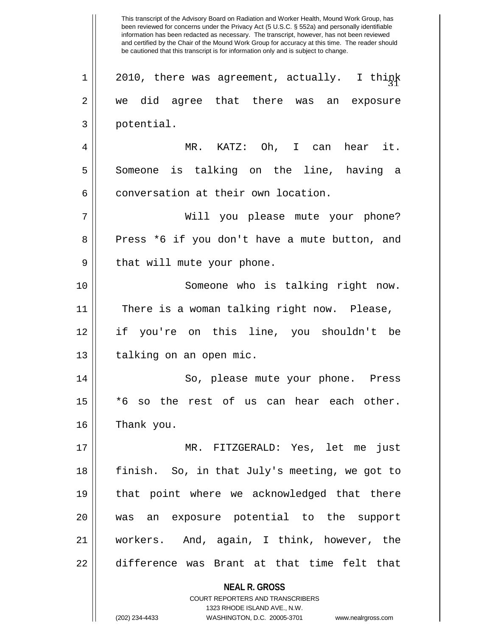**NEAL R. GROSS** This transcript of the Advisory Board on Radiation and Worker Health, Mound Work Group, has been reviewed for concerns under the Privacy Act (5 U.S.C. § 552a) and personally identifiable information has been redacted as necessary. The transcript, however, has not been reviewed and certified by the Chair of the Mound Work Group for accuracy at this time. The reader should be cautioned that this transcript is for information only and is subject to change.  $1 || 2010$ , there was agreement, actually. I think 2 we did agree that there was an exposure 3 || potential. 4 MR. KATZ: Oh, I can hear it. 5 Someone is talking on the line, having a 6 conversation at their own location. 7 Will you please mute your phone? 8 || Press \*6 if you don't have a mute button, and 9 || that will mute your phone. 10 Someone who is talking right now. 11 || There is a woman talking right now. Please, 12 if you're on this line, you shouldn't be 13 || talking on an open mic. 14 || So, please mute your phone. Press 15 \*6 so the rest of us can hear each other. 16 | Thank you. 17 MR. FITZGERALD: Yes, let me just 18 || finish. So, in that July's meeting, we got to 19 that point where we acknowledged that there 20 was an exposure potential to the support 21 workers. And, again, I think, however, the 22 difference was Brant at that time felt that

> COURT REPORTERS AND TRANSCRIBERS 1323 RHODE ISLAND AVE., N.W.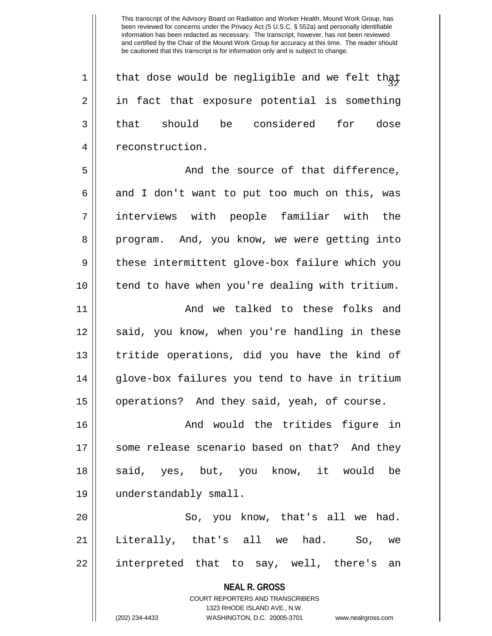$1$   $\parallel$  that dose would be negligible and we felt that  $2 \parallel$  in fact that exposure potential is something 3 that should be considered for dose 4 || reconstruction.

5 And the source of that difference,  $6 \parallel$  and I don't want to put too much on this, was 7 interviews with people familiar with the 8 program. And, you know, we were getting into 9 || these intermittent glove-box failure which you 10 tend to have when you're dealing with tritium.

11 And we talked to these folks and 12 || said, you know, when you're handling in these 13 || tritide operations, did you have the kind of 14 glove-box failures you tend to have in tritium 15 || operations? And they said, yeah, of course.

16 And would the tritides figure in 17 || some release scenario based on that? And they 18 || said, yes, but, you know, it would be 19 understandably small.

20 || So, you know, that's all we had. 21 || Literally, that's all we had. So, we 22 interpreted that to say, well, there's an

> **NEAL R. GROSS** COURT REPORTERS AND TRANSCRIBERS 1323 RHODE ISLAND AVE., N.W. (202) 234-4433 WASHINGTON, D.C. 20005-3701 www.nealrgross.com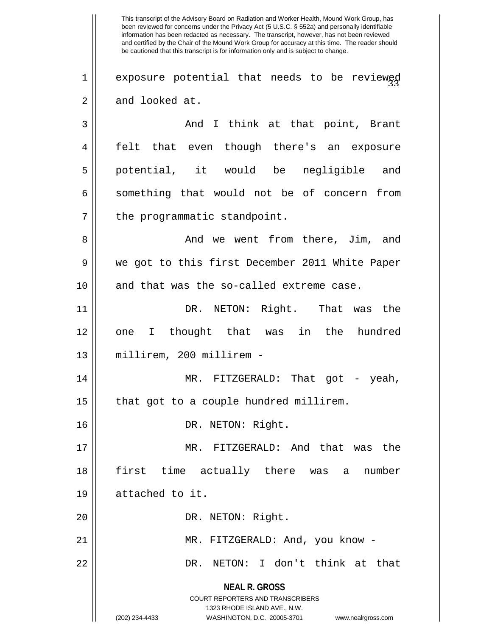**NEAL R. GROSS** COURT REPORTERS AND TRANSCRIBERS 1323 RHODE ISLAND AVE., N.W. (202) 234-4433 WASHINGTON, D.C. 20005-3701 www.nealrgross.com This transcript of the Advisory Board on Radiation and Worker Health, Mound Work Group, has been reviewed for concerns under the Privacy Act (5 U.S.C. § 552a) and personally identifiable information has been redacted as necessary. The transcript, however, has not been reviewed and certified by the Chair of the Mound Work Group for accuracy at this time. The reader should be cautioned that this transcript is for information only and is subject to change.  $1 \parallel$  exposure potential that needs to be reviewed  $2 \parallel$  and looked at. 3 And I think at that point, Brant 4 felt that even though there's an exposure 5 || potential, it would be negligible and  $6 \parallel$  something that would not be of concern from  $7$  | the programmatic standpoint. 8 And we went from there, Jim, and 9 we got to this first December 2011 White Paper 10 || and that was the so-called extreme case. 11 || DR. NETON: Right. That was the 12 one I thought that was in the hundred 13 millirem, 200 millirem - 14 MR. FITZGERALD: That got - yeah,  $15$  | that got to a couple hundred millirem. 16 || DR. NETON: Right. 17 MR. FITZGERALD: And that was the 18 first time actually there was a number 19 attached to it. 20 || DR. NETON: Right. 21 || MR. FITZGERALD: And, you know -22 DR. NETON: I don't think at that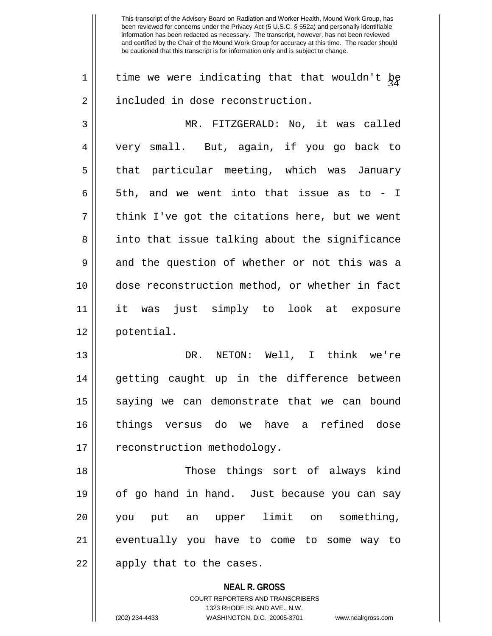1  $\parallel$  time we were indicating that that wouldn't  $\frac{1}{2}$ 2 | included in dose reconstruction.

3 MR. FITZGERALD: No, it was called 4 very small. But, again, if you go back to 5 || that particular meeting, which was January 6  $\parallel$  5th, and we went into that issue as to - I  $7 \parallel$  think I've got the citations here, but we went 8 || into that issue talking about the significance  $9 \parallel$  and the question of whether or not this was a 10 dose reconstruction method, or whether in fact 11 it was just simply to look at exposure 12 potential.

13 DR. NETON: Well, I think we're 14 || getting caught up in the difference between 15 || saying we can demonstrate that we can bound 16 things versus do we have a refined dose 17 | reconstruction methodology.

18 Those things sort of always kind 19 of go hand in hand. Just because you can say 20 you put an upper limit on something, 21 eventually you have to come to some way to 22 || apply that to the cases.

> **NEAL R. GROSS** COURT REPORTERS AND TRANSCRIBERS 1323 RHODE ISLAND AVE., N.W. (202) 234-4433 WASHINGTON, D.C. 20005-3701 www.nealrgross.com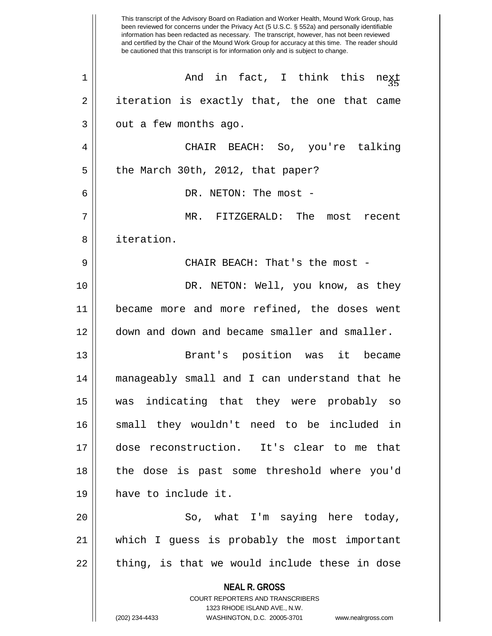|    | This transcript of the Advisory Board on Radiation and Worker Health, Mound Work Group, has<br>been reviewed for concerns under the Privacy Act (5 U.S.C. § 552a) and personally identifiable<br>information has been redacted as necessary. The transcript, however, has not been reviewed<br>and certified by the Chair of the Mound Work Group for accuracy at this time. The reader should<br>be cautioned that this transcript is for information only and is subject to change. |
|----|---------------------------------------------------------------------------------------------------------------------------------------------------------------------------------------------------------------------------------------------------------------------------------------------------------------------------------------------------------------------------------------------------------------------------------------------------------------------------------------|
| 1  | And in fact, I think this<br>next                                                                                                                                                                                                                                                                                                                                                                                                                                                     |
| 2  | iteration is exactly that, the one that came                                                                                                                                                                                                                                                                                                                                                                                                                                          |
| 3  | out a few months ago.                                                                                                                                                                                                                                                                                                                                                                                                                                                                 |
| 4  | CHAIR BEACH: So, you're talking                                                                                                                                                                                                                                                                                                                                                                                                                                                       |
| 5  | the March 30th, 2012, that paper?                                                                                                                                                                                                                                                                                                                                                                                                                                                     |
| 6  | DR. NETON: The most -                                                                                                                                                                                                                                                                                                                                                                                                                                                                 |
| 7  | MR. FITZGERALD: The<br>most recent                                                                                                                                                                                                                                                                                                                                                                                                                                                    |
| 8  | iteration.                                                                                                                                                                                                                                                                                                                                                                                                                                                                            |
| 9  | CHAIR BEACH: That's the most -                                                                                                                                                                                                                                                                                                                                                                                                                                                        |
| 10 | DR. NETON: Well, you know, as they                                                                                                                                                                                                                                                                                                                                                                                                                                                    |
| 11 | became more and more refined, the doses went                                                                                                                                                                                                                                                                                                                                                                                                                                          |
| 12 | down and down and became smaller and smaller.                                                                                                                                                                                                                                                                                                                                                                                                                                         |
| 13 | Brant's position was<br>it became                                                                                                                                                                                                                                                                                                                                                                                                                                                     |
| 14 | manageably small and I can understand that he                                                                                                                                                                                                                                                                                                                                                                                                                                         |
| 15 | was indicating that they were probably so                                                                                                                                                                                                                                                                                                                                                                                                                                             |
| 16 | small they wouldn't need to be included in                                                                                                                                                                                                                                                                                                                                                                                                                                            |
| 17 | dose reconstruction. It's clear to me that                                                                                                                                                                                                                                                                                                                                                                                                                                            |
| 18 | the dose is past some threshold where you'd                                                                                                                                                                                                                                                                                                                                                                                                                                           |
| 19 | have to include it.                                                                                                                                                                                                                                                                                                                                                                                                                                                                   |
| 20 | So, what I'm saying here today,                                                                                                                                                                                                                                                                                                                                                                                                                                                       |
| 21 | which I guess is probably the most important                                                                                                                                                                                                                                                                                                                                                                                                                                          |
| 22 | thing, is that we would include these in dose                                                                                                                                                                                                                                                                                                                                                                                                                                         |
|    | <b>NEAL R. GROSS</b><br><b>COURT REPORTERS AND TRANSCRIBERS</b><br>1323 RHODE ISLAND AVE., N.W.<br>(202) 234-4433<br>WASHINGTON, D.C. 20005-3701<br>www.nealrgross.com                                                                                                                                                                                                                                                                                                                |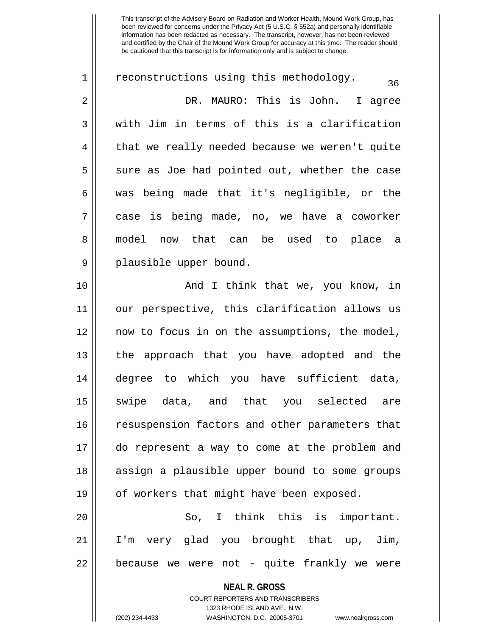**NEAL R. GROSS** COURT REPORTERS AND TRANSCRIBERS 1323 RHODE ISLAND AVE., N.W.  $1 \parallel$  reconstructions using this methodology. 2 DR. MAURO: This is John. I agree  $3 \parallel$  with Jim in terms of this is a clarification 4 || that we really needed because we weren't quite  $5 \parallel$  sure as Joe had pointed out, whether the case 6 was being made that it's negligible, or the 7 case is being made, no, we have a coworker 8 || model now that can be used to place a 9 || plausible upper bound. 10 || And I think that we, you know, in 11 our perspective, this clarification allows us 12 now to focus in on the assumptions, the model, 13 || the approach that you have adopted and the 14 degree to which you have sufficient data, 15 || swipe data, and that you selected are 16 || resuspension factors and other parameters that 17 do represent a way to come at the problem and 18 || assign a plausible upper bound to some groups 19 || of workers that might have been exposed. 20 So, I think this is important. 21 I'm very glad you brought that up, Jim,  $22$  || because we were not - quite frankly we were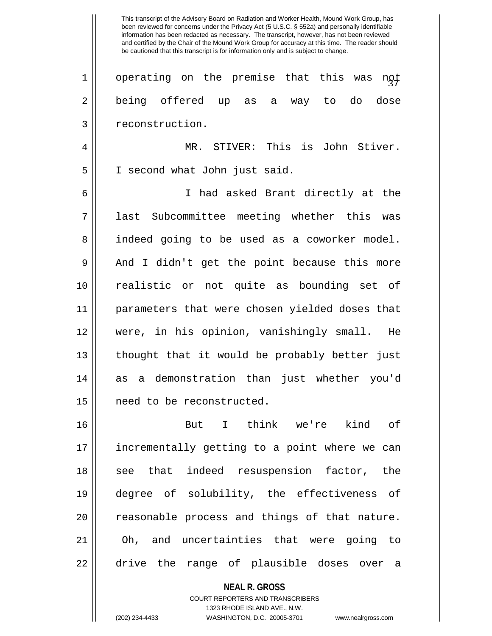This transcript of the Advisory Board on Radiation and Worker Health, Mound Work Group, has been reviewed for concerns under the Privacy Act (5 U.S.C. § 552a) and personally identifiable information has been redacted as necessary. The transcript, however, has not been reviewed and certified by the Chair of the Mound Work Group for accuracy at this time. The reader should be cautioned that this transcript is for information only and is subject to change.  $1 \parallel$  operating on the premise that this was not 2 being offered up as a way to do dose 3 || reconstruction. 4 MR. STIVER: This is John Stiver. 5 || I second what John just said. 6 I had asked Brant directly at the 7 || last Subcommittee meeting whether this was 8 || indeed going to be used as a coworker model. 9 || And I didn't get the point because this more 10 realistic or not quite as bounding set of 11 parameters that were chosen yielded doses that 12 were, in his opinion, vanishingly small. He 13 thought that it would be probably better just 14 as a demonstration than just whether you'd 15 need to be reconstructed. 16 But I think we're kind of 17 incrementally getting to a point where we can 18 || see that indeed resuspension factor, the 19 degree of solubility, the effectiveness of 20 || reasonable process and things of that nature. 21 Oh, and uncertainties that were going to 22 || drive the range of plausible doses over a

> COURT REPORTERS AND TRANSCRIBERS 1323 RHODE ISLAND AVE., N.W. (202) 234-4433 WASHINGTON, D.C. 20005-3701 www.nealrgross.com

**NEAL R. GROSS**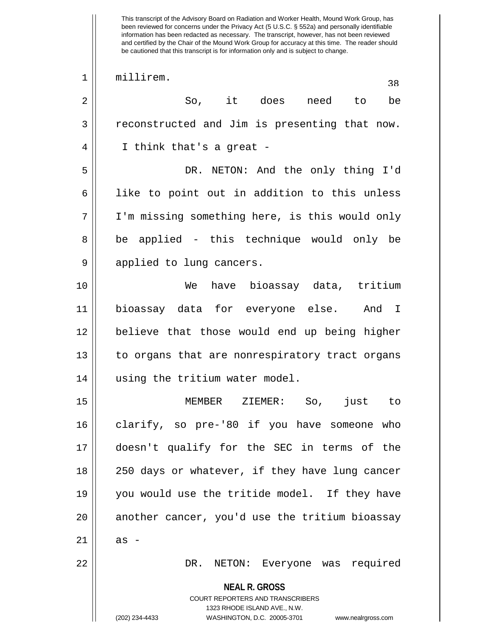This transcript of the Advisory Board on Radiation and Worker Health, Mound Work Group, has been reviewed for concerns under the Privacy Act (5 U.S.C. § 552a) and personally identifiable information has been redacted as necessary. The transcript, however, has not been reviewed and certified by the Chair of the Mound Work Group for accuracy at this time. The reader should be cautioned that this transcript is for information only and is subject to change. 1 millirem.<br>38 april - 19 april 19 april 19 april 19 april 19 april 19 april 19 april 19 april 19 april 19 april 19 april 1 2 So, it does need to be  $3 \parallel$  reconstructed and Jim is presenting that now. 4 I think that's a great - 5 DR. NETON: And the only thing I'd  $6 \parallel$  like to point out in addition to this unless 7 I'm missing something here, is this would only 8 || be applied - this technique would only be 9 || applied to lung cancers. 10 We have bioassay data, tritium 11 bioassay data for everyone else. And I 12 || believe that those would end up being higher 13 || to organs that are nonrespiratory tract organs 14 using the tritium water model. 15 MEMBER ZIEMER: So, just to 16 clarify, so pre-'80 if you have someone who 17 doesn't qualify for the SEC in terms of the 18 || 250 days or whatever, if they have lung cancer 19 you would use the tritide model. If they have 20 || another cancer, you'd use the tritium bioassay  $21 \parallel$  as -

22 DR. NETON: Everyone was required

**NEAL R. GROSS** COURT REPORTERS AND TRANSCRIBERS

1323 RHODE ISLAND AVE., N.W.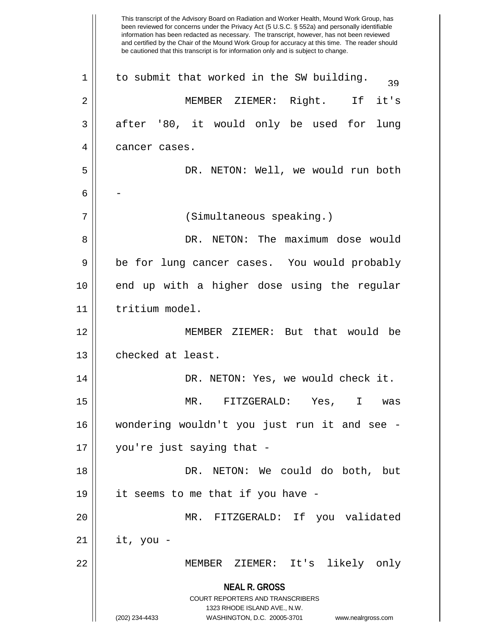**NEAL R. GROSS** COURT REPORTERS AND TRANSCRIBERS 1323 RHODE ISLAND AVE., N.W. (202) 234-4433 WASHINGTON, D.C. 20005-3701 www.nealrgross.com This transcript of the Advisory Board on Radiation and Worker Health, Mound Work Group, has been reviewed for concerns under the Privacy Act (5 U.S.C. § 552a) and personally identifiable information has been redacted as necessary. The transcript, however, has not been reviewed and certified by the Chair of the Mound Work Group for accuracy at this time. The reader should be cautioned that this transcript is for information only and is subject to change.  $1 \parallel$  to submit that worked in the SW building.  $\frac{1}{39}$ 2 MEMBER ZIEMER: Right. If it's  $3 \parallel$  after '80, it would only be used for lung 4 | cancer cases. 5 DR. NETON: Well, we would run both  $6 \parallel -$ 7 (Simultaneous speaking.) 8 DR. NETON: The maximum dose would 9 || be for lung cancer cases. You would probably 10 end up with a higher dose using the regular 11 | tritium model. 12 MEMBER ZIEMER: But that would be 13 | checked at least. 14 DR. NETON: Yes, we would check it. 15 MR. FITZGERALD: Yes, I was 16 wondering wouldn't you just run it and see - 17 you're just saying that - 18 DR. NETON: We could do both, but 19 it seems to me that if you have - 20 MR. FITZGERALD: If you validated  $21 \parallel$  it, you -22 MEMBER ZIEMER: It's likely only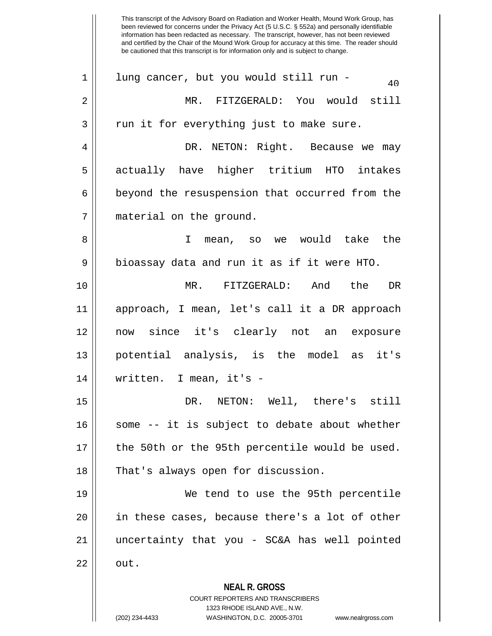**NEAL R. GROSS** COURT REPORTERS AND TRANSCRIBERS 1323 RHODE ISLAND AVE., N.W. This transcript of the Advisory Board on Radiation and Worker Health, Mound Work Group, has been reviewed for concerns under the Privacy Act (5 U.S.C. § 552a) and personally identifiable information has been redacted as necessary. The transcript, however, has not been reviewed and certified by the Chair of the Mound Work Group for accuracy at this time. The reader should be cautioned that this transcript is for information only and is subject to change.  $1 \parallel$  lung cancer, but you would still run -2 MR. FITZGERALD: You would still  $3 \parallel$  run it for everything just to make sure. 4 DR. NETON: Right. Because we may 5 actually have higher tritium HTO intakes  $6 \parallel$  beyond the resuspension that occurred from the 7 | material on the ground. 8 I mean, so we would take the 9 || bioassay data and run it as if it were HTO. 10 MR. FITZGERALD: And the DR 11 approach, I mean, let's call it a DR approach 12 now since it's clearly not an exposure 13 || potential analysis, is the model as it's 14 written. I mean, it's - 15 DR. NETON: Well, there's still  $16$  some -- it is subject to debate about whether 17 || the 50th or the 95th percentile would be used. 18 || That's always open for discussion. 19 We tend to use the 95th percentile 20 || in these cases, because there's a lot of other 21 uncertainty that you - SC&A has well pointed  $22 \parallel$  out.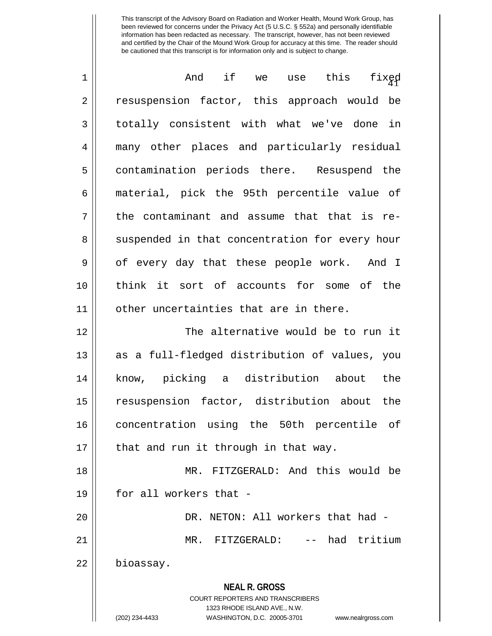| $\mathbf 1$ | And if we use this<br>fixęd                                         |
|-------------|---------------------------------------------------------------------|
| 2           | resuspension factor, this approach would be                         |
| 3           | totally consistent with what we've done in                          |
| 4           | many other places and particularly residual                         |
| 5           | contamination periods there. Resuspend the                          |
| 6           | material, pick the 95th percentile value of                         |
| 7           | the contaminant and assume that that is re-                         |
| 8           | suspended in that concentration for every hour                      |
| 9           | of every day that these people work. And I                          |
| 10          | think it sort of accounts for some of the                           |
| 11          | other uncertainties that are in there.                              |
| 12          | The alternative would be to run it                                  |
| 13          | as a full-fledged distribution of values, you                       |
| 14          | know, picking a distribution about<br>the                           |
| 15          | resuspension factor, distribution about the                         |
| 16          | concentration using the 50th percentile of                          |
| 17          | that and run it through in that way.                                |
| 18          | MR. FITZGERALD: And this would be                                   |
| 19          | for all workers that -                                              |
| 20          | DR. NETON: All workers that had -                                   |
| 21          | -- had tritium<br>MR. FITZGERALD:                                   |
| 22          | bioassay.                                                           |
|             | <b>NEAL R. GROSS</b>                                                |
|             | COURT REPORTERS AND TRANSCRIBERS<br>1323 RHODE ISLAND AVE., N.W.    |
|             | (202) 234-4433<br>WASHINGTON, D.C. 20005-3701<br>www.nealrgross.com |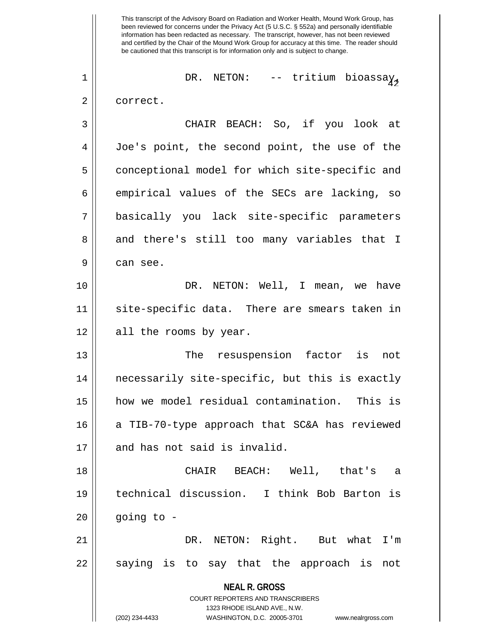**NEAL R. GROSS** COURT REPORTERS AND TRANSCRIBERS 1323 RHODE ISLAND AVE., N.W. (202) 234-4433 WASHINGTON, D.C. 20005-3701 www.nealrgross.com This transcript of the Advisory Board on Radiation and Worker Health, Mound Work Group, has been reviewed for concerns under the Privacy Act (5 U.S.C. § 552a) and personally identifiable information has been redacted as necessary. The transcript, however, has not been reviewed and certified by the Chair of the Mound Work Group for accuracy at this time. The reader should be cautioned that this transcript is for information only and is subject to change. <sup>42</sup> 1 DR. NETON: -- tritium bioassay, 2 | correct. 3 CHAIR BEACH: So, if you look at 4 Joe's point, the second point, the use of the 5 | conceptional model for which site-specific and  $6 \parallel$  empirical values of the SECs are lacking, so 7 basically you lack site-specific parameters 8 and there's still too many variables that I 9 can see. 10 DR. NETON: Well, I mean, we have 11 site-specific data. There are smears taken in 12 || all the rooms by year. 13 The resuspension factor is not 14 necessarily site-specific, but this is exactly 15 how we model residual contamination. This is 16  $\parallel$  a TIB-70-type approach that SC&A has reviewed 17 || and has not said is invalid. 18 CHAIR BEACH: Well, that's a 19 technical discussion. I think Bob Barton is  $20$  | going to -21 DR. NETON: Right. But what I'm  $22 \parallel$  saying is to say that the approach is not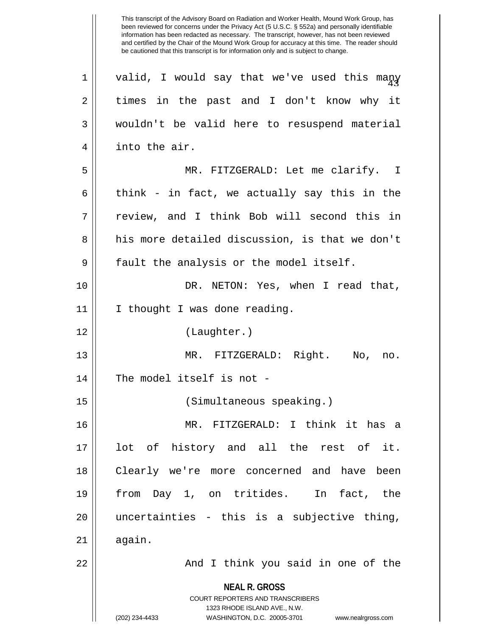**NEAL R. GROSS** COURT REPORTERS AND TRANSCRIBERS 1323 RHODE ISLAND AVE., N.W. (202) 234-4433 WASHINGTON, D.C. 20005-3701 www.nealrgross.com  $1$   $\parallel$  valid, I would say that we've used this many 2 times in the past and I don't know why it 3 wouldn't be valid here to resuspend material 4 || into the air. 5 MR. FITZGERALD: Let me clarify. I 6 think - in fact, we actually say this in the 7 review, and I think Bob will second this in 8 his more detailed discussion, is that we don't 9 || fault the analysis or the model itself. 10 DR. NETON: Yes, when I read that, 11 | I thought I was done reading. 12 (Laughter.) 13 MR. FITZGERALD: Right. No, no. 14 || The model itself is not -15 (Simultaneous speaking.) 16 MR. FITZGERALD: I think it has a 17 lot of history and all the rest of it. 18 || Clearly we're more concerned and have been 19 from Day 1, on tritides. In fact, the 20 uncertainties - this is a subjective thing,  $21$  again. 22 || And I think you said in one of the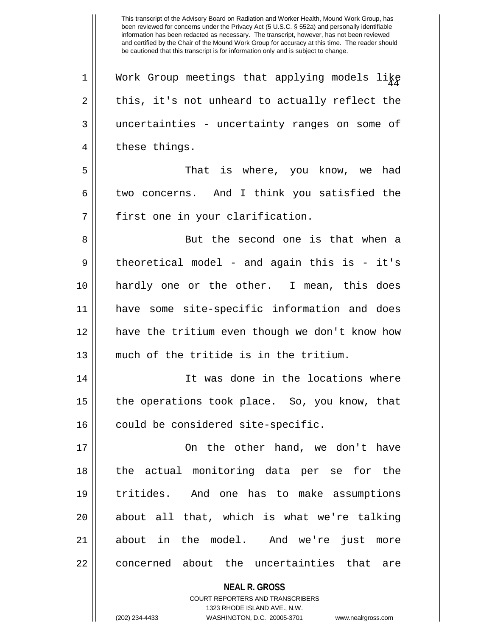$1$  | Work Group meetings that applying models like  $2 \parallel$  this, it's not unheard to actually reflect the 3 uncertainties - uncertainty ranges on some of 4 || these things. 5 That is where, you know, we had  $6 \parallel$  two concerns. And I think you satisfied the  $7$  || first one in your clarification. 8 But the second one is that when a  $9 \parallel$  theoretical model – and again this is – it's 10 hardly one or the other. I mean, this does 11 have some site-specific information and does 12 have the tritium even though we don't know how 13 much of the tritide is in the tritium. 14 || It was done in the locations where 15 || the operations took place. So, you know, that

16 could be considered site-specific.

17 On the other hand, we don't have 18 the actual monitoring data per se for the 19 tritides. And one has to make assumptions 20 || about all that, which is what we're talking 21 about in the model. And we're just more 22 || concerned about the uncertainties that are

> **NEAL R. GROSS** COURT REPORTERS AND TRANSCRIBERS 1323 RHODE ISLAND AVE., N.W. (202) 234-4433 WASHINGTON, D.C. 20005-3701 www.nealrgross.com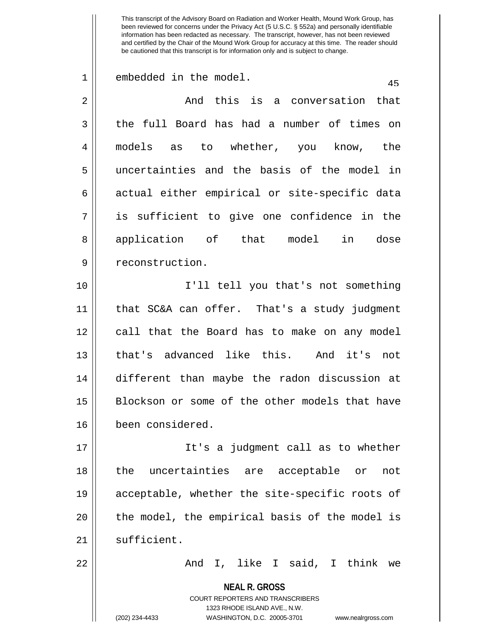| $\mathbf 1$    | embedded in the model.<br>45                                                                                                                                           |
|----------------|------------------------------------------------------------------------------------------------------------------------------------------------------------------------|
| $\overline{2}$ | And this is a conversation that                                                                                                                                        |
| $\mathbf{3}$   | the full Board has had a number of times on                                                                                                                            |
| $\overline{4}$ | to whether, you know, the<br>models as                                                                                                                                 |
| 5              | uncertainties and the basis of the model in                                                                                                                            |
| 6              | actual either empirical or site-specific data                                                                                                                          |
| 7              | is sufficient to give one confidence in the                                                                                                                            |
| 8              | in<br>application of that model<br>dose                                                                                                                                |
| 9              | reconstruction.                                                                                                                                                        |
| 10             | I'll tell you that's not something                                                                                                                                     |
| 11             | that SC&A can offer. That's a study judgment                                                                                                                           |
| 12             | call that the Board has to make on any model                                                                                                                           |
| 13             | that's advanced like this. And it's not                                                                                                                                |
| 14             | different than maybe the radon discussion at                                                                                                                           |
| 15             | Blockson or some of the other models that have                                                                                                                         |
| 16             | been considered.                                                                                                                                                       |
| 17             | It's a judgment call as to whether                                                                                                                                     |
| 18             | the uncertainties are acceptable or<br>not                                                                                                                             |
| 19             | acceptable, whether the site-specific roots of                                                                                                                         |
| 20             | the model, the empirical basis of the model is                                                                                                                         |
| 21             | sufficient.                                                                                                                                                            |
| 22             | And I, like I said, I think we                                                                                                                                         |
|                | <b>NEAL R. GROSS</b><br><b>COURT REPORTERS AND TRANSCRIBERS</b><br>1323 RHODE ISLAND AVE., N.W.<br>(202) 234-4433<br>WASHINGTON, D.C. 20005-3701<br>www.nealrgross.com |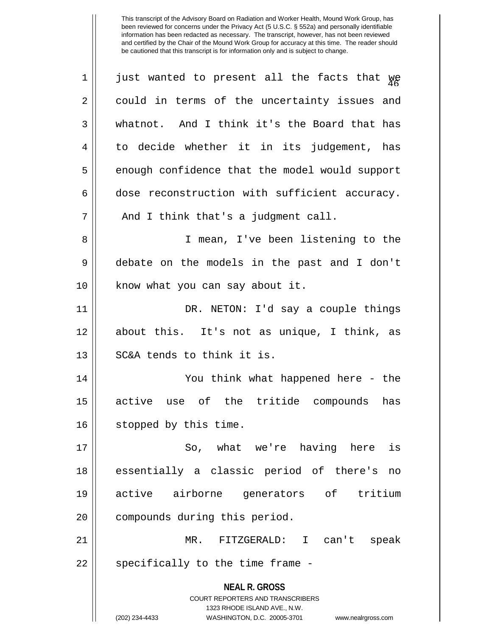| $\mathbf 1$ | just wanted to present all the facts that we                        |
|-------------|---------------------------------------------------------------------|
| 2           | could in terms of the uncertainty issues and                        |
| 3           | whatnot. And I think it's the Board that has                        |
| 4           | to decide whether it in its judgement, has                          |
| 5           | enough confidence that the model would support                      |
| 6           | dose reconstruction with sufficient accuracy.                       |
| 7           | And I think that's a judgment call.                                 |
| 8           | I mean, I've been listening to the                                  |
| 9           | debate on the models in the past and I don't                        |
| 10          | know what you can say about it.                                     |
| 11          | DR. NETON: I'd say a couple things                                  |
| 12          | about this. It's not as unique, I think, as                         |
| 13          | SC&A tends to think it is.                                          |
| 14          | You think what happened here - the                                  |
| 15          | active use of the tritide compounds<br>has                          |
| 16          | stopped by this time.                                               |
| 17          | So, what we're having here<br>is                                    |
| 18          | essentially a classic period of there's no                          |
| 19          | active airborne generators of tritium                               |
| 20          | compounds during this period.                                       |
| 21          | MR. FITZGERALD: I can't speak                                       |
| 22          | specifically to the time frame -                                    |
|             | <b>NEAL R. GROSS</b><br>COURT REPORTERS AND TRANSCRIBERS            |
|             | 1323 RHODE ISLAND AVE., N.W.                                        |
|             | (202) 234-4433<br>WASHINGTON, D.C. 20005-3701<br>www.nealrgross.com |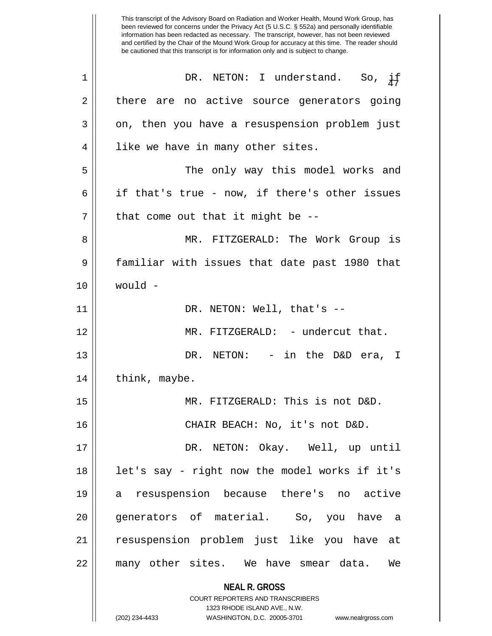**NEAL R. GROSS** COURT REPORTERS AND TRANSCRIBERS 1323 RHODE ISLAND AVE., N.W. This transcript of the Advisory Board on Radiation and Worker Health, Mound Work Group, has been reviewed for concerns under the Privacy Act (5 U.S.C. § 552a) and personally identifiable information has been redacted as necessary. The transcript, however, has not been reviewed and certified by the Chair of the Mound Work Group for accuracy at this time. The reader should be cautioned that this transcript is for information only and is subject to change.  $1 \parallel$  DR. NETON: I understand. So,  $\frac{1}{4}$ 2 there are no active source generators going 3 || on, then you have a resuspension problem just 4 || like we have in many other sites. 5 The only way this model works and 6 | if that's true - now, if there's other issues  $7$  || that come out that it might be  $-$ -8 MR. FITZGERALD: The Work Group is 9 familiar with issues that date past 1980 that 10 would - 11 || DR. NETON: Well, that's --12 MR. FITZGERALD: - undercut that. 13 DR. NETON: - in the D&D era, I  $14$  || think, maybe. 15 MR. FITZGERALD: This is not D&D. 16 CHAIR BEACH: No, it's not D&D. 17 DR. NETON: Okay. Well, up until 18 || let's say - right now the model works if it's 19 a resuspension because there's no active 20 || qenerators of material. So, you have a 21 resuspension problem just like you have at 22 many other sites. We have smear data. We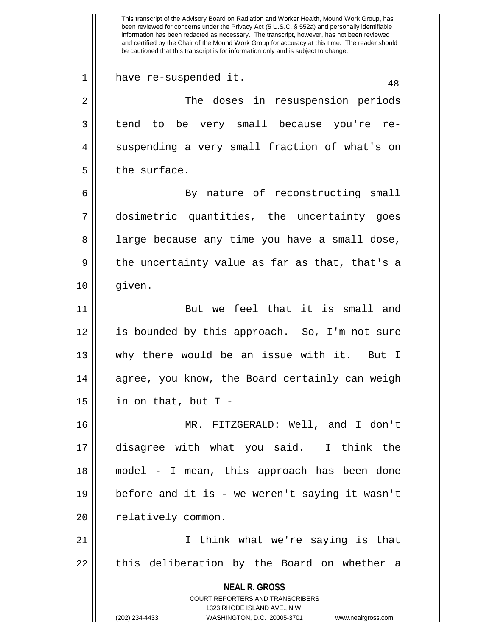**NEAL R. GROSS** COURT REPORTERS AND TRANSCRIBERS 1323 RHODE ISLAND AVE., N.W. (202) 234-4433 WASHINGTON, D.C. 20005-3701 www.nealrgross.com This transcript of the Advisory Board on Radiation and Worker Health, Mound Work Group, has been reviewed for concerns under the Privacy Act (5 U.S.C. § 552a) and personally identifiable information has been redacted as necessary. The transcript, however, has not been reviewed and certified by the Chair of the Mound Work Group for accuracy at this time. The reader should be cautioned that this transcript is for information only and is subject to change. 1 || have re-suspended it. 48 2 || The doses in resuspension periods 3 tend to be very small because you're re-4 || suspending a very small fraction of what's on  $5$  | the surface. 6 || By nature of reconstructing small 7 dosimetric quantities, the uncertainty goes 8 || large because any time you have a small dose,  $9 \parallel$  the uncertainty value as far as that, that's a 10 given. 11 || But we feel that it is small and 12 is bounded by this approach. So, I'm not sure 13 why there would be an issue with it. But I 14 || agree, you know, the Board certainly can weigh  $15$  | in on that, but I -16 MR. FITZGERALD: Well, and I don't 17 disagree with what you said. I think the 18 model - I mean, this approach has been done 19 before and it is - we weren't saying it wasn't 20 | relatively common. 21 I think what we're saying is that  $22$  || this deliberation by the Board on whether a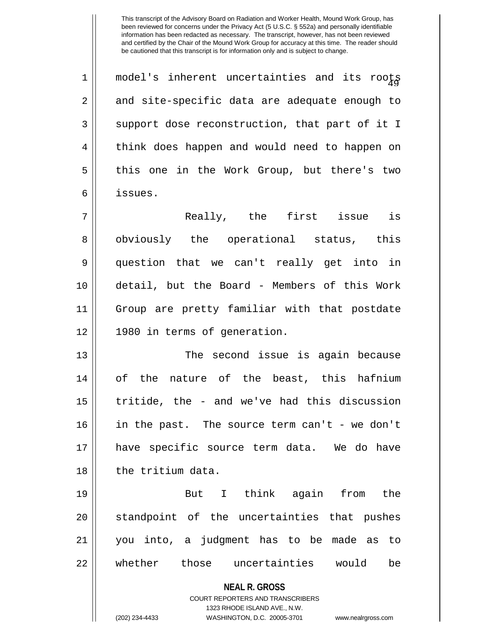**NEAL R. GROSS** COURT REPORTERS AND TRANSCRIBERS 1323 RHODE ISLAND AVE., N.W. (202) 234-4433 WASHINGTON, D.C. 20005-3701 www.nealrgross.com  $1$   $\parallel$  model's inherent uncertainties and its roots  $2 \parallel$  and site-specific data are adequate enough to 3 || support dose reconstruction, that part of it I 4 || think does happen and would need to happen on 5 || this one in the Work Group, but there's two 6 issues. 7 Really, the first issue is 8 || obviously the operational status, this 9 question that we can't really get into in 10 detail, but the Board - Members of this Work 11 Group are pretty familiar with that postdate 12 1980 in terms of generation. 13 || The second issue is again because 14 of the nature of the beast, this hafnium  $15$  | tritide, the - and we've had this discussion 16 in the past. The source term can't - we don't 17 have specific source term data. We do have 18 ll the tritium data. 19 But I think again from the 20 || standpoint of the uncertainties that pushes 21 you into, a judgment has to be made as to 22 Whether those uncertainties would be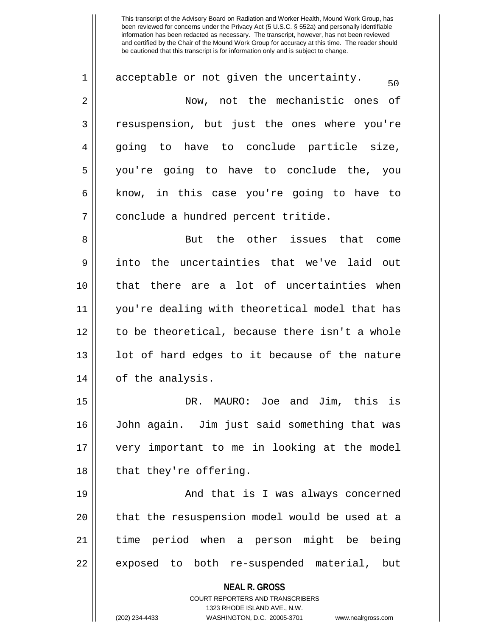$1 \parallel$  acceptable or not given the uncertainty. 2 Now, not the mechanistic ones of 3 || resuspension, but just the ones where you're 4 going to have to conclude particle size, 5 you're going to have to conclude the, you  $6 \parallel$  know, in this case you're going to have to 7 | conclude a hundred percent tritide. 8 But the other issues that come

9 into the uncertainties that we've laid out 10 that there are a lot of uncertainties when 11 you're dealing with theoretical model that has 12 || to be theoretical, because there isn't a whole  $13$  || lot of hard edges to it because of the nature 14 || of the analysis.

15 DR. MAURO: Joe and Jim, this is 16 John again. Jim just said something that was 17 very important to me in looking at the model 18 || that they're offering.

19 || And that is I was always concerned 20 || that the resuspension model would be used at a 21 time period when a person might be being 22 || exposed to both re-suspended material, but

**NEAL R. GROSS**

COURT REPORTERS AND TRANSCRIBERS 1323 RHODE ISLAND AVE., N.W. (202) 234-4433 WASHINGTON, D.C. 20005-3701 www.nealrgross.com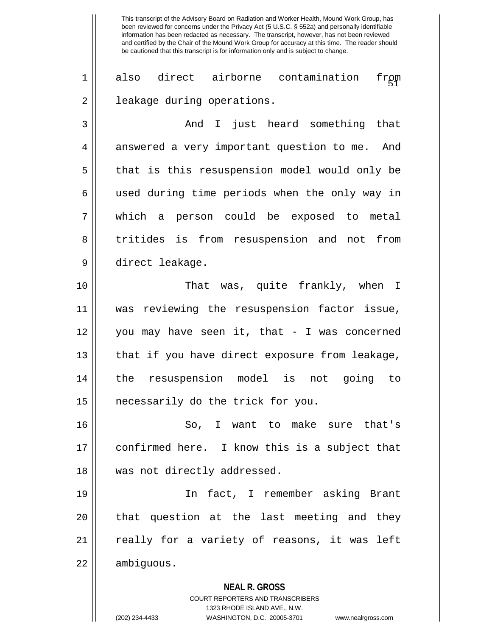1 || also direct airborne contamination from 2 | leakage during operations.

3 And I just heard something that 4 | answered a very important question to me. And 5 || that is this resuspension model would only be 6 || used during time periods when the only way in 7 which a person could be exposed to metal 8 tritides is from resuspension and not from 9 direct leakage.

10 That was, quite frankly, when I 11 was reviewing the resuspension factor issue, 12 you may have seen it, that - I was concerned 13 || that if you have direct exposure from leakage, 14 the resuspension model is not going to 15 || necessarily do the trick for you.

16 || So, I want to make sure that's 17 confirmed here. I know this is a subject that 18 || was not directly addressed.

19 In fact, I remember asking Brant  $20$  || that question at the last meeting and they 21 || really for a variety of reasons, it was left 22 | ambiguous.

> **NEAL R. GROSS** COURT REPORTERS AND TRANSCRIBERS 1323 RHODE ISLAND AVE., N.W.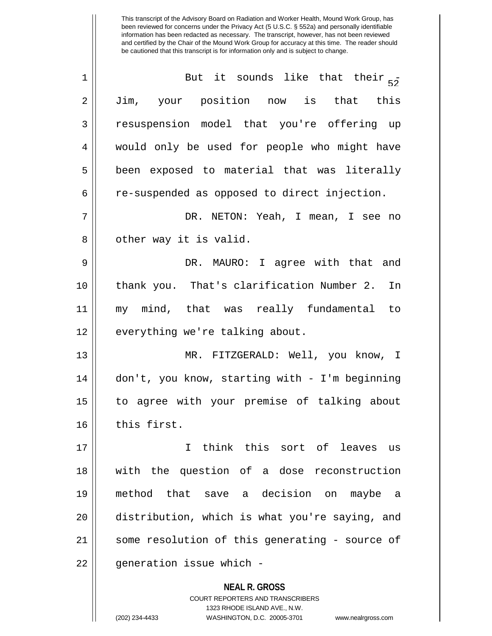| $\mathbf 1$    | But it sounds like that their $5^{\frac{1}{2}}$          |
|----------------|----------------------------------------------------------|
| $\overline{2}$ | Jim, your position now is that this                      |
| 3              | resuspension model that you're offering up               |
| 4              | would only be used for people who might have             |
| 5              | been exposed to material that was literally              |
| 6              | re-suspended as opposed to direct injection.             |
| 7              | DR. NETON: Yeah, I mean, I see no                        |
| 8              | other way it is valid.                                   |
| 9              | DR. MAURO: I agree with that and                         |
| 10             | thank you. That's clarification Number 2.<br>In          |
| 11             | my mind, that was really fundamental to                  |
| 12             | everything we're talking about.                          |
| 13             | MR. FITZGERALD: Well, you know, I                        |
| 14             | don't, you know, starting with - I'm beginning           |
| 15             | to agree with your premise of talking about              |
| 16             | this first.                                              |
| 17             | I think this sort of leaves us                           |
| 18             | with the question of a dose reconstruction               |
| 19             | method that save a decision on maybe<br>- a              |
| 20             | distribution, which is what you're saying, and           |
| 21             | some resolution of this generating - source of           |
| 22             | generation issue which -                                 |
|                | <b>NEAL R. GROSS</b><br>COURT REPORTERS AND TRANSCRIBERS |

1323 RHODE ISLAND AVE., N.W.

 $\mathsf{I}$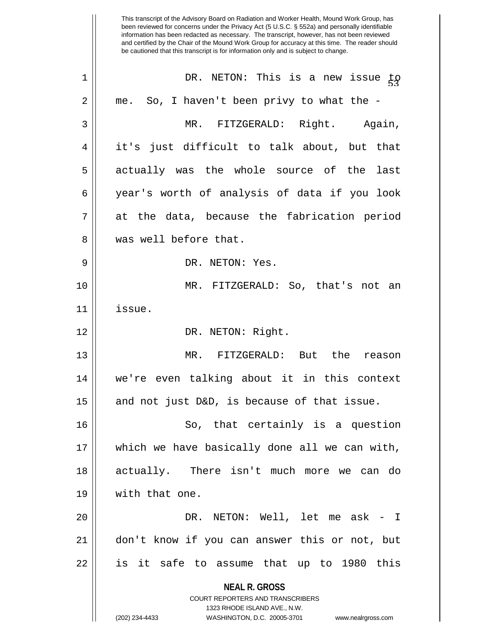**NEAL R. GROSS** COURT REPORTERS AND TRANSCRIBERS 1323 RHODE ISLAND AVE., N.W. (202) 234-4433 WASHINGTON, D.C. 20005-3701 www.nealrgross.com This transcript of the Advisory Board on Radiation and Worker Health, Mound Work Group, has been reviewed for concerns under the Privacy Act (5 U.S.C. § 552a) and personally identifiable information has been redacted as necessary. The transcript, however, has not been reviewed and certified by the Chair of the Mound Work Group for accuracy at this time. The reader should be cautioned that this transcript is for information only and is subject to change. 1 || DR. NETON: This is a new issue to  $2 \parallel$  me. So, I haven't been privy to what the -3 MR. FITZGERALD: Right. Again, 4 it's just difficult to talk about, but that 5 actually was the whole source of the last 6 year's worth of analysis of data if you look  $7 \parallel$  at the data, because the fabrication period 8 Wes well before that. 9 || DR. NETON: Yes. 10 MR. FITZGERALD: So, that's not an 11 issue. 12 || DR. NETON: Right. 13 MR. FITZGERALD: But the reason 14 we're even talking about it in this context 15  $\parallel$  and not just D&D, is because of that issue. 16 || So, that certainly is a question 17 which we have basically done all we can with, 18 actually. There isn't much more we can do 19 with that one. 20 DR. NETON: Well, let me ask - I 21 don't know if you can answer this or not, but 22 || is it safe to assume that up to 1980 this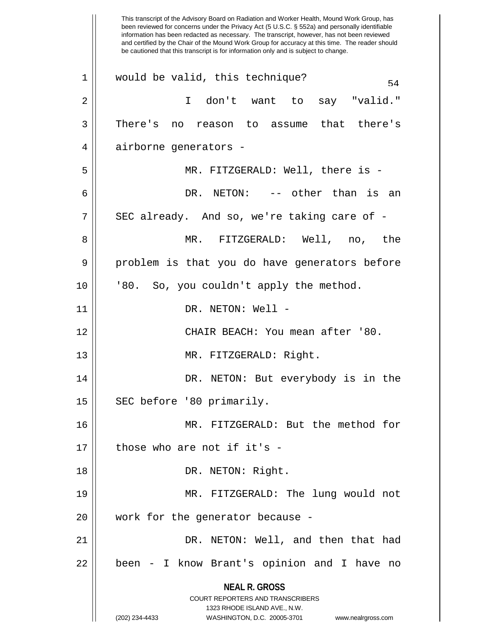**NEAL R. GROSS** COURT REPORTERS AND TRANSCRIBERS 1323 RHODE ISLAND AVE., N.W. (202) 234-4433 WASHINGTON, D.C. 20005-3701 www.nealrgross.com This transcript of the Advisory Board on Radiation and Worker Health, Mound Work Group, has been reviewed for concerns under the Privacy Act (5 U.S.C. § 552a) and personally identifiable information has been redacted as necessary. The transcript, however, has not been reviewed and certified by the Chair of the Mound Work Group for accuracy at this time. The reader should be cautioned that this transcript is for information only and is subject to change.  $1 \parallel$  would be valid, this technique? 2 I don't want to say "valid." 3 There's no reason to assume that there's 4 || airborne generators -5 MR. FITZGERALD: Well, there is - 6 DR. NETON: -- other than is an  $7 \parallel$  SEC already. And so, we're taking care of -8 MR. FITZGERALD: Well, no, the 9 problem is that you do have generators before 10 || '80. So, you couldn't apply the method. 11 || DR. NETON: Well -12 CHAIR BEACH: You mean after '80. 13 || MR. FITZGERALD: Right. 14 DR. NETON: But everybody is in the 15 | SEC before '80 primarily. 16 MR. FITZGERALD: But the method for  $17$  | those who are not if it's -18 || DR. NETON: Right. 19 MR. FITZGERALD: The lung would not 20 || work for the generator because -21 DR. NETON: Well, and then that had 22 || been - I know Brant's opinion and I have no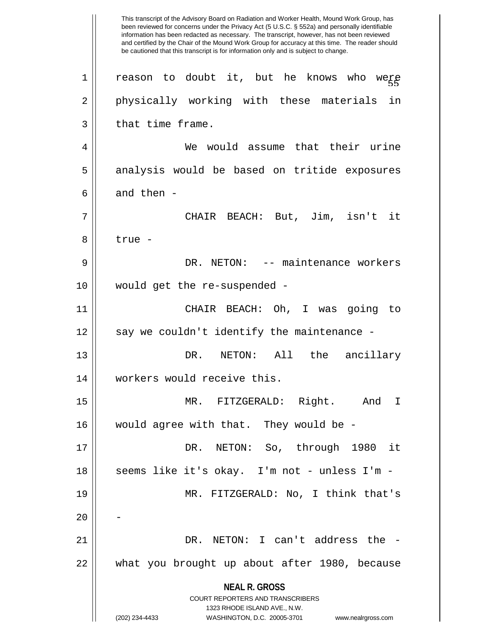**NEAL R. GROSS** COURT REPORTERS AND TRANSCRIBERS 1323 RHODE ISLAND AVE., N.W. (202) 234-4433 WASHINGTON, D.C. 20005-3701 www.nealrgross.com This transcript of the Advisory Board on Radiation and Worker Health, Mound Work Group, has been reviewed for concerns under the Privacy Act (5 U.S.C. § 552a) and personally identifiable information has been redacted as necessary. The transcript, however, has not been reviewed and certified by the Chair of the Mound Work Group for accuracy at this time. The reader should be cautioned that this transcript is for information only and is subject to change. were  $1 \parallel$  reason to doubt it, but he knows who 2 || physically working with these materials in  $3 \parallel$  that time frame. 4 We would assume that their urine 5 || analysis would be based on tritide exposures 6  $\parallel$  and then -7 CHAIR BEACH: But, Jim, isn't it 8 ll true -9 DR. NETON: -- maintenance workers 10 would get the re-suspended - 11 CHAIR BEACH: Oh, I was going to  $12$  | say we couldn't identify the maintenance -13 DR. NETON: All the ancillary 14 || workers would receive this. 15 MR. FITZGERALD: Right. And I 16 || would agree with that. They would be -17 DR. NETON: So, through 1980 it 18 || seems like it's okay. I'm not - unless I'm -19 MR. FITZGERALD: No, I think that's  $20$ 21 DR. NETON: I can't address the - 22 what you brought up about after 1980, because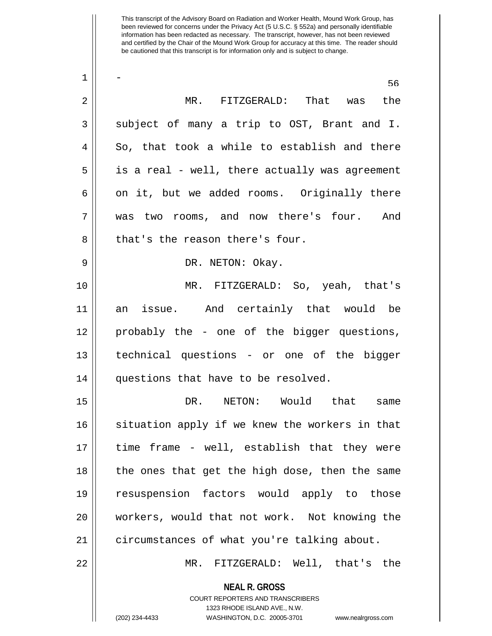| 1  | 56                                                                                                                                                                     |
|----|------------------------------------------------------------------------------------------------------------------------------------------------------------------------|
| 2  | MR. FITZGERALD: That was<br>the                                                                                                                                        |
| 3  | subject of many a trip to OST, Brant and I.                                                                                                                            |
| 4  | So, that took a while to establish and there                                                                                                                           |
| 5  | is a real - well, there actually was agreement                                                                                                                         |
| 6  | on it, but we added rooms. Originally there                                                                                                                            |
| 7  | was two rooms, and now there's four.<br>And                                                                                                                            |
| 8  | that's the reason there's four.                                                                                                                                        |
| 9  | DR. NETON: Okay.                                                                                                                                                       |
| 10 | MR. FITZGERALD: So, yeah, that's                                                                                                                                       |
| 11 | an issue. And certainly that would be                                                                                                                                  |
| 12 | probably the - one of the bigger questions,                                                                                                                            |
| 13 | technical questions - or one of the bigger                                                                                                                             |
| 14 | questions that have to be resolved.                                                                                                                                    |
| 15 | DR. NETON: Would that same                                                                                                                                             |
| 16 | situation apply if we knew the workers in that                                                                                                                         |
| 17 | time frame - well, establish that they were                                                                                                                            |
| 18 | the ones that get the high dose, then the same                                                                                                                         |
| 19 | resuspension factors would apply to those                                                                                                                              |
| 20 | workers, would that not work. Not knowing the                                                                                                                          |
| 21 | circumstances of what you're talking about.                                                                                                                            |
| 22 | MR. FITZGERALD: Well, that's the                                                                                                                                       |
|    | <b>NEAL R. GROSS</b><br><b>COURT REPORTERS AND TRANSCRIBERS</b><br>1323 RHODE ISLAND AVE., N.W.<br>(202) 234-4433<br>WASHINGTON, D.C. 20005-3701<br>www.nealrgross.com |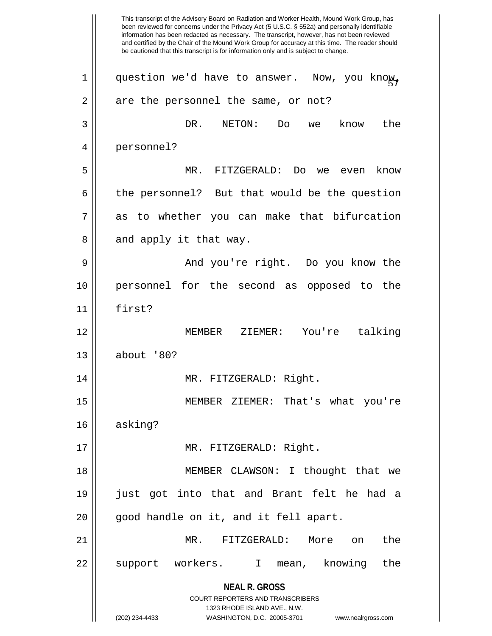**NEAL R. GROSS** COURT REPORTERS AND TRANSCRIBERS 1323 RHODE ISLAND AVE., N.W. (202) 234-4433 WASHINGTON, D.C. 20005-3701 www.nealrgross.com This transcript of the Advisory Board on Radiation and Worker Health, Mound Work Group, has been reviewed for concerns under the Privacy Act (5 U.S.C. § 552a) and personally identifiable information has been redacted as necessary. The transcript, however, has not been reviewed and certified by the Chair of the Mound Work Group for accuracy at this time. The reader should be cautioned that this transcript is for information only and is subject to change. Now, you know,  $1 \parallel$  question we'd have to answer.  $2 \parallel$  are the personnel the same, or not? 3 DR. NETON: Do we know the 4 personnel? 5 MR. FITZGERALD: Do we even know  $6 \parallel$  the personnel? But that would be the question  $7 \parallel$  as to whether you can make that bifurcation  $8 \parallel$  and apply it that way. 9 And you're right. Do you know the 10 personnel for the second as opposed to the 11 first? 12 MEMBER ZIEMER: You're talking 13 about '80? 14 MR. FITZGERALD: Right. 15 MEMBER ZIEMER: That's what you're 16 asking? 17 || MR. FITZGERALD: Right. 18 MEMBER CLAWSON: I thought that we 19 just got into that and Brant felt he had a 20 || good handle on it, and it fell apart. 21 MR. FITZGERALD: More on the 22 || support workers. I mean, knowing the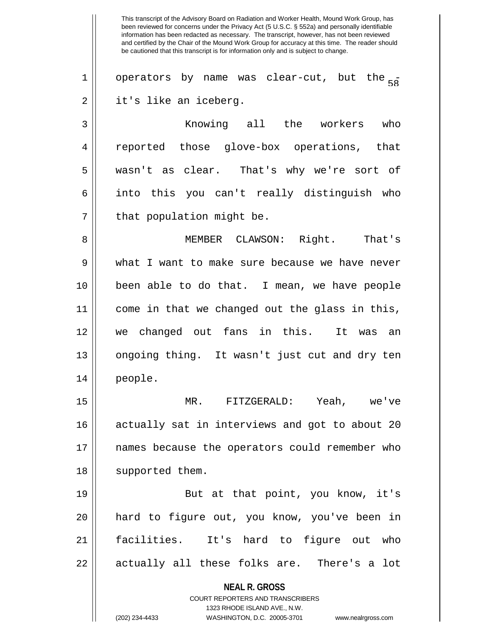This transcript of the Advisory Board on Radiation and Worker Health, Mound Work Group, has been reviewed for concerns under the Privacy Act (5 U.S.C. § 552a) and personally identifiable information has been redacted as necessary. The transcript, however, has not been reviewed and certified by the Chair of the Mound Work Group for accuracy at this time. The reader should be cautioned that this transcript is for information only and is subject to change. 1 | operators by name was clear-cut, but the  $_{58}^-$ 2 || it's like an iceberg. 3 Knowing all the workers who 4 || reported those glove-box operations, that 5 wasn't as clear. That's why we're sort of  $6 \parallel$  into this you can't really distinguish who  $7$  || that population might be. 8 MEMBER CLAWSON: Right. That's 9 What I want to make sure because we have never 10 been able to do that. I mean, we have people 11 come in that we changed out the glass in this, 12 we changed out fans in this. It was an 13 || ongoing thing. It wasn't just cut and dry ten 14 people. 15 MR. FITZGERALD: Yeah, we've 16 || actually sat in interviews and got to about 20 17 names because the operators could remember who 18 || supported them. 19 || But at that point, you know, it's 20 hard to figure out, you know, you've been in

21 facilities. It's hard to figure out who 22 || actually all these folks are. There's a lot

> **NEAL R. GROSS** COURT REPORTERS AND TRANSCRIBERS 1323 RHODE ISLAND AVE., N.W. (202) 234-4433 WASHINGTON, D.C. 20005-3701 www.nealrgross.com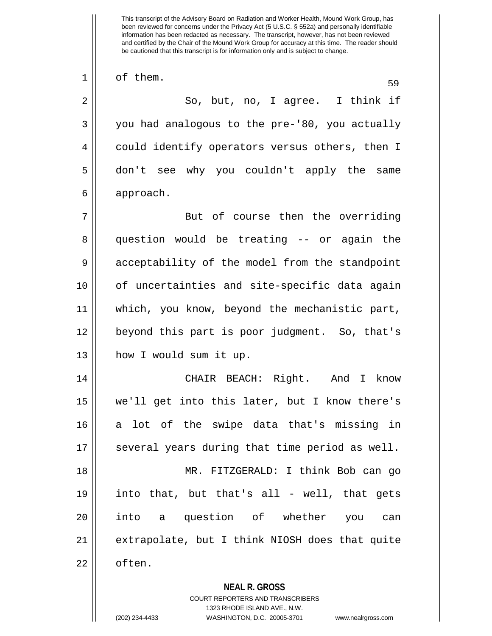1 of them.

 $2 \parallel$  So, but, no, I agree. I think if  $3 \parallel$  you had analogous to the pre-'80, you actually 4 || could identify operators versus others, then I 5 don't see why you couldn't apply the same 6 approach.

7 || But of course then the overriding 8 question would be treating -- or again the 9 || acceptability of the model from the standpoint 10 of uncertainties and site-specific data again 11 || which, you know, beyond the mechanistic part, 12 beyond this part is poor judgment. So, that's 13 || how I would sum it up.

14 CHAIR BEACH: Right. And I know 15 we'll get into this later, but I know there's 16 || a lot of the swipe data that's missing in 17 || several years during that time period as well. 18 MR. FITZGERALD: I think Bob can go 19 into that, but that's all - well, that gets 20 || into a question of whether you can 21 extrapolate, but I think NIOSH does that quite 22 || often.

**NEAL R. GROSS**

COURT REPORTERS AND TRANSCRIBERS 1323 RHODE ISLAND AVE., N.W. (202) 234-4433 WASHINGTON, D.C. 20005-3701 www.nealrgross.com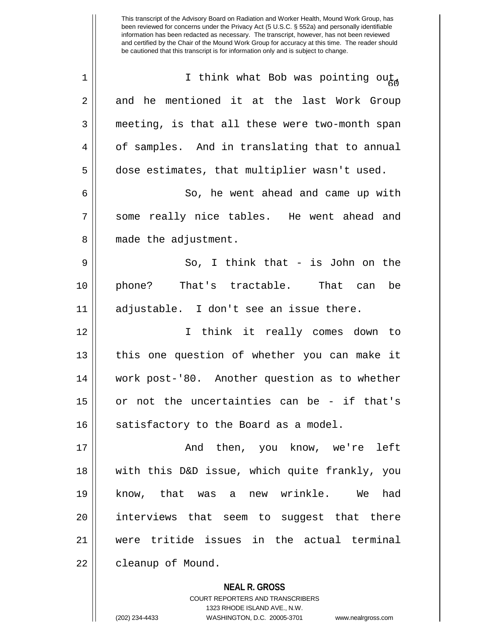**NEAL R. GROSS** This transcript of the Advisory Board on Radiation and Worker Health, Mound Work Group, has been reviewed for concerns under the Privacy Act (5 U.S.C. § 552a) and personally identifiable information has been redacted as necessary. The transcript, however, has not been reviewed and certified by the Chair of the Mound Work Group for accuracy at this time. The reader should be cautioned that this transcript is for information only and is subject to change. 1 ||  $\blacksquare$  I think what Bob was pointing out  $2 \parallel$  and he mentioned it at the last Work Group 3 || meeting, is that all these were two-month span 4 | of samples. And in translating that to annual 5 dose estimates, that multiplier wasn't used. 6 || So, he went ahead and came up with 7 Some really nice tables. He went ahead and 8 || made the adjustment. 9 So, I think that - is John on the 10 phone? That's tractable. That can be 11 adjustable. I don't see an issue there. 12 I think it really comes down to 13 || this one question of whether you can make it 14 work post-'80. Another question as to whether 15 or not the uncertainties can be - if that's  $16$  satisfactory to the Board as a model. 17 And then, you know, we're left 18 with this D&D issue, which quite frankly, you 19 know, that was a new wrinkle. We had 20 interviews that seem to suggest that there 21 were tritide issues in the actual terminal 22 | cleanup of Mound.

COURT REPORTERS AND TRANSCRIBERS

1323 RHODE ISLAND AVE., N.W. (202) 234-4433 WASHINGTON, D.C. 20005-3701 www.nealrgross.com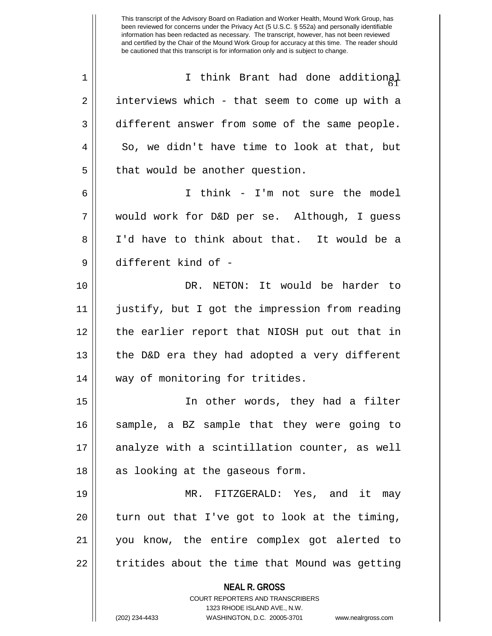**NEAL R. GROSS** COURT REPORTERS AND TRANSCRIBERS 1323 RHODE ISLAND AVE., N.W. (202) 234-4433 WASHINGTON, D.C. 20005-3701 www.nealrgross.com been reviewed for concerns under the Privacy Act (5 U.S.C. § 552a) and personally identifiable information has been redacted as necessary. The transcript, however, has not been reviewed and certified by the Chair of the Mound Work Group for accuracy at this time. The reader should be cautioned that this transcript is for information only and is subject to change. 1 || I think Brant had done additional  $2 \parallel$  interviews which - that seem to come up with a 3 different answer from some of the same people.  $4 \parallel$  So, we didn't have time to look at that, but  $5$  | that would be another question. 6 I think - I'm not sure the model 7 would work for D&D per se. Although, I guess 8 I'd have to think about that. It would be a 9 different kind of - 10 DR. NETON: It would be harder to 11 justify, but I got the impression from reading 12 the earlier report that NIOSH put out that in 13  $\parallel$  the D&D era they had adopted a very different 14 || way of monitoring for tritides. 15 In other words, they had a filter 16 sample, a BZ sample that they were going to 17 || analyze with a scintillation counter, as well 18 || as looking at the gaseous form. 19 MR. FITZGERALD: Yes, and it may 20  $\parallel$  turn out that I've got to look at the timing, 21 you know, the entire complex got alerted to  $22$   $\parallel$  tritides about the time that Mound was getting

This transcript of the Advisory Board on Radiation and Worker Health, Mound Work Group, has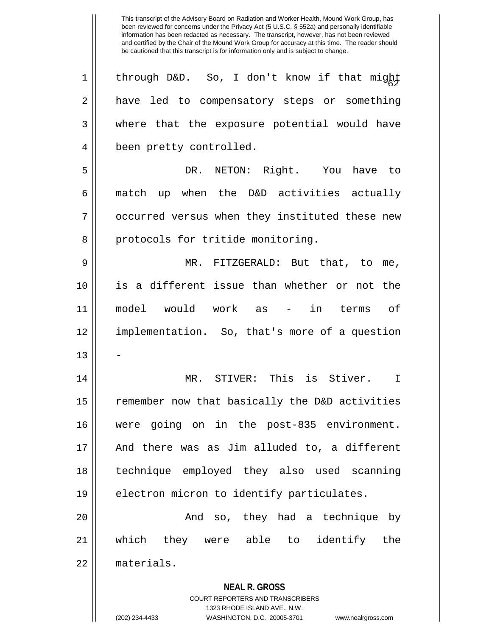**NEAL R. GROSS** COURT REPORTERS AND TRANSCRIBERS 1 || through D&D. So, I don't know if that might 2 || have led to compensatory steps or something 3 where that the exposure potential would have 4 | been pretty controlled. 5 DR. NETON: Right. You have to  $6 \parallel$  match up when the D&D activities actually 7 || occurred versus when they instituted these new 8 || protocols for tritide monitoring. 9 MR. FITZGERALD: But that, to me, 10 is a different issue than whether or not the 11 model would work as - in terms of 12 implementation. So, that's more of a question 13 14 || MR. STIVER: This is Stiver. I 15 || remember now that basically the D&D activities 16 were going on in the post-835 environment. 17 And there was as Jim alluded to, a different 18 technique employed they also used scanning 19 || electron micron to identify particulates. 20 And so, they had a technique by 21 which they were able to identify the 22 materials.

1323 RHODE ISLAND AVE., N.W.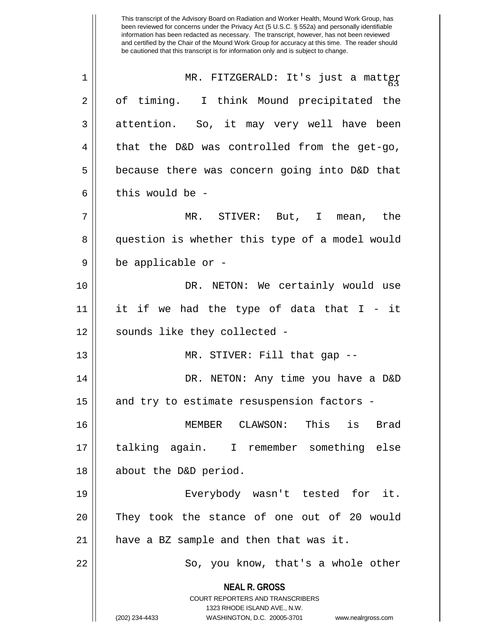This transcript of the Advisory Board on Radiation and Worker Health, Mound Work Group, has been reviewed for concerns under the Privacy Act (5 U.S.C. § 552a) and personally identifiable information has been redacted as necessary. The transcript, however, has not been reviewed and certified by the Chair of the Mound Work Group for accuracy at this time. The reader should be cautioned that this transcript is for information only and is subject to change. 1 || MR. FITZGERALD: It's just a matter 2 || of timing. I think Mound precipitated the 3 attention. So, it may very well have been  $4 \parallel$  that the D&D was controlled from the get-go, 5 | because there was concern going into D&D that 6 l this would be -7 MR. STIVER: But, I mean, the 8 || question is whether this type of a model would 9 be applicable or - 10 DR. NETON: We certainly would use 11 it if we had the type of data that I - it 12 || sounds like they collected -13 MR. STIVER: Fill that gap -- 14 DR. NETON: Any time you have a D&D  $15$  and try to estimate resuspension factors -16 MEMBER CLAWSON: This is Brad 17 talking again. I remember something else 18 || about the D&D period. 19 Everybody wasn't tested for it. 20 || They took the stance of one out of 20 would  $21$  || have a BZ sample and then that was it. 22 || So, you know, that's a whole other

> **NEAL R. GROSS** COURT REPORTERS AND TRANSCRIBERS

> > 1323 RHODE ISLAND AVE., N.W.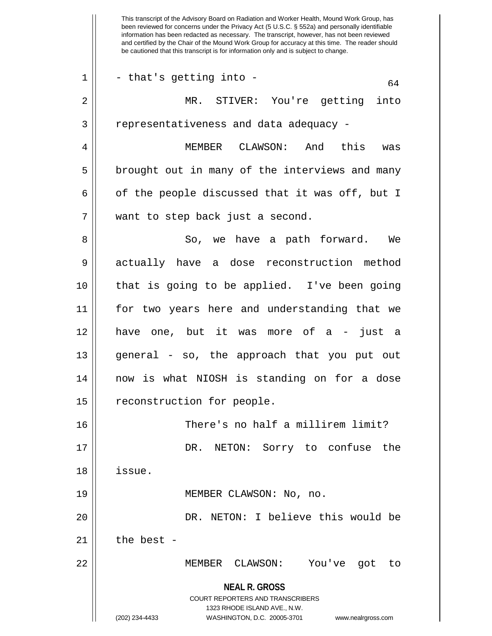**NEAL R. GROSS** COURT REPORTERS AND TRANSCRIBERS 1323 RHODE ISLAND AVE., N.W. (202) 234-4433 WASHINGTON, D.C. 20005-3701 www.nealrgross.com This transcript of the Advisory Board on Radiation and Worker Health, Mound Work Group, has been reviewed for concerns under the Privacy Act (5 U.S.C. § 552a) and personally identifiable information has been redacted as necessary. The transcript, however, has not been reviewed and certified by the Chair of the Mound Work Group for accuracy at this time. The reader should be cautioned that this transcript is for information only and is subject to change.  $1 \parallel$  - that's getting into -  $\vert$  64 2 MR. STIVER: You're getting into 3 | representativeness and data adequacy -4 MEMBER CLAWSON: And this was  $5 \parallel$  brought out in many of the interviews and many 6 | of the people discussed that it was off, but I 7 || want to step back just a second. 8 So, we have a path forward. We 9 actually have a dose reconstruction method 10 that is going to be applied. I've been going 11 for two years here and understanding that we 12 have one, but it was more of a - just a 13 general - so, the approach that you put out 14 now is what NIOSH is standing on for a dose 15 | reconstruction for people. 16 | There's no half a millirem limit? 17 DR. NETON: Sorry to confuse the 18 issue. 19 || MEMBER CLAWSON: No, no. 20 DR. NETON: I believe this would be  $21$  | the best -22 || MEMBER CLAWSON: You've got to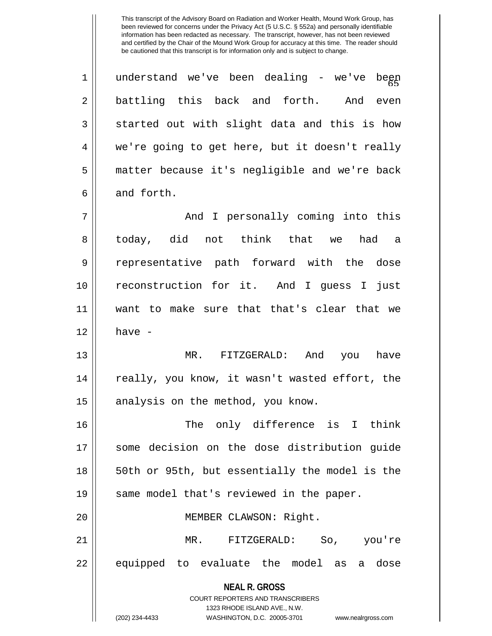| understand we've been dealing - we've begp<br>battling this back and forth. And even<br>started out with slight data and this is how<br>we're going to get here, but it doesn't really<br>matter because it's negligible and we're back<br>And I personally coming into this<br>today, did not think that we had a<br>representative path forward with the dose<br>reconstruction for it. And I guess I just |
|--------------------------------------------------------------------------------------------------------------------------------------------------------------------------------------------------------------------------------------------------------------------------------------------------------------------------------------------------------------------------------------------------------------|
|                                                                                                                                                                                                                                                                                                                                                                                                              |
|                                                                                                                                                                                                                                                                                                                                                                                                              |
|                                                                                                                                                                                                                                                                                                                                                                                                              |
|                                                                                                                                                                                                                                                                                                                                                                                                              |
|                                                                                                                                                                                                                                                                                                                                                                                                              |
|                                                                                                                                                                                                                                                                                                                                                                                                              |
|                                                                                                                                                                                                                                                                                                                                                                                                              |
|                                                                                                                                                                                                                                                                                                                                                                                                              |
|                                                                                                                                                                                                                                                                                                                                                                                                              |
|                                                                                                                                                                                                                                                                                                                                                                                                              |
| want to make sure that that's clear that we                                                                                                                                                                                                                                                                                                                                                                  |
|                                                                                                                                                                                                                                                                                                                                                                                                              |
| MR. FITZGERALD: And you have                                                                                                                                                                                                                                                                                                                                                                                 |
| really, you know, it wasn't wasted effort, the                                                                                                                                                                                                                                                                                                                                                               |
|                                                                                                                                                                                                                                                                                                                                                                                                              |
| The only difference is I think                                                                                                                                                                                                                                                                                                                                                                               |
| some decision on the dose distribution quide                                                                                                                                                                                                                                                                                                                                                                 |
| 50th or 95th, but essentially the model is the                                                                                                                                                                                                                                                                                                                                                               |
|                                                                                                                                                                                                                                                                                                                                                                                                              |
|                                                                                                                                                                                                                                                                                                                                                                                                              |
|                                                                                                                                                                                                                                                                                                                                                                                                              |
| you're                                                                                                                                                                                                                                                                                                                                                                                                       |
| equipped to evaluate the model as a dose                                                                                                                                                                                                                                                                                                                                                                     |
|                                                                                                                                                                                                                                                                                                                                                                                                              |
|                                                                                                                                                                                                                                                                                                                                                                                                              |
|                                                                                                                                                                                                                                                                                                                                                                                                              |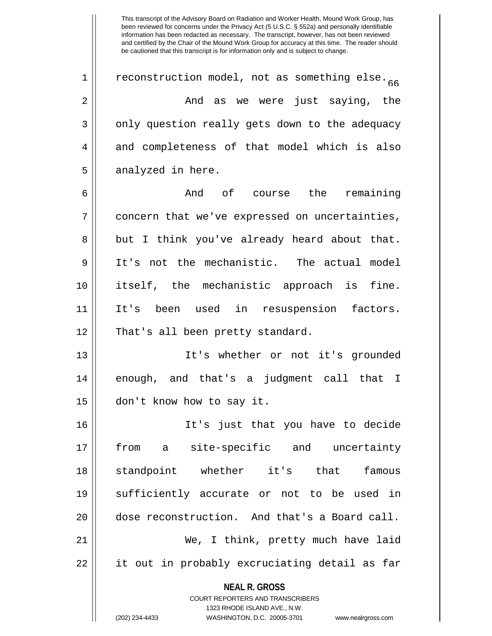1 | reconstruction model, not as something else. 2 And as we were just saying, the 3 || only question really gets down to the adequacy 4 and completeness of that model which is also  $5 \parallel$  analyzed in here.

6 And of course the remaining  $7$  | concern that we've expressed on uncertainties, 8 || but I think you've already heard about that. 9 It's not the mechanistic. The actual model 10 itself, the mechanistic approach is fine. 11 It's been used in resuspension factors. 12 || That's all been pretty standard.

13 It's whether or not it's grounded 14 enough, and that's a judgment call that I 15 don't know how to say it.

16 It's just that you have to decide 17 from a site-specific and uncertainty 18 standpoint whether it's that famous 19 sufficiently accurate or not to be used in 20 dose reconstruction. And that's a Board call. 21 We, I think, pretty much have laid 22 || it out in probably excruciating detail as far

> **NEAL R. GROSS** COURT REPORTERS AND TRANSCRIBERS

> > 1323 RHODE ISLAND AVE., N.W.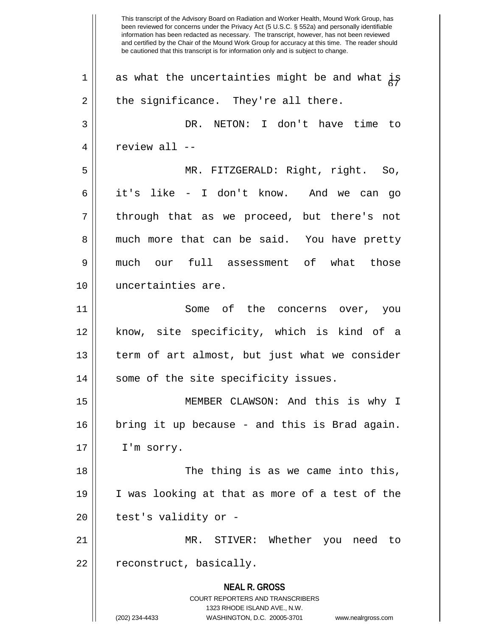**NEAL R. GROSS** COURT REPORTERS AND TRANSCRIBERS 1323 RHODE ISLAND AVE., N.W. (202) 234-4433 WASHINGTON, D.C. 20005-3701 www.nealrgross.com This transcript of the Advisory Board on Radiation and Worker Health, Mound Work Group, has been reviewed for concerns under the Privacy Act (5 U.S.C. § 552a) and personally identifiable information has been redacted as necessary. The transcript, however, has not been reviewed and certified by the Chair of the Mound Work Group for accuracy at this time. The reader should be cautioned that this transcript is for information only and is subject to change. 1 | as what the uncertainties might be and what  $\frac{1}{k}$  $2 \parallel$  the significance. They're all there. 3 DR. NETON: I don't have time to  $4 \parallel$  review all --5 MR. FITZGERALD: Right, right. So, 6 it's like - I don't know. And we can go  $7$  || through that as we proceed, but there's not 8 || much more that can be said. You have pretty 9 much our full assessment of what those 10 uncertainties are. 11 Some of the concerns over, you 12 know, site specificity, which is kind of a 13 term of art almost, but just what we consider 14 || some of the site specificity issues. 15 MEMBER CLAWSON: And this is why I 16 bring it up because - and this is Brad again. 17 | I'm sorry. 18 || The thing is as we came into this, 19 I was looking at that as more of a test of the  $20$  || test's validity or -21 MR. STIVER: Whether you need to  $22 \parallel$  reconstruct, basically.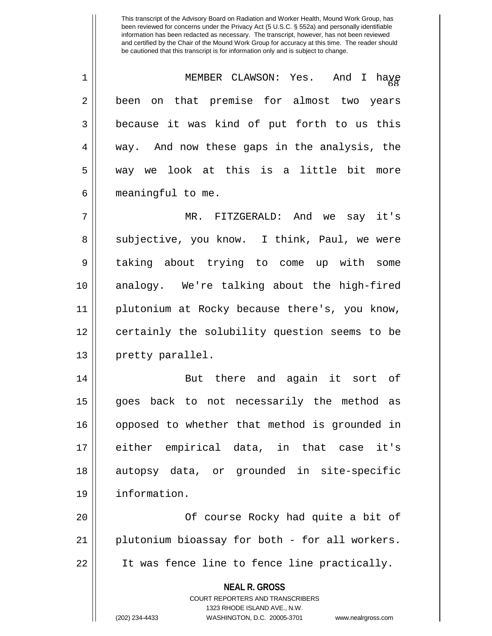| $\mathbf 1$    | MEMBER CLAWSON: Yes. And I haye                          |
|----------------|----------------------------------------------------------|
| $\overline{2}$ | been on that premise for almost two years                |
| 3              | because it was kind of put forth to us this              |
| 4              | way. And now these gaps in the analysis, the             |
| 5              | way we look at this is a little bit more                 |
| 6              | meaningful to me.                                        |
| 7              | MR. FITZGERALD: And we say it's                          |
| 8              | subjective, you know. I think, Paul, we were             |
| 9              | taking about trying to come up with some                 |
| 10             | analogy. We're talking about the high-fired              |
| 11             | plutonium at Rocky because there's, you know,            |
| 12             | certainly the solubility question seems to be            |
| 13             | pretty parallel.                                         |
| 14             | But there and again it sort of                           |
| 15             | back to not necessarily the method as<br>goes            |
| 16             | opposed to whether that method is grounded in            |
| 17             | either empirical data, in that case it's                 |
| 18             | autopsy data, or grounded in site-specific               |
| 19             | information.                                             |
| 20             | Of course Rocky had quite a bit of                       |
| 21             | plutonium bioassay for both - for all workers.           |
| 22             | It was fence line to fence line practically.             |
|                | <b>NEAL R. GROSS</b><br>COURT REPORTERS AND TRANSCRIBERS |

1323 RHODE ISLAND AVE., N.W.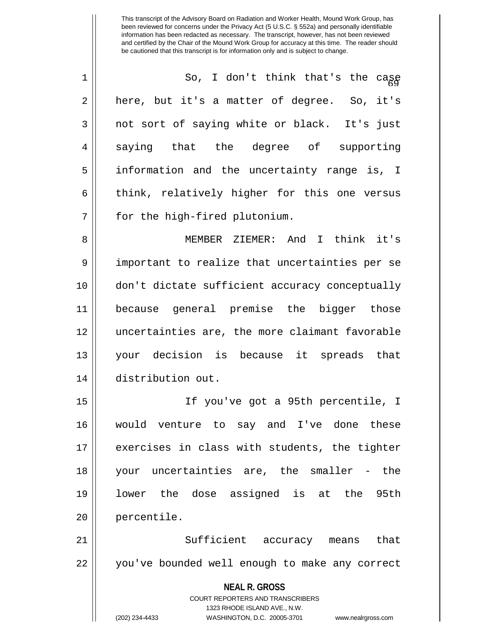| $\overline{1}$ | So, I don't think that's the cage            |
|----------------|----------------------------------------------|
| $\overline{2}$ | here, but it's a matter of degree. So, it's  |
| 3              | not sort of saying white or black. It's just |
| $\overline{4}$ | saying that the degree of supporting         |
| 5              | information and the uncertainty range is, I  |
| б              | think, relatively higher for this one versus |
| 7              | for the high-fired plutonium.                |

8 MEMBER ZIEMER: And I think it's 9 || important to realize that uncertainties per se 10 don't dictate sufficient accuracy conceptually 11 because general premise the bigger those 12 uncertainties are, the more claimant favorable 13 your decision is because it spreads that 14 distribution out.

15 If you've got a 95th percentile, I 16 would venture to say and I've done these 17 || exercises in class with students, the tighter 18 your uncertainties are, the smaller - the 19 lower the dose assigned is at the 95th 20 | percentile.

21 || Sufficient accuracy means that 22 || you've bounded well enough to make any correct

> **NEAL R. GROSS** COURT REPORTERS AND TRANSCRIBERS 1323 RHODE ISLAND AVE., N.W. (202) 234-4433 WASHINGTON, D.C. 20005-3701 www.nealrgross.com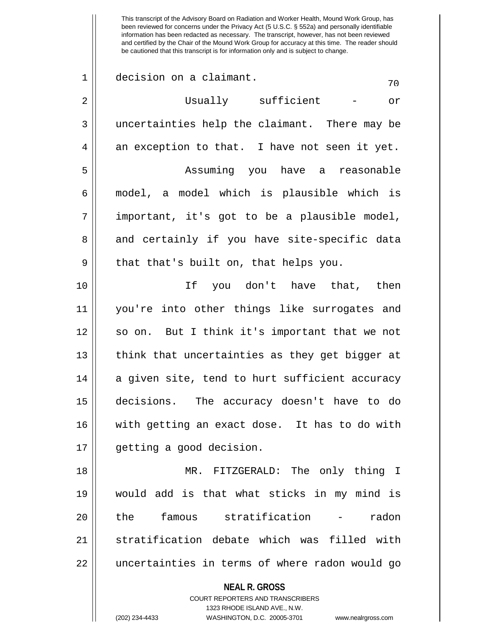This transcript of the Advisory Board on Radiation and Worker Health, Mound Work Group, has been reviewed for concerns under the Privacy Act (5 U.S.C. § 552a) and personally identifiable information has been redacted as necessary. The transcript, however, has not been reviewed and certified by the Chair of the Mound Work Group for accuracy at this time. The reader should be cautioned that this transcript is for information only and is subject to change.  $1 \parallel$  decision on a claimant.  $\frac{70}{20}$ 2 Usually sufficient - or 3 uncertainties help the claimant. There may be  $4 \parallel$  an exception to that. I have not seen it yet. 5 Assuming you have a reasonable 6 model, a model which is plausible which is  $7 \parallel$  important, it's got to be a plausible model, 8 and certainly if you have site-specific data  $9 \parallel$  that that's built on, that helps you. 10 If you don't have that, then 11 you're into other things like surrogates and 12 so on. But I think it's important that we not 13 || think that uncertainties as they get bigger at 14 a given site, tend to hurt sufficient accuracy 15 decisions. The accuracy doesn't have to do 16 with getting an exact dose. It has to do with 17 getting a good decision.

18 MR. FITZGERALD: The only thing I 19 would add is that what sticks in my mind is 20 ll the famous stratification - radon 21 Stratification debate which was filled with 22 || uncertainties in terms of where radon would go

> **NEAL R. GROSS** COURT REPORTERS AND TRANSCRIBERS 1323 RHODE ISLAND AVE., N.W. (202) 234-4433 WASHINGTON, D.C. 20005-3701 www.nealrgross.com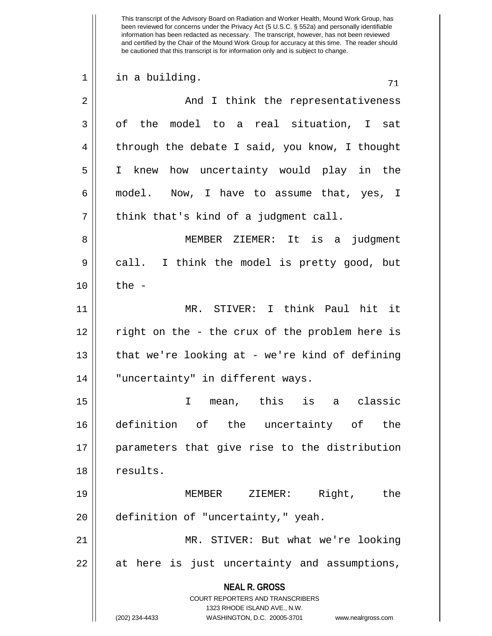This transcript of the Advisory Board on Radiation and Worker Health, Mound Work Group, has been reviewed for concerns under the Privacy Act (5 U.S.C. § 552a) and personally identifiable information has been redacted as necessary. The transcript, however, has not been reviewed and certified by the Chair of the Mound Work Group for accuracy at this time. The reader should be cautioned that this transcript is for information only and is subject to change.  $\begin{array}{c|c} 1 & \text{in a building.} \end{array}$  71 2 And I think the representativeness 3 of the model to a real situation, I sat  $4 \parallel$  through the debate I said, you know, I thought 5 I knew how uncertainty would play in the 6 model. Now, I have to assume that, yes, I  $7 \parallel$  think that's kind of a judgment call. 8 || MEMBER ZIEMER: It is a judgment 9 call. I think the model is pretty good, but  $10 \parallel$  the -

11 MR. STIVER: I think Paul hit it 12 || right on the - the crux of the problem here is 13 || that we're looking at - we're kind of defining 14 "uncertainty" in different ways.

15 I mean, this is a classic 16 definition of the uncertainty of the 17 parameters that give rise to the distribution 18 | results.

19 MEMBER ZIEMER: Right, the 20 | definition of "uncertainty," yeah.

21 MR. STIVER: But what we're looking 22 || at here is just uncertainty and assumptions,

> **NEAL R. GROSS** COURT REPORTERS AND TRANSCRIBERS

> > 1323 RHODE ISLAND AVE., N.W.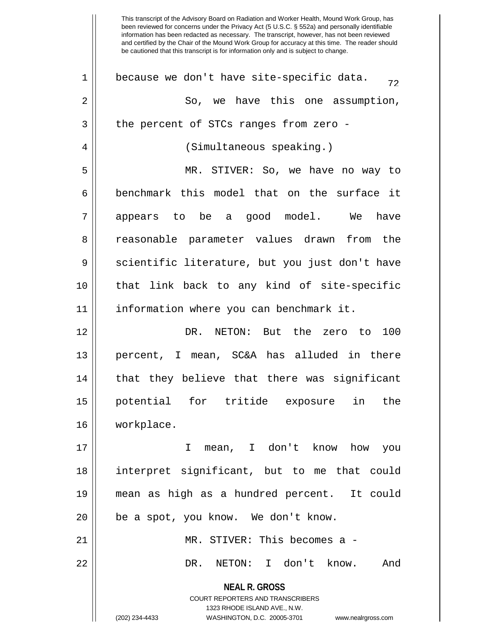| $\mathbf 1$    | because we don't have site-specific data.<br>72                         |
|----------------|-------------------------------------------------------------------------|
| $\overline{2}$ | So, we have this one assumption,                                        |
| 3              | the percent of STCs ranges from zero -                                  |
| 4              | (Simultaneous speaking.)                                                |
| 5              | MR. STIVER: So, we have no way to                                       |
| 6              | benchmark this model that on the surface it                             |
| 7              | appears to be a good model. We have                                     |
| 8              | reasonable parameter values drawn from the                              |
| 9              | scientific literature, but you just don't have                          |
| 10             | that link back to any kind of site-specific                             |
| 11             | information where you can benchmark it.                                 |
| 12             | DR. NETON: But the zero to 100                                          |
| 13             | percent, I mean, SC&A has alluded in there                              |
| 14             | that they believe that there was significant                            |
| 15             | potential for tritide exposure in<br>the                                |
| 16             | workplace.                                                              |
| 17             | mean, I don't know how you<br>I.                                        |
| 18             | interpret significant, but to me that could                             |
| 19             | mean as high as a hundred percent. It could                             |
| 20             | be a spot, you know. We don't know.                                     |
| 21             | MR. STIVER: This becomes a -                                            |
| 22             | NETON: I don't know.<br>DR.<br>And                                      |
|                | <b>NEAL R. GROSS</b>                                                    |
|                | <b>COURT REPORTERS AND TRANSCRIBERS</b><br>1323 RHODE ISLAND AVE., N.W. |
|                | WASHINGTON, D.C. 20005-3701<br>(202) 234-4433<br>www.nealrgross.com     |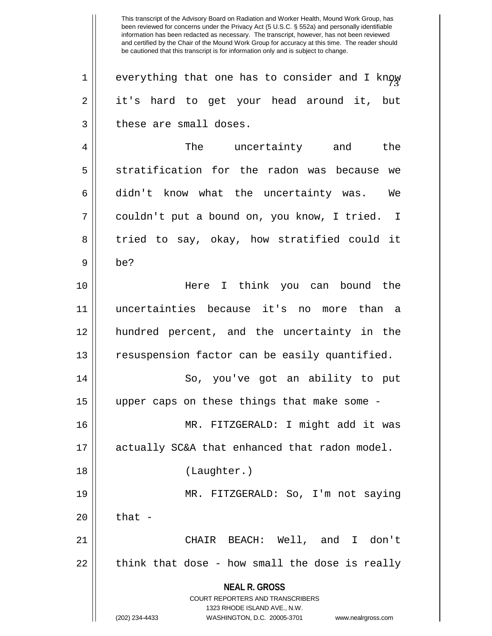**NEAL R. GROSS** COURT REPORTERS AND TRANSCRIBERS 1323 RHODE ISLAND AVE., N.W. This transcript of the Advisory Board on Radiation and Worker Health, Mound Work Group, has been reviewed for concerns under the Privacy Act (5 U.S.C. § 552a) and personally identifiable information has been redacted as necessary. The transcript, however, has not been reviewed and certified by the Chair of the Mound Work Group for accuracy at this time. The reader should be cautioned that this transcript is for information only and is subject to change.  $1$  | everything that one has to consider and I know 2 || it's hard to get your head around it, but  $3$  | these are small doses. 4 The uncertainty and the 5 Som stratification for the radon was because we  $6 \parallel$  didn't know what the uncertainty was. We 7 || couldn't put a bound on, you know, I tried. I 8 tried to say, okay, how stratified could it  $9 \parallel$  be? 10 Here I think you can bound the 11 uncertainties because it's no more than a 12 hundred percent, and the uncertainty in the 13 || resuspension factor can be easily quantified. 14 || So, you've got an ability to put 15 upper caps on these things that make some - 16 MR. FITZGERALD: I might add it was 17 || actually SC&A that enhanced that radon model. 18 (Laughter.) 19 MR. FITZGERALD: So, I'm not saying  $20$   $\parallel$  that -21 CHAIR BEACH: Well, and I don't  $22$  || think that dose - how small the dose is really

<sup>(202) 234-4433</sup> WASHINGTON, D.C. 20005-3701 www.nealrgross.com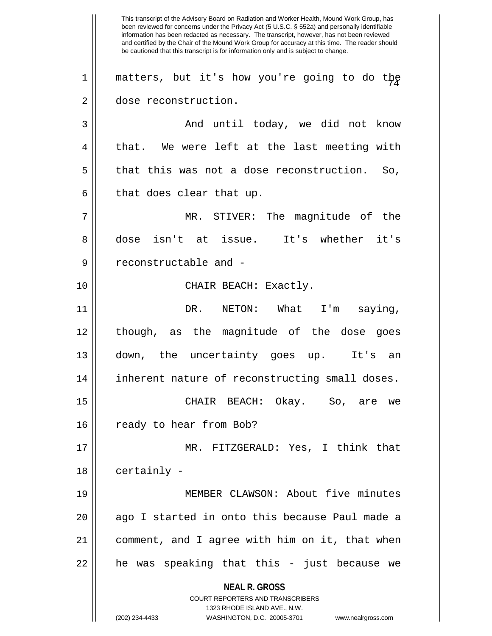**NEAL R. GROSS** COURT REPORTERS AND TRANSCRIBERS 1323 RHODE ISLAND AVE., N.W. (202) 234-4433 WASHINGTON, D.C. 20005-3701 www.nealrgross.com This transcript of the Advisory Board on Radiation and Worker Health, Mound Work Group, has been reviewed for concerns under the Privacy Act (5 U.S.C. § 552a) and personally identifiable information has been redacted as necessary. The transcript, however, has not been reviewed and certified by the Chair of the Mound Work Group for accuracy at this time. The reader should be cautioned that this transcript is for information only and is subject to change.  $1$  | matters, but it's how you're going to do the 2 dose reconstruction. 3 And until today, we did not know  $4 \parallel$  that. We were left at the last meeting with  $5 \parallel$  that this was not a dose reconstruction. So,  $6 \parallel$  that does clear that up. 7 MR. STIVER: The magnitude of the 8 dose isn't at issue. It's whether it's 9 || reconstructable and -10 || CHAIR BEACH: Exactly. 11 DR. NETON: What I'm saying, 12 though, as the magnitude of the dose goes 13 down, the uncertainty goes up. It's an 14 || inherent nature of reconstructing small doses. 15 CHAIR BEACH: Okay. So, are we 16 || ready to hear from Bob? 17 MR. FITZGERALD: Yes, I think that  $18$  | certainly -19 MEMBER CLAWSON: About five minutes 20 || ago I started in onto this because Paul made a 21 comment, and I agree with him on it, that when  $22$  || he was speaking that this - just because we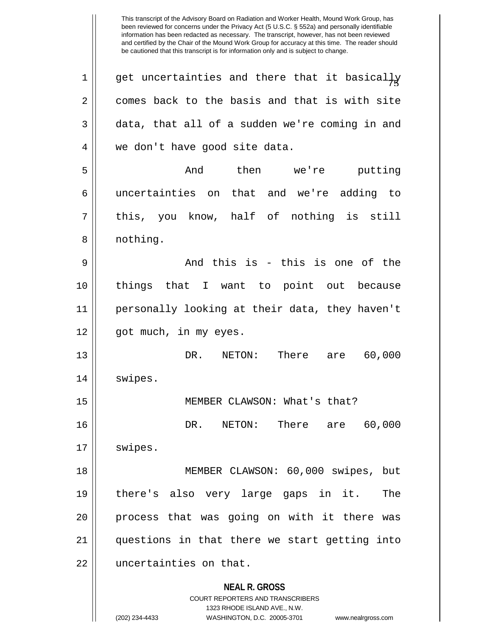**NEAL R. GROSS** COURT REPORTERS AND TRANSCRIBERS 1323 RHODE ISLAND AVE., N.W. (202) 234-4433 WASHINGTON, D.C. 20005-3701 www.nealrgross.com  $\begin{array}{c} 1 \parallel 5 \end{array}$  get uncertainties and there that it basical $\frac{1}{2}$  $2 \parallel$  comes back to the basis and that is with site  $3 \parallel$  data, that all of a sudden we're coming in and 4 || we don't have good site data. 5 || Then We're putting 6 uncertainties on that and we're adding to  $7 \parallel$  this, you know, half of nothing is still 8 || nothing.  $9 \parallel$  and this is - this is one of the 10 things that I want to point out because 11 personally looking at their data, they haven't 12 || got much, in my eyes. 13 DR. NETON: There are 60,000 14 | swipes. 15 || MEMBER CLAWSON: What's that? 16 DR. NETON: There are 60,000 17 | swipes. 18 MEMBER CLAWSON: 60,000 swipes, but 19 there's also very large gaps in it. The 20 || process that was going on with it there was 21 questions in that there we start getting into 22 | uncertainties on that.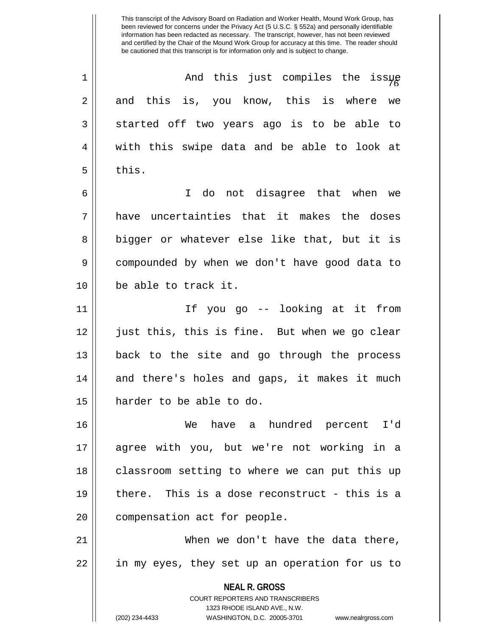<sup>76</sup> 1 And this just compiles the issue  $2 \parallel$  and this is, you know, this is where we  $3 \parallel$  started off two years ago is to be able to 4 || with this swipe data and be able to look at  $5 \parallel$  this.

6 I do not disagree that when we 7 have uncertainties that it makes the doses 8 || bigger or whatever else like that, but it is 9 compounded by when we don't have good data to 10 be able to track it.

11 If you go -- looking at it from 12 just this, this is fine. But when we go clear 13 back to the site and go through the process 14 || and there's holes and gaps, it makes it much 15 harder to be able to do.

16 We have a hundred percent I'd 17 agree with you, but we're not working in a 18 || classroom setting to where we can put this up 19 there. This is a dose reconstruct - this is a 20 | compensation act for people.

21 When we don't have the data there, 22 || in my eyes, they set up an operation for us to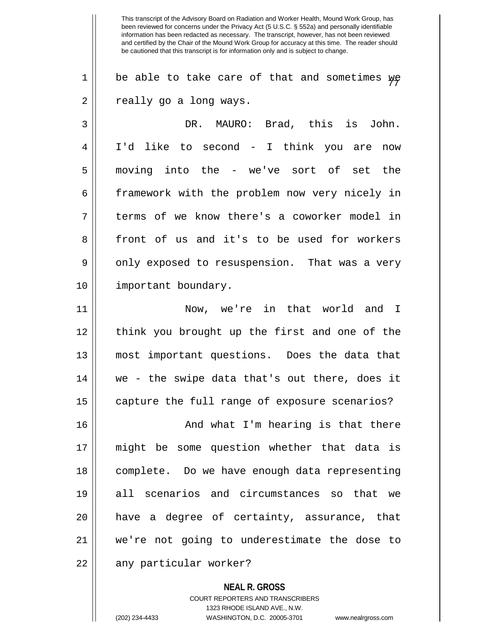$1 \parallel$  be able to take care of that and sometimes  $\psi \gamma$ 2 || really go a long ways.

3 DR. MAURO: Brad, this is John. 4 I'd like to second - I think you are now 5 moving into the - we've sort of set the 6 framework with the problem now very nicely in 7 || terms of we know there's a coworker model in 8 front of us and it's to be used for workers 9 || only exposed to resuspension. That was a very 10 || important boundary.

11 Now, we're in that world and I 12 || think you brought up the first and one of the 13 most important questions. Does the data that 14 we - the swipe data that's out there, does it  $15$  | capture the full range of exposure scenarios?

16 || And what I'm hearing is that there 17 might be some question whether that data is 18 complete. Do we have enough data representing 19 all scenarios and circumstances so that we 20 have a degree of certainty, assurance, that 21 we're not going to underestimate the dose to 22 || any particular worker?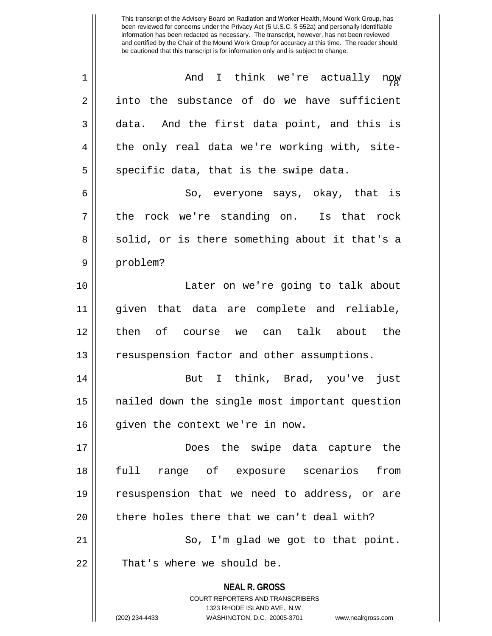| $\mathbf 1$ | And I think we're actually now                                                                                                                                         |
|-------------|------------------------------------------------------------------------------------------------------------------------------------------------------------------------|
| 2           | into the substance of do we have sufficient                                                                                                                            |
| 3           | data. And the first data point, and this is                                                                                                                            |
| 4           | the only real data we're working with, site-                                                                                                                           |
| 5           | specific data, that is the swipe data.                                                                                                                                 |
| 6           | So, everyone says, okay, that is                                                                                                                                       |
| 7           | the rock we're standing on. Is that rock                                                                                                                               |
| 8           | solid, or is there something about it that's a                                                                                                                         |
| 9           | problem?                                                                                                                                                               |
| 10          | Later on we're going to talk about                                                                                                                                     |
| 11          | given that data are complete and reliable,                                                                                                                             |
| 12          | then of course we can talk about the                                                                                                                                   |
| 13          | resuspension factor and other assumptions.                                                                                                                             |
| 14          | But I think, Brad, you've just                                                                                                                                         |
| 15          | nailed down the single most important question                                                                                                                         |
| 16          | given the context we're in now.                                                                                                                                        |
| 17          | Does the swipe data capture the                                                                                                                                        |
| 18          | full range of exposure scenarios from                                                                                                                                  |
| 19          | resuspension that we need to address, or are                                                                                                                           |
| 20          | there holes there that we can't deal with?                                                                                                                             |
| 21          | So, I'm glad we got to that point.                                                                                                                                     |
| 22          | That's where we should be.                                                                                                                                             |
|             | <b>NEAL R. GROSS</b><br><b>COURT REPORTERS AND TRANSCRIBERS</b><br>1323 RHODE ISLAND AVE., N.W.<br>(202) 234-4433<br>WASHINGTON, D.C. 20005-3701<br>www.nealrgross.com |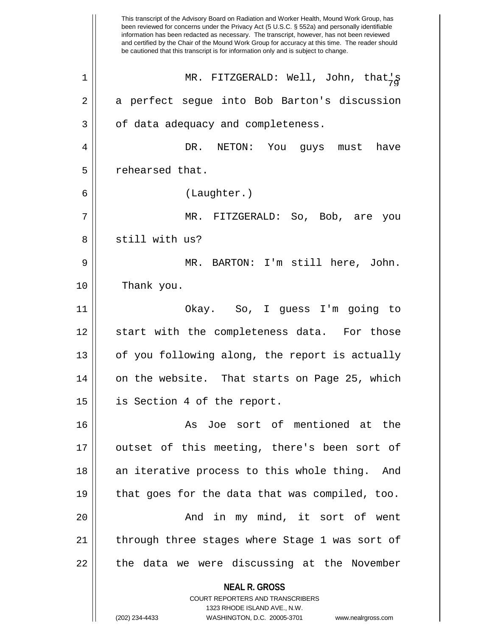|    | This transcript of the Advisory Board on Radiation and Worker Health, Mound Work Group, has<br>been reviewed for concerns under the Privacy Act (5 U.S.C. § 552a) and personally identifiable<br>information has been redacted as necessary. The transcript, however, has not been reviewed<br>and certified by the Chair of the Mound Work Group for accuracy at this time. The reader should<br>be cautioned that this transcript is for information only and is subject to change. |
|----|---------------------------------------------------------------------------------------------------------------------------------------------------------------------------------------------------------------------------------------------------------------------------------------------------------------------------------------------------------------------------------------------------------------------------------------------------------------------------------------|
| 1  | MR. FITZGERALD: Well, John, that,g                                                                                                                                                                                                                                                                                                                                                                                                                                                    |
| 2  | a perfect segue into Bob Barton's discussion                                                                                                                                                                                                                                                                                                                                                                                                                                          |
| 3  | of data adequacy and completeness.                                                                                                                                                                                                                                                                                                                                                                                                                                                    |
| 4  | DR. NETON: You<br>have<br>guys must                                                                                                                                                                                                                                                                                                                                                                                                                                                   |
| 5  | rehearsed that.                                                                                                                                                                                                                                                                                                                                                                                                                                                                       |
| 6  | (Laughter.)                                                                                                                                                                                                                                                                                                                                                                                                                                                                           |
| 7  | MR. FITZGERALD: So, Bob, are<br>you                                                                                                                                                                                                                                                                                                                                                                                                                                                   |
| 8  | still with us?                                                                                                                                                                                                                                                                                                                                                                                                                                                                        |
| 9  | MR. BARTON: I'm still here, John.                                                                                                                                                                                                                                                                                                                                                                                                                                                     |
| 10 | Thank you.                                                                                                                                                                                                                                                                                                                                                                                                                                                                            |
| 11 | Okay. So, I guess I'm going to                                                                                                                                                                                                                                                                                                                                                                                                                                                        |
| 12 | start with the completeness data. For those                                                                                                                                                                                                                                                                                                                                                                                                                                           |
| 13 | of you following along, the report is actually                                                                                                                                                                                                                                                                                                                                                                                                                                        |
| 14 | on the website. That starts on Page 25, which                                                                                                                                                                                                                                                                                                                                                                                                                                         |
| 15 | is Section 4 of the report.                                                                                                                                                                                                                                                                                                                                                                                                                                                           |
| 16 | As Joe sort of mentioned at the                                                                                                                                                                                                                                                                                                                                                                                                                                                       |
| 17 | outset of this meeting, there's been sort of                                                                                                                                                                                                                                                                                                                                                                                                                                          |
| 18 | an iterative process to this whole thing. And                                                                                                                                                                                                                                                                                                                                                                                                                                         |
| 19 | that goes for the data that was compiled, too.                                                                                                                                                                                                                                                                                                                                                                                                                                        |
| 20 | And in my mind, it sort of went                                                                                                                                                                                                                                                                                                                                                                                                                                                       |
| 21 | through three stages where Stage 1 was sort of                                                                                                                                                                                                                                                                                                                                                                                                                                        |
| 22 | the data we were discussing at the November                                                                                                                                                                                                                                                                                                                                                                                                                                           |
|    | <b>NEAL R. GROSS</b><br>COURT REPORTERS AND TRANSCRIBERS                                                                                                                                                                                                                                                                                                                                                                                                                              |
|    | 1323 RHODE ISLAND AVE., N.W.                                                                                                                                                                                                                                                                                                                                                                                                                                                          |
|    | (202) 234-4433<br>WASHINGTON, D.C. 20005-3701<br>www.nealrgross.com                                                                                                                                                                                                                                                                                                                                                                                                                   |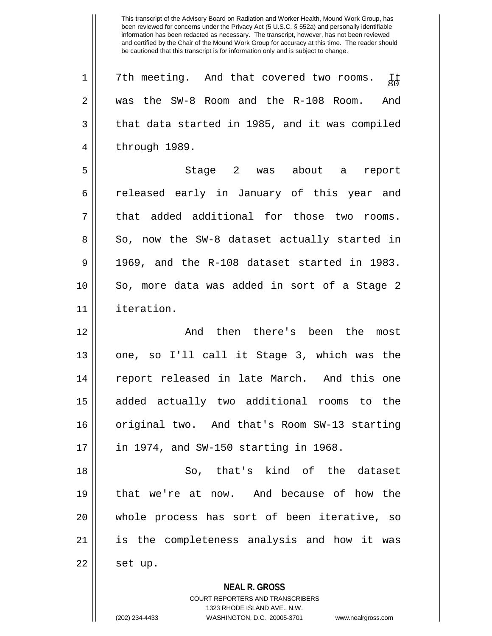$1 || 7th$  meeting. And that covered two rooms. It 2 was the SW-8 Room and the R-108 Room. And  $3 \parallel$  that data started in 1985, and it was compiled 4 || through 1989.

5 Stage 2 was about a report 6 celeased early in January of this year and 7 || that added additional for those two rooms.  $8 \parallel$  So, now the SW-8 dataset actually started in  $9 \parallel 1969$ , and the R-108 dataset started in 1983. 10 || So, more data was added in sort of a Stage 2 11 iteration.

12 And then there's been the most 13 || one, so I'll call it Stage 3, which was the 14 report released in late March. And this one 15 added actually two additional rooms to the 16 || original two. And that's Room SW-13 starting 17 in 1974, and SW-150 starting in 1968.

18 So, that's kind of the dataset 19 that we're at now. And because of how the 20 whole process has sort of been iterative, so 21 is the completeness analysis and how it was  $22 \parallel$  set up.

**NEAL R. GROSS**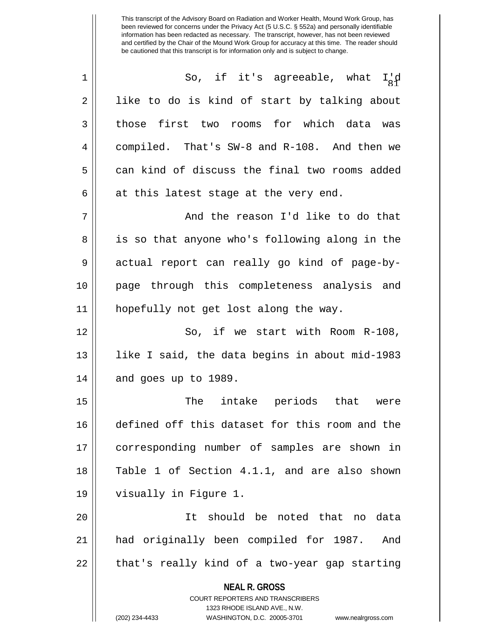**NEAL R. GROSS** COURT REPORTERS AND TRANSCRIBERS 1323 RHODE ISLAND AVE., N.W. (202) 234-4433 WASHINGTON, D.C. 20005-3701 www.nealrgross.com  $1 \parallel$  So, if it's agreeable, what  $I'_8$ d  $2 \parallel$  like to do is kind of start by talking about 3 those first two rooms for which data was 4 | compiled. That's SW-8 and R-108. And then we 5 can kind of discuss the final two rooms added  $6 \parallel$  at this latest stage at the very end. 7 And the reason I'd like to do that 8 || is so that anyone who's following along in the 9 actual report can really go kind of page-by-10 page through this completeness analysis and 11 hopefully not get lost along the way. 12 || So, if we start with Room R-108, 13 like I said, the data begins in about mid-1983  $14$  || and goes up to 1989. 15 || The intake periods that were 16 defined off this dataset for this room and the 17 corresponding number of samples are shown in 18 || Table 1 of Section 4.1.1, and are also shown 19 visually in Figure 1. 20 It should be noted that no data 21 had originally been compiled for 1987. And  $22 \parallel$  that's really kind of a two-year gap starting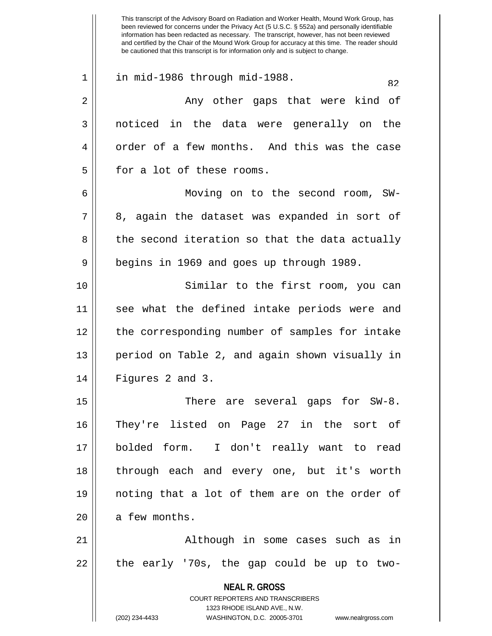**NEAL R. GROSS** COURT REPORTERS AND TRANSCRIBERS 1323 RHODE ISLAND AVE., N.W. (202) 234-4433 WASHINGTON, D.C. 20005-3701 www.nealrgross.com been reviewed for concerns under the Privacy Act (5 U.S.C. § 552a) and personally identifiable information has been redacted as necessary. The transcript, however, has not been reviewed and certified by the Chair of the Mound Work Group for accuracy at this time. The reader should be cautioned that this transcript is for information only and is subject to change. 1 || in mid-1986 through mid-1988. 2 Any other gaps that were kind of 3 noticed in the data were generally on the 4 | order of a few months. And this was the case  $5 \parallel$  for a lot of these rooms. 6 Moving on to the second room, SW- $7 \parallel 8$ , again the dataset was expanded in sort of  $8 \parallel$  the second iteration so that the data actually 9 || begins in 1969 and goes up through 1989. 10 Similar to the first room, you can 11 || see what the defined intake periods were and 12 || the corresponding number of samples for intake 13 || period on Table 2, and again shown visually in  $14$  || Figures 2 and 3. 15 There are several gaps for SW-8. 16 They're listed on Page 27 in the sort of 17 bolded form. I don't really want to read 18 through each and every one, but it's worth 19 noting that a lot of them are on the order of  $20$  | a few months. 21 || Although in some cases such as in  $22$  || the early '70s, the gap could be up to two-

This transcript of the Advisory Board on Radiation and Worker Health, Mound Work Group, has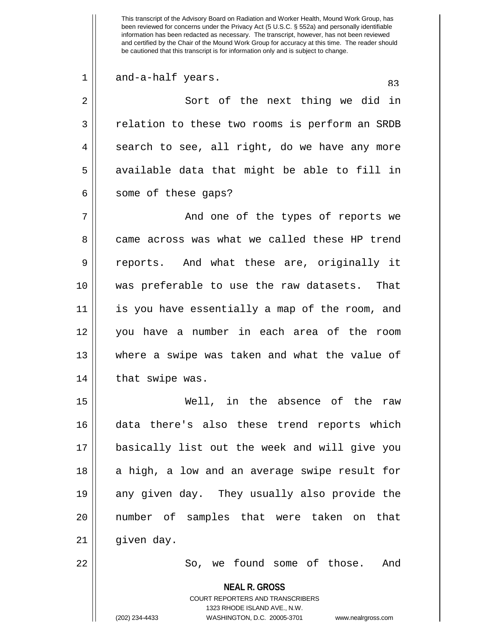$\begin{array}{ccc} 1 & \text{and--a-half years.} \end{array}$  83

2 || Sort of the next thing we did in 3 || relation to these two rooms is perform an SRDB  $4 \parallel$  search to see, all right, do we have any more  $5 \parallel$  available data that might be able to fill in  $6 \parallel$  some of these gaps?

7 And one of the types of reports we 8 came across was what we called these HP trend 9 || reports. And what these are, originally it 10 was preferable to use the raw datasets. That 11 is you have essentially a map of the room, and 12 you have a number in each area of the room 13 where a swipe was taken and what the value of 14 | that swipe was.

15 Well, in the absence of the raw 16 data there's also these trend reports which 17 basically list out the week and will give you 18 || a high, a low and an average swipe result for 19 any given day. They usually also provide the 20 number of samples that were taken on that  $21$  | given day.

22 So, we found some of those. And

**NEAL R. GROSS**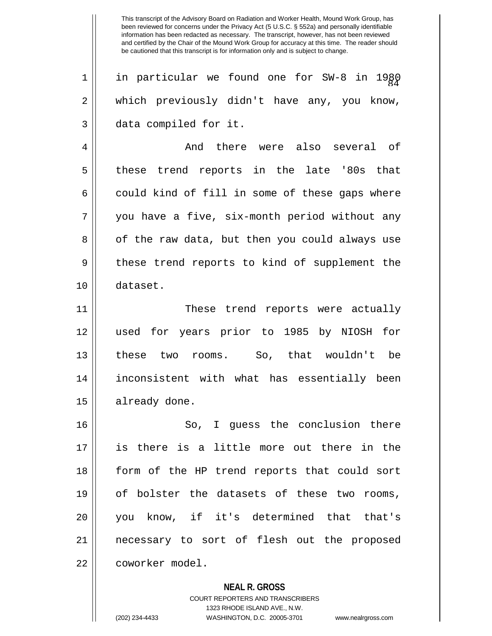$1 ||$  in particular we found one for SW-8 in 1980 2 which previously didn't have any, you know, 3 data compiled for it.

4 And there were also several of 5 || these trend reports in the late '80s that  $6 \parallel$  could kind of fill in some of these gaps where 7 || you have a five, six-month period without any 8 || of the raw data, but then you could always use 9 || these trend reports to kind of supplement the 10 dataset.

11 These trend reports were actually 12 used for years prior to 1985 by NIOSH for 13 these two rooms. So, that wouldn't be 14 inconsistent with what has essentially been 15 | already done.

16 || So, I quess the conclusion there 17 is there is a little more out there in the 18 form of the HP trend reports that could sort 19 || of bolster the datasets of these two rooms, 20 you know, if it's determined that that's 21 necessary to sort of flesh out the proposed 22 coworker model.

**NEAL R. GROSS**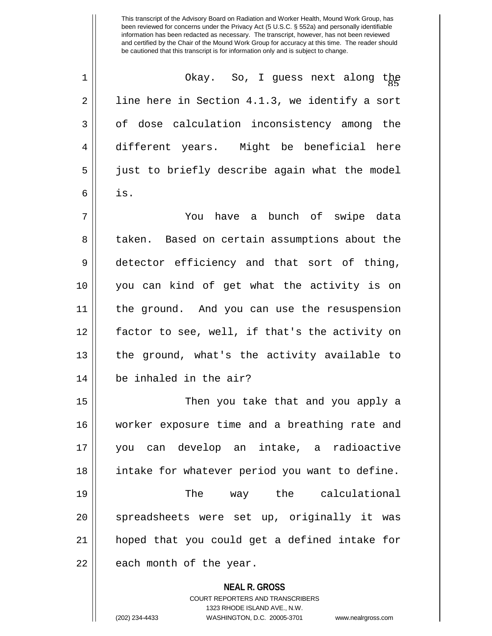<sup>85</sup> 1 Okay. So, I guess next along the  $2 \parallel$  line here in Section 4.1.3, we identify a sort 3 of dose calculation inconsistency among the 4 different years. Might be beneficial here 5 just to briefly describe again what the model  $6 \parallel$  is.

7 You have a bunch of swipe data 8 taken. Based on certain assumptions about the 9 detector efficiency and that sort of thing, 10 you can kind of get what the activity is on 11 the ground. And you can use the resuspension 12 factor to see, well, if that's the activity on  $13$  || the ground, what's the activity available to 14 be inhaled in the air?

15 || Then you take that and you apply a 16 worker exposure time and a breathing rate and 17 you can develop an intake, a radioactive 18 intake for whatever period you want to define. 19 || The way the calculational 20 || spreadsheets were set up, originally it was 21 hoped that you could get a defined intake for  $22$  || each month of the year.

**NEAL R. GROSS**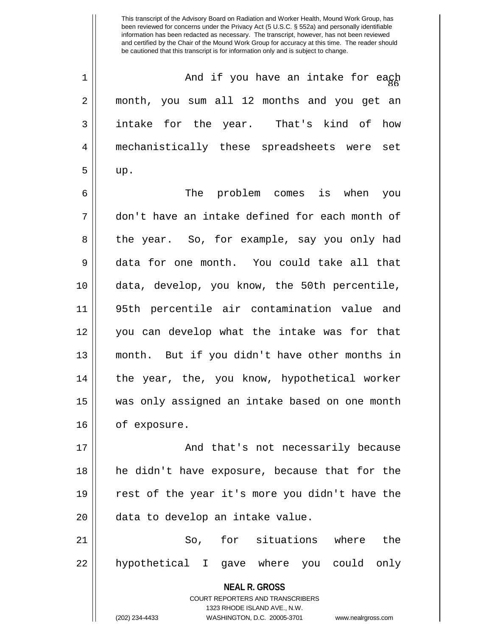$1$   $\parallel$  and if you have an intake for eagh 2 month, you sum all 12 months and you get an 3 || intake for the year. That's kind of how 4 mechanistically these spreadsheets were set  $5 \parallel \quad \text{up}.$ 

6 The problem comes is when you 7 don't have an intake defined for each month of 8 the year. So, for example, say you only had 9 data for one month. You could take all that 10 data, develop, you know, the 50th percentile, 11 95th percentile air contamination value and 12 you can develop what the intake was for that 13 month. But if you didn't have other months in 14 || the year, the, you know, hypothetical worker 15 was only assigned an intake based on one month 16 | of exposure.

17 || And that's not necessarily because 18 he didn't have exposure, because that for the 19 rest of the year it's more you didn't have the 20 || data to develop an intake value.

21 || So, for situations where the 22 || hypothetical I gave where you could only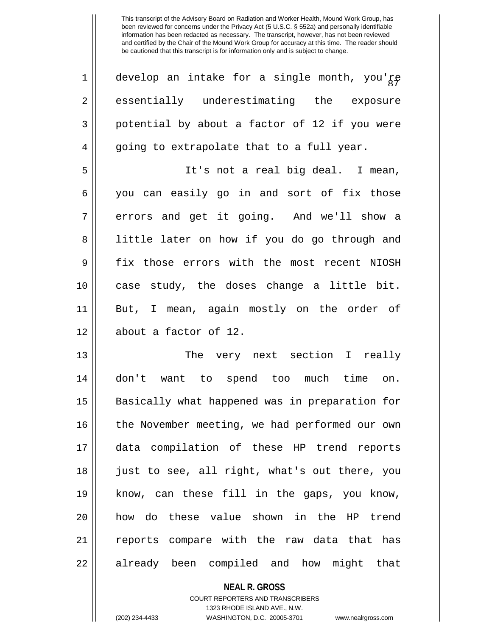| $\mathbf 1$    | develop an intake for a single month, you'ge   |
|----------------|------------------------------------------------|
| $\overline{2}$ | essentially underestimating the exposure       |
| 3              | potential by about a factor of 12 if you were  |
| 4              | going to extrapolate that to a full year.      |
| 5              | It's not a real big deal. I mean,              |
| 6              | you can easily go in and sort of fix those     |
| 7              | errors and get it going. And we'll show a      |
| 8              | little later on how if you do go through and   |
| 9              | fix those errors with the most recent NIOSH    |
| 10             | case study, the doses change a little bit.     |
| 11             | But, I mean, again mostly on the order of      |
| 12             | about a factor of 12.                          |
| 13             | The very next section I really                 |
| 14             | don't want to spend too much time on.          |
| 15             | Basically what happened was in preparation for |
| 16             | the November meeting, we had performed our own |
| 17             | data compilation of these HP trend reports     |
| 18             | just to see, all right, what's out there, you  |
| 19             | know, can these fill in the gaps, you know,    |
| 20             | how do these value shown in the HP trend       |
| 21             | reports compare with the raw data that has     |
| 22             | already been compiled and how might<br>that    |

**NEAL R. GROSS** COURT REPORTERS AND TRANSCRIBERS

1323 RHODE ISLAND AVE., N.W.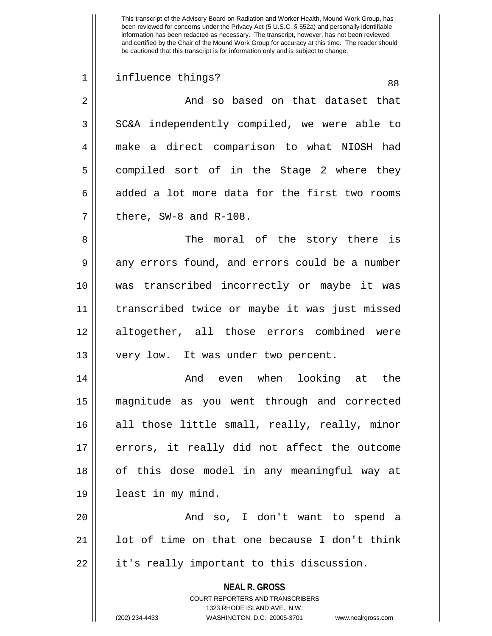## 1 || influence things? as

2 And so based on that dataset that  $3 \parallel$  SC&A independently compiled, we were able to 4 make a direct comparison to what NIOSH had 5 compiled sort of in the Stage 2 where they 6 added a lot more data for the first two rooms  $7 \parallel$  there, SW-8 and R-108.

8 The moral of the story there is  $9 \parallel$  any errors found, and errors could be a number 10 was transcribed incorrectly or maybe it was 11 transcribed twice or maybe it was just missed 12 altogether, all those errors combined were 13 || very low. It was under two percent.

14 And even when looking at the 15 magnitude as you went through and corrected 16 || all those little small, really, really, minor  $17$  || errors, it really did not affect the outcome 18 || of this dose model in any meaningful way at 19 least in my mind.

20 And so, I don't want to spend a 21  $\parallel$  1 ot of time on that one because I don't think  $22 \parallel$  it's really important to this discussion.

> **NEAL R. GROSS** COURT REPORTERS AND TRANSCRIBERS

> > 1323 RHODE ISLAND AVE., N.W.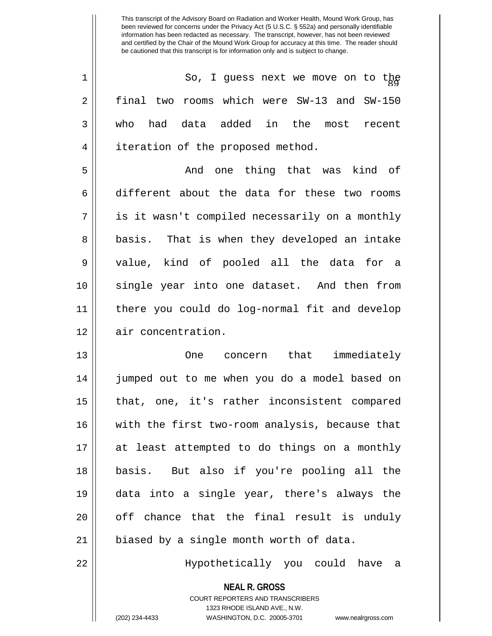| $\mathbf 1$ | So, I guess next we move on to the             |
|-------------|------------------------------------------------|
| 2           | final two rooms which were SW-13 and SW-150    |
| 3           | who had data added in the most recent          |
| 4           | iteration of the proposed method.              |
| 5           | And one thing that was kind of                 |
| 6           | different about the data for these two rooms   |
| 7           | is it wasn't compiled necessarily on a monthly |
| 8           | basis. That is when they developed an intake   |
| 9           | value, kind of pooled all the data for a       |
| 10          | single year into one dataset. And then from    |
| 11          | there you could do log-normal fit and develop  |
| 12          | air concentration.                             |
| 13          | One concern that immediately                   |
| 14          | jumped out to me when you do a model based on  |
| 15          | that, one, it's rather inconsistent compared   |
| 16          | with the first two-room analysis, because that |
| 17          | at least attempted to do things on a monthly   |
| 18          | But also if you're pooling all the<br>basis.   |
| 19          | data into a single year, there's always the    |
| 20          | off chance that the final result is unduly     |
| 21          | biased by a single month worth of data.        |
| 22          | Hypothetically you could have a                |

COURT REPORTERS AND TRANSCRIBERS 1323 RHODE ISLAND AVE., N.W. (202) 234-4433 WASHINGTON, D.C. 20005-3701 www.nealrgross.com

**NEAL R. GROSS**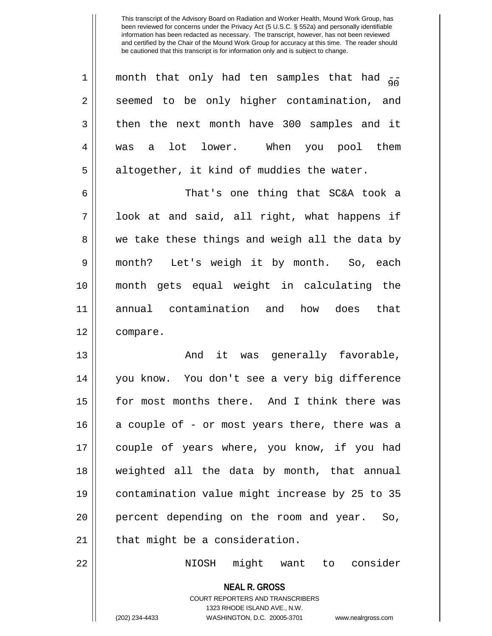| 1              | month that only had ten samples that had $\frac{1}{90}$ |
|----------------|---------------------------------------------------------|
| $\overline{2}$ | seemed to be only higher contamination, and             |
| 3              | then the next month have 300 samples and it             |
| 4              | was a lot lower. When you pool them                     |
| 5              | altogether, it kind of muddies the water.               |
| 6              | That's one thing that SC&A took a                       |
| 7              | look at and said, all right, what happens if            |
| 8              | we take these things and weigh all the data by          |
| $\mathsf 9$    | month? Let's weigh it by month. So, each                |
| 10             | month gets equal weight in calculating the              |
| 11             | annual contamination and how does that                  |
| 12             | compare.                                                |
| 13             | And it was generally favorable,                         |
| 14             | you know. You don't see a very big difference           |
| 15             | for most months there. And I think there was            |
| 16             | a couple of - or most years there, there was a          |
| 17             | couple of years where, you know, if you had             |
| 18             | weighted all the data by month, that annual             |
| 19             | contamination value might increase by 25 to 35          |
| 20             | percent depending on the room and year.<br>So,          |
| 21             | that might be a consideration.                          |
| 22             | NIOSH might want to consider                            |

1323 RHODE ISLAND AVE., N.W. (202) 234-4433 WASHINGTON, D.C. 20005-3701 www.nealrgross.com

**NEAL R. GROSS** COURT REPORTERS AND TRANSCRIBERS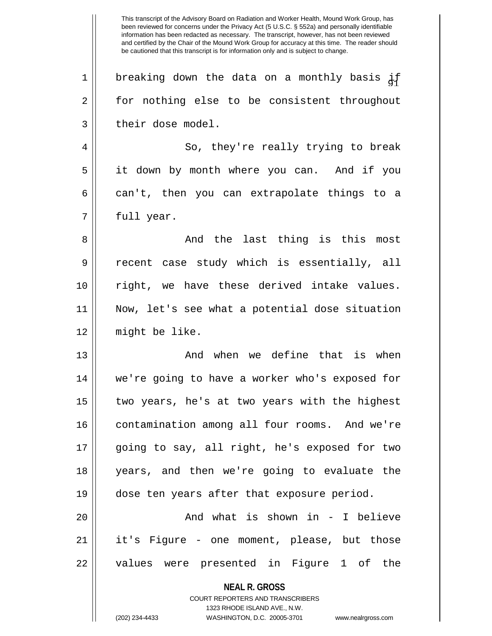**NEAL R. GROSS** COURT REPORTERS AND TRANSCRIBERS 1323 RHODE ISLAND AVE., N.W. (202) 234-4433 WASHINGTON, D.C. 20005-3701 www.nealrgross.com This transcript of the Advisory Board on Radiation and Worker Health, Mound Work Group, has been reviewed for concerns under the Privacy Act (5 U.S.C. § 552a) and personally identifiable information has been redacted as necessary. The transcript, however, has not been reviewed and certified by the Chair of the Mound Work Group for accuracy at this time. The reader should be cautioned that this transcript is for information only and is subject to change. 1  $\parallel$  breaking down the data on a monthly basis  $i.f$ 2 | for nothing else to be consistent throughout 3 | their dose model. 4 So, they're really trying to break 5 it down by month where you can. And if you  $6 \parallel$  can't, then you can extrapolate things to a  $7 \parallel$  full year. 8 And the last thing is this most 9 || recent case study which is essentially, all 10 || right, we have these derived intake values. 11 Now, let's see what a potential dose situation 12 might be like. 13 || The Movies And when we define that is when 14 we're going to have a worker who's exposed for 15  $\parallel$  two years, he's at two years with the highest 16 | contamination among all four rooms. And we're 17 going to say, all right, he's exposed for two 18 years, and then we're going to evaluate the 19 dose ten years after that exposure period. 20 || And what is shown in - I believe 21 || it's Figure - one moment, please, but those 22 || values were presented in Figure 1 of the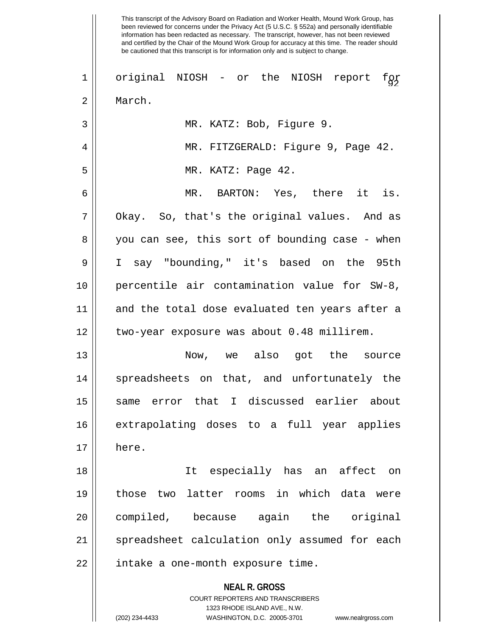|    | This transcript of the Advisory Board on Radiation and Worker Health, Mound Work Group, has<br>been reviewed for concerns under the Privacy Act (5 U.S.C. § 552a) and personally identifiable<br>information has been redacted as necessary. The transcript, however, has not been reviewed<br>and certified by the Chair of the Mound Work Group for accuracy at this time. The reader should<br>be cautioned that this transcript is for information only and is subject to change. |
|----|---------------------------------------------------------------------------------------------------------------------------------------------------------------------------------------------------------------------------------------------------------------------------------------------------------------------------------------------------------------------------------------------------------------------------------------------------------------------------------------|
| 1  | original NIOSH - or the NIOSH report<br>fgf                                                                                                                                                                                                                                                                                                                                                                                                                                           |
| 2  | March.                                                                                                                                                                                                                                                                                                                                                                                                                                                                                |
| 3  | MR. KATZ: Bob, Figure 9.                                                                                                                                                                                                                                                                                                                                                                                                                                                              |
| 4  | MR. FITZGERALD: Figure 9, Page 42.                                                                                                                                                                                                                                                                                                                                                                                                                                                    |
| 5  | MR. KATZ: Page 42.                                                                                                                                                                                                                                                                                                                                                                                                                                                                    |
| 6  | MR. BARTON: Yes, there it is.                                                                                                                                                                                                                                                                                                                                                                                                                                                         |
| 7  | Okay. So, that's the original values. And as                                                                                                                                                                                                                                                                                                                                                                                                                                          |
| 8  | you can see, this sort of bounding case - when                                                                                                                                                                                                                                                                                                                                                                                                                                        |
| 9  | say "bounding," it's based on the<br>$\mathbf I$<br>95th                                                                                                                                                                                                                                                                                                                                                                                                                              |
| 10 | percentile air contamination value for SW-8,                                                                                                                                                                                                                                                                                                                                                                                                                                          |
| 11 | and the total dose evaluated ten years after a                                                                                                                                                                                                                                                                                                                                                                                                                                        |
| 12 | two-year exposure was about 0.48 millirem.                                                                                                                                                                                                                                                                                                                                                                                                                                            |
| 13 | Now, we also<br>the<br>got<br>source                                                                                                                                                                                                                                                                                                                                                                                                                                                  |
| 14 | spreadsheets on that, and unfortunately the                                                                                                                                                                                                                                                                                                                                                                                                                                           |
| 15 | same error that I discussed earlier about                                                                                                                                                                                                                                                                                                                                                                                                                                             |
| 16 | extrapolating doses to a full year applies                                                                                                                                                                                                                                                                                                                                                                                                                                            |
| 17 | here.                                                                                                                                                                                                                                                                                                                                                                                                                                                                                 |
| 18 | It especially has an affect<br>on on                                                                                                                                                                                                                                                                                                                                                                                                                                                  |
| 19 | those two latter rooms in which data were                                                                                                                                                                                                                                                                                                                                                                                                                                             |
| 20 | compiled, because again the original                                                                                                                                                                                                                                                                                                                                                                                                                                                  |
| 21 | spreadsheet calculation only assumed for each                                                                                                                                                                                                                                                                                                                                                                                                                                         |
| 22 | intake a one-month exposure time.                                                                                                                                                                                                                                                                                                                                                                                                                                                     |
|    | <b>NEAL R. GROSS</b><br>COURT REPORTERS AND TRANSCRIBERS<br>1323 RHODE ISLAND AVE., N.W.<br>(202) 234-4433<br>WASHINGTON, D.C. 20005-3701<br>www.nealrgross.com                                                                                                                                                                                                                                                                                                                       |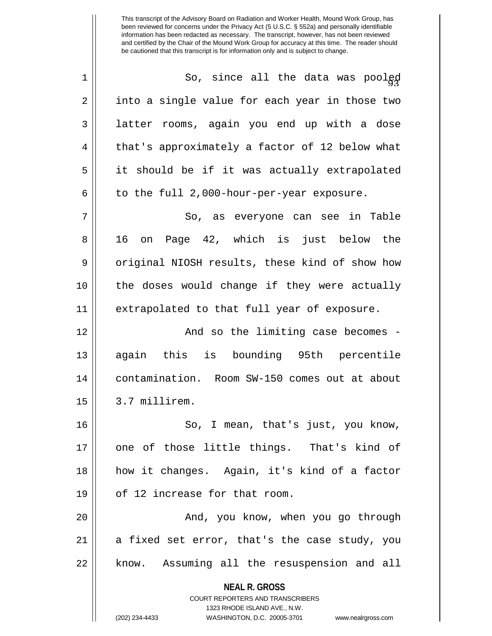| $\mathbf 1$ | So, since all the data was poolgd                                   |
|-------------|---------------------------------------------------------------------|
| 2           | into a single value for each year in those two                      |
| 3           | latter rooms, again you end up with a dose                          |
| 4           | that's approximately a factor of 12 below what                      |
| 5           | it should be if it was actually extrapolated                        |
| 6           | to the full 2,000-hour-per-year exposure.                           |
| 7           | So, as everyone can see in Table                                    |
| 8           | 16 on Page 42, which is just below the                              |
| 9           | original NIOSH results, these kind of show how                      |
| 10          | the doses would change if they were actually                        |
| 11          | extrapolated to that full year of exposure.                         |
| 12          | And so the limiting case becomes -                                  |
| 13          | again this is bounding 95th percentile                              |
| 14          | contamination. Room SW-150 comes out at about                       |
| 15          | 3.7 millirem.                                                       |
| 16          | So, I mean, that's just, you know,                                  |
| 17          | one of those little things. That's kind of                          |
| 18          | how it changes. Again, it's kind of a factor                        |
| 19          | of 12 increase for that room.                                       |
| 20          | And, you know, when you go through                                  |
| 21          | a fixed set error, that's the case study, you                       |
| 22          | know. Assuming all the resuspension and all                         |
|             | <b>NEAL R. GROSS</b>                                                |
|             | COURT REPORTERS AND TRANSCRIBERS                                    |
|             | 1323 RHODE ISLAND AVE., N.W.                                        |
|             | (202) 234-4433<br>WASHINGTON, D.C. 20005-3701<br>www.nealrgross.com |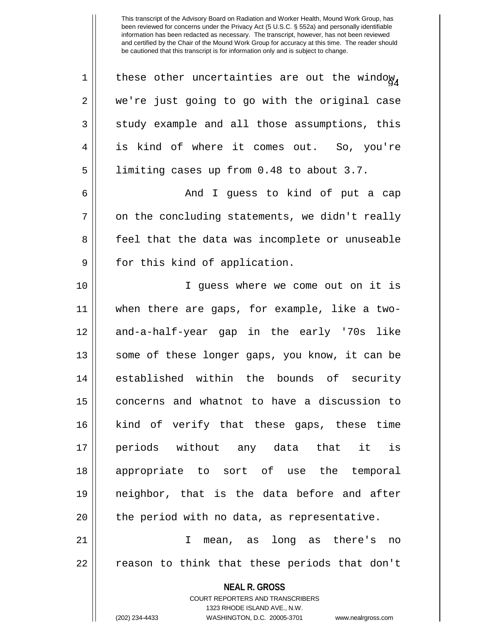**NEAL R. GROSS** COURT REPORTERS AND TRANSCRIBERS 1323 RHODE ISLAND AVE., N.W. 1 | these other uncertainties are out the window, 2 || we're just going to go with the original case  $3 \parallel$  study example and all those assumptions, this 4 || is kind of where it comes out. So, you're 5 | limiting cases up from 0.48 to about 3.7. 6 And I guess to kind of put a cap  $7 \parallel$  on the concluding statements, we didn't really 8 || feel that the data was incomplete or unuseable 9 || for this kind of application. 10 I guess where we come out on it is 11 when there are gaps, for example, like a two-12 || and-a-half-year gap in the early '70s like 13 || some of these longer gaps, you know, it can be 14 established within the bounds of security 15 concerns and whatnot to have a discussion to 16 kind of verify that these gaps, these time 17 periods without any data that it is 18 appropriate to sort of use the temporal 19 neighbor, that is the data before and after  $20$  | the period with no data, as representative. 21 I mean, as long as there's no 22 || reason to think that these periods that don't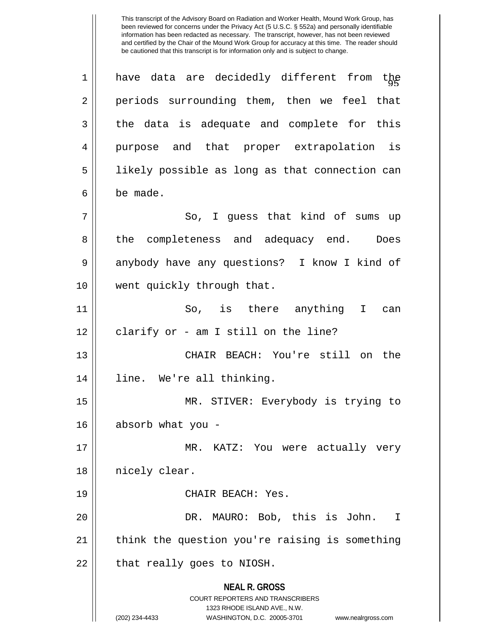**NEAL R. GROSS** COURT REPORTERS AND TRANSCRIBERS 1323 RHODE ISLAND AVE., N.W. (202) 234-4433 WASHINGTON, D.C. 20005-3701 www.nealrgross.com 1 || have data are decidedly different from the 2 || periods surrounding them, then we feel that  $3 \parallel$  the data is adequate and complete for this 4 purpose and that proper extrapolation is 5 || likely possible as long as that connection can 6 be made. 7 || So, I quess that kind of sums up 8 the completeness and adequacy end. Does 9 anybody have any questions? I know I kind of 10 went quickly through that. 11 || So, is there anything I can  $12$  | clarify or - am I still on the line? 13 CHAIR BEACH: You're still on the 14 || line. We're all thinking. 15 MR. STIVER: Everybody is trying to 16 absorb what you - 17 MR. KATZ: You were actually very 18 || nicely clear. 19 || CHAIR BEACH: Yes. 20 DR. MAURO: Bob, this is John. I 21 || think the question you're raising is something  $22$  || that really goes to NIOSH.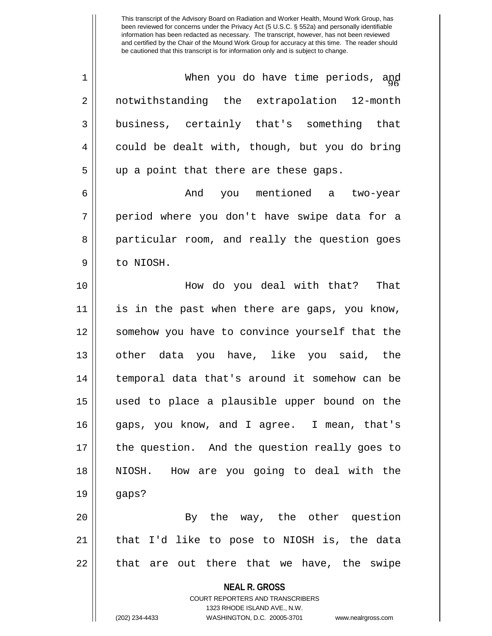| $\mathbf 1$ | When you do have time periods, and                       |
|-------------|----------------------------------------------------------|
| 2           | notwithstanding the extrapolation 12-month               |
| 3           | business, certainly that's something that                |
| 4           | could be dealt with, though, but you do bring            |
| 5           | up a point that there are these gaps.                    |
| 6           | And you mentioned a two-year                             |
| 7           | period where you don't have swipe data for a             |
| 8           | particular room, and really the question goes            |
| 9           | to NIOSH.                                                |
| 10          | How do you deal with that?<br>That                       |
| 11          | is in the past when there are gaps, you know,            |
| 12          | somehow you have to convince yourself that the           |
| 13          | other data you have, like you said, the                  |
| 14          | temporal data that's around it somehow can be            |
| 15          | used to place a plausible upper bound on the             |
| 16          | gaps, you know, and I agree. I mean, that's              |
| 17          | the question. And the question really goes to            |
| 18          | NIOSH. How are you going to deal with the                |
| 19          | gaps?                                                    |
| 20          | By the way, the other question                           |
| 21          | that I'd like to pose to NIOSH is, the data              |
| 22          | that are out there that we have, the swipe               |
|             | <b>NEAL R. GROSS</b><br>COURT REPORTERS AND TRANSCRIBERS |

1323 RHODE ISLAND AVE., N.W.

 $\mathsf{II}$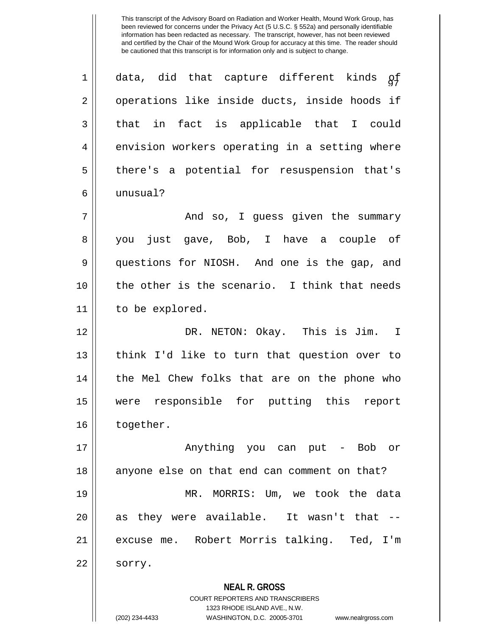**NEAL R. GROSS** COURT REPORTERS AND TRANSCRIBERS  $1 ||$  data, did that capture different kinds  $\delta f$ 2 || operations like inside ducts, inside hoods if  $3 \parallel$  that in fact is applicable that I could 4 envision workers operating in a setting where 5 || there's a potential for resuspension that's 6 unusual? 7 And so, I guess given the summary 8 you just gave, Bob, I have a couple of 9 questions for NIOSH. And one is the gap, and 10 the other is the scenario. I think that needs 11 | to be explored. 12 DR. NETON: Okay. This is Jim. I 13 think I'd like to turn that question over to 14 || the Mel Chew folks that are on the phone who 15 were responsible for putting this report 16 | together. 17 || Anything you can put - Bob or 18 || anyone else on that end can comment on that? 19 MR. MORRIS: Um, we took the data  $20$  || as they were available. It wasn't that  $-$ -21 excuse me. Robert Morris talking. Ted, I'm  $22 \parallel$  sorry.

1323 RHODE ISLAND AVE., N.W.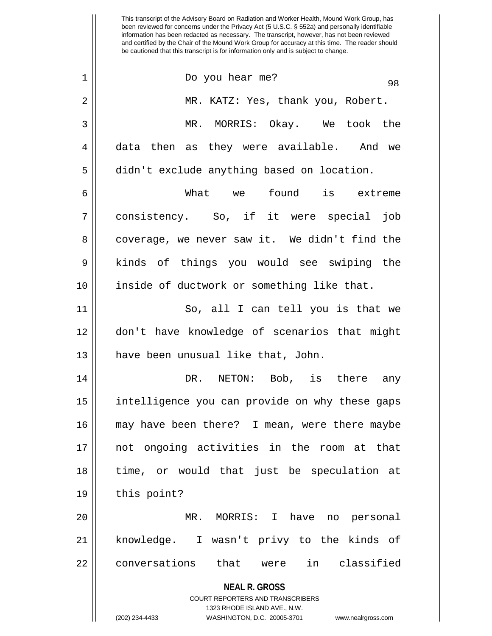|             | 98                                                                  |
|-------------|---------------------------------------------------------------------|
| 2           | MR. KATZ: Yes, thank you, Robert.                                   |
| 3           | MR. MORRIS: Okay. We took the                                       |
| 4           | data then as they were available. And we                            |
| 5           | didn't exclude anything based on location.                          |
| 6           | What we found is extreme                                            |
| 7           | consistency. So, if it were special job                             |
| 8           | coverage, we never saw it. We didn't find the                       |
| $\mathsf 9$ | kinds of things you would see swiping the                           |
| 10          | inside of ductwork or something like that.                          |
| 11          | So, all I can tell you is that we                                   |
| 12          | don't have knowledge of scenarios that might                        |
| 13          | have been unusual like that, John.                                  |
| 14          | NETON: Bob, is there any<br>DR.                                     |
| 15          | intelligence you can provide on why these gaps                      |
| 16          | may have been there? I mean, were there maybe                       |
| 17          | not ongoing activities in the room at that                          |
| 18          | time, or would that just be speculation at                          |
| 19          | this point?                                                         |
| 20          | MR. MORRIS: I have no personal                                      |
| 21          | knowledge. I wasn't privy to the kinds of                           |
| 22          | conversations that were in classified                               |
|             | <b>NEAL R. GROSS</b>                                                |
|             | COURT REPORTERS AND TRANSCRIBERS<br>1323 RHODE ISLAND AVE., N.W.    |
|             | (202) 234-4433<br>WASHINGTON, D.C. 20005-3701<br>www.nealrgross.com |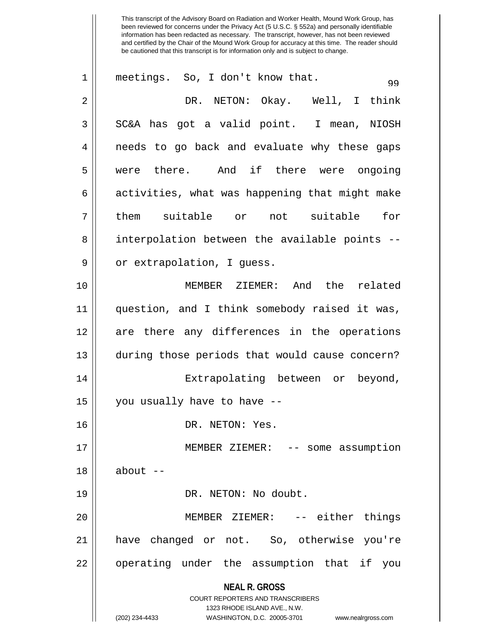| 1  | meetings. So, I don't know that.<br>99                              |
|----|---------------------------------------------------------------------|
| 2  | DR. NETON: Okay. Well, I think                                      |
| 3  | SC&A has got a valid point. I mean, NIOSH                           |
| 4  | needs to go back and evaluate why these gaps                        |
| 5  | were there. And if there were ongoing                               |
| 6  | activities, what was happening that might make                      |
| 7  | them suitable or not suitable for                                   |
| 8  | interpolation between the available points --                       |
| 9  | or extrapolation, I quess.                                          |
| 10 | MEMBER ZIEMER: And the related                                      |
| 11 | question, and I think somebody raised it was,                       |
| 12 | are there any differences in the operations                         |
| 13 | during those periods that would cause concern?                      |
| 14 | Extrapolating between or beyond,                                    |
| 15 | you usually have to have --                                         |
| 16 | DR. NETON: Yes.                                                     |
| 17 | MEMBER ZIEMER: -- some assumption                                   |
| 18 | $about --$                                                          |
| 19 | DR. NETON: No doubt.                                                |
| 20 | MEMBER ZIEMER: -- either things                                     |
| 21 | have changed or not. So, otherwise you're                           |
| 22 | operating under the assumption that if you                          |
|    | <b>NEAL R. GROSS</b><br><b>COURT REPORTERS AND TRANSCRIBERS</b>     |
|    | 1323 RHODE ISLAND AVE., N.W.                                        |
|    | (202) 234-4433<br>WASHINGTON, D.C. 20005-3701<br>www.nealrgross.com |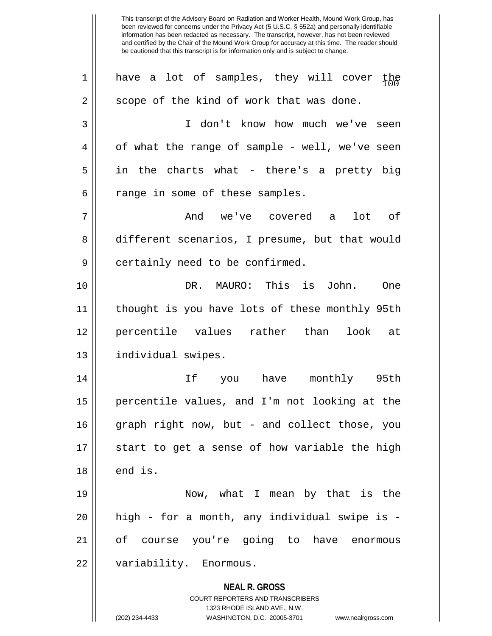**NEAL R. GROSS** COURT REPORTERS AND TRANSCRIBERS 1323 RHODE ISLAND AVE., N.W. (202) 234-4433 WASHINGTON, D.C. 20005-3701 www.nealrgross.com  $1\parallel$  have a lot of samples, they will cover the  $2 \parallel$  scope of the kind of work that was done. 3 I don't know how much we've seen  $4 \parallel$  of what the range of sample - well, we've seen  $5 \parallel$  in the charts what - there's a pretty big  $6 \parallel$  range in some of these samples. 7 And we've covered a lot of 8 different scenarios, I presume, but that would 9 || certainly need to be confirmed. 10 DR. MAURO: This is John. One 11 thought is you have lots of these monthly 95th 12 percentile values rather than look at 13 | individual swipes. 14 If you have monthly 95th 15 percentile values, and I'm not looking at the 16 graph right now, but - and collect those, you 17 || start to get a sense of how variable the high  $18 \parallel$  end is. 19 Now, what I mean by that is the 20 high - for a month, any individual swipe is - 21 of course you're going to have enormous 22 | variability. Enormous.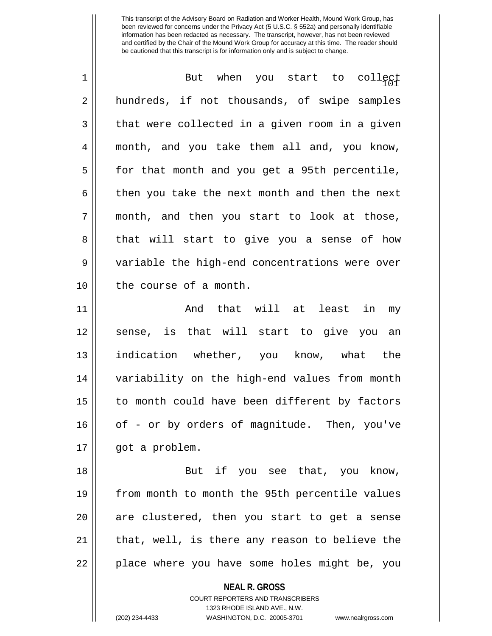| $\mathbf 1$ | But when you start to collect                  |
|-------------|------------------------------------------------|
| 2           | hundreds, if not thousands, of swipe samples   |
| 3           | that were collected in a given room in a given |
| 4           | month, and you take them all and, you know,    |
| 5           | for that month and you get a 95th percentile,  |
| 6           | then you take the next month and then the next |
| 7           | month, and then you start to look at those,    |
| 8           | that will start to give you a sense of how     |
| 9           | variable the high-end concentrations were over |
| 10          | the course of a month.                         |
| 11          | And that will at least in my                   |
| 12          | sense, is that will start to give you an       |
| 13          | indication whether, you know, what the         |
| 14          | variability on the high-end values from month  |
| 15          | to month could have been different by factors  |
| 16          | of - or by orders of magnitude. Then, you've   |
| 17          | got a problem.                                 |
| 18          | But if you see that, you know,                 |
| 19          | from month to month the 95th percentile values |
| 20          | are clustered, then you start to get a sense   |
| 21          | that, well, is there any reason to believe the |
| 22          | place where you have some holes might be, you  |
|             | <b>NEAL R. GROSS</b>                           |

COURT REPORTERS AND TRANSCRIBERS 1323 RHODE ISLAND AVE., N.W.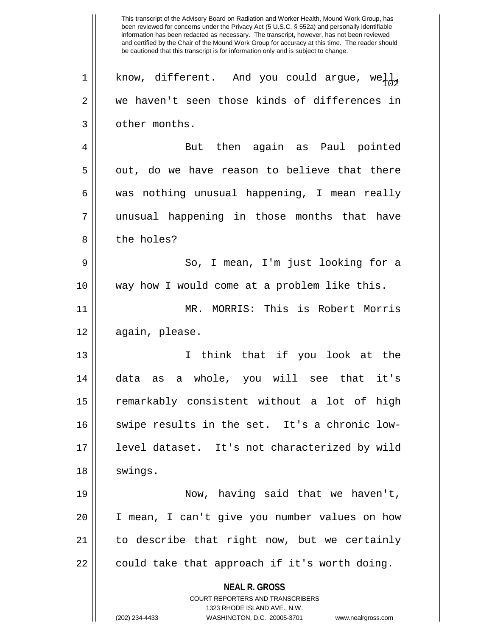**NEAL R. GROSS** COURT REPORTERS AND TRANSCRIBERS 1323 RHODE ISLAND AVE., N.W. (202) 234-4433 WASHINGTON, D.C. 20005-3701 www.nealrgross.com This transcript of the Advisory Board on Radiation and Worker Health, Mound Work Group, has been reviewed for concerns under the Privacy Act (5 U.S.C. § 552a) and personally identifiable information has been redacted as necessary. The transcript, however, has not been reviewed and certified by the Chair of the Mound Work Group for accuracy at this time. The reader should be cautioned that this transcript is for information only and is subject to change. 1 | know, different. And you could argue, well, 2 we haven't seen those kinds of differences in 3 | other months. 4 But then again as Paul pointed  $5 \parallel$  out, do we have reason to believe that there  $6 \parallel$  was nothing unusual happening, I mean really 7 unusual happening in those months that have 8 l the holes? 9 So, I mean, I'm just looking for a 10 way how I would come at a problem like this. 11 MR. MORRIS: This is Robert Morris 12 again, please. 13 I think that if you look at the 14 data as a whole, you will see that it's 15 || remarkably consistent without a lot of high 16 || swipe results in the set. It's a chronic low-17 level dataset. It's not characterized by wild 18 | swings. 19 Now, having said that we haven't, 20 I mean, I can't give you number values on how 21 to describe that right now, but we certainly  $22$  || could take that approach if it's worth doing.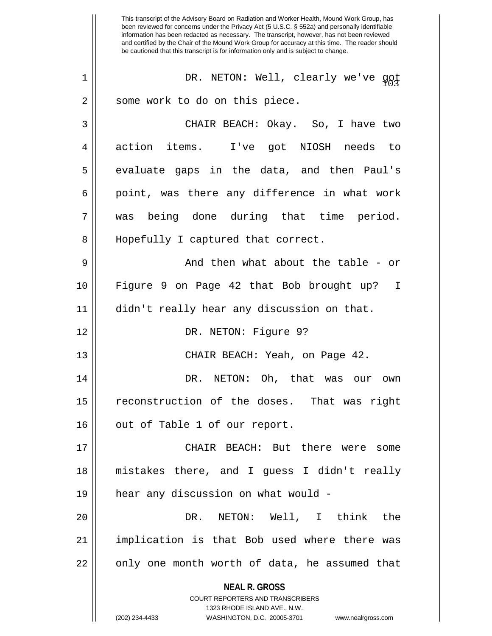**NEAL R. GROSS** COURT REPORTERS AND TRANSCRIBERS 1323 RHODE ISLAND AVE., N.W. This transcript of the Advisory Board on Radiation and Worker Health, Mound Work Group, has been reviewed for concerns under the Privacy Act (5 U.S.C. § 552a) and personally identifiable information has been redacted as necessary. The transcript, however, has not been reviewed and certified by the Chair of the Mound Work Group for accuracy at this time. The reader should be cautioned that this transcript is for information only and is subject to change. <sup>103</sup> 1 DR. NETON: Well, clearly we've got 2 || some work to do on this piece. 3 CHAIR BEACH: Okay. So, I have two 4 action items. I've got NIOSH needs to  $5 \parallel$  evaluate gaps in the data, and then Paul's  $6 \parallel$  point, was there any difference in what work 7 was being done during that time period. 8 || Hopefully I captured that correct. 9 And then what about the table - or 10 Figure 9 on Page 42 that Bob brought up? I 11 didn't really hear any discussion on that. 12 || DR. NETON: Figure 9? 13 CHAIR BEACH: Yeah, on Page 42. 14 DR. NETON: Oh, that was our own 15 || reconstruction of the doses. That was right  $16$  | out of Table 1 of our report. 17 CHAIR BEACH: But there were some 18 mistakes there, and I guess I didn't really 19 hear any discussion on what would - 20 DR. NETON: Well, I think the 21 || implication is that Bob used where there was  $22$  || only one month worth of data, he assumed that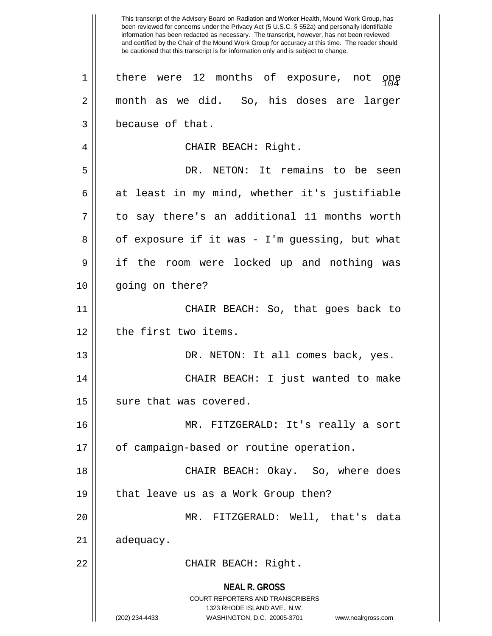**NEAL R. GROSS** COURT REPORTERS AND TRANSCRIBERS 1323 RHODE ISLAND AVE., N.W. (202) 234-4433 WASHINGTON, D.C. 20005-3701 www.nealrgross.com This transcript of the Advisory Board on Radiation and Worker Health, Mound Work Group, has been reviewed for concerns under the Privacy Act (5 U.S.C. § 552a) and personally identifiable information has been redacted as necessary. The transcript, however, has not been reviewed and certified by the Chair of the Mound Work Group for accuracy at this time. The reader should be cautioned that this transcript is for information only and is subject to change. 1 || there were 12 months of exposure, not one 2 || month as we did. So, his doses are larger 3 | because of that. 4 | CHAIR BEACH: Right. 5 DR. NETON: It remains to be seen  $6 \parallel$  at least in my mind, whether it's justifiable  $7 \parallel$  to say there's an additional 11 months worth  $8 \parallel$  of exposure if it was - I'm guessing, but what 9 if the room were locked up and nothing was 10 || going on there? 11 || CHAIR BEACH: So, that goes back to 12 | the first two items. 13 DR. NETON: It all comes back, yes. 14 CHAIR BEACH: I just wanted to make 15 | sure that was covered. 16 MR. FITZGERALD: It's really a sort 17 || of campaign-based or routine operation. 18 CHAIR BEACH: Okay. So, where does 19 || that leave us as a Work Group then? 20 MR. FITZGERALD: Well, that's data 21 | adequacy. 22 || CHAIR BEACH: Right.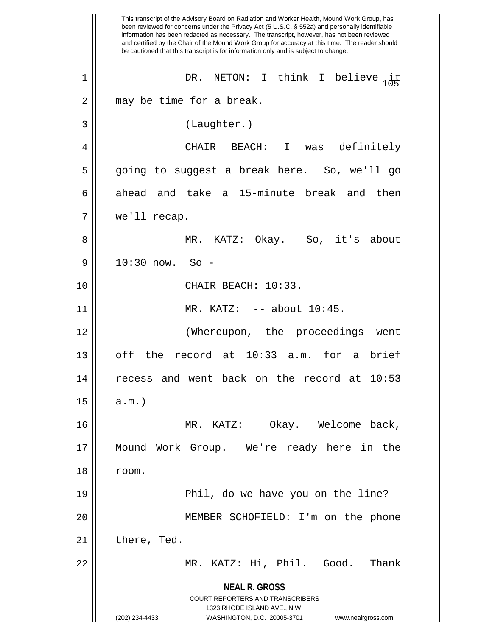**NEAL R. GROSS** COURT REPORTERS AND TRANSCRIBERS 1323 RHODE ISLAND AVE., N.W. (202) 234-4433 WASHINGTON, D.C. 20005-3701 www.nealrgross.com This transcript of the Advisory Board on Radiation and Worker Health, Mound Work Group, has been reviewed for concerns under the Privacy Act (5 U.S.C. § 552a) and personally identifiable information has been redacted as necessary. The transcript, however, has not been reviewed and certified by the Chair of the Mound Work Group for accuracy at this time. The reader should be cautioned that this transcript is for information only and is subject to change. 1 || DR. NETON: I think I believe  $\frac{1}{105}$ 2 || may be time for a break. 3 (Laughter.) 4 CHAIR BEACH: I was definitely 5 going to suggest a break here. So, we'll go 6 ahead and take a 15-minute break and then 7 we'll recap. 8 MR. KATZ: Okay. So, it's about 9 10:30 now. So - 10 || CHAIR BEACH: 10:33. 11 || MR. KATZ: -- about 10:45. 12 (Whereupon, the proceedings went 13 || off the record at 10:33 a.m. for a brief 14 recess and went back on the record at 10:53  $15$  |  $a.m.$  ) 16 MR. KATZ: Okay. Welcome back, 17 Mound Work Group. We're ready here in the 18 room. 19 Phil, do we have you on the line? 20 MEMBER SCHOFIELD: I'm on the phone  $21$  | there, Ted. 22 MR. KATZ: Hi, Phil. Good. Thank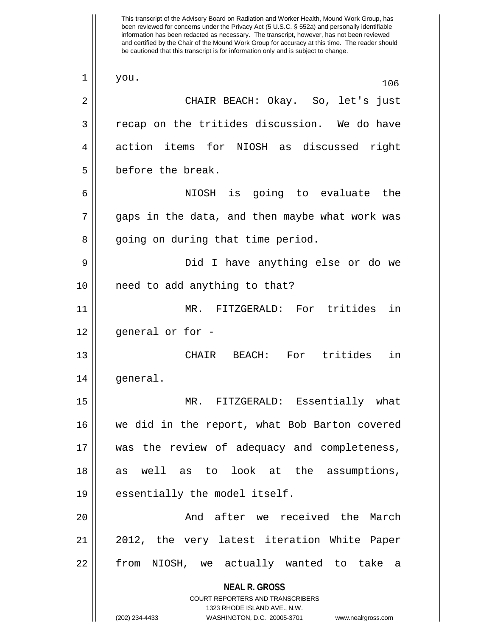**NEAL R. GROSS** COURT REPORTERS AND TRANSCRIBERS 1323 RHODE ISLAND AVE., N.W. (202) 234-4433 WASHINGTON, D.C. 20005-3701 www.nealrgross.com This transcript of the Advisory Board on Radiation and Worker Health, Mound Work Group, has been reviewed for concerns under the Privacy Act (5 U.S.C. § 552a) and personally identifiable information has been redacted as necessary. The transcript, however, has not been reviewed and certified by the Chair of the Mound Work Group for accuracy at this time. The reader should be cautioned that this transcript is for information only and is subject to change.  $\begin{array}{c|c} 1 & \text{you.} \end{array}$ 2 CHAIR BEACH: Okay. So, let's just  $3 \parallel$  recap on the tritides discussion. We do have 4 action items for NIOSH as discussed right 5 | before the break. 6 NIOSH is going to evaluate the  $7 \parallel$  gaps in the data, and then maybe what work was 8 || going on during that time period. 9 Did I have anything else or do we 10 need to add anything to that? 11 MR. FITZGERALD: For tritides in  $12$  || general or for -13 CHAIR BEACH: For tritides in 14 general. 15 MR. FITZGERALD: Essentially what 16 we did in the report, what Bob Barton covered 17 was the review of adequacy and completeness, 18 as well as to look at the assumptions, 19 || essentially the model itself. 20 And after we received the March 21 || 2012, the very latest iteration White Paper 22 || from NIOSH, we actually wanted to take a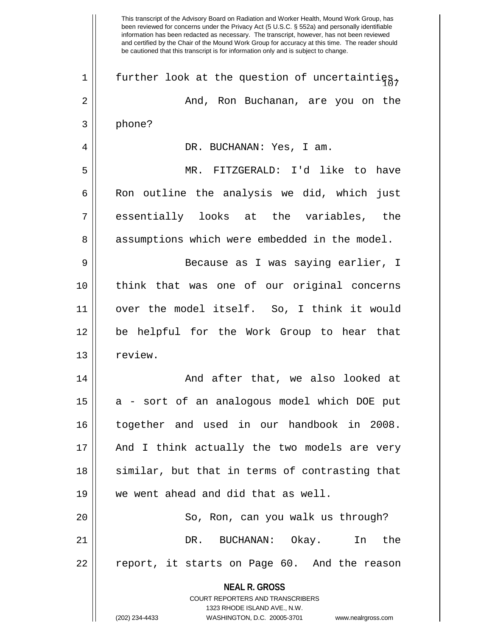**NEAL R. GROSS** COURT REPORTERS AND TRANSCRIBERS This transcript of the Advisory Board on Radiation and Worker Health, Mound Work Group, has been reviewed for concerns under the Privacy Act (5 U.S.C. § 552a) and personally identifiable information has been redacted as necessary. The transcript, however, has not been reviewed and certified by the Chair of the Mound Work Group for accuracy at this time. The reader should be cautioned that this transcript is for information only and is subject to change. 1 | further look at the question of uncertainties. 2 And, Ron Buchanan, are you on the 3 phone? 4 DR. BUCHANAN: Yes, I am. 5 MR. FITZGERALD: I'd like to have  $6 \parallel$  Ron outline the analysis we did, which just 7 essentially looks at the variables, the 8 || assumptions which were embedded in the model. 9 || Because as I was saying earlier, I 10 think that was one of our original concerns 11 over the model itself. So, I think it would 12 be helpful for the Work Group to hear that 13 l review. 14 And after that, we also looked at  $15$  || a - sort of an analogous model which DOE put 16 together and used in our handbook in 2008. 17 || And I think actually the two models are very 18 || similar, but that in terms of contrasting that 19 || we went ahead and did that as well. 20 || So, Ron, can you walk us through? 21 DR. BUCHANAN: Okay. In the 22 || report, it starts on Page 60. And the reason

1323 RHODE ISLAND AVE., N.W.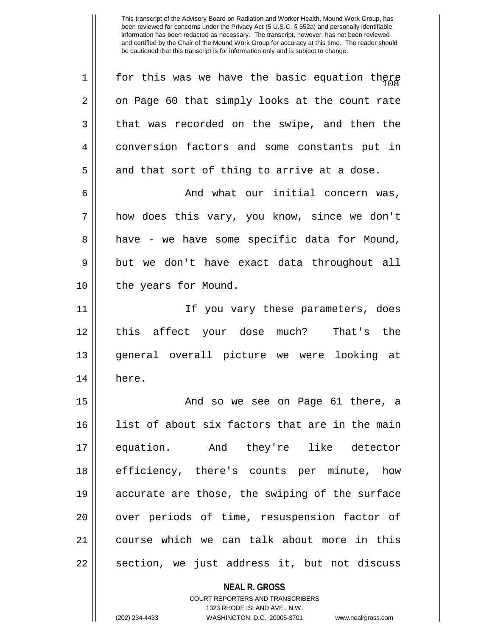$1$   $\parallel$  for this was we have the basic equation there  $2 \parallel$  on Page 60 that simply looks at the count rate  $3 \parallel$  that was recorded on the swipe, and then the 4 conversion factors and some constants put in  $5 \parallel$  and that sort of thing to arrive at a dose. 6 And what our initial concern was, 7 || how does this vary, you know, since we don't  $8 \parallel$  have - we have some specific data for Mound, 9 but we don't have exact data throughout all 10 || the years for Mound. 11 If you vary these parameters, does 12 this affect your dose much? That's the 13 general overall picture we were looking at 14 here. 15 And so we see on Page 61 there, a 16 || list of about six factors that are in the main 17 equation. And they're like detector 18 efficiency, there's counts per minute, how 19 accurate are those, the swiping of the surface 20 || over periods of time, resuspension factor of 21 course which we can talk about more in this  $22 \parallel$  section, we just address it, but not discuss

**NEAL R. GROSS**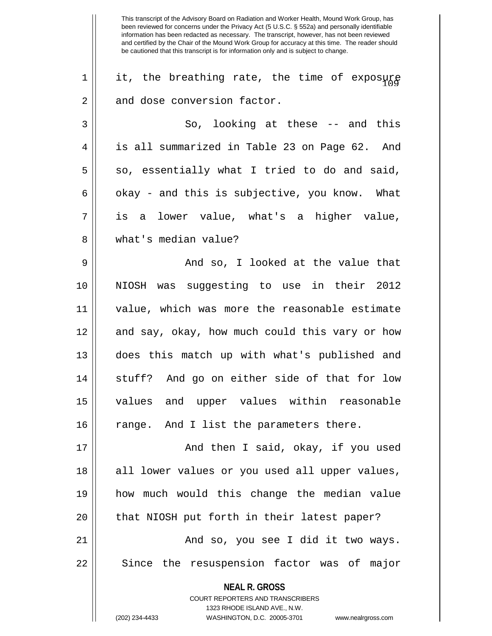**NEAL R. GROSS** COURT REPORTERS AND TRANSCRIBERS 1323 RHODE ISLAND AVE., N.W.  $1$  | it, the breathing rate, the time of exposure  $2 \parallel$  and dose conversion factor.  $3 \parallel$  So, looking at these -- and this 4 | is all summarized in Table 23 on Page 62. And  $5 \parallel$  so, essentially what I tried to do and said, 6  $\parallel$  okay - and this is subjective, you know. What 7 is a lower value, what's a higher value, 8 what's median value? 9 And so, I looked at the value that 10 NIOSH was suggesting to use in their 2012 11 value, which was more the reasonable estimate 12 || and say, okay, how much could this vary or how 13 does this match up with what's published and 14 || stuff? And go on either side of that for low 15 values and upper values within reasonable  $16$  | range. And I list the parameters there. 17 || And then I said, okay, if you used 18 || all lower values or you used all upper values, 19 how much would this change the median value 20 || that NIOSH put forth in their latest paper? 21 || And so, you see I did it two ways. 22 || Since the resuspension factor was of major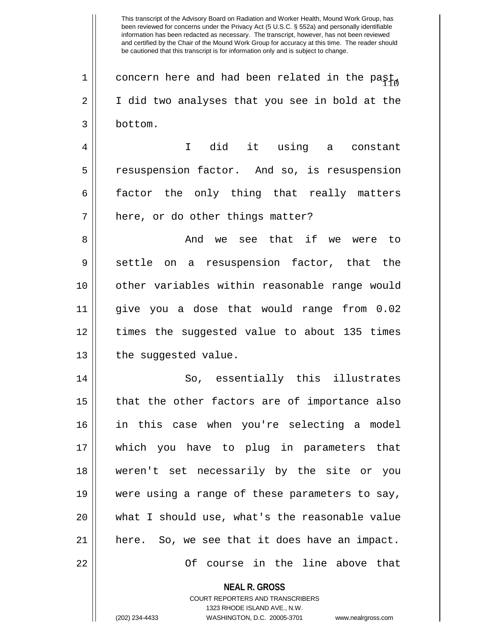1 | concern here and had been related in the past, 2 || I did two analyses that you see in bold at the 3 bottom.

4 || I did it using a constant 5 || resuspension factor. And so, is resuspension 6 factor the only thing that really matters  $7$  | here, or do other things matter?

8 And we see that if we were to  $9 \parallel$  settle on a resuspension factor, that the 10 other variables within reasonable range would 11 give you a dose that would range from 0.02 12 times the suggested value to about 135 times  $13$  | the suggested value.

14 || So, essentially this illustrates  $15$  || that the other factors are of importance also 16 in this case when you're selecting a model 17 which you have to plug in parameters that 18 weren't set necessarily by the site or you 19 || were using a range of these parameters to say, 20 what I should use, what's the reasonable value 21 here. So, we see that it does have an impact. 22 Of course in the line above that

**NEAL R. GROSS**

COURT REPORTERS AND TRANSCRIBERS 1323 RHODE ISLAND AVE., N.W. (202) 234-4433 WASHINGTON, D.C. 20005-3701 www.nealrgross.com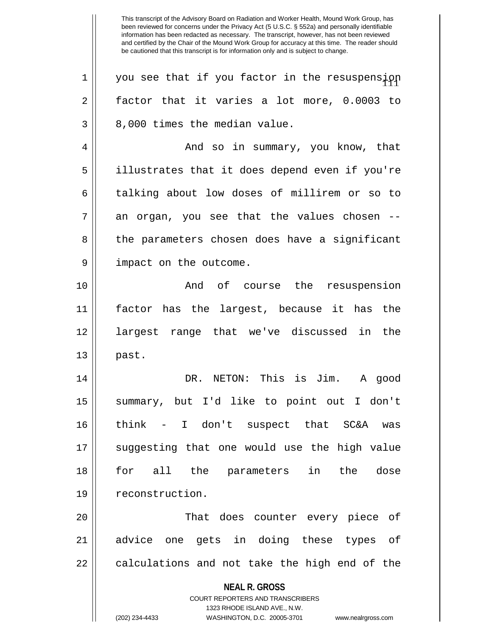**NEAL R. GROSS** COURT REPORTERS AND TRANSCRIBERS 1323 RHODE ISLAND AVE., N.W. (202) 234-4433 WASHINGTON, D.C. 20005-3701 www.nealrgross.com  $1$  | you see that if you factor in the resuspension  $2 \parallel$  factor that it varies a lot more, 0.0003 to  $3 \parallel 8,000$  times the median value. 4 And so in summary, you know, that 5 illustrates that it does depend even if you're 6 talking about low doses of millirem or so to  $7 \parallel$  an organ, you see that the values chosen --8 the parameters chosen does have a significant 9 || impact on the outcome. 10 || The Rand of course the resuspension 11 factor has the largest, because it has the 12 largest range that we've discussed in the  $13 \parallel$  past. 14 DR. NETON: This is Jim. A good 15 summary, but I'd like to point out I don't 16 think - I don't suspect that SC&A was 17 suggesting that one would use the high value 18 for all the parameters in the dose 19 || reconstruction. 20 That does counter every piece of 21 advice one gets in doing these types of  $22$   $\vert$  calculations and not take the high end of the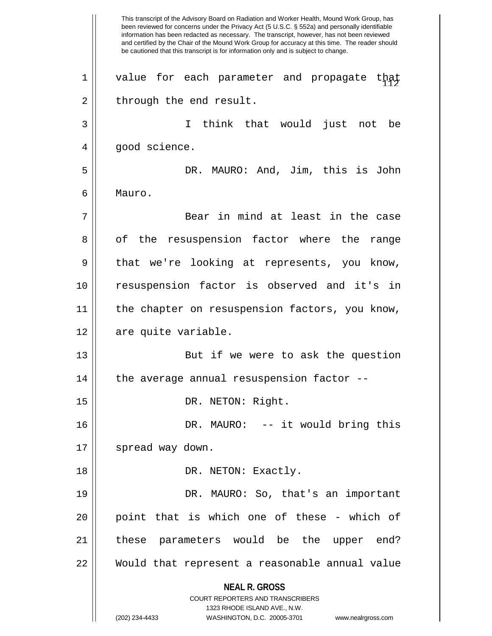**NEAL R. GROSS** COURT REPORTERS AND TRANSCRIBERS 1323 RHODE ISLAND AVE., N.W. (202) 234-4433 WASHINGTON, D.C. 20005-3701 www.nealrgross.com This transcript of the Advisory Board on Radiation and Worker Health, Mound Work Group, has been reviewed for concerns under the Privacy Act (5 U.S.C. § 552a) and personally identifiable information has been redacted as necessary. The transcript, however, has not been reviewed and certified by the Chair of the Mound Work Group for accuracy at this time. The reader should be cautioned that this transcript is for information only and is subject to change.  $1$   $\parallel$  value for each parameter and propagate that  $2 \parallel$  through the end result. 3 I think that would just not be 4 || good science. 5 DR. MAURO: And, Jim, this is John 6 Mauro. 7 Bear in mind at least in the case 8 || of the resuspension factor where the range 9 || that we're looking at represents, you know, 10 resuspension factor is observed and it's in 11 || the chapter on resuspension factors, you know, 12 | are quite variable. 13 || But if we were to ask the question  $14$  | the average annual resuspension factor --15 || DR. NETON: Right. 16 DR. MAURO: -- it would bring this 17 || spread way down. 18 || DR. NETON: Exactly. 19 DR. MAURO: So, that's an important 20 || point that is which one of these - which of 21 || these parameters would be the upper end? 22 Would that represent a reasonable annual value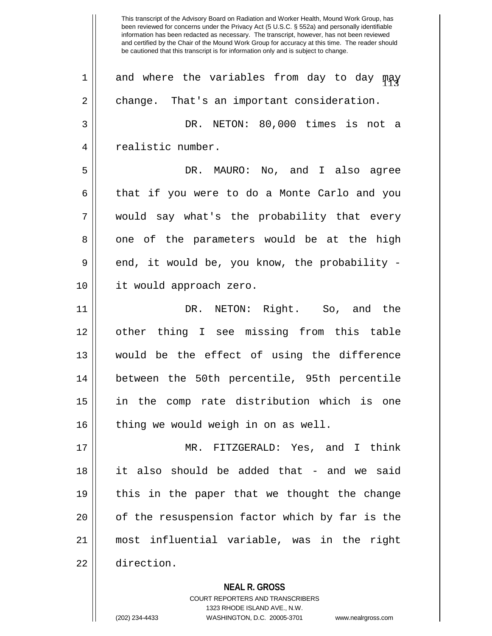This transcript of the Advisory Board on Radiation and Worker Health, Mound Work Group, has been reviewed for concerns under the Privacy Act (5 U.S.C. § 552a) and personally identifiable information has been redacted as necessary. The transcript, however, has not been reviewed and certified by the Chair of the Mound Work Group for accuracy at this time. The reader should be cautioned that this transcript is for information only and is subject to change.  $1$  and where the variables from day to day  $\mathfrak{m}$ ay 2 | change. That's an important consideration. 3 DR. NETON: 80,000 times is not a 4 | realistic number. 5 DR. MAURO: No, and I also agree 6 that if you were to do a Monte Carlo and you 7 would say what's the probability that every 8 one of the parameters would be at the high 9 end, it would be, you know, the probability -10 it would approach zero. 11 DR. NETON: Right. So, and the 12 other thing I see missing from this table 13 would be the effect of using the difference 14 between the 50th percentile, 95th percentile 15 in the comp rate distribution which is one  $16$  | thing we would weigh in on as well. 17 MR. FITZGERALD: Yes, and I think 18 it also should be added that - and we said 19 this in the paper that we thought the change 20 || of the resuspension factor which by far is the 21 most influential variable, was in the right 22 direction.

> **NEAL R. GROSS** COURT REPORTERS AND TRANSCRIBERS 1323 RHODE ISLAND AVE., N.W. (202) 234-4433 WASHINGTON, D.C. 20005-3701 www.nealrgross.com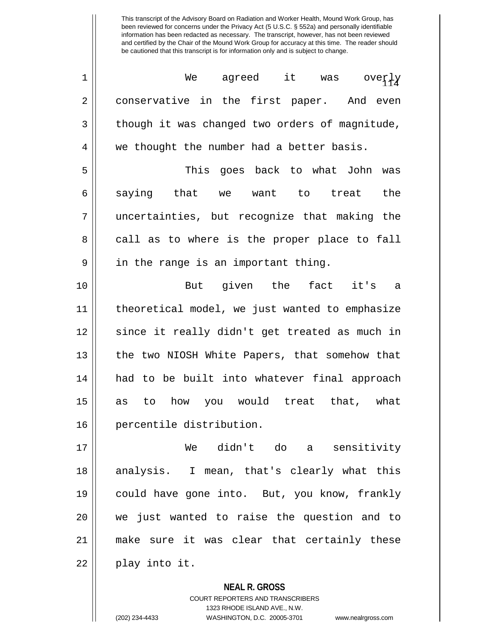| $\mathbf 1$ | agreed it was overly<br>We                     |
|-------------|------------------------------------------------|
| 2           | conservative in the first paper. And even      |
| 3           | though it was changed two orders of magnitude, |
| 4           | we thought the number had a better basis.      |
| 5           | This goes back to what John was                |
| 6           | saying that we want to treat<br>the            |
| 7           | uncertainties, but recognize that making the   |
| 8           | call as to where is the proper place to fall   |
| 9           | in the range is an important thing.            |
| 10          | But given the fact it's a                      |
| 11          | theoretical model, we just wanted to emphasize |
| 12          | since it really didn't get treated as much in  |
| 13          | the two NIOSH White Papers, that somehow that  |
| 14          | had to be built into whatever final approach   |
| 15          | as to how you would treat that, what           |
| 16          | percentile distribution.                       |
| 17          | We didn't do a sensitivity                     |
| 18          | analysis. I mean, that's clearly what this     |
| 19          | could have gone into. But, you know, frankly   |
| 20          | we just wanted to raise the question and to    |
| 21          | make sure it was clear that certainly these    |
| 22          | play into it.                                  |

**NEAL R. GROSS** COURT REPORTERS AND TRANSCRIBERS 1323 RHODE ISLAND AVE., N.W. (202) 234-4433 WASHINGTON, D.C. 20005-3701 www.nealrgross.com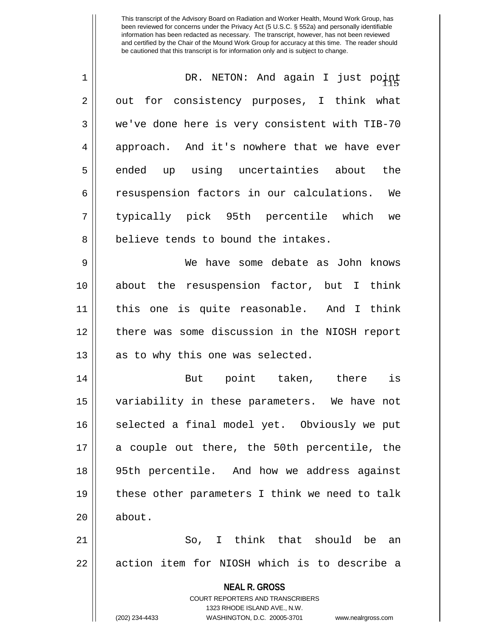| $\mathbf 1$    | DR. NETON: And again I just point                                   |
|----------------|---------------------------------------------------------------------|
| $\overline{2}$ | out for consistency purposes, I think what                          |
| 3              | we've done here is very consistent with TIB-70                      |
| 4              | approach. And it's nowhere that we have ever                        |
| 5              | ended up using uncertainties about<br>the                           |
| 6              | resuspension factors in our calculations. We                        |
| 7              | typically pick 95th percentile which we                             |
| 8              | believe tends to bound the intakes.                                 |
| 9              | We have some debate as John knows                                   |
| 10             | about the resuspension factor, but I think                          |
| 11             | this one is quite reasonable. And I think                           |
| 12             | there was some discussion in the NIOSH report                       |
| 13             | as to why this one was selected.                                    |
| 14             | But point taken, there is                                           |
| 15             | variability in these parameters. We have not                        |
| 16             | selected a final model yet. Obviously we put                        |
| 17             | a couple out there, the 50th percentile, the                        |
| 18             | 95th percentile. And how we address against                         |
| 19             | these other parameters I think we need to talk                      |
| 20             | about.                                                              |
| 21             | So, I think that should be an                                       |
| 22             | action item for NIOSH which is to describe a                        |
|                | <b>NEAL R. GROSS</b>                                                |
|                | COURT REPORTERS AND TRANSCRIBERS                                    |
|                | 1323 RHODE ISLAND AVE., N.W.                                        |
|                | (202) 234-4433<br>WASHINGTON, D.C. 20005-3701<br>www.nealrgross.com |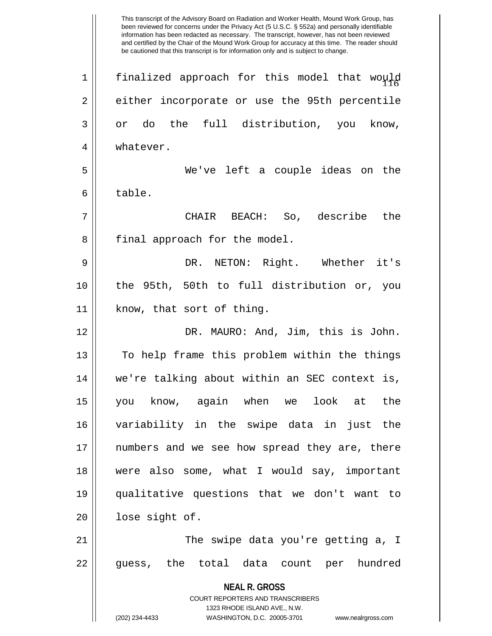**NEAL R. GROSS** COURT REPORTERS AND TRANSCRIBERS 1323 RHODE ISLAND AVE., N.W. (202) 234-4433 WASHINGTON, D.C. 20005-3701 www.nealrgross.com This transcript of the Advisory Board on Radiation and Worker Health, Mound Work Group, has been reviewed for concerns under the Privacy Act (5 U.S.C. § 552a) and personally identifiable information has been redacted as necessary. The transcript, however, has not been reviewed and certified by the Chair of the Mound Work Group for accuracy at this time. The reader should be cautioned that this transcript is for information only and is subject to change. 1 $\parallel$  finalized approach for this model that would 2 || either incorporate or use the 95th percentile  $3 \parallel$  or do the full distribution, you know, 4 | whatever. 5 We've left a couple ideas on the 6 l table. 7 CHAIR BEACH: So, describe the 8 || final approach for the model. 9 DR. NETON: Right. Whether it's 10 the 95th, 50th to full distribution or, you 11 || know, that sort of thing. 12 DR. MAURO: And, Jim, this is John. 13 || To help frame this problem within the things 14 we're talking about within an SEC context is, 15 you know, again when we look at the 16 variability in the swipe data in just the 17 numbers and we see how spread they are, there 18 were also some, what I would say, important 19 qualitative questions that we don't want to 20 | lose sight of. 21 The swipe data you're getting a, I 22 || guess, the total data count per hundred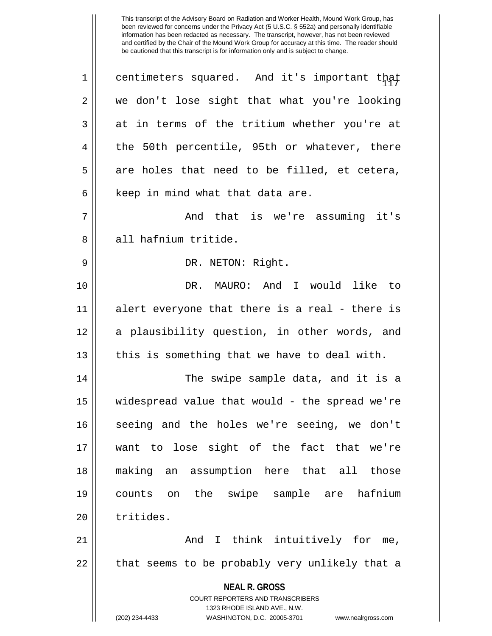| $\mathbf 1$ | centimeters squared. And it's important that                        |
|-------------|---------------------------------------------------------------------|
| 2           | we don't lose sight that what you're looking                        |
| 3           | at in terms of the tritium whether you're at                        |
| 4           | the 50th percentile, 95th or whatever, there                        |
| 5           | are holes that need to be filled, et cetera,                        |
| 6           | keep in mind what that data are.                                    |
| 7           | And that is we're assuming it's                                     |
| 8           | all hafnium tritide.                                                |
| 9           | DR. NETON: Right.                                                   |
| 10          | DR. MAURO: And I would like to                                      |
| 11          | alert everyone that there is a real - there is                      |
| 12          | a plausibility question, in other words, and                        |
| 13          | this is something that we have to deal with.                        |
| 14          | The swipe sample data, and it is a                                  |
| 15          | widespread value that would - the spread we're                      |
| 16          | seeing and the holes we're seeing, we don't                         |
| 17          | want to lose sight of the fact that we're                           |
| 18          | making an assumption here that all those                            |
| 19          | counts on the swipe sample are hafnium                              |
| 20          | tritides.                                                           |
| 21          | And I think intuitively for me,                                     |
| 22          | that seems to be probably very unlikely that a                      |
|             | <b>NEAL R. GROSS</b>                                                |
|             | COURT REPORTERS AND TRANSCRIBERS                                    |
|             | 1323 RHODE ISLAND AVE., N.W.                                        |
|             | (202) 234-4433<br>WASHINGTON, D.C. 20005-3701<br>www.nealrgross.com |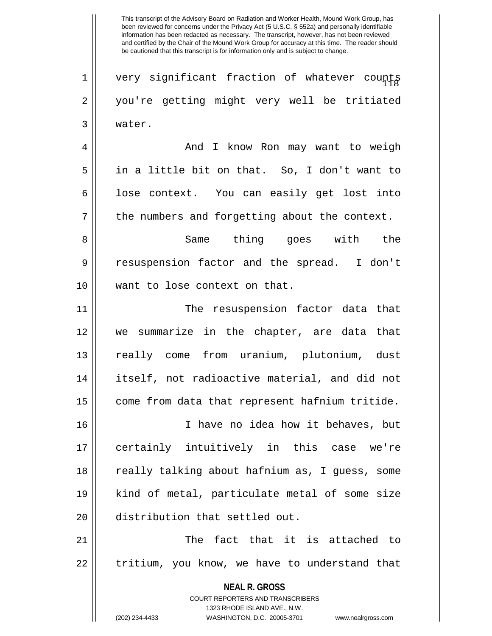$1$   $\parallel$  very significant fraction of whatever counts 2 you're getting might very well be tritiated 3 water.

4 And I know Ron may want to weigh 5 in a little bit on that. So, I don't want to  $6 \parallel$  lose context. You can easily get lost into  $7 \parallel$  the numbers and forgetting about the context.

8 Same thing goes with the 9 resuspension factor and the spread. I don't 10 want to lose context on that.

11 || The resuspension factor data that 12 we summarize in the chapter, are data that 13 really come from uranium, plutonium, dust 14 itself, not radioactive material, and did not  $15$  come from data that represent hafnium tritide.

16 I have no idea how it behaves, but 17 certainly intuitively in this case we're 18 || really talking about hafnium as, I guess, some 19 kind of metal, particulate metal of some size 20 distribution that settled out.

21 || The fact that it is attached to  $22$  || tritium, you know, we have to understand that

> **NEAL R. GROSS** COURT REPORTERS AND TRANSCRIBERS 1323 RHODE ISLAND AVE., N.W. (202) 234-4433 WASHINGTON, D.C. 20005-3701 www.nealrgross.com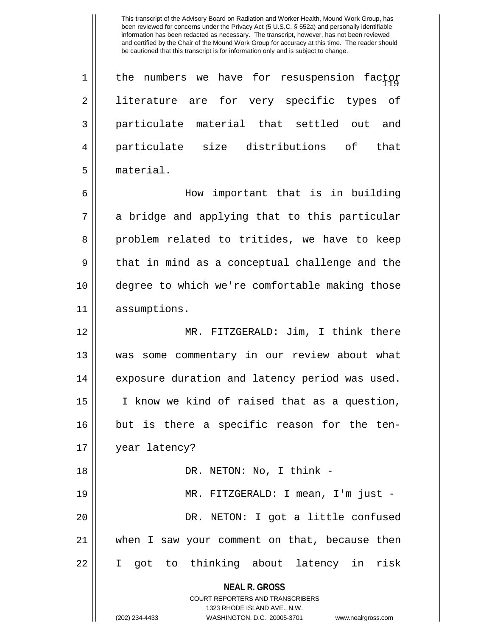$1$  || the numbers we have for resuspension factor 2 || literature are for very specific types of 3 particulate material that settled out and 4 particulate size distributions of that 5 material.

6 How important that is in building 7 || a bridge and applying that to this particular 8 problem related to tritides, we have to keep  $9 \parallel$  that in mind as a conceptual challenge and the 10 degree to which we're comfortable making those 11 assumptions.

12 MR. FITZGERALD: Jim, I think there 13 was some commentary in our review about what 14 || exposure duration and latency period was used. 15 I know we kind of raised that as a question, 16 || but is there a specific reason for the ten-17 year latency?

18 DR. NETON: No, I think - 19 MR. FITZGERALD: I mean, I'm just - 20 DR. NETON: I got a little confused 21 when I saw your comment on that, because then 22 I got to thinking about latency in risk

**NEAL R. GROSS**

COURT REPORTERS AND TRANSCRIBERS 1323 RHODE ISLAND AVE., N.W.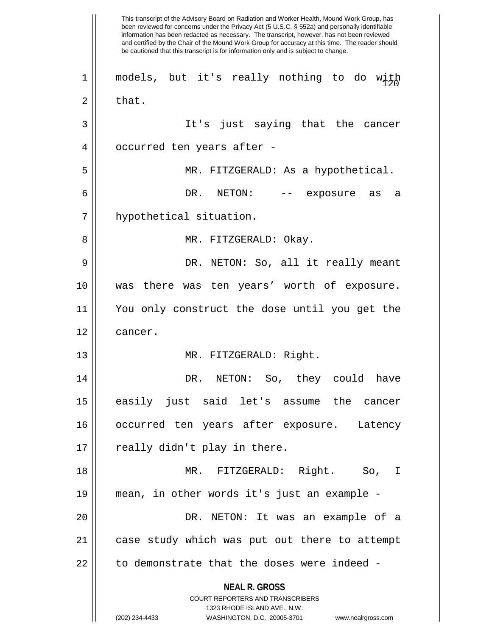**NEAL R. GROSS** COURT REPORTERS AND TRANSCRIBERS 1323 RHODE ISLAND AVE., N.W. (202) 234-4433 WASHINGTON, D.C. 20005-3701 www.nealrgross.com This transcript of the Advisory Board on Radiation and Worker Health, Mound Work Group, has been reviewed for concerns under the Privacy Act (5 U.S.C. § 552a) and personally identifiable information has been redacted as necessary. The transcript, however, has not been reviewed and certified by the Chair of the Mound Work Group for accuracy at this time. The reader should be cautioned that this transcript is for information only and is subject to change.  $1$ || models, but it's really nothing to do with  $2 \parallel$  that. 3 It's just saying that the cancer 4 || occurred ten years after -5 MR. FITZGERALD: As a hypothetical. 6 DR. NETON: -- exposure as a 7 hypothetical situation. 8 MR. FITZGERALD: Okay. 9 DR. NETON: So, all it really meant 10 was there was ten years' worth of exposure. 11 You only construct the dose until you get the 12 | cancer. 13 || MR. FITZGERALD: Right. 14 DR. NETON: So, they could have 15 easily just said let's assume the cancer 16 occurred ten years after exposure. Latency  $17 \parallel$  really didn't play in there. 18 MR. FITZGERALD: Right. So, I 19 mean, in other words it's just an example - 20 DR. NETON: It was an example of a 21 case study which was put out there to attempt  $22$   $\parallel$  to demonstrate that the doses were indeed -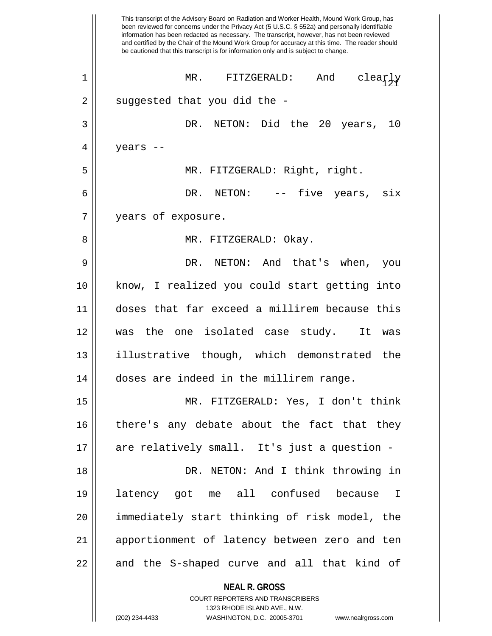**NEAL R. GROSS** This transcript of the Advisory Board on Radiation and Worker Health, Mound Work Group, has been reviewed for concerns under the Privacy Act (5 U.S.C. § 552a) and personally identifiable information has been redacted as necessary. The transcript, however, has not been reviewed and certified by the Chair of the Mound Work Group for accuracy at this time. The reader should be cautioned that this transcript is for information only and is subject to change. <sup>121</sup> 1 MR. FITZGERALD: And clearly  $2 \parallel$  suggested that you did the -3 DR. NETON: Did the 20 years, 10  $4 \parallel$  years --5 MR. FITZGERALD: Right, right. 6 DR. NETON: -- five years, six 7 | years of exposure. 8 MR. FITZGERALD: Okay. 9 DR. NETON: And that's when, you 10 know, I realized you could start getting into 11 doses that far exceed a millirem because this 12 was the one isolated case study. It was 13 illustrative though, which demonstrated the 14 doses are indeed in the millirem range. 15 MR. FITZGERALD: Yes, I don't think 16 || there's any debate about the fact that they 17 are relatively small. It's just a question - 18 DR. NETON: And I think throwing in 19 latency got me all confused because I 20 immediately start thinking of risk model, the 21 apportionment of latency between zero and ten  $22 \parallel$  and the S-shaped curve and all that kind of

COURT REPORTERS AND TRANSCRIBERS 1323 RHODE ISLAND AVE., N.W. (202) 234-4433 WASHINGTON, D.C. 20005-3701 www.nealrgross.com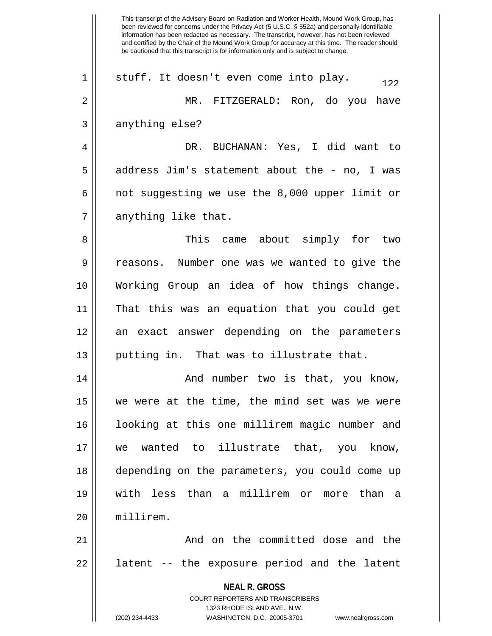**NEAL R. GROSS** COURT REPORTERS AND TRANSCRIBERS 1323 RHODE ISLAND AVE., N.W. (202) 234-4433 WASHINGTON, D.C. 20005-3701 www.nealrgross.com This transcript of the Advisory Board on Radiation and Worker Health, Mound Work Group, has been reviewed for concerns under the Privacy Act (5 U.S.C. § 552a) and personally identifiable information has been redacted as necessary. The transcript, however, has not been reviewed and certified by the Chair of the Mound Work Group for accuracy at this time. The reader should be cautioned that this transcript is for information only and is subject to change. 1 || stuff. It doesn't even come into play.  $122$ 2 MR. FITZGERALD: Ron, do you have  $3 \parallel$  anything else? 4 DR. BUCHANAN: Yes, I did want to  $5 \parallel$  address Jim's statement about the - no, I was 6  $\parallel$  not suggesting we use the 8,000 upper limit or  $7 \parallel$  anything like that. 8 This came about simply for two 9 || reasons. Number one was we wanted to give the 10 Working Group an idea of how things change. 11 That this was an equation that you could get 12 || an exact answer depending on the parameters 13 || putting in. That was to illustrate that. 14 And number two is that, you know,  $15$  we were at the time, the mind set was we were 16 looking at this one millirem magic number and 17 we wanted to illustrate that, you know, 18 depending on the parameters, you could come up 19 with less than a millirem or more than a 20 millirem. 21 || **And on the committed dose and the**  $22$  || latent  $-$  the exposure period and the latent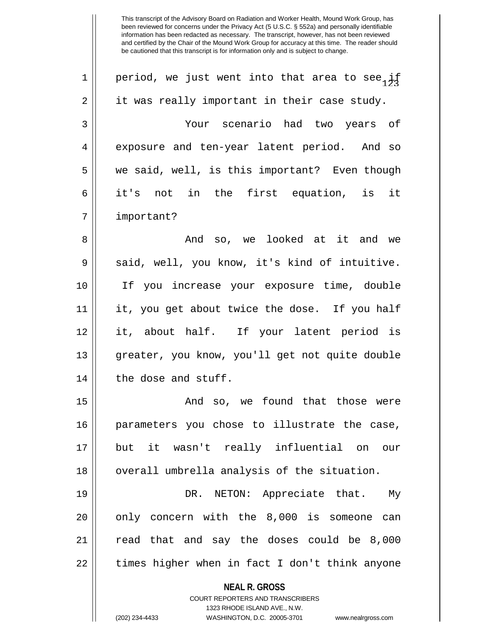**NEAL R. GROSS** COURT REPORTERS AND TRANSCRIBERS 1323 RHODE ISLAND AVE., N.W. 1 | period, we just went into that area to see, if  $2 \parallel$  it was really important in their case study. 3 Your scenario had two years of 4 exposure and ten-year latent period. And so 5 we said, well, is this important? Even though 6 it's not in the first equation, is it 7 | important? 8 And so, we looked at it and we 9 Said, well, you know, it's kind of intuitive. 10 If you increase your exposure time, double 11 it, you get about twice the dose. If you half 12 it, about half. If your latent period is 13 greater, you know, you'll get not quite double  $14$  | the dose and stuff. 15 And so, we found that those were 16 parameters you chose to illustrate the case, 17 but it wasn't really influential on our 18 || overall umbrella analysis of the situation. 19 DR. NETON: Appreciate that. My  $20$  || only concern with the 8,000 is someone can 21 || read that and say the doses could be 8,000  $22$  || times higher when in fact I don't think anyone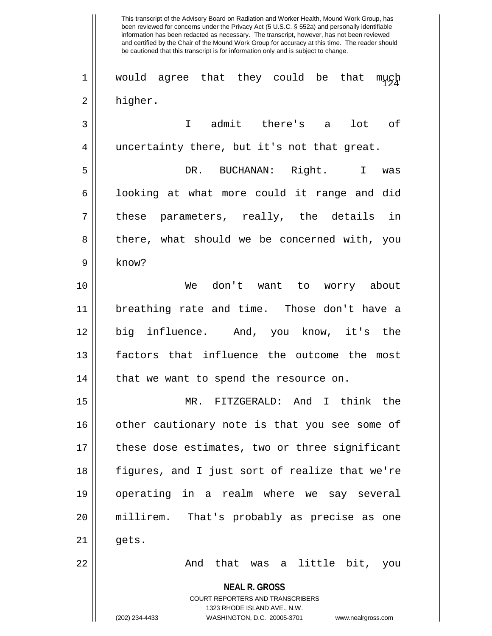**NEAL R. GROSS** COURT REPORTERS AND TRANSCRIBERS 1323 RHODE ISLAND AVE., N.W. This transcript of the Advisory Board on Radiation and Worker Health, Mound Work Group, has been reviewed for concerns under the Privacy Act (5 U.S.C. § 552a) and personally identifiable information has been redacted as necessary. The transcript, however, has not been reviewed and certified by the Chair of the Mound Work Group for accuracy at this time. The reader should be cautioned that this transcript is for information only and is subject to change.  $1 \parallel$  would agree that they could be that much 2 higher. 3 I admit there's a lot of 4 || uncertainty there, but it's not that great. 5 DR. BUCHANAN: Right. I was  $6 \parallel$  looking at what more could it range and did  $7 \parallel$  these parameters, really, the details in 8 there, what should we be concerned with, you 9 know? 10 We don't want to worry about 11 breathing rate and time. Those don't have a 12 big influence. And, you know, it's the 13 factors that influence the outcome the most  $14$  || that we want to spend the resource on. 15 MR. FITZGERALD: And I think the 16 || other cautionary note is that you see some of 17 these dose estimates, two or three significant 18 figures, and I just sort of realize that we're 19 operating in a realm where we say several 20 millirem. That's probably as precise as one  $21 \parallel$  gets. 22 And that was a little bit, you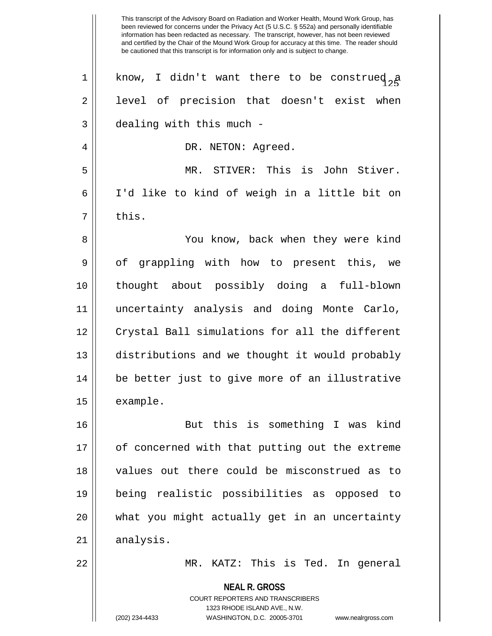**NEAL R. GROSS** COURT REPORTERS AND TRANSCRIBERS 1323 RHODE ISLAND AVE., N.W. been reviewed for concerns under the Privacy Act (5 U.S.C. § 552a) and personally identifiable information has been redacted as necessary. The transcript, however, has not been reviewed and certified by the Chair of the Mound Work Group for accuracy at this time. The reader should be cautioned that this transcript is for information only and is subject to change. 1 || know, I didn't want there to be construed  $a$  $2 \parallel$  level of precision that doesn't exist when  $3$  | dealing with this much -4 DR. NETON: Agreed. 5 MR. STIVER: This is John Stiver. 6 I'd like to kind of weigh in a little bit on  $7 \parallel$  this. 8 You know, back when they were kind 9 || of grappling with how to present this, we 10 thought about possibly doing a full-blown 11 uncertainty analysis and doing Monte Carlo, 12 || Crystal Ball simulations for all the different 13 distributions and we thought it would probably 14 be better just to give more of an illustrative 15 | example. 16 But this is something I was kind 17 || of concerned with that putting out the extreme 18 values out there could be misconstrued as to 19 being realistic possibilities as opposed to 20 what you might actually get in an uncertainty  $21$  analysis. 22 MR. KATZ: This is Ted. In general

This transcript of the Advisory Board on Radiation and Worker Health, Mound Work Group, has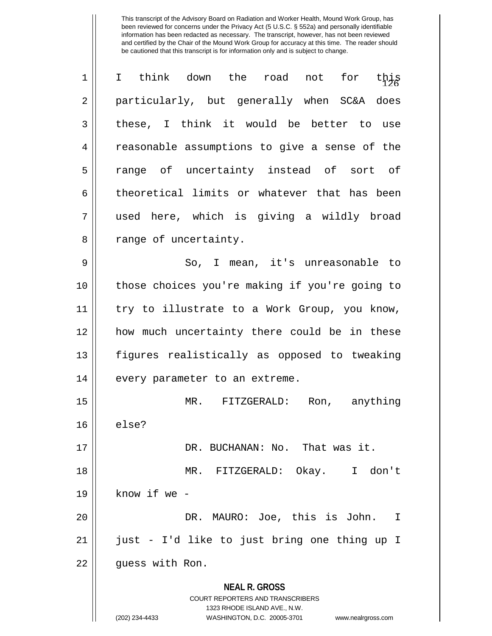| $\mathbf 1$ | think down the road<br>not for<br>$\mathbf I$<br>this                                                                                                                  |
|-------------|------------------------------------------------------------------------------------------------------------------------------------------------------------------------|
| 2           | particularly, but generally when SC&A does                                                                                                                             |
| 3           | these, I think it would be better to use                                                                                                                               |
| 4           | reasonable assumptions to give a sense of the                                                                                                                          |
| 5           | range of uncertainty instead of sort of                                                                                                                                |
| 6           | theoretical limits or whatever that has been                                                                                                                           |
| 7           | used here, which is giving a wildly broad                                                                                                                              |
| 8           | range of uncertainty.                                                                                                                                                  |
| 9           | So, I mean, it's unreasonable to                                                                                                                                       |
| 10          | those choices you're making if you're going to                                                                                                                         |
| 11          | try to illustrate to a Work Group, you know,                                                                                                                           |
| 12          | how much uncertainty there could be in these                                                                                                                           |
| 13          | figures realistically as opposed to tweaking                                                                                                                           |
| 14          | every parameter to an extreme.                                                                                                                                         |
| 15          | MR. FITZGERALD:<br>anything<br>Ron,                                                                                                                                    |
| 16          | else?                                                                                                                                                                  |
| 17          | DR. BUCHANAN: No. That was it.                                                                                                                                         |
| 18          | MR. FITZGERALD: Okay. I don't                                                                                                                                          |
| 19          | know if we -                                                                                                                                                           |
| 20          | DR. MAURO: Joe, this is John.<br>$\mathbf I$                                                                                                                           |
| 21          | just - I'd like to just bring one thing up I                                                                                                                           |
| 22          | guess with Ron.                                                                                                                                                        |
|             | <b>NEAL R. GROSS</b><br><b>COURT REPORTERS AND TRANSCRIBERS</b><br>1323 RHODE ISLAND AVE., N.W.<br>(202) 234-4433<br>WASHINGTON, D.C. 20005-3701<br>www.nealrgross.com |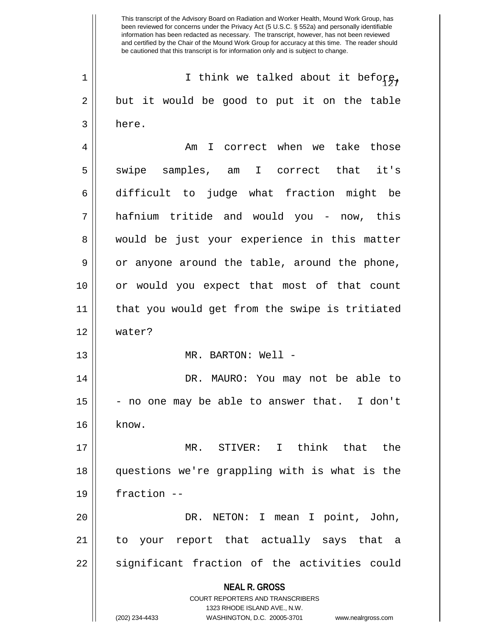**NEAL R. GROSS** COURT REPORTERS AND TRANSCRIBERS 1323 RHODE ISLAND AVE., N.W. (202) 234-4433 WASHINGTON, D.C. 20005-3701 www.nealrgross.com 1 ||  $\blacksquare$  I think we talked about it before,  $2 \parallel$  but it would be good to put it on the table  $3 \parallel$  here. 4 Am I correct when we take those 5 || swipe samples, am I correct that it's 6 difficult to judge what fraction might be 7 hafnium tritide and would you - now, this 8 would be just your experience in this matter  $9 \parallel$  or anyone around the table, around the phone, 10 or would you expect that most of that count 11 that you would get from the swipe is tritiated 12 water? 13 || MR. BARTON: Well -14 DR. MAURO: You may not be able to  $15$  - no one may be able to answer that. I don't  $16$  | know. 17 MR. STIVER: I think that the 18 questions we're grappling with is what is the 19 fraction -- 20 DR. NETON: I mean I point, John, 21 to your report that actually says that a 22 || significant fraction of the activities could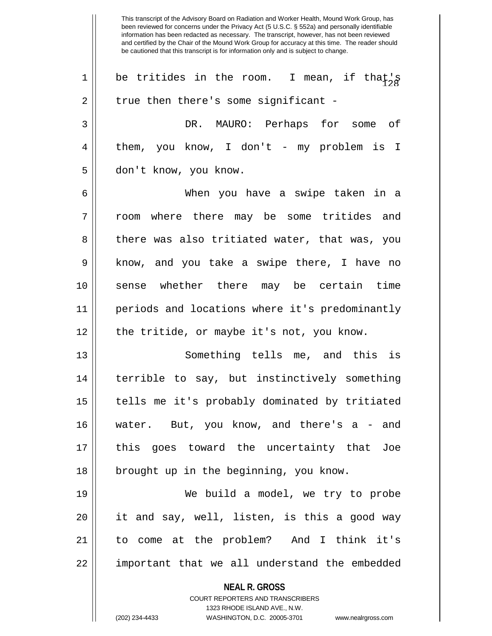**NEAL R. GROSS** COURT REPORTERS AND TRANSCRIBERS This transcript of the Advisory Board on Radiation and Worker Health, Mound Work Group, has been reviewed for concerns under the Privacy Act (5 U.S.C. § 552a) and personally identifiable information has been redacted as necessary. The transcript, however, has not been reviewed and certified by the Chair of the Mound Work Group for accuracy at this time. The reader should be cautioned that this transcript is for information only and is subject to change. 1 || be tritides in the room. I mean, if that's  $2 \parallel$  true then there's some significant -3 DR. MAURO: Perhaps for some of 4 || them, you know, I don't - my problem is I 5 || don't know, you know. 6 When you have a swipe taken in a 7 || room where there may be some tritides and 8 || there was also tritiated water, that was, you 9 || know, and you take a swipe there, I have no 10 sense whether there may be certain time 11 periods and locations where it's predominantly 12 || the tritide, or maybe it's not, you know. 13 Something tells me, and this is 14 terrible to say, but instinctively something 15 || tells me it's probably dominated by tritiated 16 water. But, you know, and there's a - and 17 this goes toward the uncertainty that Joe 18 || brought up in the beginning, you know. 19 We build a model, we try to probe 20 it and say, well, listen, is this a good way 21 to come at the problem? And I think it's 22 || important that we all understand the embedded

1323 RHODE ISLAND AVE., N.W.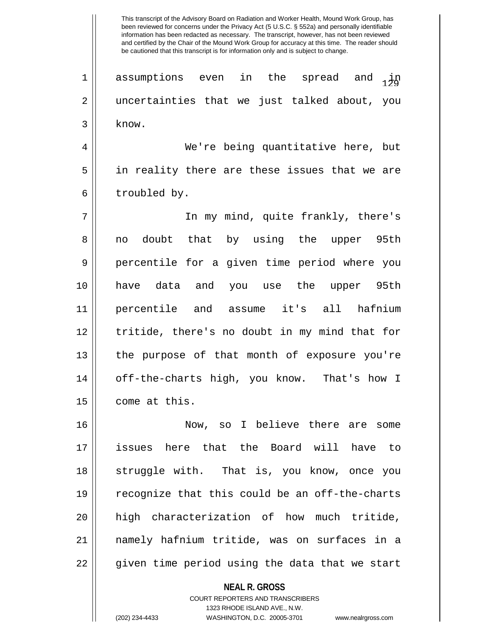$\begin{array}{c} 1 \end{array}$  assumptions even in the spread and  $\begin{array}{c} 1 \end{array}$ 2 uncertainties that we just talked about, you  $3$  know.

4 We're being quantitative here, but 5 in reality there are these issues that we are  $6 \parallel$  troubled by.

7 || In my mind, quite frankly, there's 8 no doubt that by using the upper 95th 9 percentile for a given time period where you 10 have data and you use the upper 95th 11 percentile and assume it's all hafnium 12 || tritide, there's no doubt in my mind that for 13 the purpose of that month of exposure you're 14 off-the-charts high, you know. That's how I 15 | come at this.

16 Now, so I believe there are some 17 issues here that the Board will have to 18 || struggle with. That is, you know, once you 19 recognize that this could be an off-the-charts 20 high characterization of how much tritide, 21 namely hafnium tritide, was on surfaces in a 22 || given time period using the data that we start

> **NEAL R. GROSS** COURT REPORTERS AND TRANSCRIBERS 1323 RHODE ISLAND AVE., N.W. (202) 234-4433 WASHINGTON, D.C. 20005-3701 www.nealrgross.com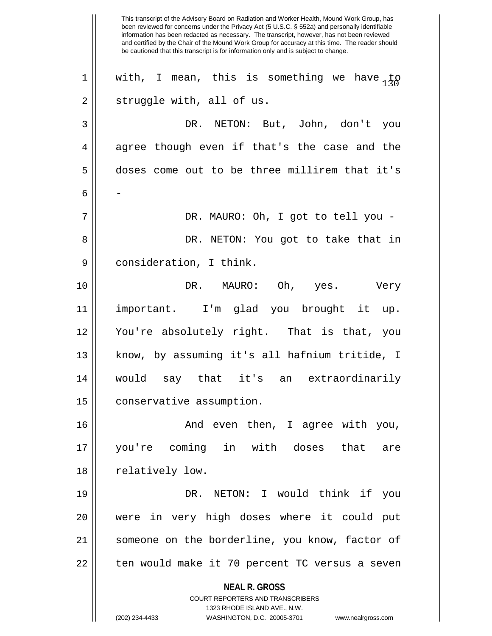**NEAL R. GROSS** COURT REPORTERS AND TRANSCRIBERS 1323 RHODE ISLAND AVE., N.W. (202) 234-4433 WASHINGTON, D.C. 20005-3701 www.nealrgross.com This transcript of the Advisory Board on Radiation and Worker Health, Mound Work Group, has been reviewed for concerns under the Privacy Act (5 U.S.C. § 552a) and personally identifiable information has been redacted as necessary. The transcript, however, has not been reviewed and certified by the Chair of the Mound Work Group for accuracy at this time. The reader should be cautioned that this transcript is for information only and is subject to change. 1 With, I mean, this is something we have  $\frac{1}{20}$  $2 \parallel$  struggle with, all of us. 3 DR. NETON: But, John, don't you  $4 \parallel$  agree though even if that's the case and the 5 doses come out to be three millirem that it's  $6 \parallel -$ 7 DR. MAURO: Oh, I got to tell you - 8 DR. NETON: You got to take that in 9 | consideration, I think. 10 DR. MAURO: Oh, yes. Very 11 important. I'm glad you brought it up. 12 You're absolutely right. That is that, you 13 || know, by assuming it's all hafnium tritide, I 14 would say that it's an extraordinarily 15 | conservative assumption. 16 And even then, I agree with you, 17 you're coming in with doses that are 18 || relatively low. 19 DR. NETON: I would think if you 20 were in very high doses where it could put 21 || someone on the borderline, you know, factor of 22 || ten would make it 70 percent TC versus a seven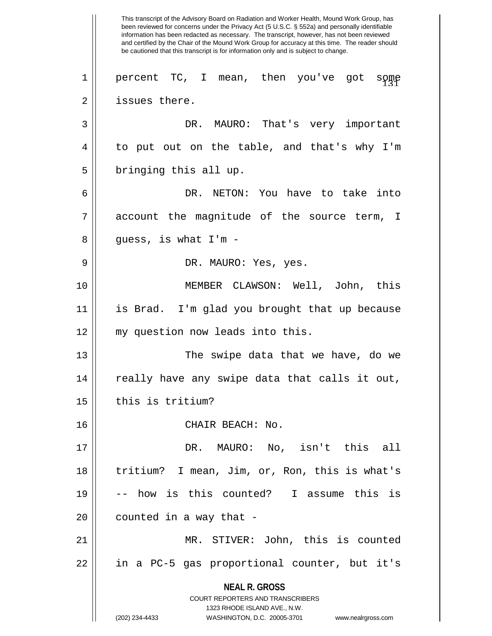**NEAL R. GROSS** COURT REPORTERS AND TRANSCRIBERS 1323 RHODE ISLAND AVE., N.W. (202) 234-4433 WASHINGTON, D.C. 20005-3701 www.nealrgross.com This transcript of the Advisory Board on Radiation and Worker Health, Mound Work Group, has been reviewed for concerns under the Privacy Act (5 U.S.C. § 552a) and personally identifiable information has been redacted as necessary. The transcript, however, has not been reviewed and certified by the Chair of the Mound Work Group for accuracy at this time. The reader should be cautioned that this transcript is for information only and is subject to change. 1|| percent TC, I mean, then you've got some 2 | issues there. 3 DR. MAURO: That's very important 4 to put out on the table, and that's why I'm  $5 \parallel$  bringing this all up. 6 DR. NETON: You have to take into 7 account the magnitude of the source term, I  $8 \parallel$  guess, is what I'm -9 DR. MAURO: Yes, yes. 10 MEMBER CLAWSON: Well, John, this 11 is Brad. I'm glad you brought that up because 12 || my question now leads into this. 13 The swipe data that we have, do we 14 || really have any swipe data that calls it out,  $15$  | this is tritium? 16 || CHAIR BEACH: No. 17 DR. MAURO: No, isn't this all 18 tritium? I mean, Jim, or, Ron, this is what's 19 -- how is this counted? I assume this is  $20$  || counted in a way that -21 MR. STIVER: John, this is counted 22 in a PC-5 gas proportional counter, but it's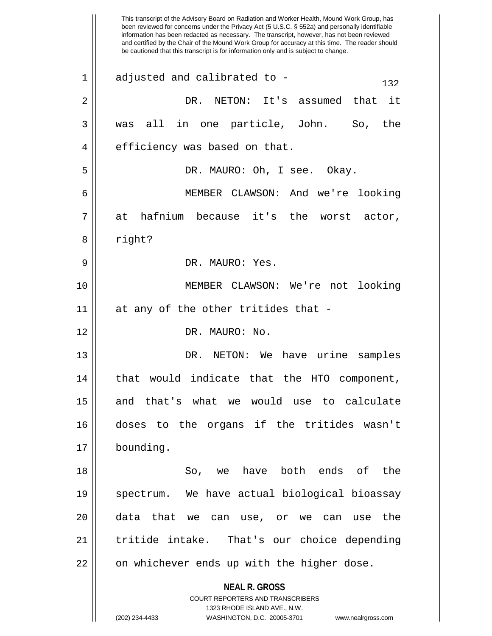**NEAL R. GROSS** COURT REPORTERS AND TRANSCRIBERS 1323 RHODE ISLAND AVE., N.W. (202) 234-4433 WASHINGTON, D.C. 20005-3701 www.nealrgross.com This transcript of the Advisory Board on Radiation and Worker Health, Mound Work Group, has been reviewed for concerns under the Privacy Act (5 U.S.C. § 552a) and personally identifiable information has been redacted as necessary. The transcript, however, has not been reviewed and certified by the Chair of the Mound Work Group for accuracy at this time. The reader should be cautioned that this transcript is for information only and is subject to change.  $1 \parallel$  adjusted and calibrated to -  $132$ 2 DR. NETON: It's assumed that it 3 was all in one particle, John. So, the 4 || efficiency was based on that. 5 DR. MAURO: Oh, I see. Okay. 6 MEMBER CLAWSON: And we're looking  $7 \parallel$  at hafnium because it's the worst actor, 8 || right? 9 DR. MAURO: Yes. 10 MEMBER CLAWSON: We're not looking  $11$  | at any of the other tritides that -12 DR. MAURO: No. 13 DR. NETON: We have urine samples 14 || that would indicate that the HTO component, 15 and that's what we would use to calculate 16 doses to the organs if the tritides wasn't 17 bounding. 18 So, we have both ends of the 19 spectrum. We have actual biological bioassay 20 data that we can use, or we can use the 21 tritide intake. That's our choice depending 22 || on whichever ends up with the higher dose.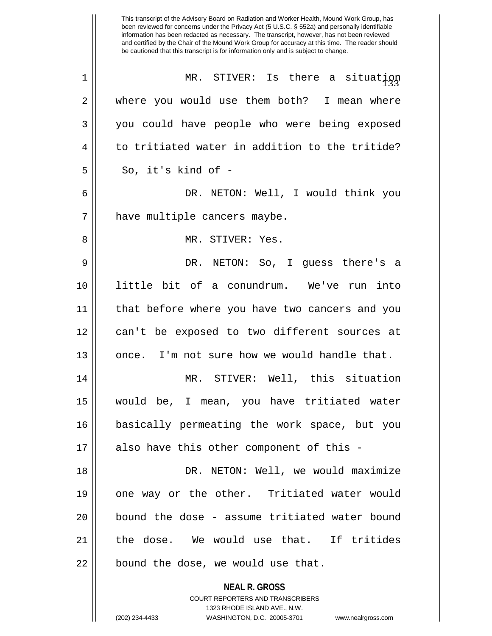|    | This transcript of the Advisory Board on Radiation and Worker Health, Mound Work Group, has<br>been reviewed for concerns under the Privacy Act (5 U.S.C. § 552a) and personally identifiable<br>information has been redacted as necessary. The transcript, however, has not been reviewed<br>and certified by the Chair of the Mound Work Group for accuracy at this time. The reader should<br>be cautioned that this transcript is for information only and is subject to change. |
|----|---------------------------------------------------------------------------------------------------------------------------------------------------------------------------------------------------------------------------------------------------------------------------------------------------------------------------------------------------------------------------------------------------------------------------------------------------------------------------------------|
| 1  | MR. STIVER: Is there a situation                                                                                                                                                                                                                                                                                                                                                                                                                                                      |
| 2  | where you would use them both? I mean where                                                                                                                                                                                                                                                                                                                                                                                                                                           |
| 3  | you could have people who were being exposed                                                                                                                                                                                                                                                                                                                                                                                                                                          |
| 4  | to tritiated water in addition to the tritide?                                                                                                                                                                                                                                                                                                                                                                                                                                        |
| 5  | So, it's kind of -                                                                                                                                                                                                                                                                                                                                                                                                                                                                    |
| 6  | DR. NETON: Well, I would think you                                                                                                                                                                                                                                                                                                                                                                                                                                                    |
| 7  | have multiple cancers maybe.                                                                                                                                                                                                                                                                                                                                                                                                                                                          |
| 8  | MR. STIVER: Yes.                                                                                                                                                                                                                                                                                                                                                                                                                                                                      |
| 9  | DR. NETON: So, I guess there's a                                                                                                                                                                                                                                                                                                                                                                                                                                                      |
| 10 | little bit of a conundrum. We've run<br>into                                                                                                                                                                                                                                                                                                                                                                                                                                          |
| 11 | that before where you have two cancers and you                                                                                                                                                                                                                                                                                                                                                                                                                                        |
| 12 | can't be exposed to two different sources at                                                                                                                                                                                                                                                                                                                                                                                                                                          |
| 13 | once. I'm not sure how we would handle that.                                                                                                                                                                                                                                                                                                                                                                                                                                          |
| 14 | MR. STIVER: Well, this situation                                                                                                                                                                                                                                                                                                                                                                                                                                                      |
| 15 | would be, I mean, you have tritiated water                                                                                                                                                                                                                                                                                                                                                                                                                                            |
| 16 | basically permeating the work space, but you                                                                                                                                                                                                                                                                                                                                                                                                                                          |
| 17 | also have this other component of this -                                                                                                                                                                                                                                                                                                                                                                                                                                              |
| 18 | DR. NETON: Well, we would maximize                                                                                                                                                                                                                                                                                                                                                                                                                                                    |
| 19 | one way or the other. Tritiated water would                                                                                                                                                                                                                                                                                                                                                                                                                                           |
| 20 | bound the dose - assume tritiated water bound                                                                                                                                                                                                                                                                                                                                                                                                                                         |
| 21 | the dose. We would use that. If tritides                                                                                                                                                                                                                                                                                                                                                                                                                                              |
| 22 | bound the dose, we would use that.                                                                                                                                                                                                                                                                                                                                                                                                                                                    |
|    | <b>NEAL R. GROSS</b><br>COURT REPORTERS AND TRANSCRIBERS<br>1323 RHODE ISLAND AVE., N.W.                                                                                                                                                                                                                                                                                                                                                                                              |
|    | (202) 234-4433<br>WASHINGTON, D.C. 20005-3701<br>www.nealrgross.com                                                                                                                                                                                                                                                                                                                                                                                                                   |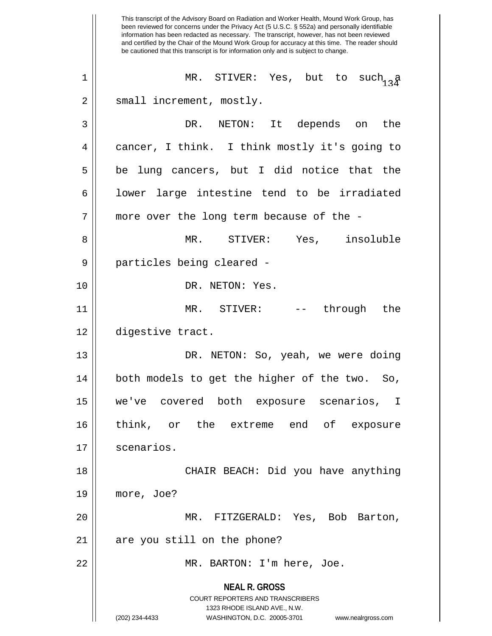**NEAL R. GROSS** COURT REPORTERS AND TRANSCRIBERS 1323 RHODE ISLAND AVE., N.W. (202) 234-4433 WASHINGTON, D.C. 20005-3701 www.nealrgross.com This transcript of the Advisory Board on Radiation and Worker Health, Mound Work Group, has been reviewed for concerns under the Privacy Act (5 U.S.C. § 552a) and personally identifiable information has been redacted as necessary. The transcript, however, has not been reviewed and certified by the Chair of the Mound Work Group for accuracy at this time. The reader should be cautioned that this transcript is for information only and is subject to change.  $\begin{array}{ccc} \hbox{\small\it 1}\end{array}$  MR. STIVER: Yes, but to such  $_{13}$  a 2 || small increment, mostly. 3 DR. NETON: It depends on the 4 cancer, I think. I think mostly it's going to  $5 \parallel$  be lung cancers, but I did notice that the  $6 \parallel$  lower large intestine tend to be irradiated 7 || more over the long term because of the -8 MR. STIVER: Yes, insoluble 9 || particles being cleared -10 DR. NETON: Yes. 11 MR. STIVER: -- through the 12 digestive tract. 13 DR. NETON: So, yeah, we were doing 14 both models to get the higher of the two. So, 15 we've covered both exposure scenarios, I 16 think, or the extreme end of exposure 17 | scenarios. 18 CHAIR BEACH: Did you have anything 19 more, Joe? 20 MR. FITZGERALD: Yes, Bob Barton,  $21$  | are you still on the phone? 22 || MR. BARTON: I'm here, Joe.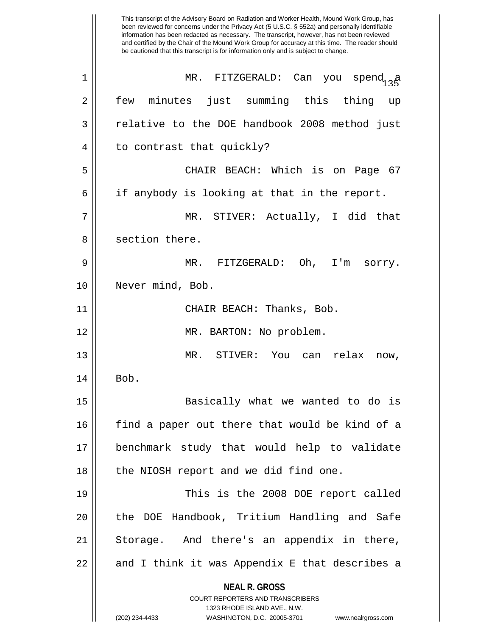**NEAL R. GROSS** COURT REPORTERS AND TRANSCRIBERS 1323 RHODE ISLAND AVE., N.W. (202) 234-4433 WASHINGTON, D.C. 20005-3701 www.nealrgross.com This transcript of the Advisory Board on Radiation and Worker Health, Mound Work Group, has been reviewed for concerns under the Privacy Act (5 U.S.C. § 552a) and personally identifiable information has been redacted as necessary. The transcript, however, has not been reviewed and certified by the Chair of the Mound Work Group for accuracy at this time. The reader should be cautioned that this transcript is for information only and is subject to change. <sup>135</sup> 1 MR. FITZGERALD: Can you spend a 2 || few minutes just summing this thing up 3 | relative to the DOE handbook 2008 method just 4 || to contrast that quickly? 5 CHAIR BEACH: Which is on Page 67  $6 \parallel$  if anybody is looking at that in the report. 7 MR. STIVER: Actually, I did that 8 || section there. 9 MR. FITZGERALD: Oh, I'm sorry. 10 || Never mind, Bob. 11 CHAIR BEACH: Thanks, Bob. 12 || MR. BARTON: No problem. 13 MR. STIVER: You can relax now,  $14 \parallel$  Bob. 15 Basically what we wanted to do is  $16$  find a paper out there that would be kind of a 17 benchmark study that would help to validate 18 || the NIOSH report and we did find one. 19 || This is the 2008 DOE report called 20 || the DOE Handbook, Tritium Handling and Safe 21 || Storage. And there's an appendix in there,  $22 \parallel$  and I think it was Appendix E that describes a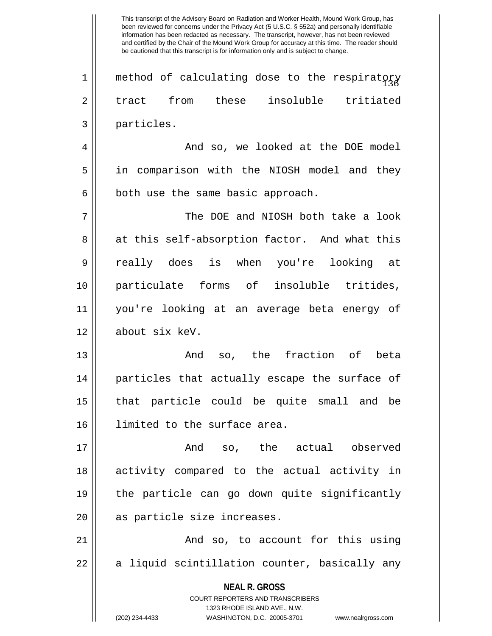$1$   $\parallel$  method of calculating dose to the respiratory 2 tract from these insoluble tritiated 3 particles.

4 And so, we looked at the DOE model 5 in comparison with the NIOSH model and they  $6 \parallel$  both use the same basic approach.

7 The DOE and NIOSH both take a look 8 at this self-absorption factor. And what this 9 really does is when you're looking at 10 particulate forms of insoluble tritides, 11 you're looking at an average beta energy of 12 about six keV.

13 || The Rand so, the fraction of beta 14 particles that actually escape the surface of 15 that particle could be quite small and be 16 limited to the surface area.

17 And so, the actual observed 18 activity compared to the actual activity in 19 the particle can go down quite significantly 20 || as particle size increases.

21 And so, to account for this using  $22 \parallel$  a liquid scintillation counter, basically any

> **NEAL R. GROSS** COURT REPORTERS AND TRANSCRIBERS 1323 RHODE ISLAND AVE., N.W. (202) 234-4433 WASHINGTON, D.C. 20005-3701 www.nealrgross.com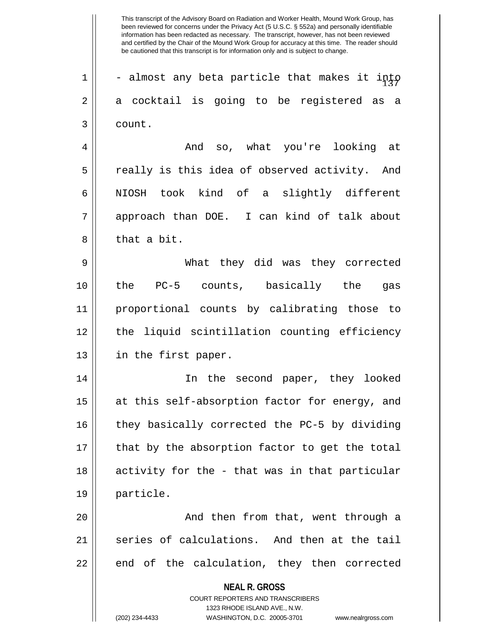**NEAL R. GROSS** 1  $\parallel$  - almost any beta particle that makes it into  $2 \parallel$  a cocktail is going to be registered as a 3 count. 4 And so, what you're looking at  $5 \parallel$  really is this idea of observed activity. And 6 || NIOSH took kind of a slightly different 7 approach than DOE. I can kind of talk about 8 l that a bit. 9 What they did was they corrected 10 the PC-5 counts, basically the gas 11 proportional counts by calibrating those to 12 the liquid scintillation counting efficiency 13 || in the first paper. 14 In the second paper, they looked 15 || at this self-absorption factor for energy, and  $16$  | they basically corrected the PC-5 by dividing 17 || that by the absorption factor to get the total 18 || activity for the - that was in that particular 19 particle. 20 || And then from that, went through a 21 series of calculations. And then at the tail  $22$  || end of the calculation, they then corrected

> COURT REPORTERS AND TRANSCRIBERS 1323 RHODE ISLAND AVE., N.W.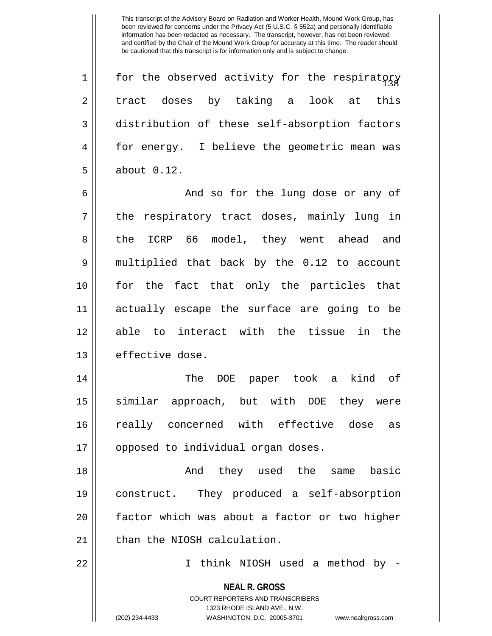$1$   $\parallel$  for the observed activity for the respiratory 2 || tract doses by taking a look at this 3 distribution of these self-absorption factors 4 for energy. I believe the geometric mean was 5 about 0.12.

6 And so for the lung dose or any of  $7 \parallel$  the respiratory tract doses, mainly lung in 8 the ICRP 66 model, they went ahead and 9 multiplied that back by the 0.12 to account 10 for the fact that only the particles that 11 actually escape the surface are going to be 12 able to interact with the tissue in the 13 | effective dose.

14 The DOE paper took a kind of 15 similar approach, but with DOE they were 16 || really concerned with effective dose as 17 || opposed to individual organ doses.

18 And they used the same basic 19 construct. They produced a self-absorption 20 factor which was about a factor or two higher  $21$   $\parallel$  than the NIOSH calculation.

22 I think NIOSH used a method by -

**NEAL R. GROSS** COURT REPORTERS AND TRANSCRIBERS 1323 RHODE ISLAND AVE., N.W. (202) 234-4433 WASHINGTON, D.C. 20005-3701 www.nealrgross.com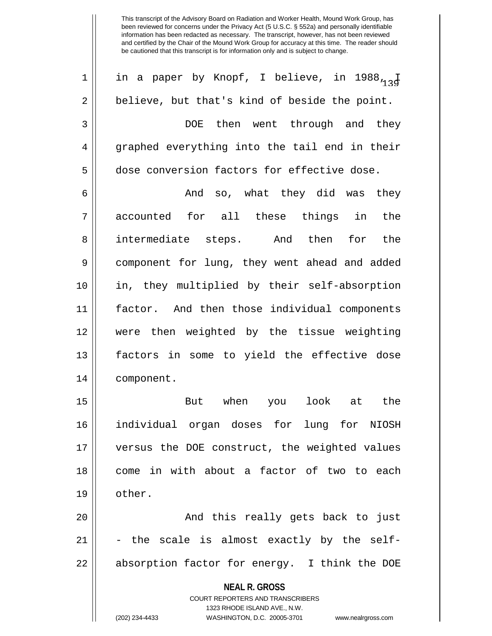1 || in a paper by Knopf, I believe, in 1988 $_{13}$ 2 || believe, but that's kind of beside the point. 3 DOE then went through and they 4 graphed everything into the tail end in their 5 dose conversion factors for effective dose.

6 And so, what they did was they  $7 \parallel$  accounted for all these things in the 8 intermediate steps. And then for the 9 component for lung, they went ahead and added 10 in, they multiplied by their self-absorption 11 factor. And then those individual components 12 were then weighted by the tissue weighting 13 factors in some to yield the effective dose 14 component.

15 But when you look at the 16 individual organ doses for lung for NIOSH 17 versus the DOE construct, the weighted values 18 come in with about a factor of two to each 19 other.

20 And this really gets back to just  $21$   $\vert$  - the scale is almost exactly by the self-22 || absorption factor for energy. I think the DOE

> **NEAL R. GROSS** COURT REPORTERS AND TRANSCRIBERS 1323 RHODE ISLAND AVE., N.W.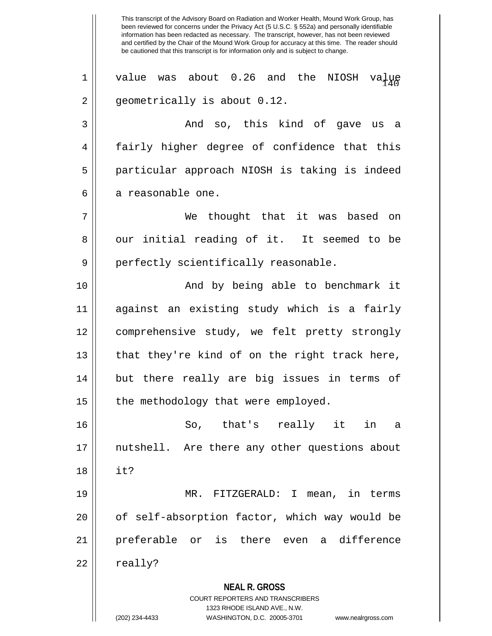**NEAL R. GROSS** COURT REPORTERS AND TRANSCRIBERS 1323 RHODE ISLAND AVE., N.W. been reviewed for concerns under the Privacy Act (5 U.S.C. § 552a) and personally identifiable information has been redacted as necessary. The transcript, however, has not been reviewed and certified by the Chair of the Mound Work Group for accuracy at this time. The reader should be cautioned that this transcript is for information only and is subject to change. 1 || value was about 0.26 and the NIOSH value 2 | geometrically is about 0.12. 3 and so, this kind of gave us a 4 || fairly higher degree of confidence that this 5 particular approach NIOSH is taking is indeed 6 || a reasonable one. 7 We thought that it was based on 8 || our initial reading of it. It seemed to be 9 || perfectly scientifically reasonable. 10 And by being able to benchmark it 11 against an existing study which is a fairly 12 comprehensive study, we felt pretty strongly  $13$  || that they're kind of on the right track here, 14 but there really are big issues in terms of  $15$  | the methodology that were employed. 16 So, that's really it in a 17 nutshell. Are there any other questions about 18 it? 19 MR. FITZGERALD: I mean, in terms 20 || of self-absorption factor, which way would be 21 preferable or is there even a difference  $22 \parallel$  really?

This transcript of the Advisory Board on Radiation and Worker Health, Mound Work Group, has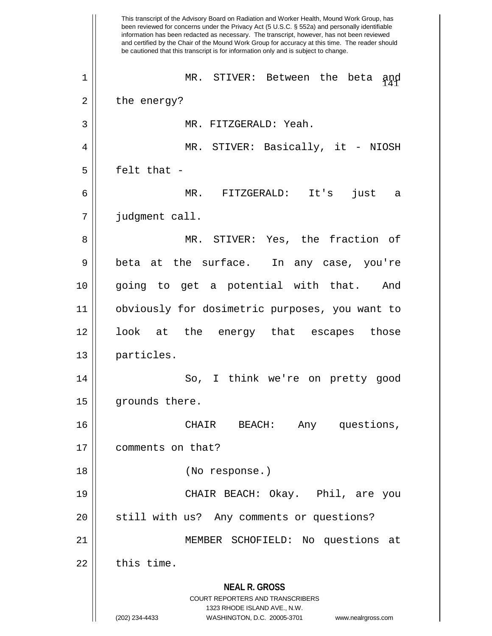**NEAL R. GROSS** COURT REPORTERS AND TRANSCRIBERS 1323 RHODE ISLAND AVE., N.W. (202) 234-4433 WASHINGTON, D.C. 20005-3701 www.nealrgross.com This transcript of the Advisory Board on Radiation and Worker Health, Mound Work Group, has been reviewed for concerns under the Privacy Act (5 U.S.C. § 552a) and personally identifiable information has been redacted as necessary. The transcript, however, has not been reviewed and certified by the Chair of the Mound Work Group for accuracy at this time. The reader should be cautioned that this transcript is for information only and is subject to change. 1 || MR. STIVER: Between the beta and  $2 \parallel$  the energy? 3 MR. FITZGERALD: Yeah. 4 || MR. STIVER: Basically, it - NIOSH  $5 \parallel$  felt that -6 MR. FITZGERALD: It's just a 7 judgment call. 8 MR. STIVER: Yes, the fraction of 9 || beta at the surface. In any case, you're 10 going to get a potential with that. And 11 || obviously for dosimetric purposes, you want to 12 look at the energy that escapes those 13 || particles. 14 || So, I think we're on pretty good 15 | grounds there. 16 CHAIR BEACH: Any questions, 17 | comments on that? 18 (No response.) 19 CHAIR BEACH: Okay. Phil, are you 20 || still with us? Any comments or questions? 21 MEMBER SCHOFIELD: No questions at  $22$   $\parallel$  this time.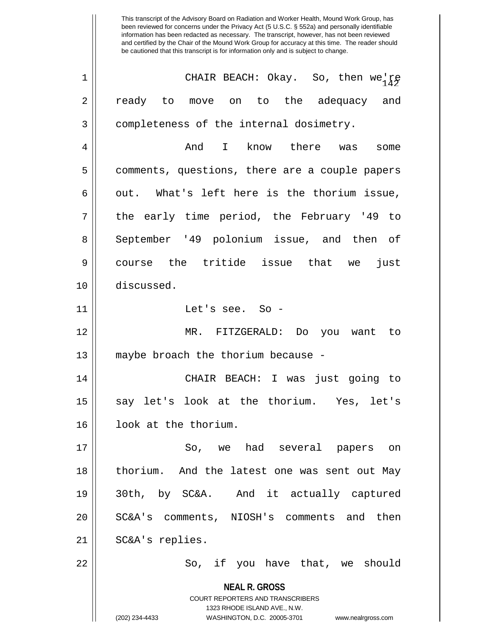**NEAL R. GROSS** COURT REPORTERS AND TRANSCRIBERS 1323 RHODE ISLAND AVE., N.W. (202) 234-4433 WASHINGTON, D.C. 20005-3701 www.nealrgross.com <sup>142</sup> 1 CHAIR BEACH: Okay. So, then we're 2 || ready to move on to the adequacy and 3 || completeness of the internal dosimetry. 4 And I know there was some 5 comments, questions, there are a couple papers  $6 \parallel$  out. What's left here is the thorium issue,  $7 \parallel$  the early time period, the February '49 to 8 September '49 polonium issue, and then of 9 course the tritide issue that we just 10 discussed. 11 Let's see. So - 12 MR. FITZGERALD: Do you want to 13 || maybe broach the thorium because -14 CHAIR BEACH: I was just going to 15 || say let's look at the thorium. Yes, let's 16 | look at the thorium. 17 || So, we had several papers on 18 thorium. And the latest one was sent out May 19 30th, by SC&A. And it actually captured 20 || SC&A's comments, NIOSH's comments and then 21 || SC&A's replies. 22 || So, if you have that, we should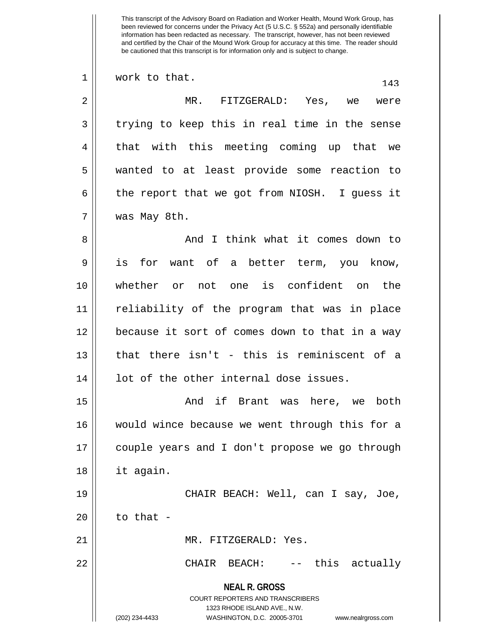**NEAL R. GROSS** COURT REPORTERS AND TRANSCRIBERS 1323 RHODE ISLAND AVE., N.W. (202) 234-4433 WASHINGTON, D.C. 20005-3701 www.nealrgross.com  $1 \parallel$  work to that.  $143$ 2 MR. FITZGERALD: Yes, we were  $3 \parallel$  trying to keep this in real time in the sense 4 || that with this meeting coming up that we 5 wanted to at least provide some reaction to 6  $\parallel$  the report that we got from NIOSH. I guess it 7 was May 8th. 8 || And I think what it comes down to 9 || is for want of a better term, you know, 10 whether or not one is confident on the 11 reliability of the program that was in place 12 because it sort of comes down to that in a way  $13$   $\parallel$  that there isn't - this is reminiscent of a 14 || lot of the other internal dose issues. 15 And if Brant was here, we both 16 would wince because we went through this for a 17 couple years and I don't propose we go through 18 it again. 19 CHAIR BEACH: Well, can I say, Joe,  $20$  | to that -21 MR. FITZGERALD: Yes. 22 CHAIR BEACH: -- this actually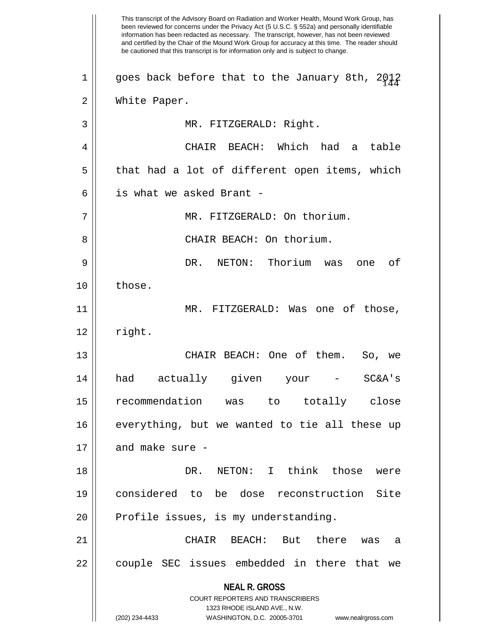**NEAL R. GROSS** COURT REPORTERS AND TRANSCRIBERS 1323 RHODE ISLAND AVE., N.W. (202) 234-4433 WASHINGTON, D.C. 20005-3701 www.nealrgross.com This transcript of the Advisory Board on Radiation and Worker Health, Mound Work Group, has been reviewed for concerns under the Privacy Act (5 U.S.C. § 552a) and personally identifiable information has been redacted as necessary. The transcript, however, has not been reviewed and certified by the Chair of the Mound Work Group for accuracy at this time. The reader should be cautioned that this transcript is for information only and is subject to change. 1  $\parallel$  goes back before that to the January 8th, 2012 2 White Paper. 3 || MR. FITZGERALD: Right. 4 CHAIR BEACH: Which had a table 5 || that had a lot of different open items, which 6 || is what we asked Brant -7 || MR. FITZGERALD: On thorium. 8 CHAIR BEACH: On thorium. 9 DR. NETON: Thorium was one of 10 || those. 11 || MR. FITZGERALD: Was one of those,  $12 \parallel$  right. 13 CHAIR BEACH: One of them. So, we 14 had actually given your - SC&A's 15 recommendation was to totally close 16 || everything, but we wanted to tie all these up  $17$  || and make sure -18 DR. NETON: I think those were 19 considered to be dose reconstruction Site 20 || Profile issues, is my understanding. 21 CHAIR BEACH: But there was a 22 || couple SEC issues embedded in there that we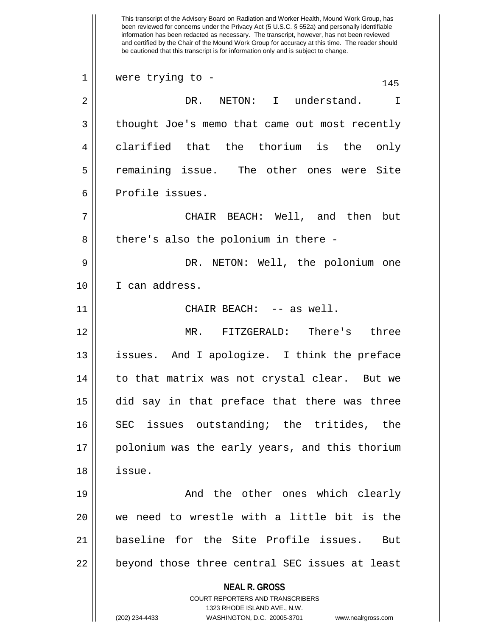**NEAL R. GROSS** COURT REPORTERS AND TRANSCRIBERS 1323 RHODE ISLAND AVE., N.W. (202) 234-4433 WASHINGTON, D.C. 20005-3701 www.nealrgross.com This transcript of the Advisory Board on Radiation and Worker Health, Mound Work Group, has been reviewed for concerns under the Privacy Act (5 U.S.C. § 552a) and personally identifiable information has been redacted as necessary. The transcript, however, has not been reviewed and certified by the Chair of the Mound Work Group for accuracy at this time. The reader should be cautioned that this transcript is for information only and is subject to change.  $1 \parallel$  were trying to -  $145$ 2 DR. NETON: I understand. I 3 | thought Joe's memo that came out most recently 4 clarified that the thorium is the only 5 remaining issue. The other ones were Site 6 Profile issues. 7 CHAIR BEACH: Well, and then but  $8 \parallel$  there's also the polonium in there -9 DR. NETON: Well, the polonium one 10 I can address. 11 CHAIR BEACH: -- as well. 12 MR. FITZGERALD: There's three 13 || issues. And I apologize. I think the preface 14 || to that matrix was not crystal clear. But we 15 did say in that preface that there was three 16 SEC issues outstanding; the tritides, the 17 || polonium was the early years, and this thorium 18 issue. 19 And the other ones which clearly 20 we need to wrestle with a little bit is the 21 baseline for the Site Profile issues. But  $22$   $\vert$  beyond those three central SEC issues at least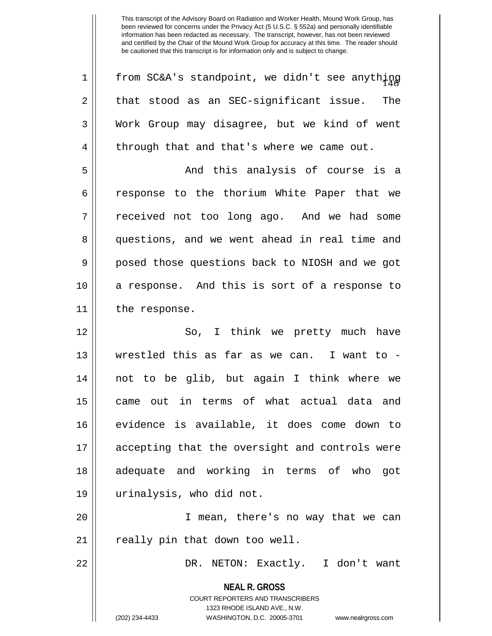| $\mathbf 1$ | from SC&A's standpoint, we didn't see anything                                                                                                               |
|-------------|--------------------------------------------------------------------------------------------------------------------------------------------------------------|
| 2           | that stood as an SEC-significant issue.<br>The                                                                                                               |
| 3           | Work Group may disagree, but we kind of went                                                                                                                 |
| 4           | through that and that's where we came out.                                                                                                                   |
| 5           | And this analysis of course is a                                                                                                                             |
| 6           | response to the thorium White Paper that we                                                                                                                  |
| 7           | received not too long ago. And we had some                                                                                                                   |
| 8           | questions, and we went ahead in real time and                                                                                                                |
| 9           | posed those questions back to NIOSH and we got                                                                                                               |
| 10          | a response. And this is sort of a response to                                                                                                                |
| 11          | the response.                                                                                                                                                |
| 12          | So, I think we pretty much have                                                                                                                              |
| 13          | wrestled this as far as we can. I want to -                                                                                                                  |
| 14          | not to be glib, but again I think where we                                                                                                                   |
| 15          | came out in terms of what actual data and                                                                                                                    |
| 16          | evidence is available, it does come down to                                                                                                                  |
| 17          | accepting that the oversight and controls were                                                                                                               |
| 18          | adequate and working in terms of who<br>got                                                                                                                  |
| 19          | urinalysis, who did not.                                                                                                                                     |
| 20          | I mean, there's no way that we can                                                                                                                           |
| 21          | really pin that down too well.                                                                                                                               |
| 22          | DR. NETON: Exactly. I don't want                                                                                                                             |
|             | <b>NEAL R. GROSS</b><br>COURT REPORTERS AND TRANSCRIBERS<br>1323 RHODE ISLAND AVE., N.W.<br>WASHINGTON, D.C. 20005-3701 www.nealrgross.com<br>(202) 234-4433 |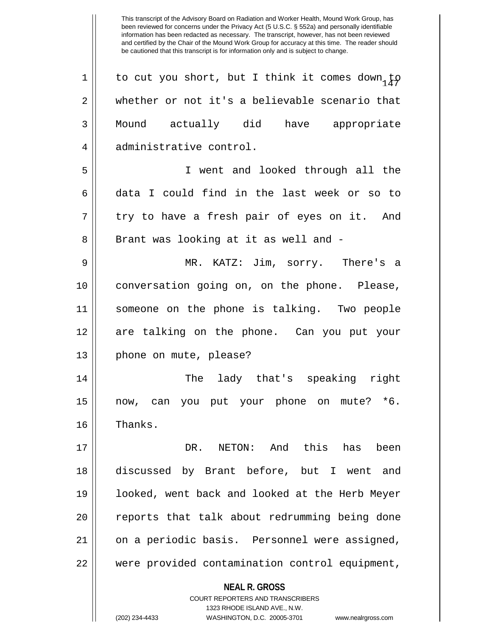**NEAL R. GROSS** COURT REPORTERS AND TRANSCRIBERS 1323 RHODE ISLAND AVE., N.W. 1 | to cut you short, but I think it comes down, to 2 whether or not it's a believable scenario that 3 Mound actually did have appropriate 4 administrative control. 5 I went and looked through all the 6 data I could find in the last week or so to  $7 \parallel$  try to have a fresh pair of eyes on it. And 8 || Brant was looking at it as well and -9 MR. KATZ: Jim, sorry. There's a 10 conversation going on, on the phone. Please, 11 someone on the phone is talking. Two people 12 are talking on the phone. Can you put your 13 || phone on mute, please? 14 The lady that's speaking right 15 now, can you put your phone on mute? \*6. 16 | Thanks. 17 DR. NETON: And this has been 18 discussed by Brant before, but I went and 19 looked, went back and looked at the Herb Meyer 20 || reports that talk about redrumming being done 21 || on a periodic basis. Personnel were assigned, 22 were provided contamination control equipment,

(202) 234-4433 WASHINGTON, D.C. 20005-3701 www.nealrgross.com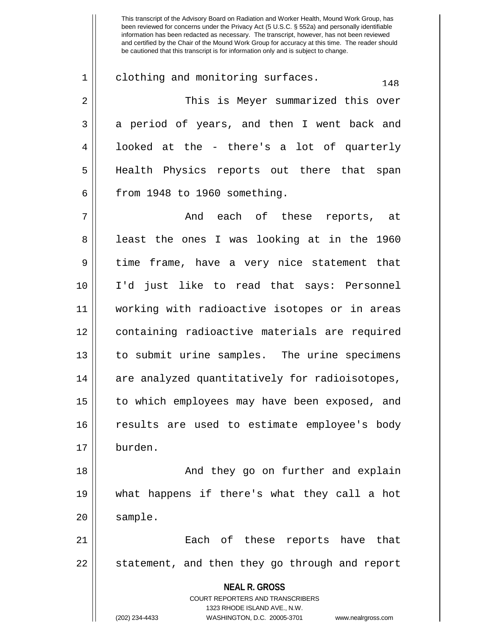$1 \parallel$  clothing and monitoring surfaces. 2 This is Meyer summarized this over 3 a period of years, and then I went back and 4 || looked at the - there's a lot of quarterly 5 Health Physics reports out there that span  $6$  || from 1948 to 1960 something. 7 And each of these reports, at 8 || least the ones I was looking at in the 1960 9 || time frame, have a very nice statement that 10 I'd just like to read that says: Personnel 11 working with radioactive isotopes or in areas 12 containing radioactive materials are required 13 to submit urine samples. The urine specimens

14 || are analyzed quantitatively for radioisotopes, 15 || to which employees may have been exposed, and 16 || results are used to estimate employee's body 17 burden.

18 || And they go on further and explain 19 what happens if there's what they call a hot 20 | sample.

21 Each of these reports have that 22 || statement, and then they go through and report

**NEAL R. GROSS**

COURT REPORTERS AND TRANSCRIBERS 1323 RHODE ISLAND AVE., N.W. (202) 234-4433 WASHINGTON, D.C. 20005-3701 www.nealrgross.com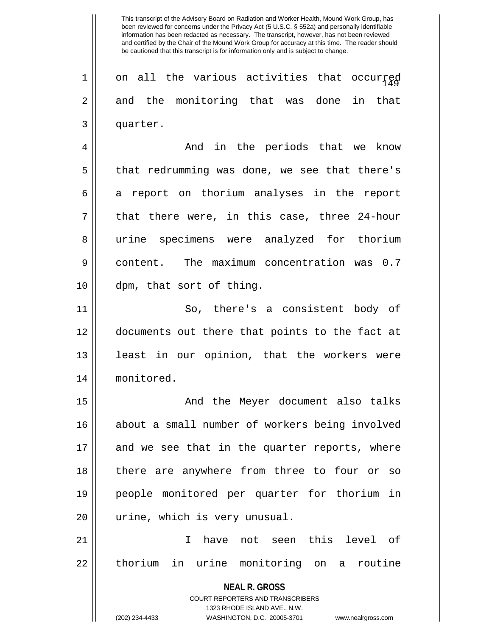$1 \parallel$  on all the various activities that occurred 2 and the monitoring that was done in that 3 quarter.

4 And in the periods that we know 5 || that redrumming was done, we see that there's  $6 \parallel$  a report on thorium analyses in the report  $7 \parallel$  that there were, in this case, three 24-hour 8 urine specimens were analyzed for thorium 9 content. The maximum concentration was 0.7 10 dpm, that sort of thing.

11 || So, there's a consistent body of 12 documents out there that points to the fact at 13 || least in our opinion, that the workers were 14 monitored.

15 || And the Meyer document also talks 16 about a small number of workers being involved 17 and we see that in the quarter reports, where 18 || there are anywhere from three to four or so 19 people monitored per quarter for thorium in 20 || urine, which is very unusual.

21 I have not seen this level of 22 || thorium in urine monitoring on a routine

> **NEAL R. GROSS** COURT REPORTERS AND TRANSCRIBERS 1323 RHODE ISLAND AVE., N.W. (202) 234-4433 WASHINGTON, D.C. 20005-3701 www.nealrgross.com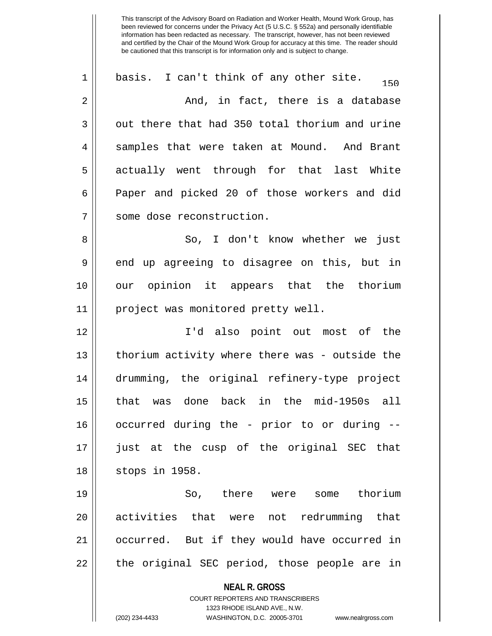**NEAL R. GROSS** COURT REPORTERS AND TRANSCRIBERS 1323 RHODE ISLAND AVE., N.W. (202) 234-4433 WASHINGTON, D.C. 20005-3701 www.nealrgross.com  $1 \parallel$  basis. I can't think of any other site.  $150$  $2 \parallel$  and, in fact, there is a database  $3 \parallel$  out there that had 350 total thorium and urine 4 samples that were taken at Mound. And Brant 5 actually went through for that last White 6 || Paper and picked 20 of those workers and did 7 | some dose reconstruction. 8 So, I don't know whether we just  $9 \parallel$  end up agreeing to disagree on this, but in 10 our opinion it appears that the thorium 11 || project was monitored pretty well. 12 I'd also point out most of the 13 || thorium activity where there was - outside the 14 drumming, the original refinery-type project 15 that was done back in the mid-1950s all 16 occurred during the - prior to or during -- 17 just at the cusp of the original SEC that 18 || stops in 1958. 19 So, there were some thorium 20 activities that were not redrumming that 21 occurred. But if they would have occurred in  $22 \parallel$  the original SEC period, those people are in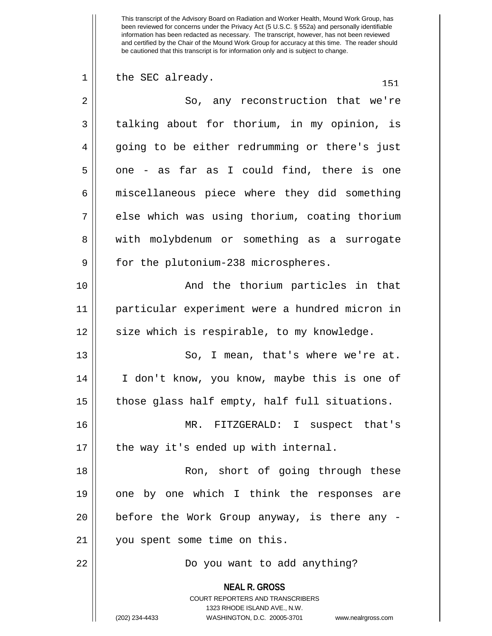**NEAL R. GROSS** COURT REPORTERS AND TRANSCRIBERS 1323 RHODE ISLAND AVE., N.W. (202) 234-4433 WASHINGTON, D.C. 20005-3701 www.nealrgross.com  $1 \parallel$  the SEC already.  $151$ 2 || So, any reconstruction that we're  $3 \parallel$  talking about for thorium, in my opinion, is 4 || going to be either redrumming or there's just  $5 \parallel$  one - as far as I could find, there is one  $6 \parallel$  miscellaneous piece where they did something 7 || else which was using thorium, coating thorium 8 || with molybdenum or something as a surrogate 9 || for the plutonium-238 microspheres. 10 || The Rand the thorium particles in that 11 particular experiment were a hundred micron in 12 || size which is respirable, to my knowledge. 13 || So, I mean, that's where we're at. 14 I don't know, you know, maybe this is one of  $15$  || those glass half empty, half full situations. 16 MR. FITZGERALD: I suspect that's 17 || the way it's ended up with internal. 18 || Ron, short of going through these 19 || one by one which I think the responses are 20 || before the Work Group anyway, is there any -21 | you spent some time on this. 22 Do you want to add anything?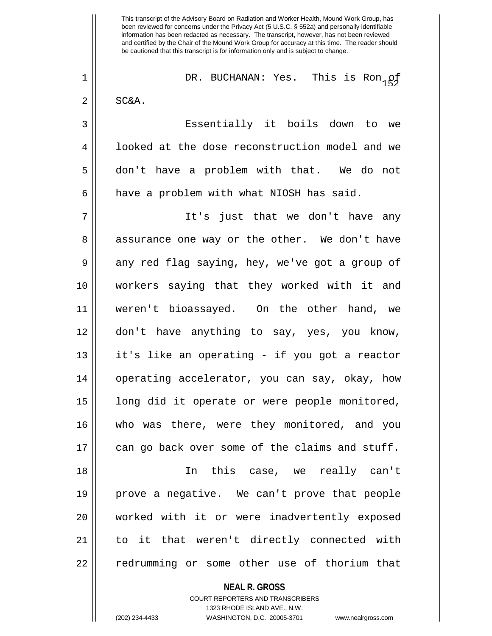<sup>152</sup> 1 DR. BUCHANAN: Yes. This is Ron of  $2 \parallel$  SC&A. 3 Essentially it boils down to we 4 || looked at the dose reconstruction model and we

5 don't have a problem with that. We do not

 $6$  || have a problem with what NIOSH has said.

7 It's just that we don't have any 8 assurance one way or the other. We don't have  $9 \parallel$  any red flag saying, hey, we've got a group of 10 workers saying that they worked with it and 11 weren't bioassayed. On the other hand, we 12 don't have anything to say, yes, you know, 13 it's like an operating - if you got a reactor 14 operating accelerator, you can say, okay, how 15 || long did it operate or were people monitored, 16 who was there, were they monitored, and you  $17$  can go back over some of the claims and stuff. 18 In this case, we really can't 19 prove a negative. We can't prove that people

20 worked with it or were inadvertently exposed 21 to it that weren't directly connected with 22 || redrumming or some other use of thorium that

> **NEAL R. GROSS** COURT REPORTERS AND TRANSCRIBERS 1323 RHODE ISLAND AVE., N.W. (202) 234-4433 WASHINGTON, D.C. 20005-3701 www.nealrgross.com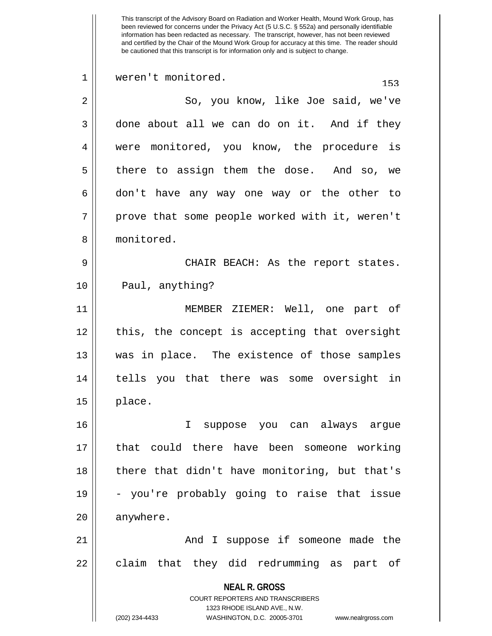This transcript of the Advisory Board on Radiation and Worker Health, Mound Work Group, has been reviewed for concerns under the Privacy Act (5 U.S.C. § 552a) and personally identifiable information has been redacted as necessary. The transcript, however, has not been reviewed and certified by the Chair of the Mound Work Group for accuracy at this time. The reader should be cautioned that this transcript is for information only and is subject to change. 1 weren't monitored. 153 2 || So, you know, like Joe said, we've  $3 \parallel$  done about all we can do on it. And if they 4 were monitored, you know, the procedure is 5 || there to assign them the dose. And so, we 6 don't have any way one way or the other to  $7 \parallel$  prove that some people worked with it, weren't 8 ll monitored. 9 CHAIR BEACH: As the report states. 10 || Paul, anything? 11 MEMBER ZIEMER: Well, one part of 12 || this, the concept is accepting that oversight 13 was in place. The existence of those samples 14 tells you that there was some oversight in  $15$  || place. 16 I suppose you can always argue 17 that could there have been someone working 18 || there that didn't have monitoring, but that's  $19 \parallel$  - you're probably going to raise that issue 20 anywhere. 21 And I suppose if someone made the  $22$  || claim that they did redrumming as part of

> COURT REPORTERS AND TRANSCRIBERS 1323 RHODE ISLAND AVE., N.W.

**NEAL R. GROSS**

(202) 234-4433 WASHINGTON, D.C. 20005-3701 www.nealrgross.com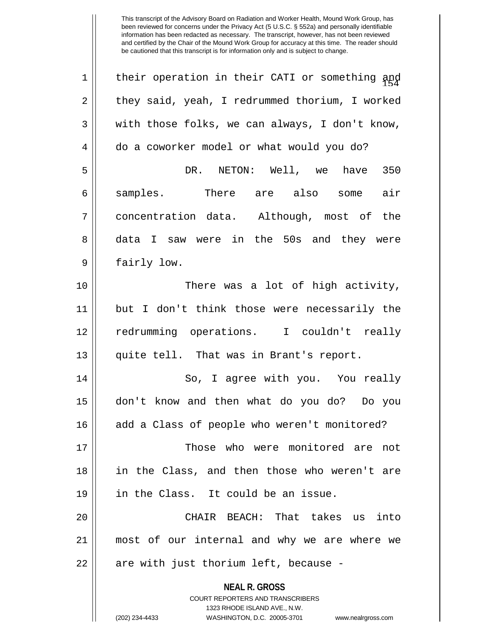| $\mathbf 1$ | their operation in their CATI or something and                      |
|-------------|---------------------------------------------------------------------|
| 2           | they said, yeah, I redrummed thorium, I worked                      |
| 3           | with those folks, we can always, I don't know,                      |
| 4           | do a coworker model or what would you do?                           |
| 5           | DR. NETON: Well, we have<br>350                                     |
| 6           | samples. There are also some<br>air                                 |
| 7           | concentration data. Although, most of the                           |
| 8           | data I saw were in the 50s and they were                            |
| 9           | fairly low.                                                         |
| 10          | There was a lot of high activity,                                   |
| 11          | but I don't think those were necessarily the                        |
| 12          | redrumming operations. I couldn't really                            |
| 13          | quite tell. That was in Brant's report.                             |
| 14          | So, I agree with you. You really                                    |
| 15          | don't know and then what do you do? Do you                          |
| 16          | add a Class of people who weren't monitored?                        |
| 17          | Those who were monitored are<br>not                                 |
| 18          | in the Class, and then those who weren't are                        |
| 19          | in the Class. It could be an issue.                                 |
| 20          | CHAIR BEACH: That takes us<br>into                                  |
| 21          | most of our internal and why we are where we                        |
| 22          | are with just thorium left, because -                               |
|             | <b>NEAL R. GROSS</b>                                                |
|             | COURT REPORTERS AND TRANSCRIBERS                                    |
|             | 1323 RHODE ISLAND AVE., N.W.                                        |
|             | (202) 234-4433<br>WASHINGTON, D.C. 20005-3701<br>www.nealrgross.com |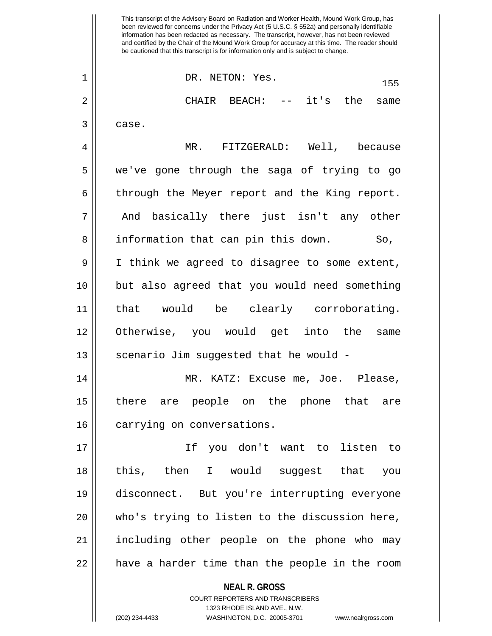**NEAL R. GROSS** COURT REPORTERS AND TRANSCRIBERS This transcript of the Advisory Board on Radiation and Worker Health, Mound Work Group, has been reviewed for concerns under the Privacy Act (5 U.S.C. § 552a) and personally identifiable information has been redacted as necessary. The transcript, however, has not been reviewed and certified by the Chair of the Mound Work Group for accuracy at this time. The reader should be cautioned that this transcript is for information only and is subject to change.  $\begin{array}{c|c}\n 1 & \text{DR. NETON: Yes.} \n\end{array}$ 2 CHAIR BEACH: -- it's the same  $3 \parallel$  case. 4 MR. FITZGERALD: Well, because 5 we've gone through the saga of trying to go  $6 \parallel$  through the Meyer report and the King report. 7 || And basically there just isn't any other 8 || information that can pin this down. So, 9 I think we agreed to disagree to some extent, 10 but also agreed that you would need something 11 that would be clearly corroborating. 12 Otherwise, you would get into the same 13 || scenario Jim suggested that he would -14 MR. KATZ: Excuse me, Joe. Please, 15 there are people on the phone that are 16 | carrying on conversations. 17 If you don't want to listen to 18 this, then I would suggest that you 19 disconnect. But you're interrupting everyone 20 who's trying to listen to the discussion here, 21 including other people on the phone who may  $22$  || have a harder time than the people in the room

1323 RHODE ISLAND AVE., N.W.

(202) 234-4433 WASHINGTON, D.C. 20005-3701 www.nealrgross.com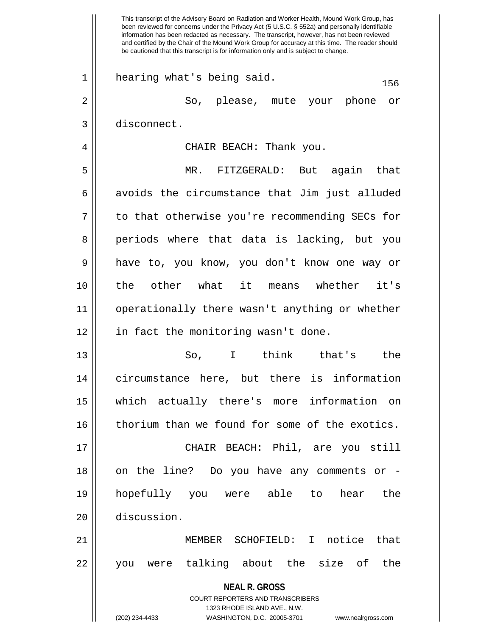**NEAL R. GROSS** COURT REPORTERS AND TRANSCRIBERS 1323 RHODE ISLAND AVE., N.W. (202) 234-4433 WASHINGTON, D.C. 20005-3701 www.nealrgross.com This transcript of the Advisory Board on Radiation and Worker Health, Mound Work Group, has been reviewed for concerns under the Privacy Act (5 U.S.C. § 552a) and personally identifiable information has been redacted as necessary. The transcript, however, has not been reviewed and certified by the Chair of the Mound Work Group for accuracy at this time. The reader should be cautioned that this transcript is for information only and is subject to change.  $1 \parallel$  hearing what's being said.  $156$ 2 So, please, mute your phone or 3 disconnect. 4 CHAIR BEACH: Thank you. 5 MR. FITZGERALD: But again that  $6 \parallel$  avoids the circumstance that Jim just alluded  $7 \parallel$  to that otherwise you're recommending SECs for 8 periods where that data is lacking, but you 9 have to, you know, you don't know one way or 10 the other what it means whether it's 11 operationally there wasn't anything or whether 12 || in fact the monitoring wasn't done. 13 So, I think that's the 14 circumstance here, but there is information 15 which actually there's more information on 16 | thorium than we found for some of the exotics. 17 CHAIR BEACH: Phil, are you still 18 || on the line? Do you have any comments or -19 hopefully you were able to hear the 20 discussion. 21 MEMBER SCHOFIELD: I notice that 22 you were talking about the size of the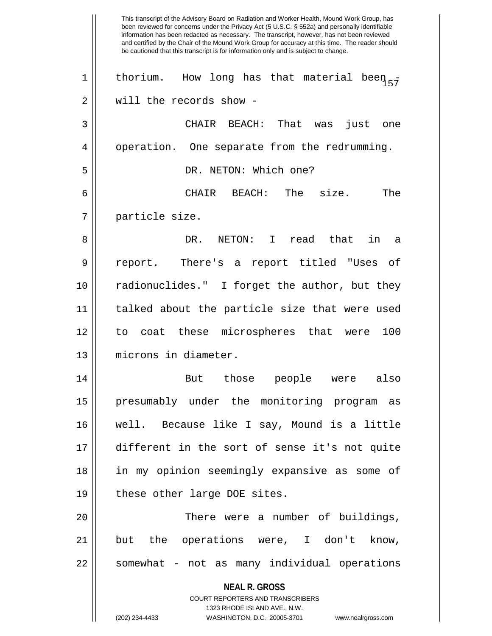**NEAL R. GROSS** COURT REPORTERS AND TRANSCRIBERS 1323 RHODE ISLAND AVE., N.W. (202) 234-4433 WASHINGTON, D.C. 20005-3701 www.nealrgross.com This transcript of the Advisory Board on Radiation and Worker Health, Mound Work Group, has been reviewed for concerns under the Privacy Act (5 U.S.C. § 552a) and personally identifiable information has been redacted as necessary. The transcript, however, has not been reviewed and certified by the Chair of the Mound Work Group for accuracy at this time. The reader should be cautioned that this transcript is for information only and is subject to change. 1 | thorium. How long has that material been  $_{57}$ 2 | will the records show -3 CHAIR BEACH: That was just one 4 | operation. One separate from the redrumming. 5 | DR. NETON: Which one? 6 CHAIR BEACH: The size. The 7 particle size. 8 DR. NETON: I read that in a 9 report. There's a report titled "Uses of 10 radionuclides." I forget the author, but they 11 talked about the particle size that were used 12 to coat these microspheres that were 100 13 microns in diameter. 14 But those people were also 15 presumably under the monitoring program as 16 well. Because like I say, Mound is a little 17 different in the sort of sense it's not quite 18 in my opinion seemingly expansive as some of 19 || these other large DOE sites. 20 There were a number of buildings, 21 but the operations were, I don't know, 22 || somewhat - not as many individual operations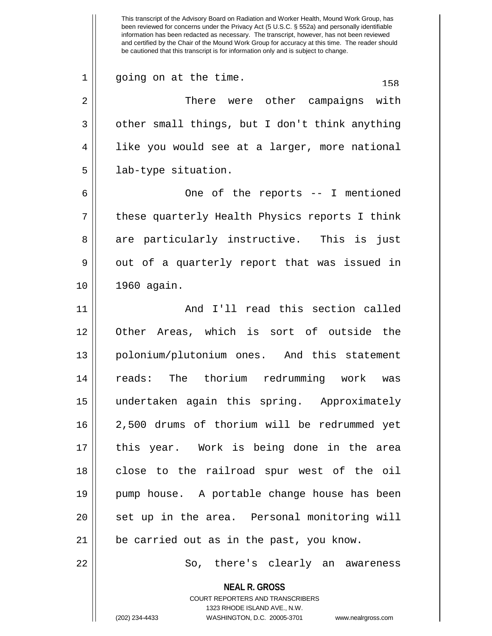**NEAL R. GROSS** COURT REPORTERS AND TRANSCRIBERS 1323 RHODE ISLAND AVE., N.W. been reviewed for concerns under the Privacy Act (5 U.S.C. § 552a) and personally identifiable information has been redacted as necessary. The transcript, however, has not been reviewed and certified by the Chair of the Mound Work Group for accuracy at this time. The reader should be cautioned that this transcript is for information only and is subject to change.  $1 \parallel$  going on at the time.  $158$ 2 There were other campaigns with  $3 \parallel$  other small things, but I don't think anything 4 || like you would see at a larger, more national 5 | lab-type situation. 6 One of the reports -- I mentioned  $7 \parallel$  these quarterly Health Physics reports I think 8 are particularly instructive. This is just  $9 \parallel$  out of a quarterly report that was issued in 10 1960 again. 11 || And I'll read this section called 12 Other Areas, which is sort of outside the 13 || polonium/plutonium ones. And this statement 14 reads: The thorium redrumming work was 15 undertaken again this spring. Approximately 16 2,500 drums of thorium will be redrummed yet 17 this year. Work is being done in the area 18 || close to the railroad spur west of the oil 19 pump house. A portable change house has been 20 || set up in the area. Personal monitoring will  $21$  | be carried out as in the past, you know. 22 So, there's clearly an awareness

This transcript of the Advisory Board on Radiation and Worker Health, Mound Work Group, has

(202) 234-4433 WASHINGTON, D.C. 20005-3701 www.nealrgross.com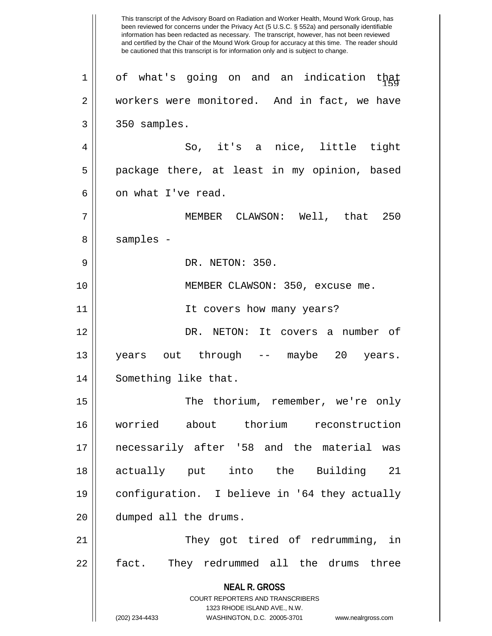**NEAL R. GROSS** COURT REPORTERS AND TRANSCRIBERS 1323 RHODE ISLAND AVE., N.W. (202) 234-4433 WASHINGTON, D.C. 20005-3701 www.nealrgross.com This transcript of the Advisory Board on Radiation and Worker Health, Mound Work Group, has been reviewed for concerns under the Privacy Act (5 U.S.C. § 552a) and personally identifiable information has been redacted as necessary. The transcript, however, has not been reviewed and certified by the Chair of the Mound Work Group for accuracy at this time. The reader should be cautioned that this transcript is for information only and is subject to change.  $1 \parallel$  of what's going on and an indication that 2 workers were monitored. And in fact, we have  $3 \parallel 350$  samples. 4 So, it's a nice, little tight 5 || package there, at least in my opinion, based 6 l on what I've read. 7 MEMBER CLAWSON: Well, that 250 8 | samples -9 DR. NETON: 350. 10 || MEMBER CLAWSON: 350, excuse me. 11 || It covers how many years? 12 DR. NETON: It covers a number of 13 years out through -- maybe 20 years. 14 || Something like that. 15 || The thorium, remember, we're only 16 worried about thorium reconstruction 17 necessarily after '58 and the material was 18 actually put into the Building 21 19 configuration. I believe in '64 they actually 20 | dumped all the drums. 21 || They got tired of redrumming, in 22 || fact. They redrummed all the drums three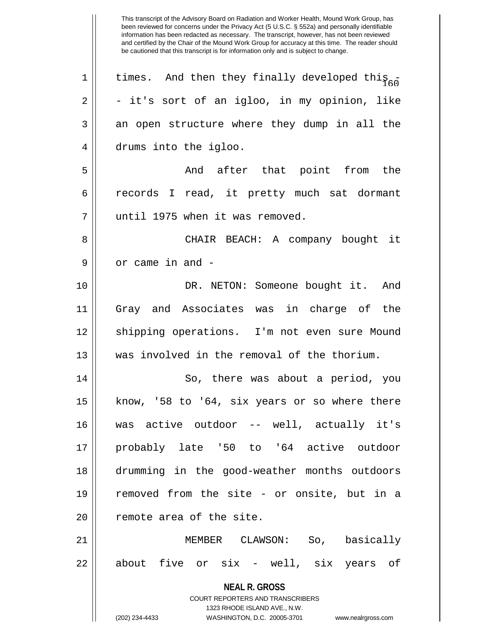| $\mathbf 1$ | times. And then they finally developed this                      |
|-------------|------------------------------------------------------------------|
| 2           | - it's sort of an igloo, in my opinion, like                     |
| 3           | an open structure where they dump in all the                     |
| 4           | drums into the igloo.                                            |
| 5           | And after that point from the                                    |
| 6           | records I read, it pretty much sat dormant                       |
| 7           | until 1975 when it was removed.                                  |
| 8           | CHAIR BEACH: A company bought it                                 |
| 9           | or came in and -                                                 |
| 10          | DR. NETON: Someone bought it. And                                |
| 11          | Gray and Associates was in charge of the                         |
| 12          | shipping operations. I'm not even sure Mound                     |
| 13          | was involved in the removal of the thorium.                      |
| 14          | So, there was about a period, you                                |
| 15          | know, '58 to '64, six years or so where there                    |
| 16          | was active outdoor -- well, actually it's                        |
| 17          | probably late '50 to '64 active outdoor                          |
| 18          | drumming in the good-weather months outdoors                     |
| 19          | removed from the site - or onsite, but in a                      |
| 20          | remote area of the site.                                         |
| 21          | MEMBER CLAWSON: So, basically                                    |
| 22          | about five or six - well, six years of                           |
|             | <b>NEAL R. GROSS</b>                                             |
|             | COURT REPORTERS AND TRANSCRIBERS                                 |
|             | 1323 RHODE ISLAND AVE., N.W.                                     |
|             | (202) 234-4433<br>WASHINGTON, D.C. 20005-3701 www.nealrgross.com |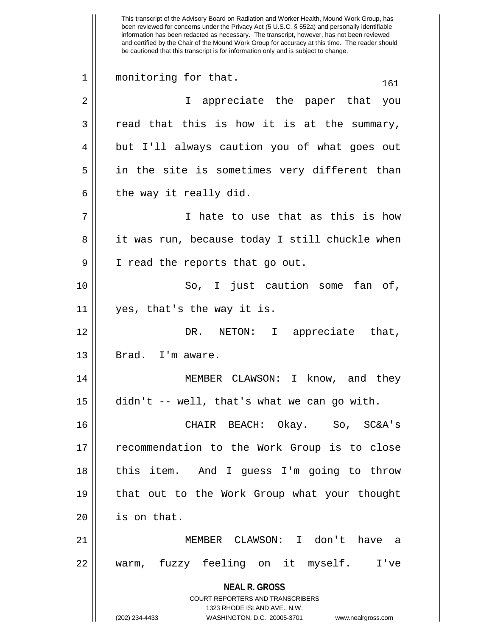**NEAL R. GROSS** COURT REPORTERS AND TRANSCRIBERS 1323 RHODE ISLAND AVE., N.W. (202) 234-4433 WASHINGTON, D.C. 20005-3701 www.nealrgross.com This transcript of the Advisory Board on Radiation and Worker Health, Mound Work Group, has been reviewed for concerns under the Privacy Act (5 U.S.C. § 552a) and personally identifiable information has been redacted as necessary. The transcript, however, has not been reviewed and certified by the Chair of the Mound Work Group for accuracy at this time. The reader should be cautioned that this transcript is for information only and is subject to change. 1 || monitoring for that. 161 2 || T appreciate the paper that you  $3 \parallel$  read that this is how it is at the summary, 4 but I'll always caution you of what goes out 5 in the site is sometimes very different than  $6 \parallel$  the way it really did. 7 || I hate to use that as this is how 8 || it was run, because today I still chuckle when 9 || I read the reports that go out. 10 || So, I just caution some fan of, 11 yes, that's the way it is. 12 DR. NETON: I appreciate that,  $13 \parallel$  Brad. I'm aware. 14 || MEMBER CLAWSON: I know, and they  $15$   $\parallel$  didn't -- well, that's what we can go with. 16 CHAIR BEACH: Okay. So, SC&A's 17 recommendation to the Work Group is to close 18 this item. And I guess I'm going to throw 19 that out to the Work Group what your thought  $20$  | is on that. 21 MEMBER CLAWSON: I don't have a 22 warm, fuzzy feeling on it myself. I've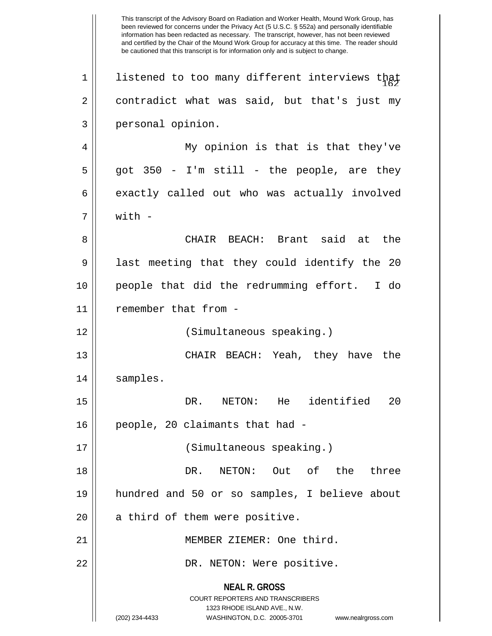**NEAL R. GROSS** COURT REPORTERS AND TRANSCRIBERS 1323 RHODE ISLAND AVE., N.W. (202) 234-4433 WASHINGTON, D.C. 20005-3701 www.nealrgross.com This transcript of the Advisory Board on Radiation and Worker Health, Mound Work Group, has been reviewed for concerns under the Privacy Act (5 U.S.C. § 552a) and personally identifiable information has been redacted as necessary. The transcript, however, has not been reviewed and certified by the Chair of the Mound Work Group for accuracy at this time. The reader should be cautioned that this transcript is for information only and is subject to change.  $1$  | listened to too many different interviews that  $2 \parallel$  contradict what was said, but that's just my 3 personal opinion. 4 || My opinion is that is that they've  $5 \parallel$  got 350 - I'm still - the people, are they  $6 \parallel$  exactly called out who was actually involved  $7 \parallel$  with  $-$ 8 CHAIR BEACH: Brant said at the  $9 \parallel$  last meeting that they could identify the 20 10 people that did the redrumming effort. I do 11 | remember that from -12 (Simultaneous speaking.) 13 CHAIR BEACH: Yeah, they have the 14 samples. 15 DR. NETON: He identified 20 16 people, 20 claimants that had - 17 (Simultaneous speaking.) 18 DR. NETON: Out of the three 19 hundred and 50 or so samples, I believe about  $20$  | a third of them were positive. 21 MEMBER ZIEMER: One third. 22 DR. NETON: Were positive.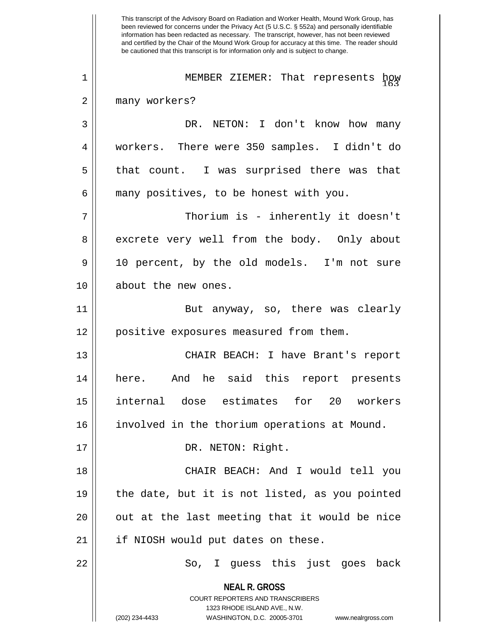**NEAL R. GROSS** COURT REPORTERS AND TRANSCRIBERS 1323 RHODE ISLAND AVE., N.W. (202) 234-4433 WASHINGTON, D.C. 20005-3701 www.nealrgross.com This transcript of the Advisory Board on Radiation and Worker Health, Mound Work Group, has been reviewed for concerns under the Privacy Act (5 U.S.C. § 552a) and personally identifiable information has been redacted as necessary. The transcript, however, has not been reviewed and certified by the Chair of the Mound Work Group for accuracy at this time. The reader should be cautioned that this transcript is for information only and is subject to change. 1 || MEMBER ZIEMER: That represents how 2 || many workers? 3 DR. NETON: I don't know how many 4 workers. There were 350 samples. I didn't do  $5 \parallel$  that count. I was surprised there was that  $6 \parallel$  many positives, to be honest with you. 7 Thorium is - inherently it doesn't 8 excrete very well from the body. Only about 9 10 percent, by the old models. I'm not sure 10 about the new ones. 11 || But anyway, so, there was clearly 12 || positive exposures measured from them. 13 CHAIR BEACH: I have Brant's report 14 here. And he said this report presents 15 internal dose estimates for 20 workers 16 || involved in the thorium operations at Mound. 17 || DR. NETON: Right. 18 CHAIR BEACH: And I would tell you  $19$  || the date, but it is not listed, as you pointed  $20$  || out at the last meeting that it would be nice 21 || if NIOSH would put dates on these. 22 So, I guess this just goes back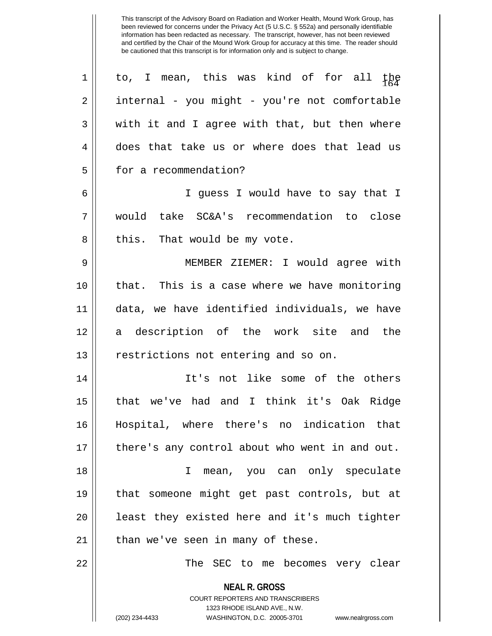| 1  | to, I mean, this was kind of for all the                            |
|----|---------------------------------------------------------------------|
| 2  | internal - you might - you're not comfortable                       |
| 3  | with it and I agree with that, but then where                       |
| 4  | does that take us or where does that lead us                        |
| 5  | for a recommendation?                                               |
| 6  | I guess I would have to say that I                                  |
| 7  | would take SC&A's recommendation to close                           |
| 8  | this. That would be my vote.                                        |
| 9  | MEMBER ZIEMER: I would agree with                                   |
| 10 | that. This is a case where we have monitoring                       |
| 11 | data, we have identified individuals, we have                       |
| 12 | description of the work site and the<br>a                           |
| 13 | restrictions not entering and so on.                                |
| 14 | It's not like some of the others                                    |
| 15 | that we've had and I think it's Oak Ridge                           |
| 16 | Hospital, where there's no indication that                          |
| 17 | there's any control about who went in and out.                      |
| 18 | mean, you can only speculate<br>I                                   |
| 19 | that someone might get past controls, but at                        |
| 20 | least they existed here and it's much tighter                       |
| 21 | than we've seen in many of these.                                   |
| 22 | The SEC to me becomes very clear                                    |
|    | <b>NEAL R. GROSS</b>                                                |
|    | <b>COURT REPORTERS AND TRANSCRIBERS</b>                             |
|    | 1323 RHODE ISLAND AVE., N.W.                                        |
|    | (202) 234-4433<br>WASHINGTON, D.C. 20005-3701<br>www.nealrgross.com |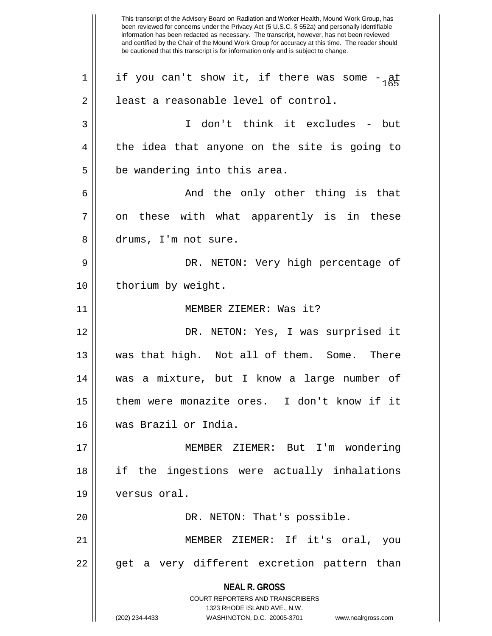**NEAL R. GROSS** COURT REPORTERS AND TRANSCRIBERS 1323 RHODE ISLAND AVE., N.W. (202) 234-4433 WASHINGTON, D.C. 20005-3701 www.nealrgross.com This transcript of the Advisory Board on Radiation and Worker Health, Mound Work Group, has been reviewed for concerns under the Privacy Act (5 U.S.C. § 552a) and personally identifiable information has been redacted as necessary. The transcript, however, has not been reviewed and certified by the Chair of the Mound Work Group for accuracy at this time. The reader should be cautioned that this transcript is for information only and is subject to change. 1 | if you can't show it, if there was some  $-\frac{1}{165}$ 2 | least a reasonable level of control. 3 I don't think it excludes - but  $4 \parallel$  the idea that anyone on the site is going to  $5$  || be wandering into this area. 6 And the only other thing is that  $7 \parallel$  on these with what apparently is in these 8 drums, I'm not sure. 9 DR. NETON: Very high percentage of 10 || thorium by weight. 11 MEMBER ZIEMER: Was it? 12 DR. NETON: Yes, I was surprised it 13 was that high. Not all of them. Some. There 14 was a mixture, but I know a large number of 15 them were monazite ores. I don't know if it 16 was Brazil or India. 17 MEMBER ZIEMER: But I'm wondering 18 if the ingestions were actually inhalations 19 versus oral. 20 DR. NETON: That's possible. 21 MEMBER ZIEMER: If it's oral, you 22 || get a very different excretion pattern than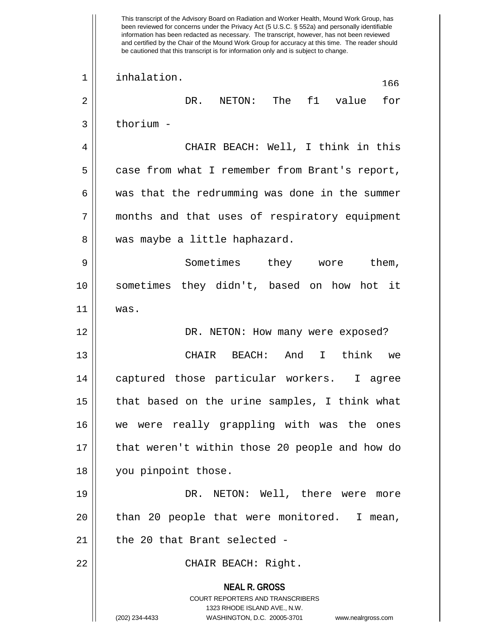**NEAL R. GROSS** COURT REPORTERS AND TRANSCRIBERS 1323 RHODE ISLAND AVE., N.W. (202) 234-4433 WASHINGTON, D.C. 20005-3701 www.nealrgross.com This transcript of the Advisory Board on Radiation and Worker Health, Mound Work Group, has been reviewed for concerns under the Privacy Act (5 U.S.C. § 552a) and personally identifiable information has been redacted as necessary. The transcript, however, has not been reviewed and certified by the Chair of the Mound Work Group for accuracy at this time. The reader should be cautioned that this transcript is for information only and is subject to change. <sup>166</sup> 1 inhalation. 2 DR. NETON: The f1 value for  $3 \parallel$  thorium -4 CHAIR BEACH: Well, I think in this 5 | case from what I remember from Brant's report,  $6 \parallel$  was that the redrumming was done in the summer 7 || months and that uses of respiratory equipment 8 || was maybe a little haphazard. 9 Sometimes they wore them, 10 sometimes they didn't, based on how hot it 11 was. 12 DR. NETON: How many were exposed? 13 CHAIR BEACH: And I think we 14 captured those particular workers. I agree  $15$  || that based on the urine samples, I think what 16 we were really grappling with was the ones 17 || that weren't within those 20 people and how do 18 you pinpoint those. 19 DR. NETON: Well, there were more 20 || than 20 people that were monitored. I mean,  $21$  | the 20 that Brant selected -22 || CHAIR BEACH: Right.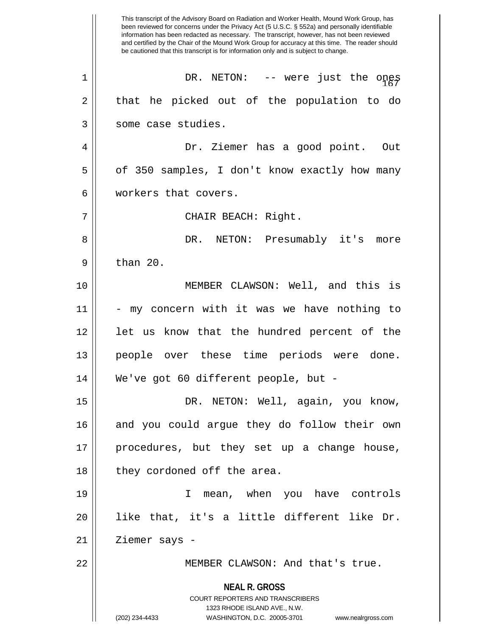**NEAL R. GROSS** COURT REPORTERS AND TRANSCRIBERS 1323 RHODE ISLAND AVE., N.W. (202) 234-4433 WASHINGTON, D.C. 20005-3701 www.nealrgross.com This transcript of the Advisory Board on Radiation and Worker Health, Mound Work Group, has been reviewed for concerns under the Privacy Act (5 U.S.C. § 552a) and personally identifiable information has been redacted as necessary. The transcript, however, has not been reviewed and certified by the Chair of the Mound Work Group for accuracy at this time. The reader should be cautioned that this transcript is for information only and is subject to change.  $1$  | DR. NETON: -- were just the ones  $2 \parallel$  that he picked out of the population to do 3 | some case studies. 4 Dr. Ziemer has a good point. Out 5 | of 350 samples, I don't know exactly how many 6 workers that covers. 7 || CHAIR BEACH: Right. 8 DR. NETON: Presumably it's more  $9 \parallel$  than 20. 10 MEMBER CLAWSON: Well, and this is 11 || - my concern with it was we have nothing to 12 || let us know that the hundred percent of the 13 || people over these time periods were done. 14 We've got 60 different people, but - 15 DR. NETON: Well, again, you know, 16 || and you could argue they do follow their own 17 procedures, but they set up a change house, 18 || they cordoned off the area. 19 I mean, when you have controls 20 like that, it's a little different like Dr.  $21$  | Ziemer says -22 || MEMBER CLAWSON: And that's true.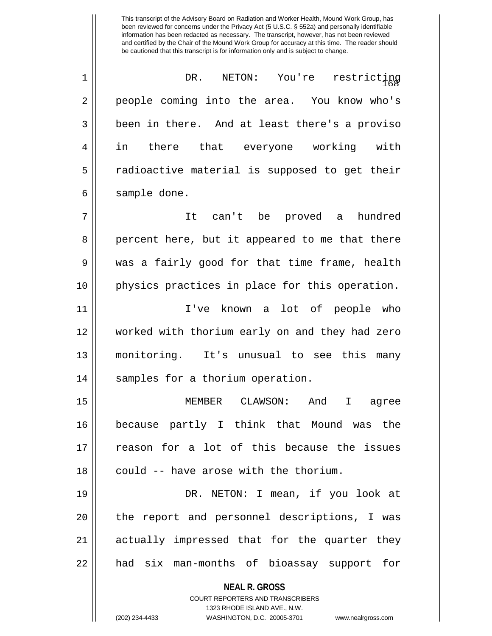<sup>168</sup> 1 DR. NETON: You're restricting 2 || people coming into the area. You know who's  $3 \parallel$  been in there. And at least there's a proviso 4 in there that everyone working with  $5 \parallel$  radioactive material is supposed to get their 6 | sample done.

7 It can't be proved a hundred 8 percent here, but it appeared to me that there 9 was a fairly good for that time frame, health 10 physics practices in place for this operation.

11 I've known a lot of people who 12 worked with thorium early on and they had zero 13 monitoring. It's unusual to see this many 14 || samples for a thorium operation.

15 MEMBER CLAWSON: And I agree 16 because partly I think that Mound was the 17 reason for a lot of this because the issues  $18$  || could -- have arose with the thorium.

19 DR. NETON: I mean, if you look at 20 || the report and personnel descriptions, I was 21 || actually impressed that for the quarter they 22 || had six man-months of bioassay support for

> **NEAL R. GROSS** COURT REPORTERS AND TRANSCRIBERS

> > 1323 RHODE ISLAND AVE., N.W.

(202) 234-4433 WASHINGTON, D.C. 20005-3701 www.nealrgross.com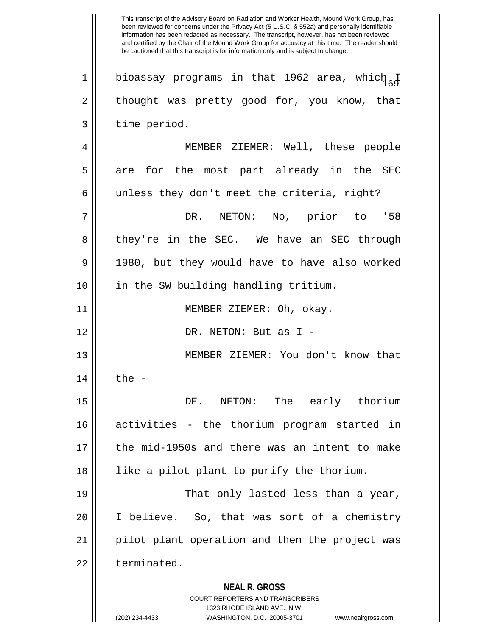**NEAL R. GROSS** COURT REPORTERS AND TRANSCRIBERS 1323 RHODE ISLAND AVE., N.W. (202) 234-4433 WASHINGTON, D.C. 20005-3701 www.nealrgross.com This transcript of the Advisory Board on Radiation and Worker Health, Mound Work Group, has been reviewed for concerns under the Privacy Act (5 U.S.C. § 552a) and personally identifiable information has been redacted as necessary. The transcript, however, has not been reviewed and certified by the Chair of the Mound Work Group for accuracy at this time. The reader should be cautioned that this transcript is for information only and is subject to change. 1 | bioassay programs in that 1962 area, which I  $2 \parallel$  thought was pretty good for, you know, that  $3$  | time period. 4 MEMBER ZIEMER: Well, these people  $5 \parallel$  are for the most part already in the SEC  $6 \parallel$  unless they don't meet the criteria, right? 7 DR. NETON: No, prior to '58 8 they're in the SEC. We have an SEC through 9 || 1980, but they would have to have also worked 10 in the SW building handling tritium. 11 || MEMBER ZIEMER: Oh, okay. 12 DR. NETON: But as I - 13 || MEMBER ZIEMER: You don't know that  $14$   $\parallel$  the  $-$ 15 DE. NETON: The early thorium 16 activities - the thorium program started in 17 the mid-1950s and there was an intent to make 18 like a pilot plant to purify the thorium. 19 That only lasted less than a year, 20 I believe. So, that was sort of a chemistry 21 || pilot plant operation and then the project was 22 l terminated.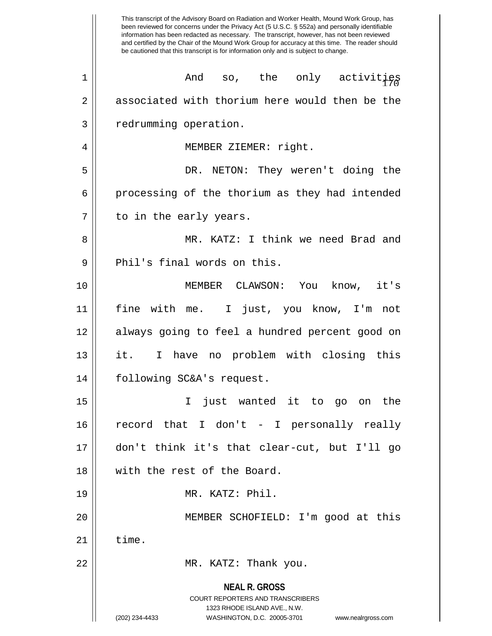**NEAL R. GROSS** COURT REPORTERS AND TRANSCRIBERS 1323 RHODE ISLAND AVE., N.W. (202) 234-4433 WASHINGTON, D.C. 20005-3701 www.nealrgross.com This transcript of the Advisory Board on Radiation and Worker Health, Mound Work Group, has been reviewed for concerns under the Privacy Act (5 U.S.C. § 552a) and personally identifiable information has been redacted as necessary. The transcript, however, has not been reviewed and certified by the Chair of the Mound Work Group for accuracy at this time. The reader should be cautioned that this transcript is for information only and is subject to change.  $1$  |  $\blacksquare$  And so, the only activities 2 associated with thorium here would then be the 3 | redrumming operation. 4 || MEMBER ZIEMER: right. 5 DR. NETON: They weren't doing the  $6 \parallel$  processing of the thorium as they had intended  $7 \parallel$  to in the early years. 8 MR. KATZ: I think we need Brad and 9 || Phil's final words on this. 10 MEMBER CLAWSON: You know, it's 11 fine with me. I just, you know, I'm not 12 always going to feel a hundred percent good on 13 || it. I have no problem with closing this 14 following SC&A's request. 15 I just wanted it to go on the 16 record that I don't - I personally really 17 don't think it's that clear-cut, but I'll go 18 with the rest of the Board. 19 MR. KATZ: Phil. 20 MEMBER SCHOFIELD: I'm good at this  $21$   $\parallel$  time. 22 MR. KATZ: Thank you.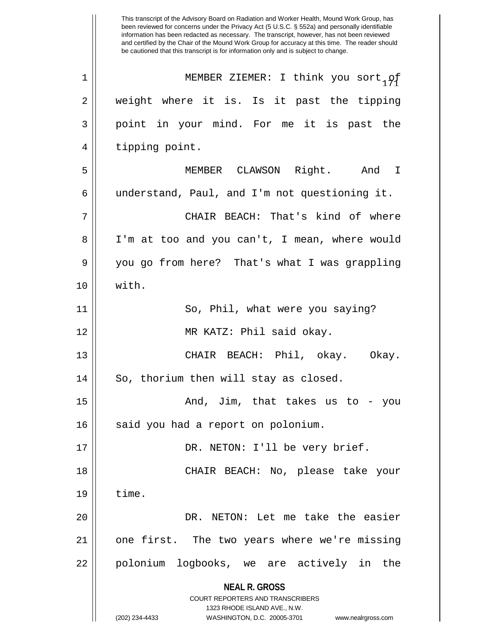**NEAL R. GROSS** COURT REPORTERS AND TRANSCRIBERS 1323 RHODE ISLAND AVE., N.W. (202) 234-4433 WASHINGTON, D.C. 20005-3701 www.nealrgross.com been reviewed for concerns under the Privacy Act (5 U.S.C. § 552a) and personally identifiable information has been redacted as necessary. The transcript, however, has not been reviewed and certified by the Chair of the Mound Work Group for accuracy at this time. The reader should be cautioned that this transcript is for information only and is subject to change. 1 || MEMBER ZIEMER: I think you sort, of 2 || weight where it is. Is it past the tipping 3 || point in your mind. For me it is past the 4 || tipping point. 5 MEMBER CLAWSON Right. And I 6 understand, Paul, and I'm not questioning it. 7 CHAIR BEACH: That's kind of where 8 I'm at too and you can't, I mean, where would 9 you go from here? That's what I was grappling 10 with. 11 || So, Phil, what were you saying? 12 MR KATZ: Phil said okay. 13 || CHAIR BEACH: Phil, okay. Okay. 14 || So, thorium then will stay as closed. 15 And, Jim, that takes us to - you 16 || said you had a report on polonium. 17 || DR. NETON: I'll be very brief. 18 CHAIR BEACH: No, please take your  $19 \parallel$  time. 20 DR. NETON: Let me take the easier 21 one first. The two years where we're missing 22 || polonium logbooks, we are actively in the

This transcript of the Advisory Board on Radiation and Worker Health, Mound Work Group, has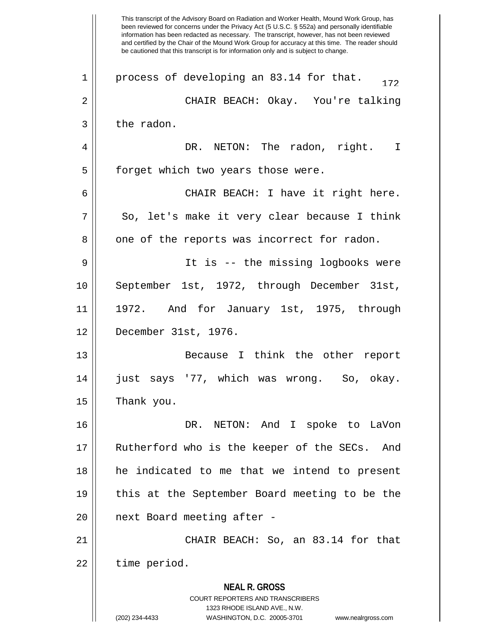**NEAL R. GROSS** COURT REPORTERS AND TRANSCRIBERS 1323 RHODE ISLAND AVE., N.W. (202) 234-4433 WASHINGTON, D.C. 20005-3701 www.nealrgross.com This transcript of the Advisory Board on Radiation and Worker Health, Mound Work Group, has been reviewed for concerns under the Privacy Act (5 U.S.C. § 552a) and personally identifiable information has been redacted as necessary. The transcript, however, has not been reviewed and certified by the Chair of the Mound Work Group for accuracy at this time. The reader should be cautioned that this transcript is for information only and is subject to change. 1 | process of developing an 83.14 for that.  $\frac{172}{172}$ 2 CHAIR BEACH: Okay. You're talking  $3 \parallel$  the radon. 4 DR. NETON: The radon, right. I 5 | forget which two years those were. 6 CHAIR BEACH: I have it right here.  $7 \parallel$  So, let's make it very clear because I think  $8 \parallel$  one of the reports was incorrect for radon. 9 It is -- the missing logbooks were 10 September 1st, 1972, through December 31st, 11 || 1972. And for January 1st, 1975, through 12 December 31st, 1976. 13 Because I think the other report 14 just says '77, which was wrong. So, okay.  $15$  Thank you. 16 DR. NETON: And I spoke to LaVon 17 Rutherford who is the keeper of the SECs. And 18 he indicated to me that we intend to present 19 || this at the September Board meeting to be the 20 || next Board meeting after -21 || CHAIR BEACH: So, an 83.14 for that  $22$  | time period.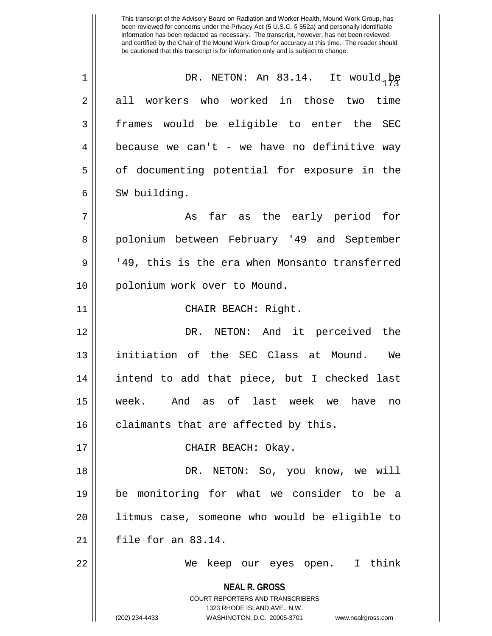This transcript of the Advisory Board on Radiation and Worker Health, Mound Work Group, has been reviewed for concerns under the Privacy Act (5 U.S.C. § 552a) and personally identifiable information has been redacted as necessary. The transcript, however, has not been reviewed and certified by the Chair of the Mound Work Group for accuracy at this time. The reader should be cautioned that this transcript is for information only and is subject to change. 1 || DR. NETON: An 83.14. It would be 2 all workers who worked in those two time 3 || frames would be eligible to enter the SEC  $4 \parallel$  because we can't - we have no definitive way 5 || of documenting potential for exposure in the 6 | SW building. 7 || As far as the early period for 8 || polonium between February '49 and September

9 || '49, this is the era when Monsanto transferred 10 || polonium work over to Mound.

11 || CHAIR BEACH: Right.

12 DR. NETON: And it perceived the 13 initiation of the SEC Class at Mound. We 14 intend to add that piece, but I checked last 15 week. And as of last week we have no  $16$  claimants that are affected by this.

17 CHAIR BEACH: Okay.

18 DR. NETON: So, you know, we will 19 be monitoring for what we consider to be a 20 litmus case, someone who would be eligible to  $21$  | file for an 83.14.

22 We keep our eyes open. I think

**NEAL R. GROSS** COURT REPORTERS AND TRANSCRIBERS

1323 RHODE ISLAND AVE., N.W.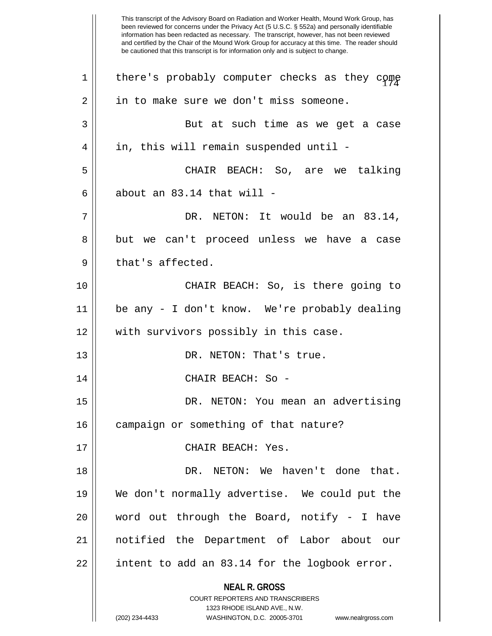**NEAL R. GROSS** COURT REPORTERS AND TRANSCRIBERS 1323 RHODE ISLAND AVE., N.W. (202) 234-4433 WASHINGTON, D.C. 20005-3701 www.nealrgross.com This transcript of the Advisory Board on Radiation and Worker Health, Mound Work Group, has been reviewed for concerns under the Privacy Act (5 U.S.C. § 552a) and personally identifiable information has been redacted as necessary. The transcript, however, has not been reviewed and certified by the Chair of the Mound Work Group for accuracy at this time. The reader should be cautioned that this transcript is for information only and is subject to change.  $1$   $\parallel$  there's probably computer checks as they come  $2 \parallel$  in to make sure we don't miss someone. 3 || But at such time as we get a case 4 | in, this will remain suspended until -5 CHAIR BEACH: So, are we talking 6  $\parallel$  about an 83.14 that will - $7 \parallel$  DR. NETON: It would be an 83.14, 8 but we can't proceed unless we have a case  $9 \parallel$  that's affected. 10 CHAIR BEACH: So, is there going to 11 be any - I don't know. We're probably dealing 12 || with survivors possibly in this case. 13 || DR. NETON: That's true. 14 CHAIR BEACH: So - 15 || DR. NETON: You mean an advertising 16 | campaign or something of that nature? 17 CHAIR BEACH: Yes. 18 DR. NETON: We haven't done that. 19 We don't normally advertise. We could put the 20 word out through the Board, notify - I have 21 notified the Department of Labor about our  $22$  || intent to add an 83.14 for the logbook error.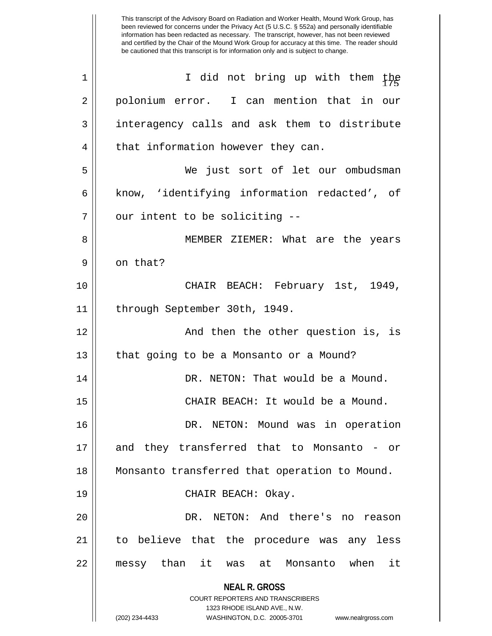**NEAL R. GROSS** COURT REPORTERS AND TRANSCRIBERS 1323 RHODE ISLAND AVE., N.W. (202) 234-4433 WASHINGTON, D.C. 20005-3701 www.nealrgross.com This transcript of the Advisory Board on Radiation and Worker Health, Mound Work Group, has been reviewed for concerns under the Privacy Act (5 U.S.C. § 552a) and personally identifiable information has been redacted as necessary. The transcript, however, has not been reviewed and certified by the Chair of the Mound Work Group for accuracy at this time. The reader should be cautioned that this transcript is for information only and is subject to change. 1 || I did not bring up with them the 2 || polonium error. I can mention that in our 3 | interagency calls and ask them to distribute 4 || that information however they can. 5 We just sort of let our ombudsman 6 || know, 'identifying information redacted', of  $7$  | our intent to be soliciting  $-$ 8 || MEMBER ZIEMER: What are the years 9 || on that? 10 CHAIR BEACH: February 1st, 1949, 11 | through September 30th, 1949. 12 || And then the other question is, is 13 || that going to be a Monsanto or a Mound? 14 DR. NETON: That would be a Mound. 15 CHAIR BEACH: It would be a Mound. 16 DR. NETON: Mound was in operation 17 and they transferred that to Monsanto - or 18 Monsanto transferred that operation to Mound. 19 CHAIR BEACH: Okay. 20 DR. NETON: And there's no reason 21 to believe that the procedure was any less 22 messy than it was at Monsanto when it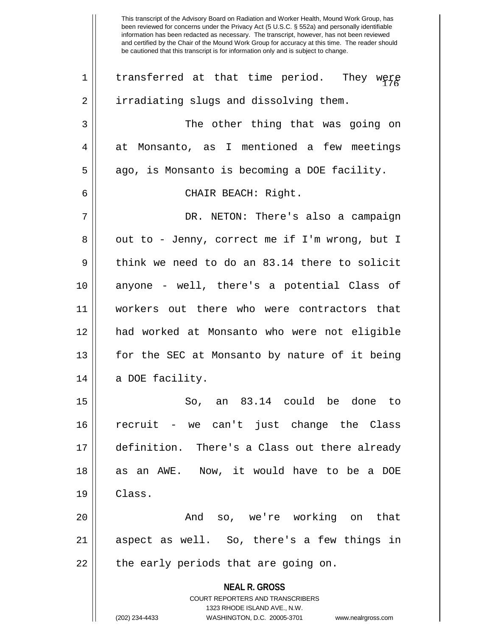**NEAL R. GROSS** COURT REPORTERS AND TRANSCRIBERS 1323 RHODE ISLAND AVE., N.W. (202) 234-4433 WASHINGTON, D.C. 20005-3701 www.nealrgross.com been reviewed for concerns under the Privacy Act (5 U.S.C. § 552a) and personally identifiable information has been redacted as necessary. The transcript, however, has not been reviewed and certified by the Chair of the Mound Work Group for accuracy at this time. The reader should be cautioned that this transcript is for information only and is subject to change. 1 $||$  transferred at that time period. They were 2 | irradiating slugs and dissolving them. 3 The other thing that was going on 4 at Monsanto, as I mentioned a few meetings  $5 \parallel$  ago, is Monsanto is becoming a DOE facility. 6 CHAIR BEACH: Right. 7 DR. NETON: There's also a campaign  $8 \parallel$  out to - Jenny, correct me if I'm wrong, but I  $9 \parallel$  think we need to do an 83.14 there to solicit 10 anyone - well, there's a potential Class of 11 workers out there who were contractors that 12 had worked at Monsanto who were not eligible 13 for the SEC at Monsanto by nature of it being 14 || a DOE facility. 15 || So, an 83.14 could be done to 16 recruit - we can't just change the Class 17 definition. There's a Class out there already 18 || as an AWE. Now, it would have to be a DOE 19 Class. 20 And so, we're working on that 21 aspect as well. So, there's a few things in 22 || the early periods that are going on.

This transcript of the Advisory Board on Radiation and Worker Health, Mound Work Group, has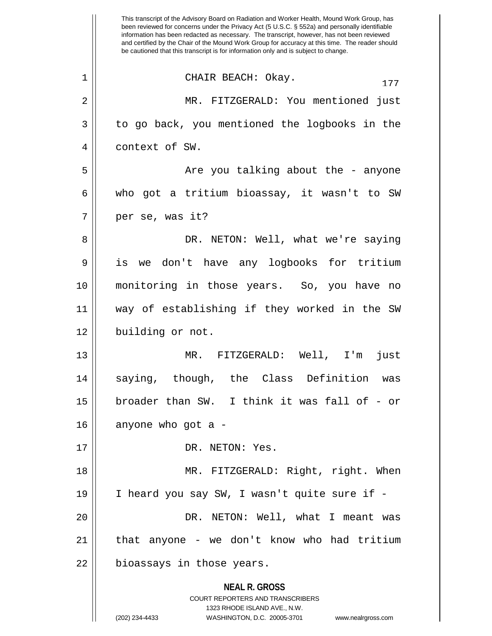**NEAL R. GROSS** COURT REPORTERS AND TRANSCRIBERS 1323 RHODE ISLAND AVE., N.W. (202) 234-4433 WASHINGTON, D.C. 20005-3701 www.nealrgross.com This transcript of the Advisory Board on Radiation and Worker Health, Mound Work Group, has been reviewed for concerns under the Privacy Act (5 U.S.C. § 552a) and personally identifiable information has been redacted as necessary. The transcript, however, has not been reviewed and certified by the Chair of the Mound Work Group for accuracy at this time. The reader should be cautioned that this transcript is for information only and is subject to change.  $\begin{array}{ccc} 1 & \vert & \vert & \end{array}$  CHAIR BEACH: Okay. 2 MR. FITZGERALD: You mentioned just 3 || to go back, you mentioned the logbooks in the 4 || context of SW. 5 Are you talking about the - anyone 6 who got a tritium bioassay, it wasn't to SW 7 || per se, was it? 8 DR. NETON: Well, what we're saying 9 is we don't have any logbooks for tritium 10 monitoring in those years. So, you have no 11 way of establishing if they worked in the SW 12 | building or not. 13 MR. FITZGERALD: Well, I'm just 14 saying, though, the Class Definition was 15 broader than SW. I think it was fall of - or  $16$  | anyone who got a -17 || DR. NETON: Yes. 18 MR. FITZGERALD: Right, right. When 19 I heard you say SW, I wasn't quite sure if - 20 DR. NETON: Well, what I meant was  $21$  | that anyone - we don't know who had tritium 22 | bioassays in those years.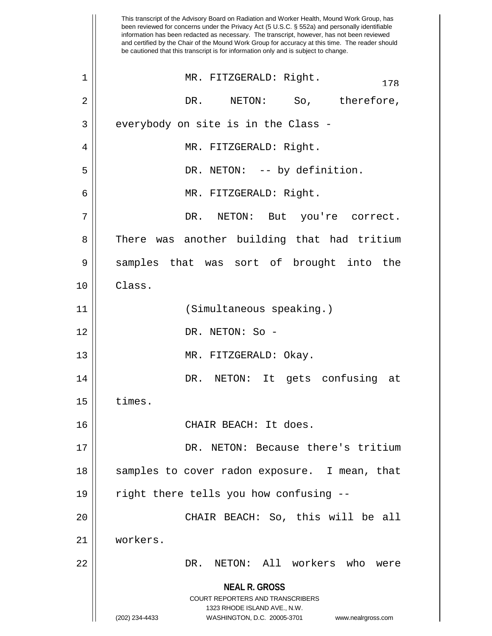**NEAL R. GROSS** COURT REPORTERS AND TRANSCRIBERS 1323 RHODE ISLAND AVE., N.W. (202) 234-4433 WASHINGTON, D.C. 20005-3701 www.nealrgross.com This transcript of the Advisory Board on Radiation and Worker Health, Mound Work Group, has been reviewed for concerns under the Privacy Act (5 U.S.C. § 552a) and personally identifiable information has been redacted as necessary. The transcript, however, has not been reviewed and certified by the Chair of the Mound Work Group for accuracy at this time. The reader should be cautioned that this transcript is for information only and is subject to change. <sup>178</sup> 1 MR. FITZGERALD: Right. 2 DR. NETON: So, therefore,  $3 \parallel$  everybody on site is in the Class -4 MR. FITZGERALD: Right. 5 || DR. NETON: -- by definition. 6 MR. FITZGERALD: Right. 7 DR. NETON: But you're correct. 8 There was another building that had tritium 9 Samples that was sort of brought into the 10 Class. 11 || (Simultaneous speaking.) 12 DR. NETON: So - 13 || MR. FITZGERALD: Okay. 14 DR. NETON: It gets confusing at  $15$   $\parallel$  times. 16 CHAIR BEACH: It does. 17 || DR. NETON: Because there's tritium 18 || samples to cover radon exposure. I mean, that 19 || right there tells you how confusing --20 CHAIR BEACH: So, this will be all 21 workers. 22 DR. NETON: All workers who were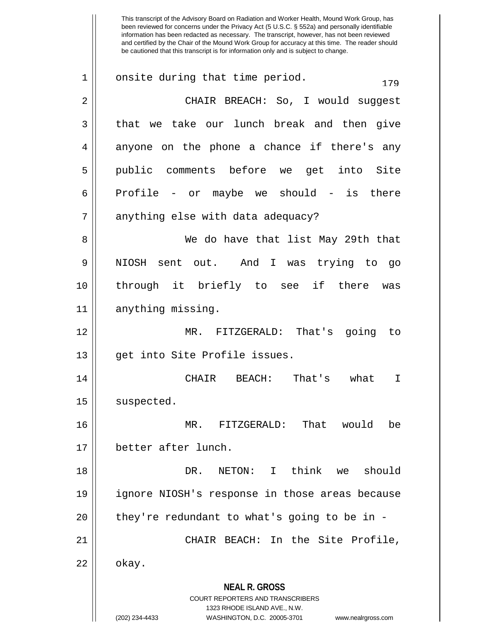**NEAL R. GROSS** COURT REPORTERS AND TRANSCRIBERS 1323 RHODE ISLAND AVE., N.W. This transcript of the Advisory Board on Radiation and Worker Health, Mound Work Group, has been reviewed for concerns under the Privacy Act (5 U.S.C. § 552a) and personally identifiable information has been redacted as necessary. The transcript, however, has not been reviewed and certified by the Chair of the Mound Work Group for accuracy at this time. The reader should be cautioned that this transcript is for information only and is subject to change.  $1 \parallel$  onsite during that time period. 2 CHAIR BREACH: So, I would suggest  $3 \parallel$  that we take our lunch break and then give 4 anyone on the phone a chance if there's any 5 public comments before we get into Site  $6 \parallel$  Profile - or maybe we should - is there  $7 \parallel$  anything else with data adequacy? 8 We do have that list May 29th that 9 NIOSH sent out. And I was trying to go 10 through it briefly to see if there was 11 || anything missing. 12 MR. FITZGERALD: That's going to 13 || get into Site Profile issues. 14 CHAIR BEACH: That's what I  $15$  suspected. 16 MR. FITZGERALD: That would be 17 better after lunch. 18 DR. NETON: I think we should 19 ignore NIOSH's response in those areas because  $20$  || they're redundant to what's going to be in -21 CHAIR BEACH: In the Site Profile,  $22 \parallel$  okay.

(202) 234-4433 WASHINGTON, D.C. 20005-3701 www.nealrgross.com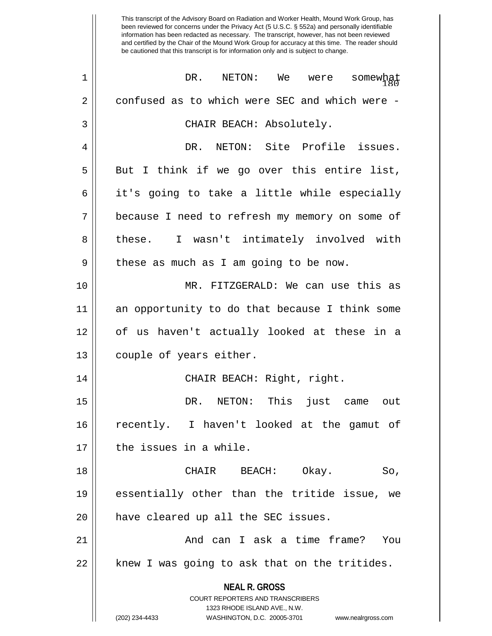**NEAL R. GROSS** COURT REPORTERS AND TRANSCRIBERS 1323 RHODE ISLAND AVE., N.W. (202) 234-4433 WASHINGTON, D.C. 20005-3701 www.nealrgross.com 1 DR. NETON: We were somewhat  $\frac{1}{180}$ 2 confused as to which were SEC and which were -3 CHAIR BEACH: Absolutely. 4 DR. NETON: Site Profile issues.  $5 \parallel$  But I think if we go over this entire list,  $6 \parallel$  it's going to take a little while especially 7 because I need to refresh my memory on some of 8 || these. I wasn't intimately involved with  $9 \parallel$  these as much as I am going to be now. 10 MR. FITZGERALD: We can use this as 11 an opportunity to do that because I think some 12 of us haven't actually looked at these in a 13 | couple of years either. 14 CHAIR BEACH: Right, right. 15 DR. NETON: This just came out 16 recently. I haven't looked at the gamut of 17 l the issues in a while. 18 CHAIR BEACH: Okay. So, 19 essentially other than the tritide issue, we 20 || have cleared up all the SEC issues. 21 And can I ask a time frame? You 22 || knew I was going to ask that on the tritides.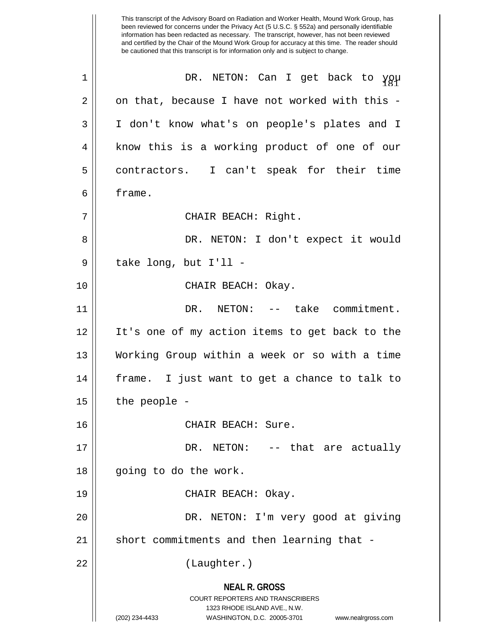**NEAL R. GROSS** COURT REPORTERS AND TRANSCRIBERS 1323 RHODE ISLAND AVE., N.W. (202) 234-4433 WASHINGTON, D.C. 20005-3701 www.nealrgross.com This transcript of the Advisory Board on Radiation and Worker Health, Mound Work Group, has been reviewed for concerns under the Privacy Act (5 U.S.C. § 552a) and personally identifiable information has been redacted as necessary. The transcript, however, has not been reviewed and certified by the Chair of the Mound Work Group for accuracy at this time. The reader should be cautioned that this transcript is for information only and is subject to change.  $1$  || DR. NETON: Can I get back to  $\gamma g \mu$  $2 \parallel$  on that, because I have not worked with this -3 I don't know what's on people's plates and I 4 || know this is a working product of one of our 5 contractors. I can't speak for their time 6 frame. 7 | CHAIR BEACH: Right. 8 DR. NETON: I don't expect it would  $9 \parallel$  take long, but I'll -10 || CHAIR BEACH: Okay. 11 DR. NETON: -- take commitment. 12 It's one of my action items to get back to the 13 Working Group within a week or so with a time 14 frame. I just want to get a chance to talk to  $15$  | the people -16 || CHAIR BEACH: Sure. 17 DR. NETON: -- that are actually 18 || going to do the work. 19 CHAIR BEACH: Okay. 20 DR. NETON: I'm very good at giving  $21$  short commitments and then learning that -22 || (Laughter.)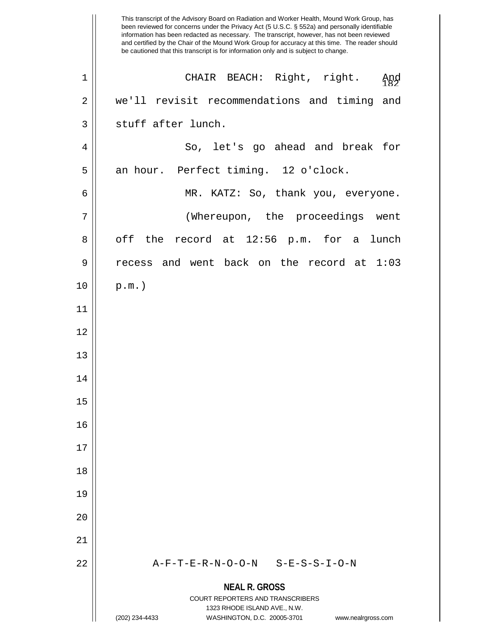|                | This transcript of the Advisory Board on Radiation and Worker Health, Mound Work Group, has<br>been reviewed for concerns under the Privacy Act (5 U.S.C. § 552a) and personally identifiable<br>information has been redacted as necessary. The transcript, however, has not been reviewed<br>and certified by the Chair of the Mound Work Group for accuracy at this time. The reader should<br>be cautioned that this transcript is for information only and is subject to change. |
|----------------|---------------------------------------------------------------------------------------------------------------------------------------------------------------------------------------------------------------------------------------------------------------------------------------------------------------------------------------------------------------------------------------------------------------------------------------------------------------------------------------|
| $\mathbf 1$    | CHAIR BEACH: Right, right.<br>Apg                                                                                                                                                                                                                                                                                                                                                                                                                                                     |
| $\overline{2}$ | we'll revisit recommendations and timing<br>and                                                                                                                                                                                                                                                                                                                                                                                                                                       |
| 3              | stuff after lunch.                                                                                                                                                                                                                                                                                                                                                                                                                                                                    |
| 4              | So, let's go ahead and break for                                                                                                                                                                                                                                                                                                                                                                                                                                                      |
| 5              | an hour. Perfect timing. 12 o'clock.                                                                                                                                                                                                                                                                                                                                                                                                                                                  |
| 6              | MR. KATZ: So, thank you, everyone.                                                                                                                                                                                                                                                                                                                                                                                                                                                    |
| 7              | (Whereupon, the proceedings<br>went                                                                                                                                                                                                                                                                                                                                                                                                                                                   |
| 8              | off<br>the record at 12:56 p.m. for a<br>lunch                                                                                                                                                                                                                                                                                                                                                                                                                                        |
| 9              | recess and went back on the record at 1:03                                                                                                                                                                                                                                                                                                                                                                                                                                            |
| 10             | $p.m.$ )                                                                                                                                                                                                                                                                                                                                                                                                                                                                              |
| 11             |                                                                                                                                                                                                                                                                                                                                                                                                                                                                                       |
| 12             |                                                                                                                                                                                                                                                                                                                                                                                                                                                                                       |
| 13             |                                                                                                                                                                                                                                                                                                                                                                                                                                                                                       |
| 14             |                                                                                                                                                                                                                                                                                                                                                                                                                                                                                       |
| 15             |                                                                                                                                                                                                                                                                                                                                                                                                                                                                                       |
| 16             |                                                                                                                                                                                                                                                                                                                                                                                                                                                                                       |
| 17             |                                                                                                                                                                                                                                                                                                                                                                                                                                                                                       |
| 18             |                                                                                                                                                                                                                                                                                                                                                                                                                                                                                       |
| 19             |                                                                                                                                                                                                                                                                                                                                                                                                                                                                                       |
| 20             |                                                                                                                                                                                                                                                                                                                                                                                                                                                                                       |
| 21             |                                                                                                                                                                                                                                                                                                                                                                                                                                                                                       |
| 22             | A-F-T-E-R-N-O-O-N S-E-S-S-I-O-N                                                                                                                                                                                                                                                                                                                                                                                                                                                       |
|                | <b>NEAL R. GROSS</b>                                                                                                                                                                                                                                                                                                                                                                                                                                                                  |
|                | COURT REPORTERS AND TRANSCRIBERS<br>1323 RHODE ISLAND AVE., N.W.                                                                                                                                                                                                                                                                                                                                                                                                                      |
|                | (202) 234-4433<br>WASHINGTON, D.C. 20005-3701<br>www.nealrgross.com                                                                                                                                                                                                                                                                                                                                                                                                                   |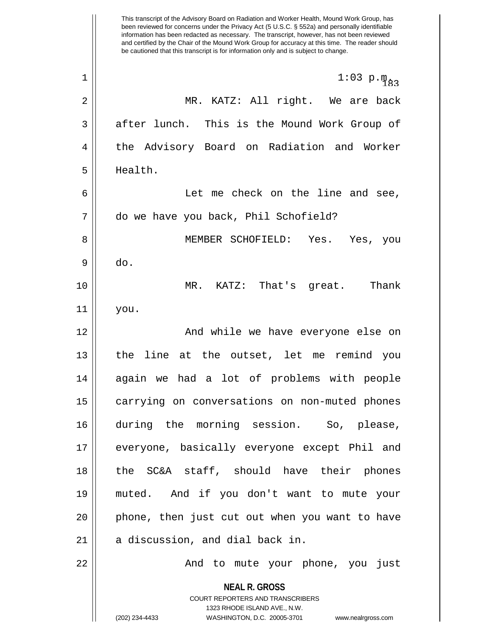**NEAL R. GROSS** COURT REPORTERS AND TRANSCRIBERS 1323 RHODE ISLAND AVE., N.W. (202) 234-4433 WASHINGTON, D.C. 20005-3701 www.nealrgross.com This transcript of the Advisory Board on Radiation and Worker Health, Mound Work Group, has been reviewed for concerns under the Privacy Act (5 U.S.C. § 552a) and personally identifiable information has been redacted as necessary. The transcript, however, has not been reviewed and certified by the Chair of the Mound Work Group for accuracy at this time. The reader should be cautioned that this transcript is for information only and is subject to change. 1 ||  $1:03 \text{ p.} \text{m}_{83}$ 2 MR. KATZ: All right. We are back  $3 \parallel$  after lunch. This is the Mound Work Group of 4 the Advisory Board on Radiation and Worker 5 Health. 6 Let me check on the line and see, 7 do we have you back, Phil Schofield? 8 MEMBER SCHOFIELD: Yes. Yes, you  $9 \parallel$  do. 10 MR. KATZ: That's great. Thank 11 you. 12 || And while we have everyone else on 13 the line at the outset, let me remind you 14 again we had a lot of problems with people 15 | carrying on conversations on non-muted phones 16 during the morning session. So, please, 17 everyone, basically everyone except Phil and 18 the SC&A staff, should have their phones 19 muted. And if you don't want to mute your 20 || phone, then just cut out when you want to have  $21$  | a discussion, and dial back in. 22 And to mute your phone, you just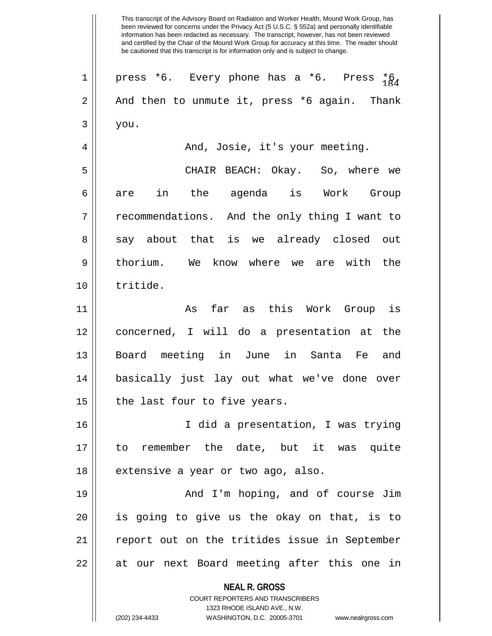**NEAL R. GROSS** COURT REPORTERS AND TRANSCRIBERS 1323 RHODE ISLAND AVE., N.W.  $1$  || press \*6. Every phone has a \*6. Press  ${}^{*}_{1}\&_{4}$  $2 \parallel$  And then to unmute it, press \*6 again. Thank  $3 \parallel$  you. 4 And, Josie, it's your meeting. 5 CHAIR BEACH: Okay. So, where we 6|| are in the agenda is Work Group 7 || recommendations. And the only thing I want to 8 say about that is we already closed out 9 || thorium. We know where we are with the 10 tritide. 11 As far as this Work Group is 12 concerned, I will do a presentation at the 13 Board meeting in June in Santa Fe and 14 basically just lay out what we've done over  $15$  | the last four to five years. 16 I did a presentation, I was trying 17 to remember the date, but it was quite 18 | extensive a year or two ago, also. 19 And I'm hoping, and of course Jim 20 is going to give us the okay on that, is to 21 || report out on the tritides issue in September 22 || at our next Board meeting after this one in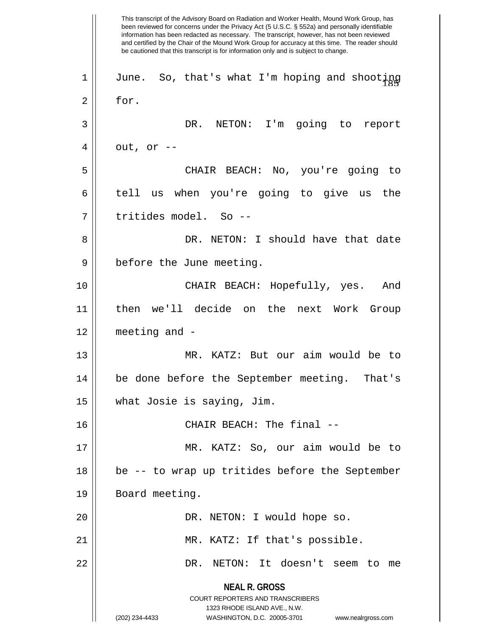**NEAL R. GROSS** COURT REPORTERS AND TRANSCRIBERS 1323 RHODE ISLAND AVE., N.W. (202) 234-4433 WASHINGTON, D.C. 20005-3701 www.nealrgross.com This transcript of the Advisory Board on Radiation and Worker Health, Mound Work Group, has been reviewed for concerns under the Privacy Act (5 U.S.C. § 552a) and personally identifiable information has been redacted as necessary. The transcript, however, has not been reviewed and certified by the Chair of the Mound Work Group for accuracy at this time. The reader should be cautioned that this transcript is for information only and is subject to change.  $1 \parallel$  June. So, that's what I'm hoping and shooting 2 for. 3 DR. NETON: I'm going to report  $4 \parallel$  out, or --5 CHAIR BEACH: No, you're going to 6 tell us when you're going to give us the 7 tritides model. So -- 8 DR. NETON: I should have that date 9 || before the June meeting. 10 CHAIR BEACH: Hopefully, yes. And 11 then we'll decide on the next Work Group 12 meeting and - 13 MR. KATZ: But our aim would be to 14 be done before the September meeting. That's 15 what Josie is saying, Jim. 16 CHAIR BEACH: The final -- 17 MR. KATZ: So, our aim would be to 18 be -- to wrap up tritides before the September 19 | Board meeting. 20 || DR. NETON: I would hope so. 21 || MR. KATZ: If that's possible. 22 DR. NETON: It doesn't seem to me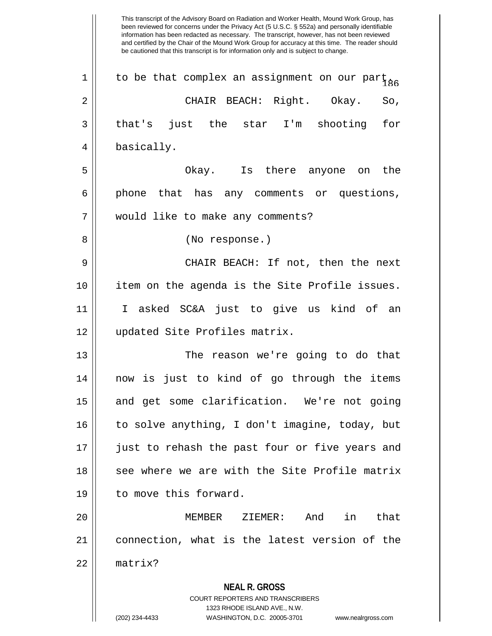**NEAL R. GROSS** COURT REPORTERS AND TRANSCRIBERS 1323 RHODE ISLAND AVE., N.W. been reviewed for concerns under the Privacy Act (5 U.S.C. § 552a) and personally identifiable information has been redacted as necessary. The transcript, however, has not been reviewed and certified by the Chair of the Mound Work Group for accuracy at this time. The reader should be cautioned that this transcript is for information only and is subject to change. 1 | to be that complex an assignment on our part  $_{86}$ 2 CHAIR BEACH: Right. Okay. So,  $3 \parallel$  that's just the star I'm shooting for 4 | basically. 5 Okay. Is there anyone on the  $6 \parallel$  phone that has any comments or questions, 7 would like to make any comments? 8 || (No response.) 9 CHAIR BEACH: If not, then the next 10 item on the agenda is the Site Profile issues. 11 I asked SC&A just to give us kind of an 12 updated Site Profiles matrix. 13 The reason we're going to do that 14 now is just to kind of go through the items 15 || and get some clarification. We're not going  $16$  to solve anything, I don't imagine, today, but 17 || just to rehash the past four or five years and 18 See where we are with the Site Profile matrix 19 | to move this forward. 20 MEMBER ZIEMER: And in that 21 connection, what is the latest version of the 22 matrix?

This transcript of the Advisory Board on Radiation and Worker Health, Mound Work Group, has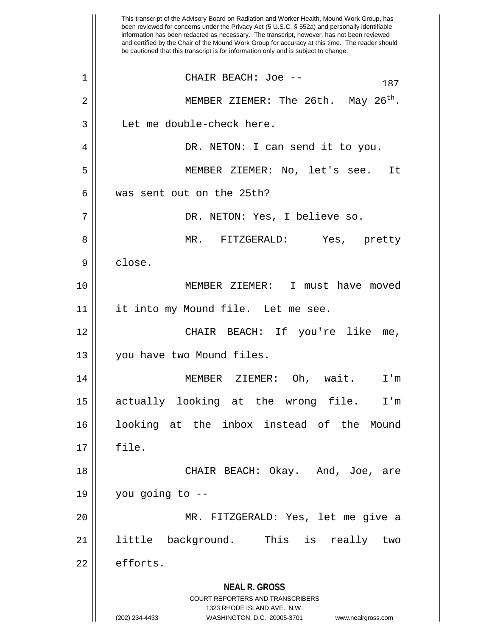**NEAL R. GROSS** COURT REPORTERS AND TRANSCRIBERS 1323 RHODE ISLAND AVE., N.W. (202) 234-4433 WASHINGTON, D.C. 20005-3701 www.nealrgross.com This transcript of the Advisory Board on Radiation and Worker Health, Mound Work Group, has been reviewed for concerns under the Privacy Act (5 U.S.C. § 552a) and personally identifiable information has been redacted as necessary. The transcript, however, has not been reviewed and certified by the Chair of the Mound Work Group for accuracy at this time. The reader should be cautioned that this transcript is for information only and is subject to change. <sup>187</sup> 1 CHAIR BEACH: Joe -- 2  $\parallel$  MEMBER ZIEMER: The 26th. May 26<sup>th</sup>. 3 || Let me double-check here. 4 DR. NETON: I can send it to you. 5 MEMBER ZIEMER: No, let's see. It 6 was sent out on the 25th? 7 DR. NETON: Yes, I believe so. 8 MR. FITZGERALD: Yes, pretty 9 | close. 10 MEMBER ZIEMER: I must have moved 11 || it into my Mound file. Let me see. 12 CHAIR BEACH: If you're like me, 13 || you have two Mound files. 14 MEMBER ZIEMER: Oh, wait. I'm 15 actually looking at the wrong file. I'm 16 looking at the inbox instead of the Mound 17 file. 18 CHAIR BEACH: Okay. And, Joe, are  $19 \parallel$  you going to --20 MR. FITZGERALD: Yes, let me give a 21 little background. This is really two  $22 \parallel$  efforts.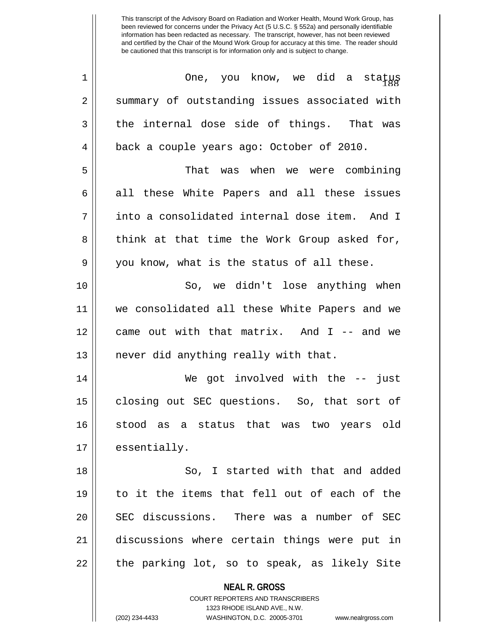| $\mathbf 1$ | One, you know, we did a status                                      |
|-------------|---------------------------------------------------------------------|
| 2           | summary of outstanding issues associated with                       |
| 3           | the internal dose side of things. That was                          |
| 4           | back a couple years ago: October of 2010.                           |
| 5           | That was when we were combining                                     |
| 6           | all these White Papers and all these issues                         |
| 7           | into a consolidated internal dose item. And I                       |
| 8           | think at that time the Work Group asked for,                        |
| 9           | you know, what is the status of all these.                          |
| 10          | So, we didn't lose anything when                                    |
| 11          | we consolidated all these White Papers and we                       |
| 12          | came out with that matrix. And I -- and we                          |
| 13          | never did anything really with that.                                |
| 14          | We got involved with the -- just                                    |
| 15          | closing out SEC questions. So, that sort of                         |
| 16          | stood as a status that was two years old                            |
| 17          | essentially.                                                        |
| 18          | So, I started with that and added                                   |
| 19          | to it the items that fell out of each of the                        |
| 20          | SEC discussions. There was a number of SEC                          |
| 21          | discussions where certain things were put in                        |
| 22          | the parking lot, so to speak, as likely Site                        |
|             | <b>NEAL R. GROSS</b>                                                |
|             | COURT REPORTERS AND TRANSCRIBERS                                    |
|             | 1323 RHODE ISLAND AVE., N.W.                                        |
|             | (202) 234-4433<br>WASHINGTON, D.C. 20005-3701<br>www.nealrgross.com |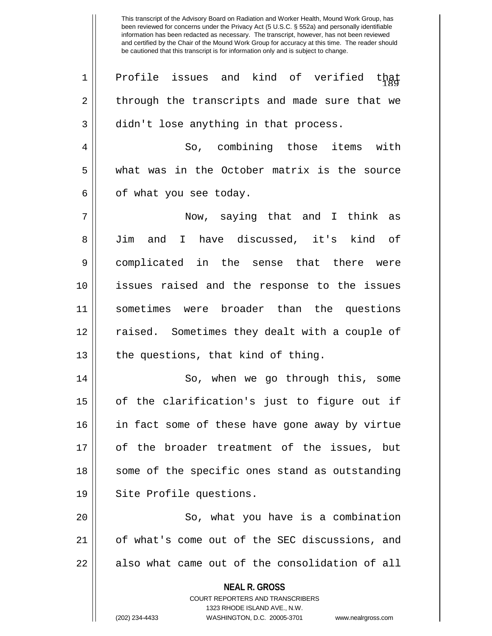$\begin{array}{c} 1 \parallel 1 \end{array}$  Profile issues and kind of verified that 2 through the transcripts and made sure that we  $3 \parallel$  didn't lose anything in that process. 4 So, combining those items with 5 what was in the October matrix is the source  $6 \parallel$  of what you see today. 7 Now, saying that and I think as 8 Jim and I have discussed, it's kind of 9 complicated in the sense that there were 10 issues raised and the response to the issues 11 sometimes were broader than the questions 12 || raised. Sometimes they dealt with a couple of  $13$  | the questions, that kind of thing. 14 || So, when we go through this, some  $15$  || of the clarification's just to figure out if 16 || in fact some of these have gone away by virtue 17 of the broader treatment of the issues, but 18 || some of the specific ones stand as outstanding

19 || Site Profile questions.

20 || So, what you have is a combination 21 || of what's come out of the SEC discussions, and  $22$   $\parallel$  also what came out of the consolidation of all

**NEAL R. GROSS**

COURT REPORTERS AND TRANSCRIBERS 1323 RHODE ISLAND AVE., N.W. (202) 234-4433 WASHINGTON, D.C. 20005-3701 www.nealrgross.com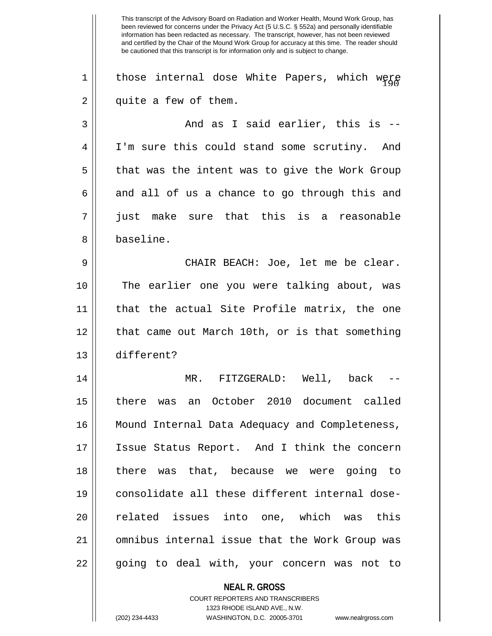**NEAL R. GROSS** This transcript of the Advisory Board on Radiation and Worker Health, Mound Work Group, has been reviewed for concerns under the Privacy Act (5 U.S.C. § 552a) and personally identifiable information has been redacted as necessary. The transcript, however, has not been reviewed and certified by the Chair of the Mound Work Group for accuracy at this time. The reader should be cautioned that this transcript is for information only and is subject to change. 1  $\parallel$  those internal dose White Papers, which were  $2 \parallel$  quite a few of them.  $3 \parallel$  and as I said earlier, this is --4 I'm sure this could stand some scrutiny. And  $5 \parallel$  that was the intent was to give the Work Group  $6 \parallel$  and all of us a chance to go through this and 7 just make sure that this is a reasonable 8 baseline. 9 CHAIR BEACH: Joe, let me be clear. 10 The earlier one you were talking about, was 11 that the actual Site Profile matrix, the one 12 || that came out March 10th, or is that something 13 different? 14 MR. FITZGERALD: Well, back -- 15 there was an October 2010 document called 16 Mound Internal Data Adequacy and Completeness, 17 Issue Status Report. And I think the concern 18 there was that, because we were going to 19 consolidate all these different internal dose-20 || related issues into one, which was this 21 omnibus internal issue that the Work Group was 22 || going to deal with, your concern was not to

> COURT REPORTERS AND TRANSCRIBERS 1323 RHODE ISLAND AVE., N.W.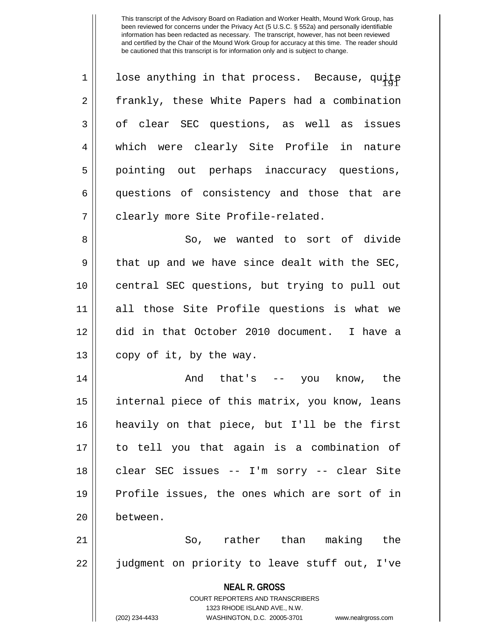| 1  | lose anything in that process. Because, quite  |
|----|------------------------------------------------|
| 2  | frankly, these White Papers had a combination  |
| 3  | of clear SEC questions, as well as issues      |
| 4  | which were clearly Site Profile in nature      |
| 5  | pointing out perhaps inaccuracy questions,     |
| 6  | questions of consistency and those that are    |
| 7  | clearly more Site Profile-related.             |
| 8  | So, we wanted to sort of divide                |
| 9  | that up and we have since dealt with the SEC,  |
| 10 | central SEC questions, but trying to pull out  |
| 11 | all those Site Profile questions is what we    |
| 12 | did in that October 2010 document. I have a    |
| 13 | copy of it, by the way.                        |
| 14 | And that's -- you know, the                    |
| 15 | internal piece of this matrix, you know, leans |
| 16 | heavily on that piece, but I'll be the first   |
| 17 | to tell you that again is a combination of     |
| 18 | clear SEC issues -- I'm sorry -- clear Site    |
| 19 | Profile issues, the ones which are sort of in  |
| 20 | between.                                       |
| 21 | So, rather than making the                     |
| 22 | judgment on priority to leave stuff out, I've  |
|    | <b>NEAL R. GROSS</b>                           |

COURT REPORTERS AND TRANSCRIBERS 1323 RHODE ISLAND AVE., N.W.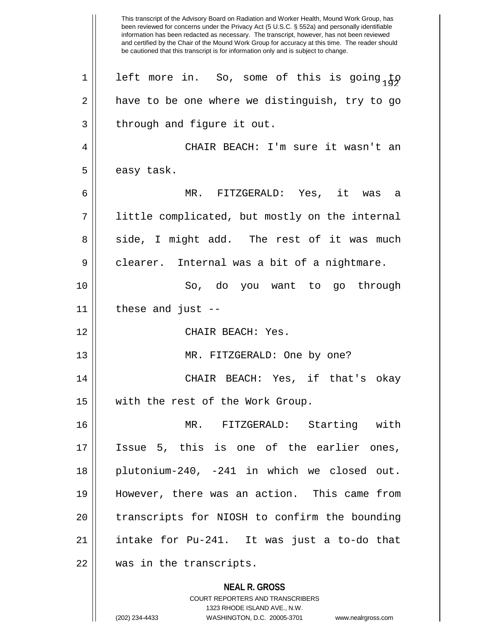**NEAL R. GROSS** COURT REPORTERS AND TRANSCRIBERS This transcript of the Advisory Board on Radiation and Worker Health, Mound Work Group, has been reviewed for concerns under the Privacy Act (5 U.S.C. § 552a) and personally identifiable information has been redacted as necessary. The transcript, however, has not been reviewed and certified by the Chair of the Mound Work Group for accuracy at this time. The reader should be cautioned that this transcript is for information only and is subject to change. 1 || left more in. So, some of this is going to  $2 \parallel$  have to be one where we distinguish, try to go  $3$  | through and figure it out. 4 CHAIR BEACH: I'm sure it wasn't an  $5 \parallel$  easy task. 6 MR. FITZGERALD: Yes, it was a 7 || little complicated, but mostly on the internal 8 side, I might add. The rest of it was much  $9 \parallel$  clearer. Internal was a bit of a nightmare. 10 So, do you want to go through  $11$  | these and just --12 CHAIR BEACH: Yes. 13 || MR. FITZGERALD: One by one? 14 CHAIR BEACH: Yes, if that's okay 15 || with the rest of the Work Group. 16 MR. FITZGERALD: Starting with 17 Issue 5, this is one of the earlier ones, 18 plutonium-240, -241 in which we closed out. 19 However, there was an action. This came from 20 || transcripts for NIOSH to confirm the bounding 21 intake for Pu-241. It was just a to-do that 22 || was in the transcripts.

1323 RHODE ISLAND AVE., N.W.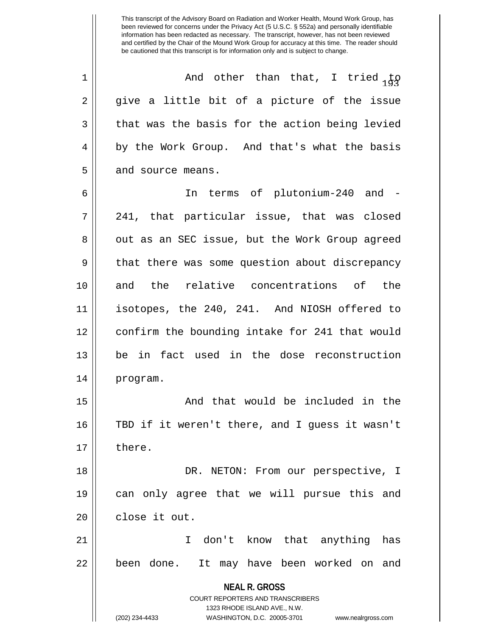<sup>193</sup> 1 And other than that, I tried to  $2 \parallel$  give a little bit of a picture of the issue  $3 \parallel$  that was the basis for the action being levied 4 || by the Work Group. And that's what the basis  $5 \parallel$  and source means.

6 In terms of plutonium-240 and - 7 241, that particular issue, that was closed 8 || out as an SEC issue, but the Work Group agreed 9 || that there was some question about discrepancy 10 and the relative concentrations of the 11 isotopes, the 240, 241. And NIOSH offered to 12 || confirm the bounding intake for 241 that would 13 || be in fact used in the dose reconstruction 14 program.

15 And that would be included in the 16 TBD if it weren't there, and I guess it wasn't 17 ll there.

18 || DR. NETON: From our perspective, I 19 can only agree that we will pursue this and 20 l close it out.

21 I don't know that anything has 22 || been done. It may have been worked on and

> **NEAL R. GROSS** COURT REPORTERS AND TRANSCRIBERS

> > 1323 RHODE ISLAND AVE., N.W.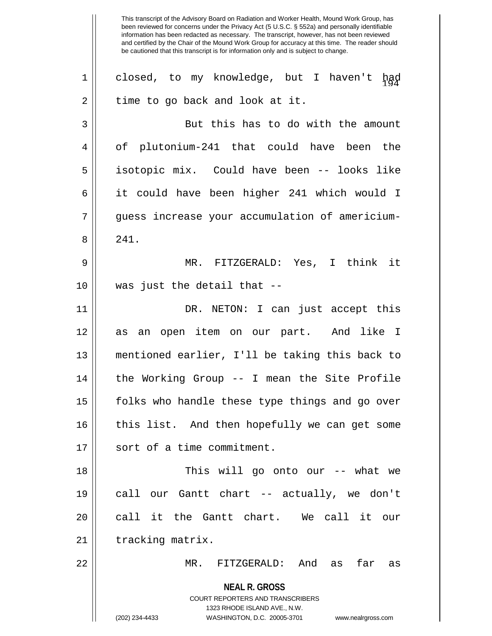**NEAL R. GROSS** COURT REPORTERS AND TRANSCRIBERS 1323 RHODE ISLAND AVE., N.W. (202) 234-4433 WASHINGTON, D.C. 20005-3701 www.nealrgross.com 1|| closed, to my knowledge, but I haven't had  $2 \parallel$  time to go back and look at it. 3 || But this has to do with the amount 4 || of plutonium-241 that could have been the 5 isotopic mix. Could have been -- looks like 6 it could have been higher 241 which would I 7 || quess increase your accumulation of americium-8 || 241. 9 MR. FITZGERALD: Yes, I think it 10 was just the detail that -- 11 DR. NETON: I can just accept this 12 || as an open item on our part. And like I 13 mentioned earlier, I'll be taking this back to 14 || the Working Group -- I mean the Site Profile 15 || folks who handle these type things and go over  $16$  | this list. And then hopefully we can get some 17 || sort of a time commitment. 18 This will go onto our -- what we 19 call our Gantt chart -- actually, we don't 20 || call it the Gantt chart. We call it our 21 | tracking matrix. 22 MR. FITZGERALD: And as far as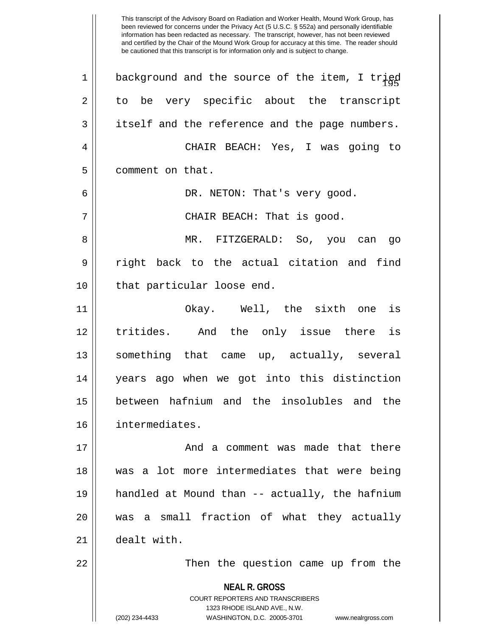**NEAL R. GROSS** COURT REPORTERS AND TRANSCRIBERS 1323 RHODE ISLAND AVE., N.W. 1  $\parallel$  background and the source of the item, I trigd  $2 \parallel$  to be very specific about the transcript  $3 \parallel$  itself and the reference and the page numbers. 4 CHAIR BEACH: Yes, I was going to 5 | comment on that. 6 DR. NETON: That's very good. 7 CHAIR BEACH: That is good. 8 MR. FITZGERALD: So, you can go 9 The right back to the actual citation and find 10 || that particular loose end. 11 Okay. Well, the sixth one is 12 tritides. And the only issue there is 13 something that came up, actually, several 14 years ago when we got into this distinction 15 between hafnium and the insolubles and the 16 intermediates. 17 And a comment was made that there 18 was a lot more intermediates that were being 19 handled at Mound than -- actually, the hafnium 20 was a small fraction of what they actually 21 dealt with. 22 Then the question came up from the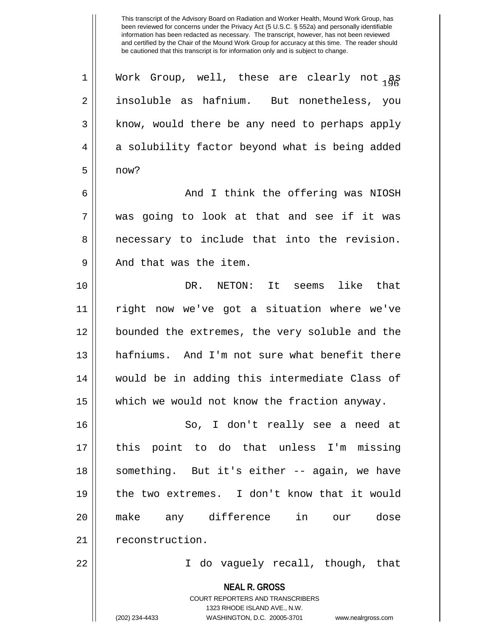1 Work Group, well, these are clearly not  $_{185}$ 2 || insoluble as hafnium. But nonetheless, you 3 || know, would there be any need to perhaps apply 4 a solubility factor beyond what is being added  $5 \parallel$  now?

6 And I think the offering was NIOSH 7 was going to look at that and see if it was 8 || necessary to include that into the revision. 9 || And that was the item.

10 DR. NETON: It seems like that 11 right now we've got a situation where we've 12 bounded the extremes, the very soluble and the 13 || hafniums. And I'm not sure what benefit there 14 would be in adding this intermediate Class of 15 || which we would not know the fraction anyway.

16 So, I don't really see a need at 17 this point to do that unless I'm missing 18 || something. But it's either -- again, we have 19 the two extremes. I don't know that it would 20 make any difference in our dose 21 | reconstruction.

22 I do vaguely recall, though, that

**NEAL R. GROSS**

COURT REPORTERS AND TRANSCRIBERS 1323 RHODE ISLAND AVE., N.W. (202) 234-4433 WASHINGTON, D.C. 20005-3701 www.nealrgross.com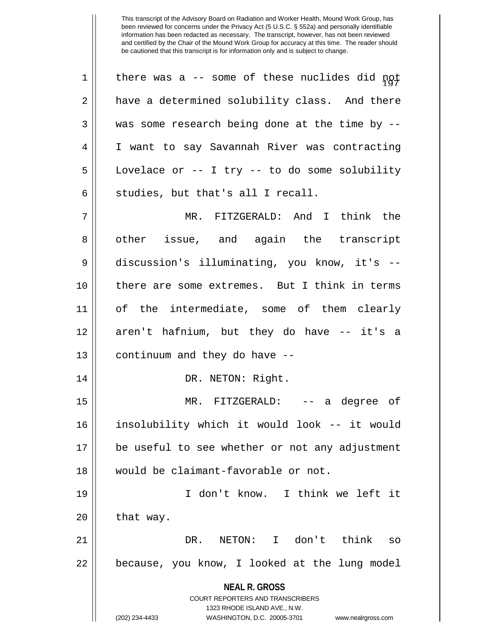**NEAL R. GROSS** COURT REPORTERS AND TRANSCRIBERS 1323 RHODE ISLAND AVE., N.W. (202) 234-4433 WASHINGTON, D.C. 20005-3701 www.nealrgross.com  $1$  | there was a -- some of these nuclides did not 2 a have a determined solubility class. And there 3 || was some research being done at the time by --4 I want to say Savannah River was contracting 5 Lovelace or -- I try -- to do some solubility  $6 \parallel$  studies, but that's all I recall. 7 MR. FITZGERALD: And I think the 8 || other issue, and again the transcript 9 discussion's illuminating, you know, it's -- 10 there are some extremes. But I think in terms 11 of the intermediate, some of them clearly 12 || aren't hafnium, but they do have -- it's a  $13$  | continuum and they do have  $-$ 14 || DR. NETON: Right. 15 MR. FITZGERALD: -- a degree of 16 insolubility which it would look -- it would 17 be useful to see whether or not any adjustment 18 would be claimant-favorable or not. 19 I don't know. I think we left it  $20$  | that way. 21 DR. NETON: I don't think so  $22$  | because, you know, I looked at the lung model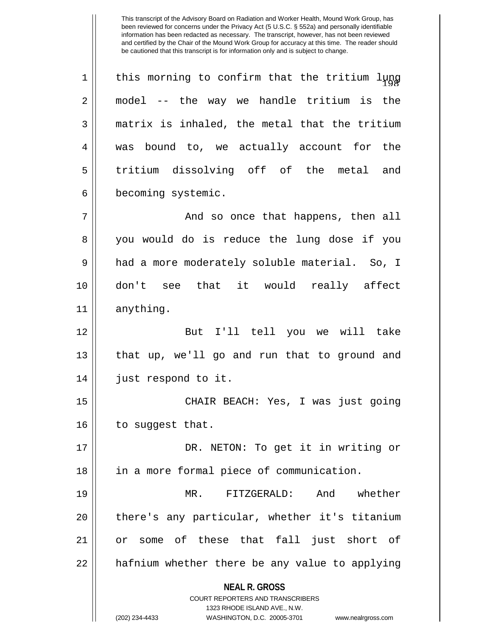**NEAL R. GROSS** COURT REPORTERS AND TRANSCRIBERS 1323 RHODE ISLAND AVE., N.W.  $1$  | this morning to confirm that the tritium lung  $2 \parallel$  model -- the way we handle tritium is the  $3 \parallel$  matrix is inhaled, the metal that the tritium 4 was bound to, we actually account for the 5 tritium dissolving off of the metal and 6 becoming systemic. 7 And so once that happens, then all 8 || you would do is reduce the lung dose if you 9 || had a more moderately soluble material. So, I 10 don't see that it would really affect 11 anything. 12 But I'll tell you we will take 13 || that up, we'll go and run that to ground and 14 just respond to it. 15 CHAIR BEACH: Yes, I was just going  $16$  | to suggest that. 17 || DR. NETON: To get it in writing or 18 || in a more formal piece of communication. 19 MR. FITZGERALD: And whether 20 || there's any particular, whether it's titanium 21 || or some of these that fall just short of  $22$  || hafnium whether there be any value to applying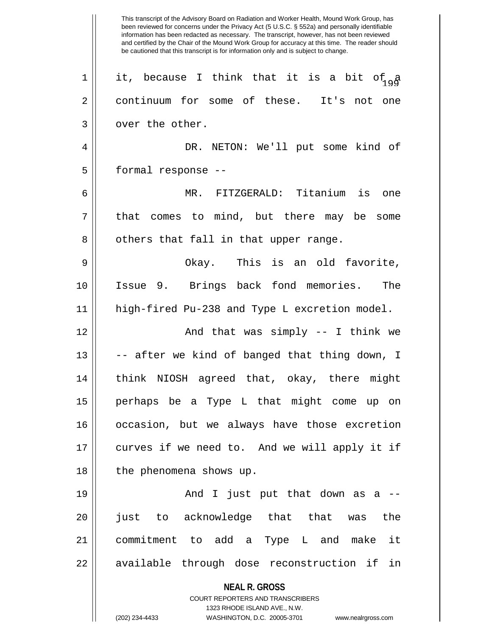**NEAL R. GROSS** COURT REPORTERS AND TRANSCRIBERS 1323 RHODE ISLAND AVE., N.W. (202) 234-4433 WASHINGTON, D.C. 20005-3701 www.nealrgross.com This transcript of the Advisory Board on Radiation and Worker Health, Mound Work Group, has been reviewed for concerns under the Privacy Act (5 U.S.C. § 552a) and personally identifiable information has been redacted as necessary. The transcript, however, has not been reviewed and certified by the Chair of the Mound Work Group for accuracy at this time. The reader should be cautioned that this transcript is for information only and is subject to change. 1 || it, because I think that it is a bit of  $_{9}$  a 2 continuum for some of these. It's not one 3 | over the other. 4 DR. NETON: We'll put some kind of 5 | formal response --6 MR. FITZGERALD: Titanium is one  $7 \parallel$  that comes to mind, but there may be some  $8 \parallel$  others that fall in that upper range. 9 Okay. This is an old favorite, 10 Issue 9. Brings back fond memories. The 11 high-fired Pu-238 and Type L excretion model. 12 And that was simply -- I think we 13 || -- after we kind of banged that thing down, I 14 think NIOSH agreed that, okay, there might 15 perhaps be a Type L that might come up on 16 occasion, but we always have those excretion 17 curves if we need to. And we will apply it if 18 || the phenomena shows up.  $19 \parallel$  and I just put that down as a  $-$ 20 just to acknowledge that that was the 21 commitment to add a Type L and make it 22 || available through dose reconstruction if in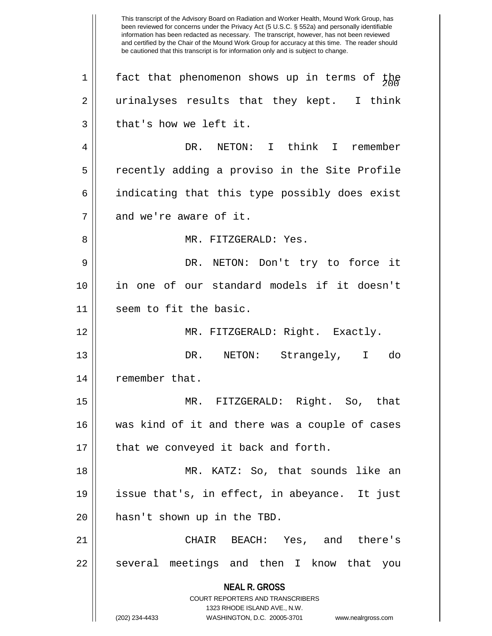**NEAL R. GROSS** COURT REPORTERS AND TRANSCRIBERS 1323 RHODE ISLAND AVE., N.W. (202) 234-4433 WASHINGTON, D.C. 20005-3701 www.nealrgross.com This transcript of the Advisory Board on Radiation and Worker Health, Mound Work Group, has been reviewed for concerns under the Privacy Act (5 U.S.C. § 552a) and personally identifiable information has been redacted as necessary. The transcript, however, has not been reviewed and certified by the Chair of the Mound Work Group for accuracy at this time. The reader should be cautioned that this transcript is for information only and is subject to change. 1  $\parallel$  fact that phenomenon shows up in terms of the 2 || urinalyses results that they kept. I think  $3 \parallel$  that's how we left it. 4 DR. NETON: I think I remember 5 recently adding a proviso in the Site Profile 6 | indicating that this type possibly does exist  $7$  | and we're aware of it. 8 MR. FITZGERALD: Yes. 9 DR. NETON: Don't try to force it 10 in one of our standard models if it doesn't 11 || seem to fit the basic. 12 MR. FITZGERALD: Right. Exactly. 13 DR. NETON: Strangely, I do 14 | remember that. 15 MR. FITZGERALD: Right. So, that 16 was kind of it and there was a couple of cases  $17$  | that we conveyed it back and forth. 18 MR. KATZ: So, that sounds like an 19 issue that's, in effect, in abeyance. It just 20 || hasn't shown up in the TBD. 21 CHAIR BEACH: Yes, and there's 22 || several meetings and then I know that you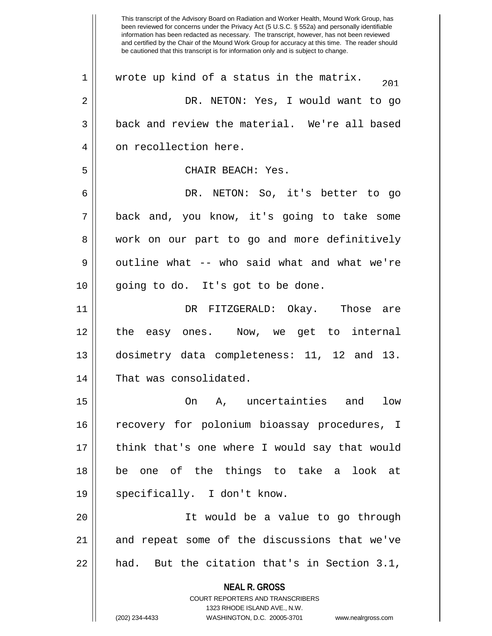**NEAL R. GROSS** COURT REPORTERS AND TRANSCRIBERS 1323 RHODE ISLAND AVE., N.W. (202) 234-4433 WASHINGTON, D.C. 20005-3701 www.nealrgross.com This transcript of the Advisory Board on Radiation and Worker Health, Mound Work Group, has been reviewed for concerns under the Privacy Act (5 U.S.C. § 552a) and personally identifiable information has been redacted as necessary. The transcript, however, has not been reviewed and certified by the Chair of the Mound Work Group for accuracy at this time. The reader should be cautioned that this transcript is for information only and is subject to change.  $1 \parallel$  wrote up kind of a status in the matrix.  $\frac{201}{201}$ 2 DR. NETON: Yes, I would want to go 3 back and review the material. We're all based 4 | on recollection here. 5 CHAIR BEACH: Yes. 6 DR. NETON: So, it's better to go 7 || back and, you know, it's going to take some 8 work on our part to go and more definitively 9 || outline what -- who said what and what we're 10 || going to do. It's got to be done. 11 DR FITZGERALD: Okay. Those are 12 the easy ones. Now, we get to internal 13 dosimetry data completeness: 11, 12 and 13. 14 || That was consolidated. 15 On A, uncertainties and low 16 || recovery for polonium bioassay procedures, I 17 || think that's one where I would say that would 18 be one of the things to take a look at 19 || specifically. I don't know. 20 It would be a value to go through 21 and repeat some of the discussions that we've  $22$  || had. But the citation that's in Section 3.1,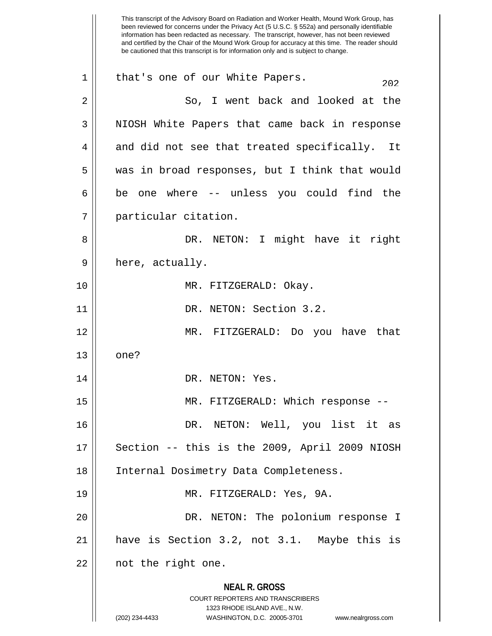**NEAL R. GROSS** COURT REPORTERS AND TRANSCRIBERS 1323 RHODE ISLAND AVE., N.W. (202) 234-4433 WASHINGTON, D.C. 20005-3701 www.nealrgross.com This transcript of the Advisory Board on Radiation and Worker Health, Mound Work Group, has been reviewed for concerns under the Privacy Act (5 U.S.C. § 552a) and personally identifiable information has been redacted as necessary. The transcript, however, has not been reviewed and certified by the Chair of the Mound Work Group for accuracy at this time. The reader should be cautioned that this transcript is for information only and is subject to change. 1 || that's one of our White Papers.  $202$ 2 So, I went back and looked at the 3 || NIOSH White Papers that came back in response 4 || and did not see that treated specifically. It 5 was in broad responses, but I think that would  $6 \parallel$  be one where -- unless you could find the 7 particular citation. 8 DR. NETON: I might have it right 9 || here, actually. 10 || MR. FITZGERALD: Okay. 11 || DR. NETON: Section 3.2. 12 MR. FITZGERALD: Do you have that  $13 \parallel$  one? 14 || DR. NETON: Yes. 15 || MR. FITZGERALD: Which response --16 DR. NETON: Well, you list it as  $17$  | Section -- this is the 2009, April 2009 NIOSH 18 Internal Dosimetry Data Completeness. 19 MR. FITZGERALD: Yes, 9A. 20 DR. NETON: The polonium response I 21 have is Section 3.2, not 3.1. Maybe this is 22 || not the right one.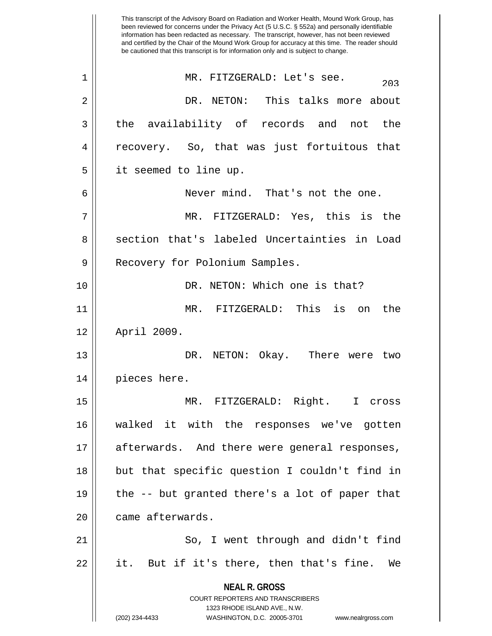**NEAL R. GROSS** COURT REPORTERS AND TRANSCRIBERS 1323 RHODE ISLAND AVE., N.W. (202) 234-4433 WASHINGTON, D.C. 20005-3701 www.nealrgross.com This transcript of the Advisory Board on Radiation and Worker Health, Mound Work Group, has been reviewed for concerns under the Privacy Act (5 U.S.C. § 552a) and personally identifiable information has been redacted as necessary. The transcript, however, has not been reviewed and certified by the Chair of the Mound Work Group for accuracy at this time. The reader should be cautioned that this transcript is for information only and is subject to change.  $203$  MR. FITZGERALD: Let's see.  $203$ 2 DR. NETON: This talks more about 3 the availability of records and not the 4 || recovery. So, that was just fortuitous that 5 it seemed to line up. 6 Never mind. That's not the one. 7 MR. FITZGERALD: Yes, this is the 8 section that's labeled Uncertainties in Load 9 || Recovery for Polonium Samples. 10 DR. NETON: Which one is that? 11 MR. FITZGERALD: This is on the 12 April 2009. 13 DR. NETON: Okay. There were two 14 || pieces here. 15 MR. FITZGERALD: Right. I cross 16 walked it with the responses we've gotten 17 || afterwards. And there were general responses, 18 but that specific question I couldn't find in 19  $\parallel$  the -- but granted there's a lot of paper that 20 came afterwards. 21 || So, I went through and didn't find  $22 \parallel$  it. But if it's there, then that's fine. We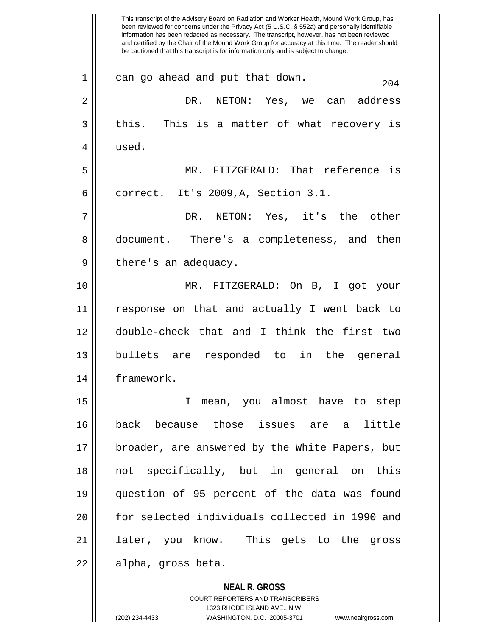**NEAL R. GROSS** been reviewed for concerns under the Privacy Act (5 U.S.C. § 552a) and personally identifiable information has been redacted as necessary. The transcript, however, has not been reviewed and certified by the Chair of the Mound Work Group for accuracy at this time. The reader should be cautioned that this transcript is for information only and is subject to change.  $204$  can go ahead and put that down. 2 DR. NETON: Yes, we can address  $3 \parallel$  this. This is a matter of what recovery is 4 used. 5 MR. FITZGERALD: That reference is  $6 \parallel$  correct. It's 2009, A, Section 3.1. 7 DR. NETON: Yes, it's the other 8 document. There's a completeness, and then  $9 \parallel$  there's an adequacy. 10 MR. FITZGERALD: On B, I got your 11 response on that and actually I went back to 12 double-check that and I think the first two 13 bullets are responded to in the general 14 framework. 15 I mean, you almost have to step 16 back because those issues are a little 17 || broader, are answered by the White Papers, but 18 not specifically, but in general on this 19 question of 95 percent of the data was found 20 for selected individuals collected in 1990 and 21 || later, you know. This gets to the gross 22 | alpha, gross beta.

This transcript of the Advisory Board on Radiation and Worker Health, Mound Work Group, has

1323 RHODE ISLAND AVE., N.W. (202) 234-4433 WASHINGTON, D.C. 20005-3701 www.nealrgross.com

COURT REPORTERS AND TRANSCRIBERS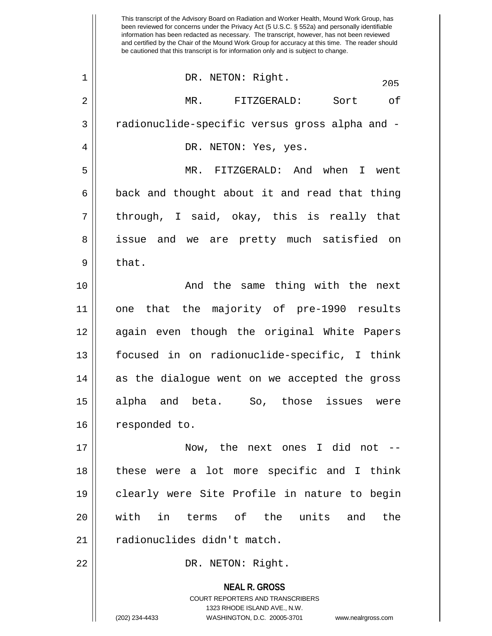|                | This transcript of the Advisory Board on Radiation and Worker Health, Mound Work Group, has<br>been reviewed for concerns under the Privacy Act (5 U.S.C. § 552a) and personally identifiable<br>information has been redacted as necessary. The transcript, however, has not been reviewed<br>and certified by the Chair of the Mound Work Group for accuracy at this time. The reader should<br>be cautioned that this transcript is for information only and is subject to change. |
|----------------|---------------------------------------------------------------------------------------------------------------------------------------------------------------------------------------------------------------------------------------------------------------------------------------------------------------------------------------------------------------------------------------------------------------------------------------------------------------------------------------|
| $\mathbf 1$    | DR. NETON: Right.<br>205                                                                                                                                                                                                                                                                                                                                                                                                                                                              |
| $\overline{2}$ | MR.<br>FITZGERALD:<br>Sort<br>оf                                                                                                                                                                                                                                                                                                                                                                                                                                                      |
| 3              | radionuclide-specific versus gross alpha and -                                                                                                                                                                                                                                                                                                                                                                                                                                        |
| 4              | DR. NETON: Yes, yes.                                                                                                                                                                                                                                                                                                                                                                                                                                                                  |
| 5              | MR.<br>FITZGERALD: And when<br>I went                                                                                                                                                                                                                                                                                                                                                                                                                                                 |
| 6              | back and thought about it and read that thing                                                                                                                                                                                                                                                                                                                                                                                                                                         |
| 7              | through, I said, okay, this is really that                                                                                                                                                                                                                                                                                                                                                                                                                                            |
| 8              | issue and we are pretty much satisfied on                                                                                                                                                                                                                                                                                                                                                                                                                                             |
| 9              | that.                                                                                                                                                                                                                                                                                                                                                                                                                                                                                 |
| 10             | And the same thing with the next                                                                                                                                                                                                                                                                                                                                                                                                                                                      |
| 11             | the majority of pre-1990 results<br>that<br>one                                                                                                                                                                                                                                                                                                                                                                                                                                       |
| 12             | again even though the original White Papers                                                                                                                                                                                                                                                                                                                                                                                                                                           |
| 13             | focused in on radionuclide-specific, I think                                                                                                                                                                                                                                                                                                                                                                                                                                          |
| 14             | as the dialogue went on we accepted the gross                                                                                                                                                                                                                                                                                                                                                                                                                                         |
| 15             | alpha and beta. So, those issues were                                                                                                                                                                                                                                                                                                                                                                                                                                                 |
| 16             | responded to.                                                                                                                                                                                                                                                                                                                                                                                                                                                                         |
| 17             | Now, the next ones I did not --                                                                                                                                                                                                                                                                                                                                                                                                                                                       |
| 18             | these were a lot more specific and I think                                                                                                                                                                                                                                                                                                                                                                                                                                            |
| 19             | clearly were Site Profile in nature to begin                                                                                                                                                                                                                                                                                                                                                                                                                                          |
| 20             | in terms of the units<br>with<br>and<br>the                                                                                                                                                                                                                                                                                                                                                                                                                                           |
| 21             | radionuclides didn't match.                                                                                                                                                                                                                                                                                                                                                                                                                                                           |
| 22             | DR. NETON: Right.                                                                                                                                                                                                                                                                                                                                                                                                                                                                     |
|                | <b>NEAL R. GROSS</b><br>COURT REPORTERS AND TRANSCRIBERS<br>1323 RHODE ISLAND AVE., N.W.<br>(202) 234-4433<br>WASHINGTON, D.C. 20005-3701<br>www.nealrgross.com                                                                                                                                                                                                                                                                                                                       |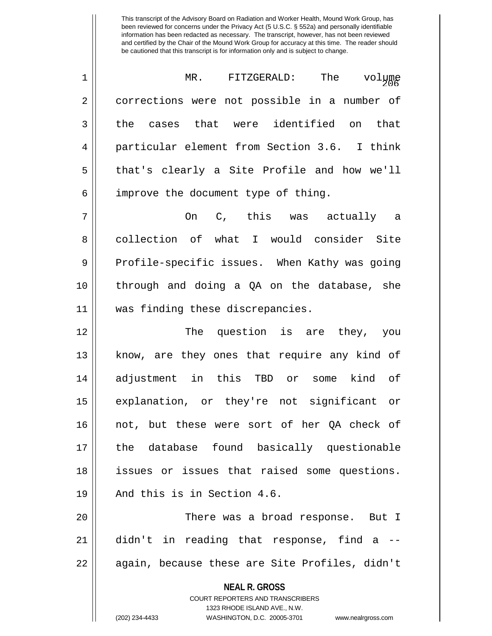1 MR. FITZGERALD: The volume<br>206 2 | corrections were not possible in a number of  $3 \parallel$  the cases that were identified on that 4 particular element from Section 3.6. I think 5 that's clearly a Site Profile and how we'll  $6 \parallel$  improve the document type of thing.

 $7 \parallel$  0n C, this was actually a 8 collection of what I would consider Site 9 || Profile-specific issues. When Kathy was going 10 || through and doing a QA on the database, she 11 || was finding these discrepancies.

12 The question is are they, you 13 || know, are they ones that require any kind of 14 adjustment in this TBD or some kind of 15 explanation, or they're not significant or 16 not, but these were sort of her QA check of 17 the database found basically questionable 18 issues or issues that raised some questions. 19 || And this is in Section 4.6.

20 There was a broad response. But I 21 didn't in reading that response, find a -- 22 || again, because these are Site Profiles, didn't

> **NEAL R. GROSS** COURT REPORTERS AND TRANSCRIBERS

> > 1323 RHODE ISLAND AVE., N.W.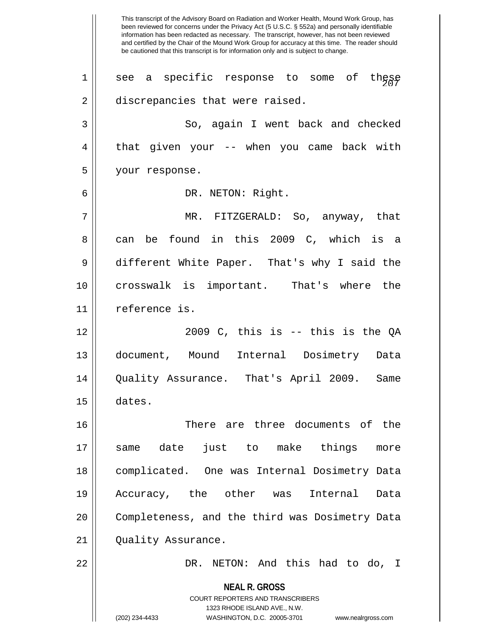**NEAL R. GROSS** COURT REPORTERS AND TRANSCRIBERS 1323 RHODE ISLAND AVE., N.W. (202) 234-4433 WASHINGTON, D.C. 20005-3701 www.nealrgross.com This transcript of the Advisory Board on Radiation and Worker Health, Mound Work Group, has been reviewed for concerns under the Privacy Act (5 U.S.C. § 552a) and personally identifiable information has been redacted as necessary. The transcript, however, has not been reviewed and certified by the Chair of the Mound Work Group for accuracy at this time. The reader should be cautioned that this transcript is for information only and is subject to change.  $1$  || see a specific response to some of these 2 | discrepancies that were raised. 3 So, again I went back and checked 4 || that given your -- when you came back with 5 your response. 6 DR. NETON: Right. 7 MR. FITZGERALD: So, anyway, that 8 can be found in this 2009 C, which is a 9 different White Paper. That's why I said the 10 crosswalk is important. That's where the 11 reference is.  $12$   $\parallel$  2009 C, this is  $-$  this is the QA 13 document, Mound Internal Dosimetry Data 14 Quality Assurance. That's April 2009. Same 15 dates. 16 There are three documents of the 17 same date just to make things more 18 || complicated. One was Internal Dosimetry Data 19 Accuracy, the other was Internal Data 20 || Completeness, and the third was Dosimetry Data 21 | Quality Assurance. 22 DR. NETON: And this had to do, I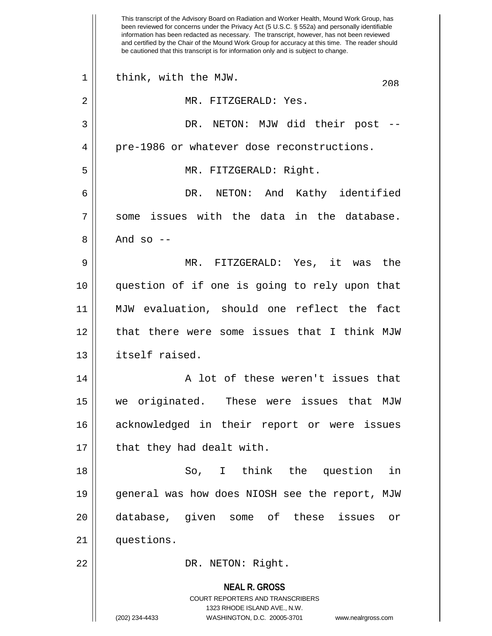**NEAL R. GROSS** COURT REPORTERS AND TRANSCRIBERS 1323 RHODE ISLAND AVE., N.W. This transcript of the Advisory Board on Radiation and Worker Health, Mound Work Group, has been reviewed for concerns under the Privacy Act (5 U.S.C. § 552a) and personally identifiable information has been redacted as necessary. The transcript, however, has not been reviewed and certified by the Chair of the Mound Work Group for accuracy at this time. The reader should be cautioned that this transcript is for information only and is subject to change. 1 | think, with the MJW. 208 2 || MR. FITZGERALD: Yes. 3 DR. NETON: MJW did their post -- 4 | pre-1986 or whatever dose reconstructions. 5 MR. FITZGERALD: Right. 6 DR. NETON: And Kathy identified  $7 \parallel$  some issues with the data in the database.  $8 \parallel$  And so  $-$ 9 MR. FITZGERALD: Yes, it was the 10 question of if one is going to rely upon that 11 MJW evaluation, should one reflect the fact 12 || that there were some issues that I think MJW 13 itself raised. 14 || A lot of these weren't issues that 15 we originated. These were issues that MJW 16 acknowledged in their report or were issues  $17$  | that they had dealt with. 18 So, I think the question in 19 general was how does NIOSH see the report, MJW 20 database, given some of these issues or 21 questions. 22 || DR. NETON: Right.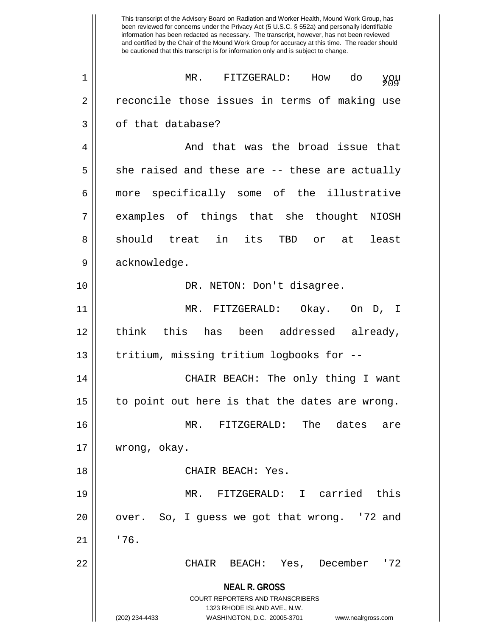**NEAL R. GROSS** COURT REPORTERS AND TRANSCRIBERS 1323 RHODE ISLAND AVE., N.W. (202) 234-4433 WASHINGTON, D.C. 20005-3701 www.nealrgross.com This transcript of the Advisory Board on Radiation and Worker Health, Mound Work Group, has been reviewed for concerns under the Privacy Act (5 U.S.C. § 552a) and personally identifiable information has been redacted as necessary. The transcript, however, has not been reviewed and certified by the Chair of the Mound Work Group for accuracy at this time. The reader should be cautioned that this transcript is for information only and is subject to change. 1 MR. FITZGERALD: How do you 2 || reconcile those issues in terms of making use 3 | of that database? 4 And that was the broad issue that  $5 \parallel$  she raised and these are -- these are actually 6 || more specifically some of the illustrative 7 || examples of things that she thought NIOSH 8 || should treat in its TBD or at least 9 || acknowledge. 10 || DR. NETON: Don't disagree. 11 MR. FITZGERALD: Okay. On D, I 12 think this has been addressed already, 13 || tritium, missing tritium logbooks for --14 CHAIR BEACH: The only thing I want  $15$  | to point out here is that the dates are wrong. 16 MR. FITZGERALD: The dates are 17 wrong, okay. 18 || CHAIR BEACH: Yes. 19 MR. FITZGERALD: I carried this  $20$  || over. So, I guess we got that wrong. '72 and  $21$   $1$   $176$ . 22 CHAIR BEACH: Yes, December '72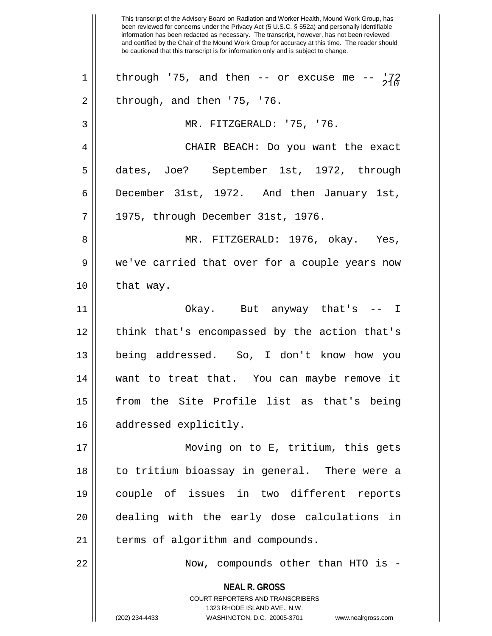**NEAL R. GROSS** COURT REPORTERS AND TRANSCRIBERS 1323 RHODE ISLAND AVE., N.W. This transcript of the Advisory Board on Radiation and Worker Health, Mound Work Group, has been reviewed for concerns under the Privacy Act (5 U.S.C. § 552a) and personally identifiable information has been redacted as necessary. The transcript, however, has not been reviewed and certified by the Chair of the Mound Work Group for accuracy at this time. The reader should be cautioned that this transcript is for information only and is subject to change. 1 | through '75, and then -- or excuse me --  $\frac{172}{210}$  $2 \parallel$  through, and then '75, '76. 3 MR. FITZGERALD: '75, '76. 4 CHAIR BEACH: Do you want the exact 5 dates, Joe? September 1st, 1972, through 6 December 31st, 1972. And then January 1st,  $7 \parallel 1975$ , through December 31st, 1976. 8 MR. FITZGERALD: 1976, okay. Yes, 9 we've carried that over for a couple years now  $10$  | that way. 11 Okay. But anyway that's -- I 12 || think that's encompassed by the action that's 13 being addressed. So, I don't know how you 14 want to treat that. You can maybe remove it 15 from the Site Profile list as that's being 16 | addressed explicitly. 17 Moving on to E, tritium, this gets 18 to tritium bioassay in general. There were a 19 couple of issues in two different reports 20 dealing with the early dose calculations in 21 | terms of algorithm and compounds. 22 || Now, compounds other than HTO is -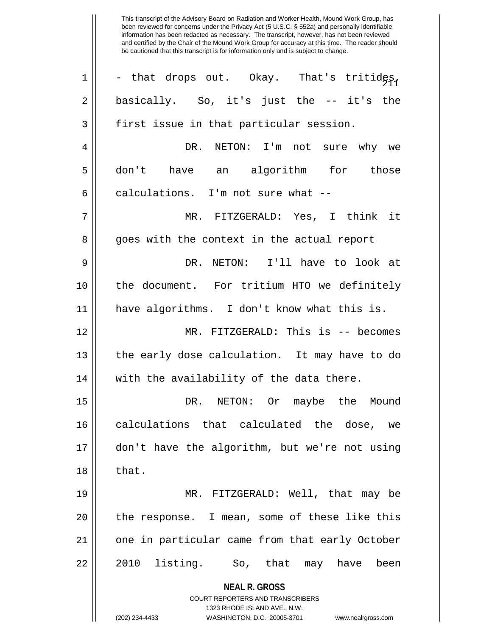| $\mathbf 1$ | - that drops out. Okay. That's tritides,                            |
|-------------|---------------------------------------------------------------------|
| 2           | basically. So, it's just the -- it's the                            |
| 3           | first issue in that particular session.                             |
| 4           | DR. NETON: I'm not sure why we                                      |
| 5           | don't have an algorithm for those                                   |
| 6           | calculations. I'm not sure what --                                  |
| 7           | MR. FITZGERALD: Yes, I think it                                     |
| 8           | goes with the context in the actual report                          |
| 9           | DR. NETON: I'll have to look at                                     |
| 10          | the document. For tritium HTO we definitely                         |
| 11          | have algorithms. I don't know what this is.                         |
| 12          | MR. FITZGERALD: This is -- becomes                                  |
| 13          | the early dose calculation. It may have to do                       |
| 14          | with the availability of the data there.                            |
| 15          | DR. NETON: Or maybe the Mound                                       |
| 16          | calculations that calculated the dose, we                           |
| 17          | don't have the algorithm, but we're not using                       |
| 18          | that.                                                               |
| 19          | MR. FITZGERALD: Well, that may be                                   |
| 20          | the response. I mean, some of these like this                       |
| 21          | one in particular came from that early October                      |
| 22          | 2010 listing. So, that may have been                                |
|             | <b>NEAL R. GROSS</b>                                                |
|             | COURT REPORTERS AND TRANSCRIBERS<br>1323 RHODE ISLAND AVE., N.W.    |
|             | (202) 234-4433<br>WASHINGTON, D.C. 20005-3701<br>www.nealrgross.com |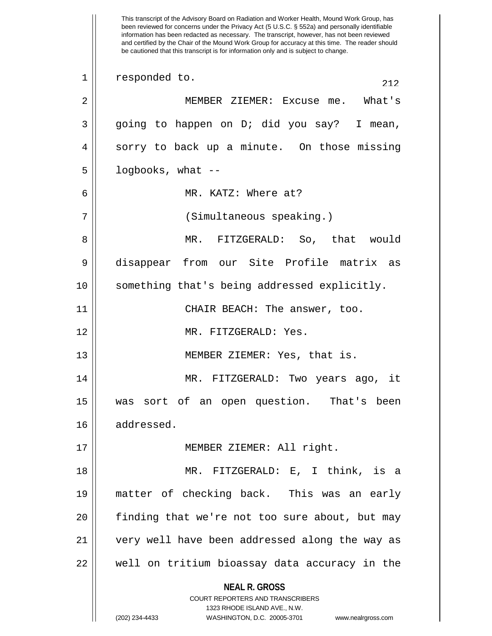**NEAL R. GROSS** COURT REPORTERS AND TRANSCRIBERS 1323 RHODE ISLAND AVE., N.W. (202) 234-4433 WASHINGTON, D.C. 20005-3701 www.nealrgross.com This transcript of the Advisory Board on Radiation and Worker Health, Mound Work Group, has been reviewed for concerns under the Privacy Act (5 U.S.C. § 552a) and personally identifiable information has been redacted as necessary. The transcript, however, has not been reviewed and certified by the Chair of the Mound Work Group for accuracy at this time. The reader should be cautioned that this transcript is for information only and is subject to change. 1 responded to. 212 2 MEMBER ZIEMER: Excuse me. What's 3 || going to happen on D; did you say? I mean, 4 || sorry to back up a minute. On those missing  $5 \parallel$  logbooks, what --6 MR. KATZ: Where at? 7 || (Simultaneous speaking.) 8 MR. FITZGERALD: So, that would 9 disappear from our Site Profile matrix as 10 something that's being addressed explicitly. 11 || CHAIR BEACH: The answer, too. 12 MR. FITZGERALD: Yes. 13 || MEMBER ZIEMER: Yes, that is. 14 MR. FITZGERALD: Two years ago, it 15 was sort of an open question. That's been 16 addressed. 17 MEMBER ZIEMER: All right. 18 MR. FITZGERALD: E, I think, is a 19 matter of checking back. This was an early 20 || finding that we're not too sure about, but may 21 very well have been addressed along the way as 22 || well on tritium bioassay data accuracy in the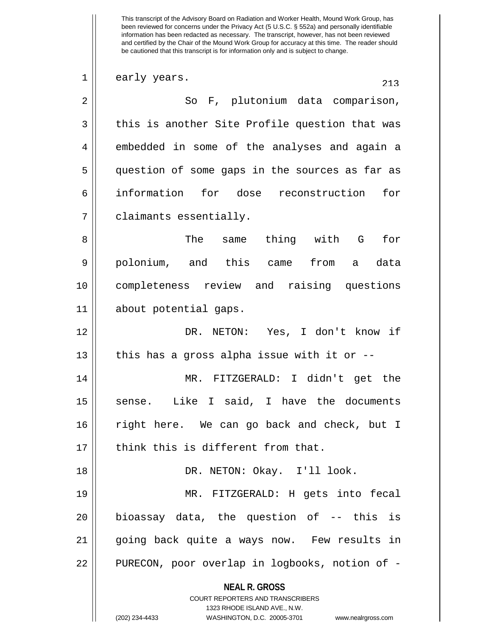**NEAL R. GROSS** COURT REPORTERS AND TRANSCRIBERS  $21$  early years. 2 || So F, plutonium data comparison,  $3 \parallel$  this is another Site Profile question that was 4 || embedded in some of the analyses and again a 5 question of some gaps in the sources as far as 6 information for dose reconstruction for 7 claimants essentially. 8 The same thing with G for 9 polonium, and this came from a data 10 completeness review and raising questions 11 about potential gaps. 12 DR. NETON: Yes, I don't know if 13  $\parallel$  this has a gross alpha issue with it or  $-$ 14 MR. FITZGERALD: I didn't get the 15 || sense. Like I said, I have the documents 16 right here. We can go back and check, but I  $17$   $\parallel$  think this is different from that. 18 DR. NETON: Okay. I'll look. 19 MR. FITZGERALD: H gets into fecal  $20$  || bioassay data, the question of  $-$  this is 21 || going back quite a ways now. Few results in 22 || PURECON, poor overlap in logbooks, notion of -

1323 RHODE ISLAND AVE., N.W.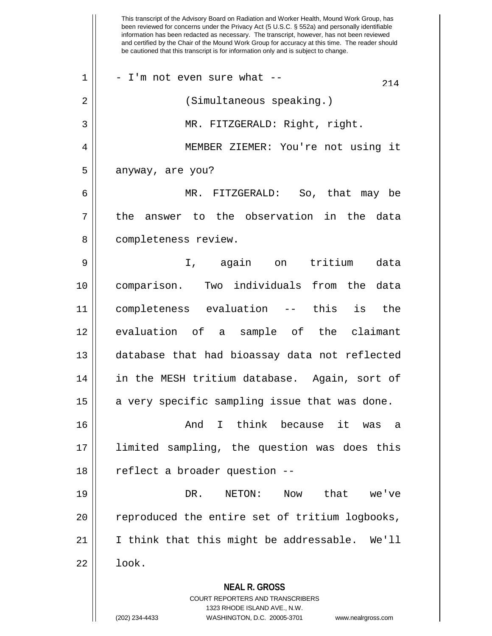**NEAL R. GROSS** COURT REPORTERS AND TRANSCRIBERS 1323 RHODE ISLAND AVE., N.W. (202) 234-4433 WASHINGTON, D.C. 20005-3701 www.nealrgross.com This transcript of the Advisory Board on Radiation and Worker Health, Mound Work Group, has been reviewed for concerns under the Privacy Act (5 U.S.C. § 552a) and personally identifiable information has been redacted as necessary. The transcript, however, has not been reviewed and certified by the Chair of the Mound Work Group for accuracy at this time. The reader should be cautioned that this transcript is for information only and is subject to change.  $21 \parallel -1$ 'm not even sure what --2 || (Simultaneous speaking.) 3 MR. FITZGERALD: Right, right. 4 MEMBER ZIEMER: You're not using it  $5 \parallel$  anyway, are you? 6 MR. FITZGERALD: So, that may be  $7 \parallel$  the answer to the observation in the data 8 | completeness review. 9 || I, again on tritium data 10 comparison. Two individuals from the data 11 completeness evaluation -- this is the 12 evaluation of a sample of the claimant 13 database that had bioassay data not reflected 14 in the MESH tritium database. Again, sort of  $15$  a very specific sampling issue that was done. 16 And I think because it was a 17 limited sampling, the question was does this 18 || reflect a broader question --19 DR. NETON: Now that we've 20 || reproduced the entire set of tritium logbooks, 21 I think that this might be addressable. We'll  $22 \parallel$  look.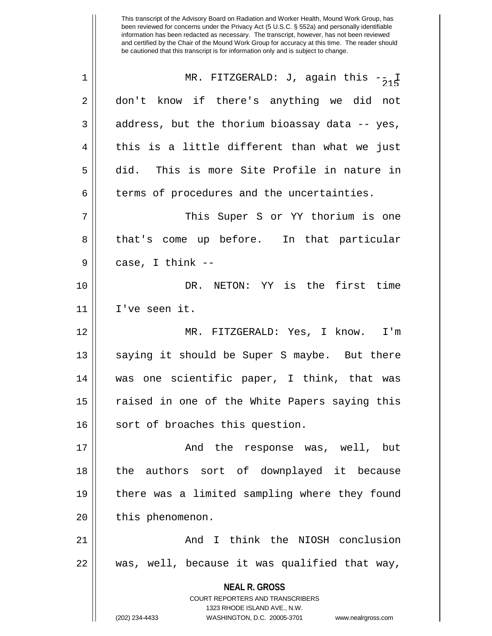| $\mathbf 1$    | MR. FITZGERALD: J, again this $-\frac{1}{2}$                                                        |
|----------------|-----------------------------------------------------------------------------------------------------|
| $\overline{2}$ | don't know if there's anything we did not                                                           |
| 3              | address, but the thorium bioassay data -- yes,                                                      |
| 4              | this is a little different than what we just                                                        |
| 5              | did. This is more Site Profile in nature in                                                         |
| 6              | terms of procedures and the uncertainties.                                                          |
| 7              | This Super S or YY thorium is one                                                                   |
| 8              | that's come up before. In that particular                                                           |
| 9              | case, I think --                                                                                    |
| 10             | DR. NETON: YY is the first time                                                                     |
| 11             | I've seen it.                                                                                       |
| 12             | MR. FITZGERALD: Yes, I know. I'm                                                                    |
| 13             | saying it should be Super S maybe. But there                                                        |
| 14             | was one scientific paper, I think, that was                                                         |
| 15             | raised in one of the White Papers saying this                                                       |
| 16             | sort of broaches this question.                                                                     |
| 17             | And the response was, well, but                                                                     |
| 18             | the authors sort of downplayed it because                                                           |
| 19             | there was a limited sampling where they found                                                       |
| 20             | this phenomenon.                                                                                    |
| 21             | And I think the NIOSH conclusion                                                                    |
| 22             | was, well, because it was qualified that way,                                                       |
|                | <b>NEAL R. GROSS</b>                                                                                |
|                | COURT REPORTERS AND TRANSCRIBERS                                                                    |
|                | 1323 RHODE ISLAND AVE., N.W.<br>(202) 234-4433<br>WASHINGTON, D.C. 20005-3701<br>www.nealrgross.com |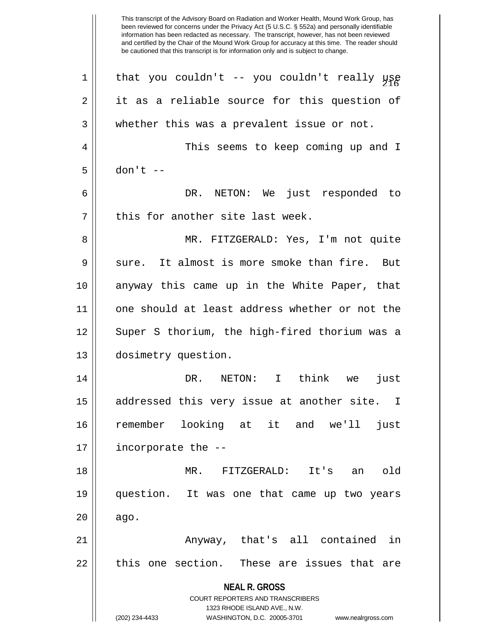**NEAL R. GROSS** COURT REPORTERS AND TRANSCRIBERS 1323 RHODE ISLAND AVE., N.W. (202) 234-4433 WASHINGTON, D.C. 20005-3701 www.nealrgross.com 1 || that you couldn't -- you couldn't really  $\mu_{\beta}$ 2 || it as a reliable source for this question of 3 || whether this was a prevalent issue or not. 4 This seems to keep coming up and I  $5 \parallel$  don't  $-$ 6 DR. NETON: We just responded to  $7$  | this for another site last week. 8 MR. FITZGERALD: Yes, I'm not quite  $9 \parallel$  sure. It almost is more smoke than fire. But 10 anyway this came up in the White Paper, that 11 || one should at least address whether or not the 12 || Super S thorium, the high-fired thorium was a 13 dosimetry question. 14 DR. NETON: I think we just 15 || addressed this very issue at another site. I 16 remember looking at it and we'll just 17 incorporate the -- 18 MR. FITZGERALD: It's an old 19 question. It was one that came up two years  $20 \parallel$  ago. 21 || Anyway, that's all contained in  $22$   $\parallel$  this one section. These are issues that are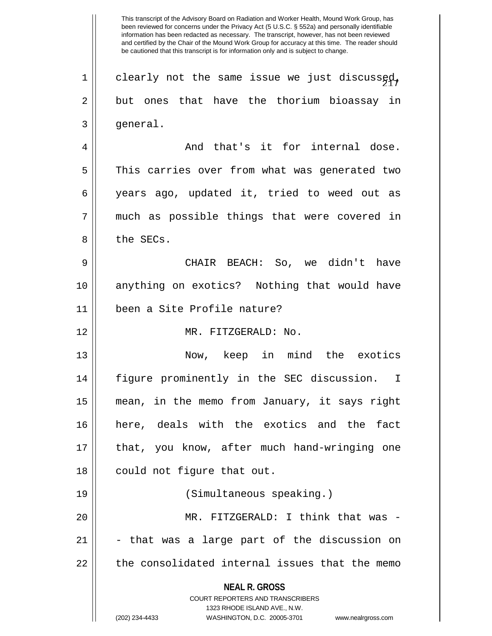**NEAL R. GROSS** COURT REPORTERS AND TRANSCRIBERS 1323 RHODE ISLAND AVE., N.W. (202) 234-4433 WASHINGTON, D.C. 20005-3701 www.nealrgross.com  $1 \parallel$  clearly not the same issue we just discussed, 2 || but ones that have the thorium bioassay in  $3 \parallel$  general. 4 And that's it for internal dose. 5 This carries over from what was generated two 6 years ago, updated it, tried to weed out as 7 || much as possible things that were covered in 8 l the SECs. 9 CHAIR BEACH: So, we didn't have 10 anything on exotics? Nothing that would have 11 been a Site Profile nature? 12 MR. FITZGERALD: No. 13 Now, keep in mind the exotics 14 figure prominently in the SEC discussion. I 15 mean, in the memo from January, it says right 16 here, deals with the exotics and the fact 17 that, you know, after much hand-wringing one 18 || could not figure that out. 19 (Simultaneous speaking.) 20 MR. FITZGERALD: I think that was -  $21$   $\vert$  - that was a large part of the discussion on  $22$   $\parallel$  the consolidated internal issues that the memo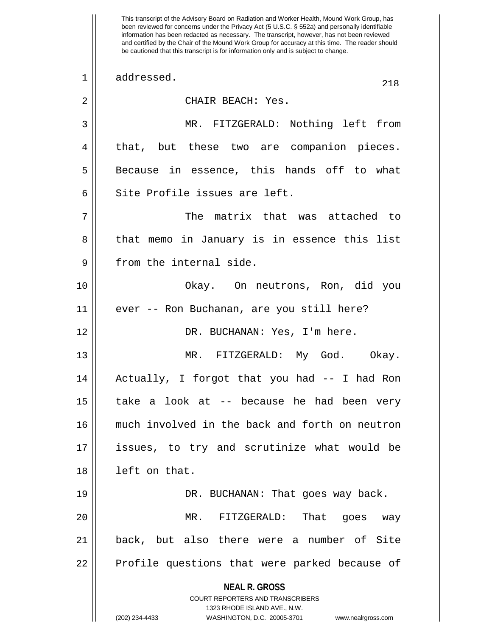**NEAL R. GROSS** COURT REPORTERS AND TRANSCRIBERS 1323 RHODE ISLAND AVE., N.W. (202) 234-4433 WASHINGTON, D.C. 20005-3701 www.nealrgross.com This transcript of the Advisory Board on Radiation and Worker Health, Mound Work Group, has been reviewed for concerns under the Privacy Act (5 U.S.C. § 552a) and personally identifiable information has been redacted as necessary. The transcript, however, has not been reviewed and certified by the Chair of the Mound Work Group for accuracy at this time. The reader should be cautioned that this transcript is for information only and is subject to change. 1 addressed. 218 2 || CHAIR BEACH: Yes. 3 MR. FITZGERALD: Nothing left from 4 || that, but these two are companion pieces.  $5 \parallel$  Because in essence, this hands off to what 6 Site Profile issues are left. 7 The matrix that was attached to 8 || that memo in January is in essence this list 9 || from the internal side. 10 Okay. On neutrons, Ron, did you 11 ever -- Ron Buchanan, are you still here? 12 DR. BUCHANAN: Yes, I'm here. 13 MR. FITZGERALD: My God. Okay. 14 Actually, I forgot that you had -- I had Ron 15 || take a look at -- because he had been very 16 much involved in the back and forth on neutron 17 issues, to try and scrutinize what would be 18 left on that. 19 DR. BUCHANAN: That goes way back. 20 MR. FITZGERALD: That goes way 21 back, but also there were a number of Site 22 || Profile questions that were parked because of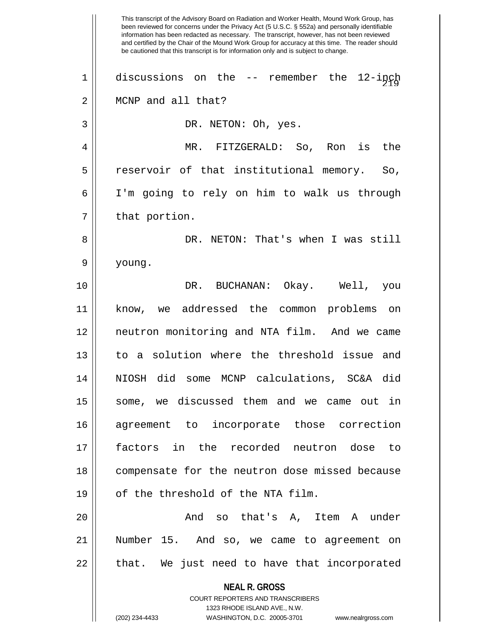**NEAL R. GROSS** COURT REPORTERS AND TRANSCRIBERS 1323 RHODE ISLAND AVE., N.W. (202) 234-4433 WASHINGTON, D.C. 20005-3701 www.nealrgross.com This transcript of the Advisory Board on Radiation and Worker Health, Mound Work Group, has been reviewed for concerns under the Privacy Act (5 U.S.C. § 552a) and personally identifiable information has been redacted as necessary. The transcript, however, has not been reviewed and certified by the Chair of the Mound Work Group for accuracy at this time. The reader should be cautioned that this transcript is for information only and is subject to change.  $1 \parallel$  discussions on the -- remember the 12-inch 2 | MCNP and all that? 3 || DR. NETON: Oh, yes. 4 MR. FITZGERALD: So, Ron is the 5 || reservoir of that institutional memory. So, 6 I'm going to rely on him to walk us through  $7 \parallel$  that portion. 8 DR. NETON: That's when I was still 9 young. 10 DR. BUCHANAN: Okay. Well, you 11 know, we addressed the common problems on 12 neutron monitoring and NTA film. And we came 13 to a solution where the threshold issue and 14 NIOSH did some MCNP calculations, SC&A did 15 some, we discussed them and we came out in 16 agreement to incorporate those correction 17 factors in the recorded neutron dose to 18 || compensate for the neutron dose missed because 19 || of the threshold of the NTA film. 20 And so that's A, Item A under 21 Number 15. And so, we came to agreement on  $22$  || that. We just need to have that incorporated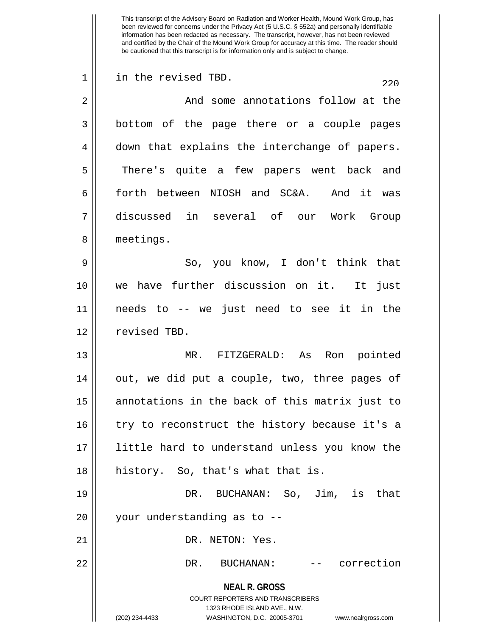**NEAL R. GROSS** COURT REPORTERS AND TRANSCRIBERS 1323 RHODE ISLAND AVE., N.W. (202) 234-4433 WASHINGTON, D.C. 20005-3701 www.nealrgross.com This transcript of the Advisory Board on Radiation and Worker Health, Mound Work Group, has been reviewed for concerns under the Privacy Act (5 U.S.C. § 552a) and personally identifiable information has been redacted as necessary. The transcript, however, has not been reviewed and certified by the Chair of the Mound Work Group for accuracy at this time. The reader should be cautioned that this transcript is for information only and is subject to change.  $220$  1 in the revised TBD. 2 And some annotations follow at the 3 bottom of the page there or a couple pages 4 || down that explains the interchange of papers. 5 || There's quite a few papers went back and 6 forth between NIOSH and SC&A. And it was 7 discussed in several of our Work Group 8 | meetings. 9 So, you know, I don't think that 10 we have further discussion on it. It just 11 needs to -- we just need to see it in the 12 || revised TBD. 13 MR. FITZGERALD: As Ron pointed 14 || out, we did put a couple, two, three pages of 15 || annotations in the back of this matrix just to 16 || try to reconstruct the history because it's a 17 little hard to understand unless you know the 18 || history. So, that's what that is. 19 DR. BUCHANAN: So, Jim, is that 20 || your understanding as to --21 || DR. NETON: Yes. 22 DR. BUCHANAN: -- correction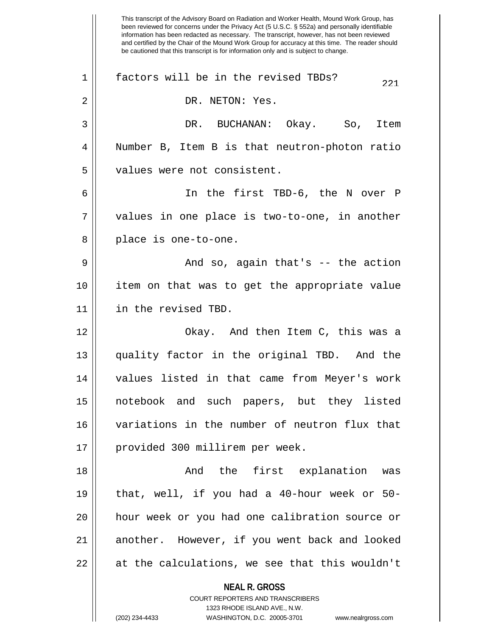**NEAL R. GROSS** COURT REPORTERS AND TRANSCRIBERS 1323 RHODE ISLAND AVE., N.W. (202) 234-4433 WASHINGTON, D.C. 20005-3701 www.nealrgross.com This transcript of the Advisory Board on Radiation and Worker Health, Mound Work Group, has been reviewed for concerns under the Privacy Act (5 U.S.C. § 552a) and personally identifiable information has been redacted as necessary. The transcript, however, has not been reviewed and certified by the Chair of the Mound Work Group for accuracy at this time. The reader should be cautioned that this transcript is for information only and is subject to change.  $221$  factors will be in the revised TBDs? 2 || DR. NETON: Yes. 3 DR. BUCHANAN: Okay. So, Item 4 Number B, Item B is that neutron-photon ratio 5 || values were not consistent. 6 In the first TBD-6, the N over P  $7 \parallel$  values in one place is two-to-one, in another  $8 \parallel$  place is one-to-one. 9 And so, again that's -- the action 10 item on that was to get the appropriate value 11 | in the revised TBD. 12 Okay. And then Item C, this was a 13 quality factor in the original TBD. And the 14 values listed in that came from Meyer's work 15 notebook and such papers, but they listed 16 variations in the number of neutron flux that 17 || provided 300 millirem per week. 18 And the first explanation was 19 that, well, if you had a 40-hour week or 50- 20 hour week or you had one calibration source or 21 || another. However, if you went back and looked  $22 \parallel$  at the calculations, we see that this wouldn't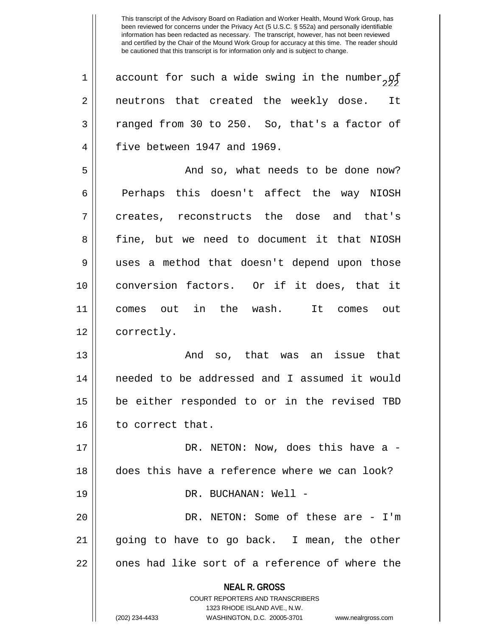**NEAL R. GROSS** COURT REPORTERS AND TRANSCRIBERS 1323 RHODE ISLAND AVE., N.W. (202) 234-4433 WASHINGTON, D.C. 20005-3701 www.nealrgross.com 1 | account for such a wide swing in the number,  $95$ 2 || neutrons that created the weekly dose. It  $3 \parallel$  ranged from 30 to 250. So, that's a factor of 4 | five between 1947 and 1969. 5 And so, what needs to be done now?  $6 \parallel$  Perhaps this doesn't affect the way NIOSH 7 creates, reconstructs the dose and that's 8 fine, but we need to document it that NIOSH 9 uses a method that doesn't depend upon those 10 conversion factors. Or if it does, that it 11 comes out in the wash. It comes out 12 | correctly. 13 And so, that was an issue that 14 needed to be addressed and I assumed it would 15 be either responded to or in the revised TBD 16 | to correct that. 17 DR. NETON: Now, does this have a - 18 does this have a reference where we can look? 19 DR. BUCHANAN: Well - 20 DR. NETON: Some of these are - I'm  $21$  || going to have to go back. I mean, the other  $22$   $\parallel$  ones had like sort of a reference of where the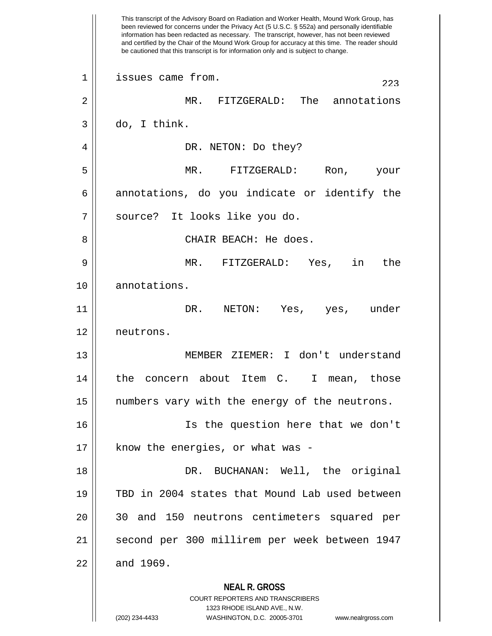**NEAL R. GROSS** COURT REPORTERS AND TRANSCRIBERS 1323 RHODE ISLAND AVE., N.W. This transcript of the Advisory Board on Radiation and Worker Health, Mound Work Group, has been reviewed for concerns under the Privacy Act (5 U.S.C. § 552a) and personally identifiable information has been redacted as necessary. The transcript, however, has not been reviewed and certified by the Chair of the Mound Work Group for accuracy at this time. The reader should be cautioned that this transcript is for information only and is subject to change.  $223$  issues came from. 2 MR. FITZGERALD: The annotations  $3 \parallel$  do, I think. 4 DR. NETON: Do they? 5 MR. FITZGERALD: Ron, your  $6 \parallel$  annotations, do you indicate or identify the 7 || source? It looks like you do. 8 CHAIR BEACH: He does. 9 MR. FITZGERALD: Yes, in the 10 || annotations. 11 DR. NETON: Yes, yes, under 12 neutrons. 13 MEMBER ZIEMER: I don't understand 14 || the concern about Item C. I mean, those 15 || numbers vary with the energy of the neutrons. 16 Is the question here that we don't  $17$  | know the energies, or what was -18 DR. BUCHANAN: Well, the original 19 TBD in 2004 states that Mound Lab used between 20 30 and 150 neutrons centimeters squared per 21 second per 300 millirem per week between 1947  $22 \parallel$  and 1969.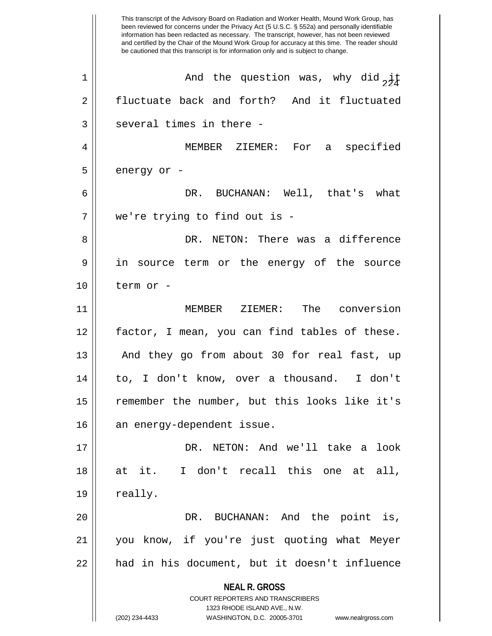**NEAL R. GROSS** COURT REPORTERS AND TRANSCRIBERS 1323 RHODE ISLAND AVE., N.W. (202) 234-4433 WASHINGTON, D.C. 20005-3701 www.nealrgross.com This transcript of the Advisory Board on Radiation and Worker Health, Mound Work Group, has been reviewed for concerns under the Privacy Act (5 U.S.C. § 552a) and personally identifiable information has been redacted as necessary. The transcript, however, has not been reviewed and certified by the Chair of the Mound Work Group for accuracy at this time. The reader should be cautioned that this transcript is for information only and is subject to change. 1  $\parallel$  and the question was, why did  $\frac{1}{2}$ 2 fluctuate back and forth? And it fluctuated  $3$  || several times in there -4 MEMBER ZIEMER: For a specified  $5 \parallel$  energy or -6 DR. BUCHANAN: Well, that's what 7 we're trying to find out is - 8 DR. NETON: There was a difference 9 in source term or the energy of the source 10 term or - 11 MEMBER ZIEMER: The conversion 12 factor, I mean, you can find tables of these. 13 || And they go from about 30 for real fast, up 14 to, I don't know, over a thousand. I don't 15 || remember the number, but this looks like it's 16 an energy-dependent issue. 17 DR. NETON: And we'll take a look 18 at it. I don't recall this one at all,  $19 \parallel$  really. 20 DR. BUCHANAN: And the point is, 21 you know, if you're just quoting what Meyer 22 || had in his document, but it doesn't influence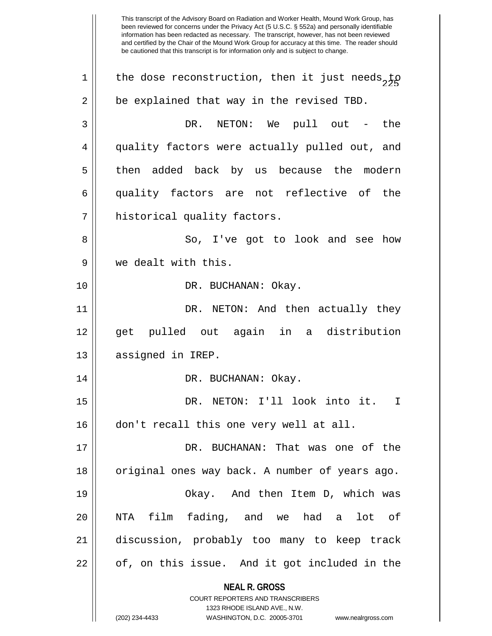**NEAL R. GROSS** COURT REPORTERS AND TRANSCRIBERS 1323 RHODE ISLAND AVE., N.W. (202) 234-4433 WASHINGTON, D.C. 20005-3701 www.nealrgross.com This transcript of the Advisory Board on Radiation and Worker Health, Mound Work Group, has been reviewed for concerns under the Privacy Act (5 U.S.C. § 552a) and personally identifiable information has been redacted as necessary. The transcript, however, has not been reviewed and certified by the Chair of the Mound Work Group for accuracy at this time. The reader should be cautioned that this transcript is for information only and is subject to change. 1 || the dose reconstruction, then it just needs, to  $2 \parallel$  be explained that way in the revised TBD. 3 DR. NETON: We pull out - the 4 quality factors were actually pulled out, and 5 then added back by us because the modern 6 quality factors are not reflective of the 7 | historical quality factors. 8 || So, I've got to look and see how 9 we dealt with this. 10 || DR. BUCHANAN: Okay. 11 DR. NETON: And then actually they 12 get pulled out again in a distribution 13 | assigned in IREP. 14 DR. BUCHANAN: Okay. 15 DR. NETON: I'll look into it. I 16 don't recall this one very well at all. 17 DR. BUCHANAN: That was one of the 18 || original ones way back. A number of years ago. 19 Okay. And then Item D, which was 20 NTA film fading, and we had a lot of 21 discussion, probably too many to keep track  $22 \parallel$  of, on this issue. And it got included in the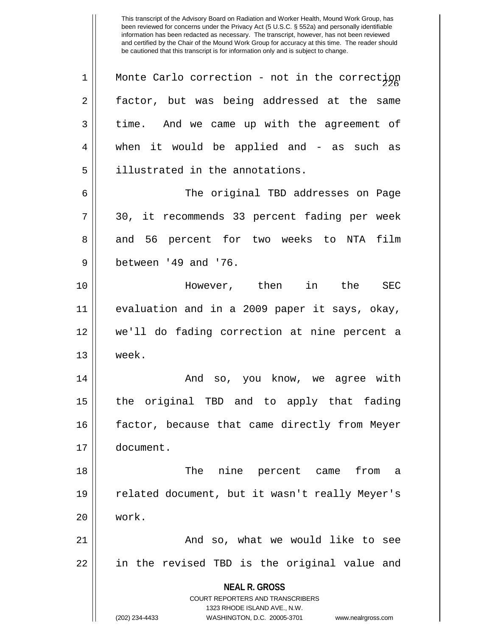| $\mathbf 1$ | Monte Carlo correction - not in the correction                      |
|-------------|---------------------------------------------------------------------|
| 2           | factor, but was being addressed at the same                         |
| 3           | time. And we came up with the agreement of                          |
| 4           | when it would be applied and - as such as                           |
| 5           | illustrated in the annotations.                                     |
| 6           | The original TBD addresses on Page                                  |
| 7           | 30, it recommends 33 percent fading per week                        |
| 8           | and 56 percent for two weeks to NTA<br>film                         |
| $\mathsf 9$ | between '49 and '76.                                                |
| 10          | However, then in the<br><b>SEC</b>                                  |
| 11          | evaluation and in a 2009 paper it says, okay,                       |
| 12          | we'll do fading correction at nine percent a                        |
| 13          | week.                                                               |
| 14          | And so, you know, we agree with                                     |
| 15          | the original TBD and to apply that fading                           |
| 16          | factor, because that came directly from Meyer                       |
| 17          | document.                                                           |
| 18          | The nine percent came from a                                        |
| 19          | related document, but it wasn't really Meyer's                      |
| 20          | work.                                                               |
| 21          | And so, what we would like to see                                   |
| 22          | in the revised TBD is the original value and                        |
|             | <b>NEAL R. GROSS</b>                                                |
|             | COURT REPORTERS AND TRANSCRIBERS                                    |
|             | 1323 RHODE ISLAND AVE., N.W.                                        |
|             | (202) 234-4433<br>WASHINGTON, D.C. 20005-3701<br>www.nealrgross.com |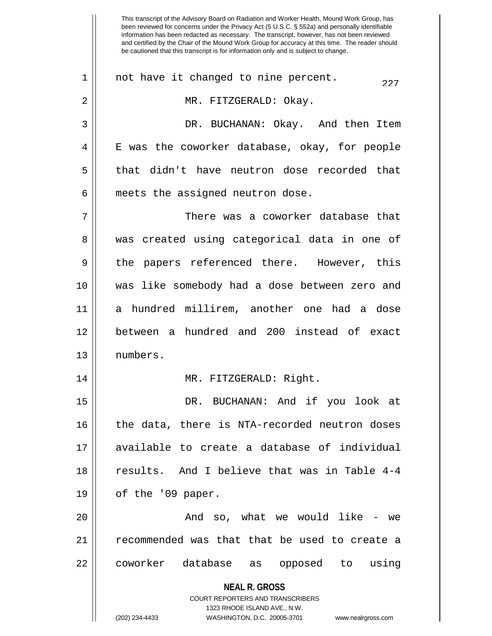**NEAL R. GROSS** COURT REPORTERS AND TRANSCRIBERS 1323 RHODE ISLAND AVE., N.W. been reviewed for concerns under the Privacy Act (5 U.S.C. § 552a) and personally identifiable information has been redacted as necessary. The transcript, however, has not been reviewed and certified by the Chair of the Mound Work Group for accuracy at this time. The reader should be cautioned that this transcript is for information only and is subject to change.  $22$  1 || not have it changed to nine percent. 2 MR. FITZGERALD: Okay. 3 DR. BUCHANAN: Okay. And then Item 4 || E was the coworker database, okay, for people 5 || that didn't have neutron dose recorded that  $6$  || meets the assigned neutron dose. 7 There was a coworker database that 8 was created using categorical data in one of 9 || the papers referenced there. However, this 10 was like somebody had a dose between zero and 11 a hundred millirem, another one had a dose 12 between a hundred and 200 instead of exact 13 numbers. 14 MR. FITZGERALD: Right. 15 DR. BUCHANAN: And if you look at 16 || the data, there is NTA-recorded neutron doses 17 available to create a database of individual 18 results. And I believe that was in Table 4-4 19 || of the '09 paper. 20 And so, what we would like - we 21 || recommended was that that be used to create a 22 || coworker database as opposed to using

This transcript of the Advisory Board on Radiation and Worker Health, Mound Work Group, has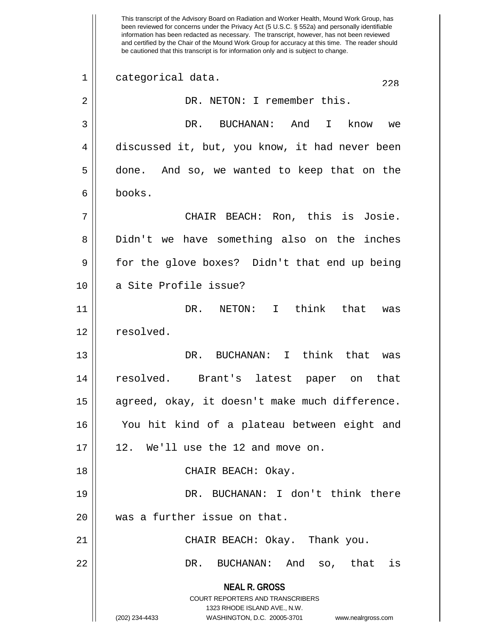**NEAL R. GROSS** COURT REPORTERS AND TRANSCRIBERS 1323 RHODE ISLAND AVE., N.W. (202) 234-4433 WASHINGTON, D.C. 20005-3701 www.nealrgross.com This transcript of the Advisory Board on Radiation and Worker Health, Mound Work Group, has been reviewed for concerns under the Privacy Act (5 U.S.C. § 552a) and personally identifiable information has been redacted as necessary. The transcript, however, has not been reviewed and certified by the Chair of the Mound Work Group for accuracy at this time. The reader should be cautioned that this transcript is for information only and is subject to change.  $\begin{array}{c|c} 1 & \text{categorical data.} \end{array}$ 2 || DR. NETON: I remember this. 3 DR. BUCHANAN: And I know we 4 discussed it, but, you know, it had never been 5 done. And so, we wanted to keep that on the 6 books. 7 CHAIR BEACH: Ron, this is Josie. 8 Didn't we have something also on the inches 9 for the glove boxes? Didn't that end up being 10 || a Site Profile issue? 11 || DR. NETON: I think that was 12 | resolved. 13 DR. BUCHANAN: I think that was 14 resolved. Brant's latest paper on that 15 || agreed, okay, it doesn't make much difference. 16 You hit kind of a plateau between eight and  $17 \parallel 12$ . We'll use the 12 and move on. 18 CHAIR BEACH: Okay. 19 DR. BUCHANAN: I don't think there 20 || was a further issue on that. 21 CHAIR BEACH: Okay. Thank you. 22 DR. BUCHANAN: And so, that is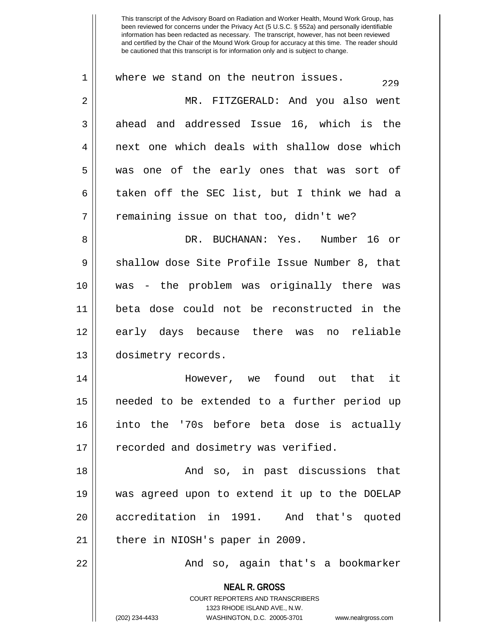| 1              | where we stand on the neutron issues.<br>229                                                                                                                           |
|----------------|------------------------------------------------------------------------------------------------------------------------------------------------------------------------|
| $\overline{2}$ | MR. FITZGERALD: And you also went                                                                                                                                      |
| 3              | ahead and addressed Issue 16, which is the                                                                                                                             |
| 4              | next one which deals with shallow dose which                                                                                                                           |
| 5              | was one of the early ones that was sort of                                                                                                                             |
| 6              | taken off the SEC list, but I think we had a                                                                                                                           |
| 7              | remaining issue on that too, didn't we?                                                                                                                                |
| 8              | DR. BUCHANAN: Yes. Number 16 or                                                                                                                                        |
| 9              | shallow dose Site Profile Issue Number 8, that                                                                                                                         |
| 10             | was - the problem was originally there was                                                                                                                             |
| 11             | beta dose could not be reconstructed in the                                                                                                                            |
| 12             | early days because there was no reliable                                                                                                                               |
| 13             | dosimetry records.                                                                                                                                                     |
| 14             | However, we found out that it                                                                                                                                          |
| 15             | needed to be extended to a further period up                                                                                                                           |
| 16             | into the '70s before beta dose is actually                                                                                                                             |
| 17             | recorded and dosimetry was verified.                                                                                                                                   |
| 18             | And so, in past discussions that                                                                                                                                       |
| 19             | was agreed upon to extend it up to the DOELAP                                                                                                                          |
| 20             | accreditation in 1991. And that's quoted                                                                                                                               |
| 21             | there in NIOSH's paper in 2009.                                                                                                                                        |
| 22             | And so, again that's a bookmarker                                                                                                                                      |
|                | <b>NEAL R. GROSS</b><br><b>COURT REPORTERS AND TRANSCRIBERS</b><br>1323 RHODE ISLAND AVE., N.W.<br>(202) 234-4433<br>WASHINGTON, D.C. 20005-3701<br>www.nealrgross.com |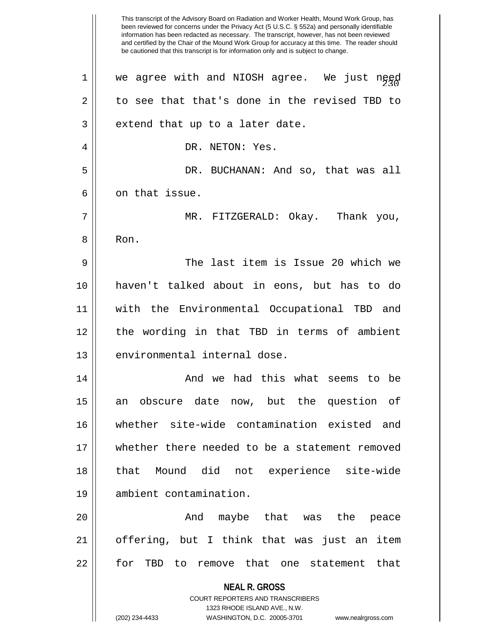**NEAL R. GROSS** COURT REPORTERS AND TRANSCRIBERS 1323 RHODE ISLAND AVE., N.W. This transcript of the Advisory Board on Radiation and Worker Health, Mound Work Group, has been reviewed for concerns under the Privacy Act (5 U.S.C. § 552a) and personally identifiable information has been redacted as necessary. The transcript, however, has not been reviewed and certified by the Chair of the Mound Work Group for accuracy at this time. The reader should be cautioned that this transcript is for information only and is subject to change.  $1$  || we agree with and NIOSH agree. We just need  $2 \parallel$  to see that that's done in the revised TBD to  $3 \parallel$  extend that up to a later date. 4 || DR. NETON: Yes. 5 DR. BUCHANAN: And so, that was all 6 0 6 on that issue. 7 MR. FITZGERALD: Okay. Thank you, 8 Ron. 9 The last item is Issue 20 which we 10 haven't talked about in eons, but has to do 11 with the Environmental Occupational TBD and 12 || the wording in that TBD in terms of ambient 13 || environmental internal dose. 14 And we had this what seems to be 15 an obscure date now, but the question of 16 whether site-wide contamination existed and 17 whether there needed to be a statement removed 18 that Mound did not experience site-wide 19 ambient contamination. 20 And maybe that was the peace 21 offering, but I think that was just an item 22 || for TBD to remove that one statement that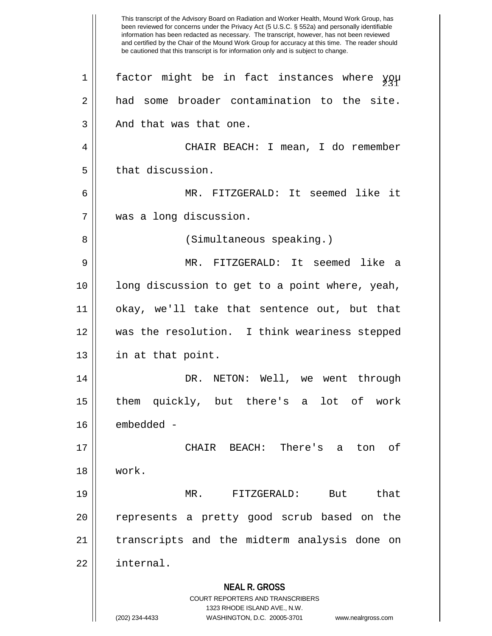**NEAL R. GROSS** COURT REPORTERS AND TRANSCRIBERS 1323 RHODE ISLAND AVE., N.W. (202) 234-4433 WASHINGTON, D.C. 20005-3701 www.nealrgross.com This transcript of the Advisory Board on Radiation and Worker Health, Mound Work Group, has been reviewed for concerns under the Privacy Act (5 U.S.C. § 552a) and personally identifiable information has been redacted as necessary. The transcript, however, has not been reviewed and certified by the Chair of the Mound Work Group for accuracy at this time. The reader should be cautioned that this transcript is for information only and is subject to change. 1  $\parallel$  factor might be in fact instances where you 2 a had some broader contamination to the site.  $3 \parallel$  And that was that one. 4 CHAIR BEACH: I mean, I do remember 5 | that discussion. 6 MR. FITZGERALD: It seemed like it 7 was a long discussion. 8 || (Simultaneous speaking.) 9 MR. FITZGERALD: It seemed like a  $10$  || long discussion to get to a point where, yeah, 11 okay, we'll take that sentence out, but that 12 was the resolution. I think weariness stepped 13 in at that point. 14 DR. NETON: Well, we went through 15 them quickly, but there's a lot of work 16 | embedded -17 CHAIR BEACH: There's a ton of 18 work. 19 MR. FITZGERALD: But that 20 || represents a pretty good scrub based on the 21 || transcripts and the midterm analysis done on 22 internal.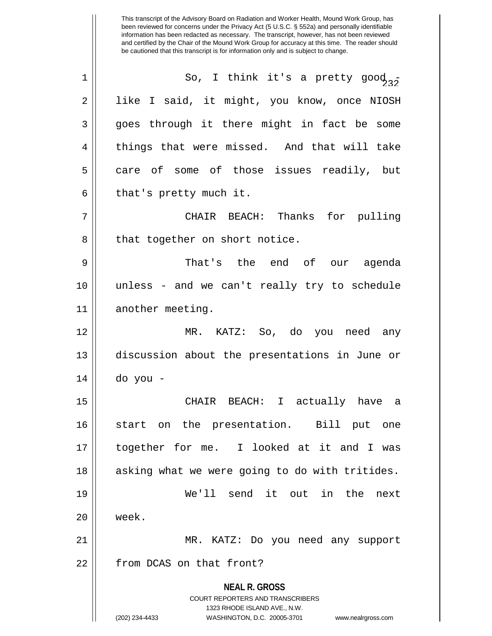**NEAL R. GROSS** COURT REPORTERS AND TRANSCRIBERS 1323 RHODE ISLAND AVE., N.W. This transcript of the Advisory Board on Radiation and Worker Health, Mound Work Group, has been reviewed for concerns under the Privacy Act (5 U.S.C. § 552a) and personally identifiable information has been redacted as necessary. The transcript, however, has not been reviewed and certified by the Chair of the Mound Work Group for accuracy at this time. The reader should be cautioned that this transcript is for information only and is subject to change. 1  $\parallel$  So, I think it's a pretty good<sub>32</sub> 2 | like I said, it might, you know, once NIOSH 3 || goes through it there might in fact be some 4 || things that were missed. And that will take  $5 \parallel$  care of some of those issues readily, but  $6 \parallel$  that's pretty much it. 7 CHAIR BEACH: Thanks for pulling 8 || that together on short notice. 9 That's the end of our agenda 10 unless - and we can't really try to schedule 11 || another meeting. 12 MR. KATZ: So, do you need any 13 discussion about the presentations in June or 14 do you - 15 CHAIR BEACH: I actually have a 16 start on the presentation. Bill put one 17 together for me. I looked at it and I was 18 || asking what we were going to do with tritides. 19 We'll send it out in the next 20 week. 21 MR. KATZ: Do you need any support 22 | from DCAS on that front?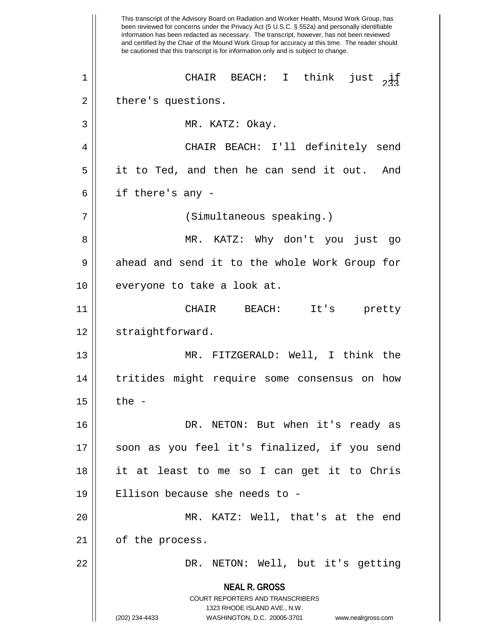**NEAL R. GROSS** COURT REPORTERS AND TRANSCRIBERS 1323 RHODE ISLAND AVE., N.W. (202) 234-4433 WASHINGTON, D.C. 20005-3701 www.nealrgross.com This transcript of the Advisory Board on Radiation and Worker Health, Mound Work Group, has been reviewed for concerns under the Privacy Act (5 U.S.C. § 552a) and personally identifiable information has been redacted as necessary. The transcript, however, has not been reviewed and certified by the Chair of the Mound Work Group for accuracy at this time. The reader should be cautioned that this transcript is for information only and is subject to change.  $\begin{array}{ccc} 1 & \begin{array}{ccc} \end{array} \end{array}$  CHAIR BEACH: I think just  $\begin{array}{ccc} \end{array}$ 2 | there's questions. 3 || MR. KATZ: Okay. 4 CHAIR BEACH: I'll definitely send 5 it to Ted, and then he can send it out. And  $6 \parallel$  if there's any -7 || (Simultaneous speaking.) 8 MR. KATZ: Why don't you just go 9 || ahead and send it to the whole Work Group for 10 || everyone to take a look at. 11 CHAIR BEACH: It's pretty 12 | straightforward. 13 MR. FITZGERALD: Well, I think the 14 tritides might require some consensus on how  $15 \parallel$  the -16 || DR. NETON: But when it's ready as 17 soon as you feel it's finalized, if you send 18 it at least to me so I can get it to Chris 19 Ellison because she needs to - 20 MR. KATZ: Well, that's at the end 21 | of the process. 22 DR. NETON: Well, but it's getting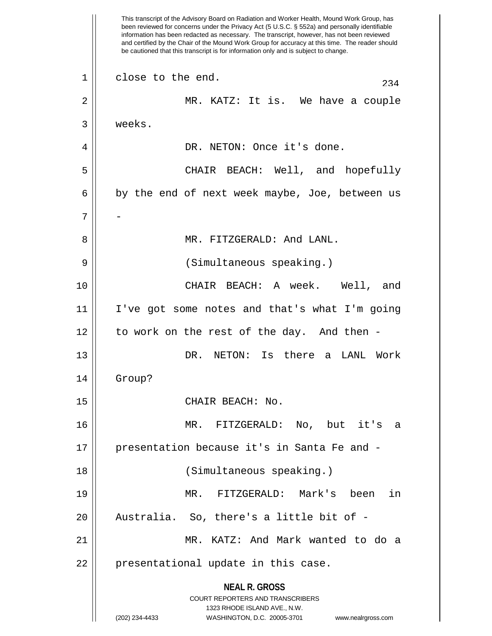**NEAL R. GROSS** COURT REPORTERS AND TRANSCRIBERS 1323 RHODE ISLAND AVE., N.W. (202) 234-4433 WASHINGTON, D.C. 20005-3701 www.nealrgross.com This transcript of the Advisory Board on Radiation and Worker Health, Mound Work Group, has been reviewed for concerns under the Privacy Act (5 U.S.C. § 552a) and personally identifiable information has been redacted as necessary. The transcript, however, has not been reviewed and certified by the Chair of the Mound Work Group for accuracy at this time. The reader should be cautioned that this transcript is for information only and is subject to change.  $234$  close to the end. 2 || MR. KATZ: It is. We have a couple 3 weeks. 4 || DR. NETON: Once it's done. 5 CHAIR BEACH: Well, and hopefully  $6 \parallel$  by the end of next week maybe, Joe, between us  $7 \parallel -$ 8 MR. FITZGERALD: And LANL. 9 (Simultaneous speaking.) 10 CHAIR BEACH: A week. Well, and 11 I've got some notes and that's what I'm going  $12$  | to work on the rest of the day. And then -13 DR. NETON: Is there a LANL Work 14 Group? 15 || CHAIR BEACH: No. 16 MR. FITZGERALD: No, but it's a 17 presentation because it's in Santa Fe and - 18 (Simultaneous speaking.) 19 MR. FITZGERALD: Mark's been in 20 || Australia. So, there's a little bit of -21 MR. KATZ: And Mark wanted to do a  $22$  || presentational update in this case.